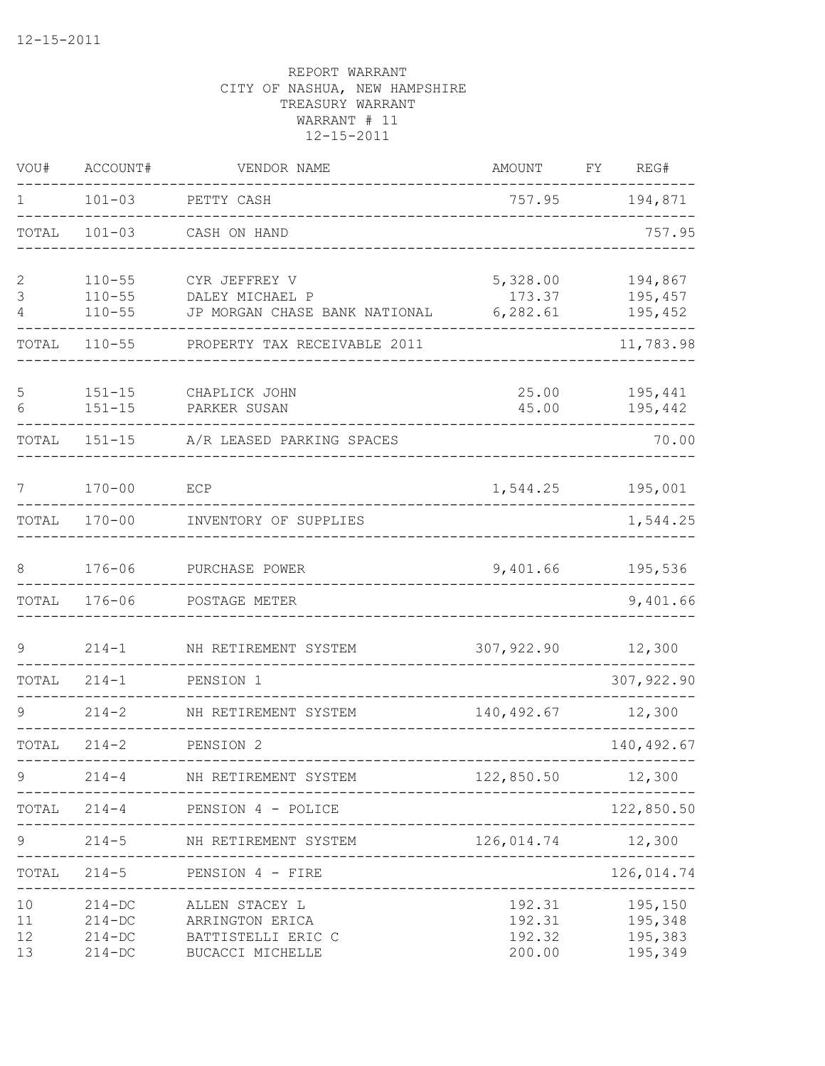| VOU#                 | ACCOUNT#                                             | VENDOR NAME                                                                 | <b>AMOUNT</b>                        | FY | REG#                                     |
|----------------------|------------------------------------------------------|-----------------------------------------------------------------------------|--------------------------------------|----|------------------------------------------|
| 1                    | $101 - 03$                                           | PETTY CASH                                                                  | 757.95                               |    | 194,871                                  |
| TOTAL                | $101 - 03$                                           | CASH ON HAND                                                                |                                      |    | 757.95                                   |
| $\sqrt{2}$<br>3<br>4 | $110 - 55$<br>$110 - 55$<br>$110 - 55$               | CYR JEFFREY V<br>DALEY MICHAEL P<br>JP MORGAN CHASE BANK NATIONAL           | 5,328.00<br>173.37<br>6, 282.61      |    | 194,867<br>195,457<br>195,452            |
| TOTAL                | $110 - 55$                                           | PROPERTY TAX RECEIVABLE 2011                                                |                                      |    | 11,783.98                                |
| 5<br>6               | $151 - 15$<br>$151 - 15$                             | CHAPLICK JOHN<br>PARKER SUSAN                                               | 25.00<br>45.00                       |    | 195,441<br>195,442                       |
| TOTAL                | $151 - 15$                                           | A/R LEASED PARKING SPACES                                                   |                                      |    | 70.00                                    |
| 7                    | $170 - 00$                                           | ECP                                                                         | 1,544.25                             |    | 195,001                                  |
| TOTAL                | $170 - 00$                                           | INVENTORY OF SUPPLIES                                                       |                                      |    | 1,544.25                                 |
| 8                    | $176 - 06$                                           | PURCHASE POWER                                                              | 9,401.66                             |    | 195,536                                  |
| TOTAL                | $176 - 06$                                           | POSTAGE METER                                                               |                                      |    | 9,401.66                                 |
| 9                    | $214 - 1$                                            | NH RETIREMENT SYSTEM                                                        | 307,922.90                           |    | 12,300                                   |
| TOTAL                | $214 - 1$                                            | PENSION 1                                                                   |                                      |    | 307,922.90                               |
| 9                    | $214 - 2$                                            | NH RETIREMENT SYSTEM                                                        | 140,492.67                           |    | 12,300                                   |
| TOTAL                | $214 - 2$                                            | PENSION 2                                                                   |                                      |    | 140,492.67                               |
| 9                    | $214 - 4$                                            | NH RETIREMENT SYSTEM                                                        | 122,850.50                           |    | 12,300                                   |
|                      | $TOTAL 214-4$                                        | PENSION 4 - POLICE                                                          |                                      |    | 122,850.50                               |
| 9                    | $214 - 5$                                            | NH RETIREMENT SYSTEM                                                        | 126,014.74                           |    | 12,300                                   |
| TOTAL                | $214 - 5$                                            | PENSION 4 - FIRE<br>________________                                        |                                      |    | 126,014.74                               |
| 10<br>11<br>12<br>13 | $214 - DC$<br>$214 - DC$<br>$214 - DC$<br>$214 - DC$ | ALLEN STACEY L<br>ARRINGTON ERICA<br>BATTISTELLI ERIC C<br>BUCACCI MICHELLE | 192.31<br>192.31<br>192.32<br>200.00 |    | 195,150<br>195,348<br>195,383<br>195,349 |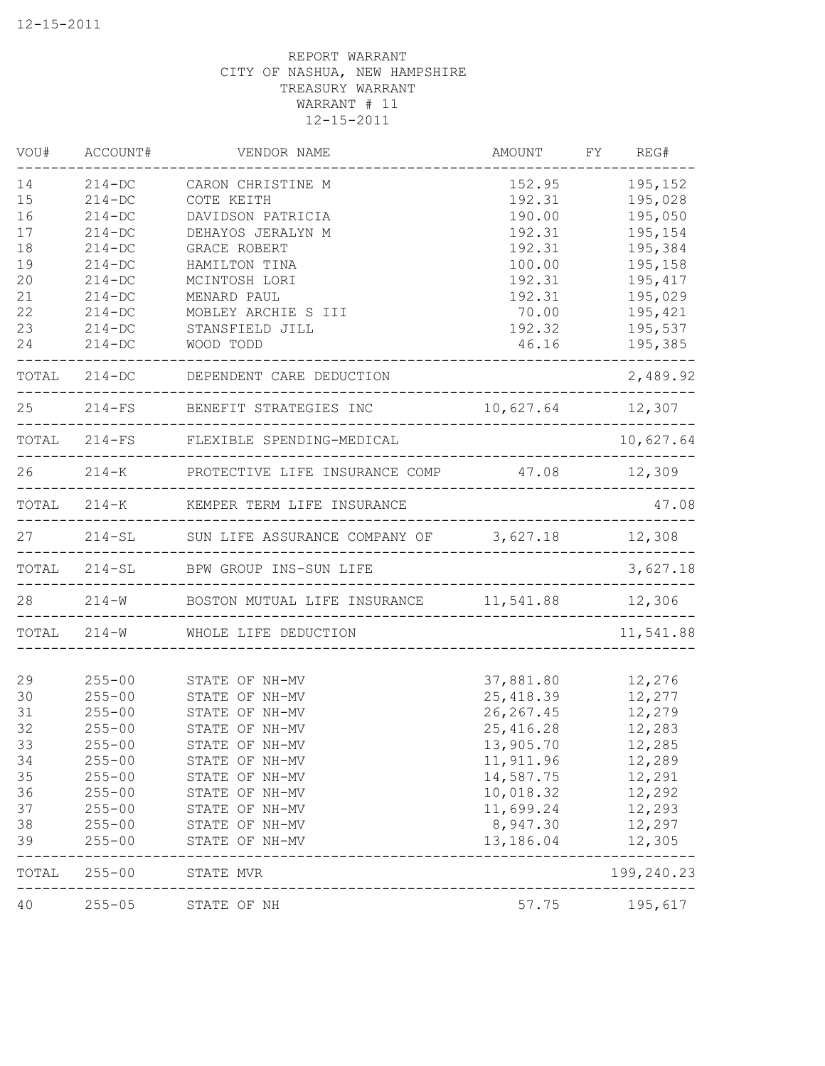| VOU#  | ACCOUNT#   | VENDOR NAME                                             | AMOUNT FY REG#<br>______________ |               |
|-------|------------|---------------------------------------------------------|----------------------------------|---------------|
| 14    | $214 - DC$ | CARON CHRISTINE M                                       | 152.95                           | 195,152       |
| 15    | $214 - DC$ | COTE KEITH                                              | 192.31                           | 195,028       |
| 16    | $214 - DC$ | DAVIDSON PATRICIA                                       | 190.00                           | 195,050       |
| 17    | $214 - DC$ | DEHAYOS JERALYN M                                       | 192.31                           | 195,154       |
| 18    | $214 - DC$ | GRACE ROBERT                                            | 192.31                           | 195,384       |
| 19    | $214 - DC$ | HAMILTON TINA                                           | 100.00                           | 195,158       |
| 20    | $214 - DC$ | MCINTOSH LORI                                           | 192.31                           | 195,417       |
| 21    | $214 - DC$ | MENARD PAUL                                             | 192.31                           | 195,029       |
| 22    | $214-DC$   | MOBLEY ARCHIE S III                                     | 70.00                            | 195,421       |
| 23    | $214 - DC$ | STANSFIELD JILL                                         | 192.32                           | 195,537       |
| 24    | $214 - DC$ | WOOD TODD<br>_________________________________          |                                  | 46.16 195,385 |
|       |            | TOTAL 214-DC DEPENDENT CARE DEDUCTION                   |                                  | 2,489.92      |
|       |            | 25 214-FS BENEFIT STRATEGIES INC 10,627.64 12,307       |                                  |               |
|       |            | TOTAL 214-FS FLEXIBLE SPENDING-MEDICAL                  |                                  | 10,627.64     |
|       |            | 26 214-K PROTECTIVE LIFE INSURANCE COMP 47.08 12,309    |                                  |               |
|       |            | TOTAL 214-K KEMPER TERM LIFE INSURANCE                  |                                  | 47.08         |
|       |            | 27 214-SL SUN LIFE ASSURANCE COMPANY OF 3,627.18 12,308 |                                  |               |
|       |            | TOTAL 214-SL BPW GROUP INS-SUN LIFE                     |                                  | 3,627.18      |
|       |            | 28 214-W BOSTON MUTUAL LIFE INSURANCE 11,541.88 12,306  |                                  |               |
|       |            | TOTAL 214-W WHOLE LIFE DEDUCTION                        |                                  | 11,541.88     |
| 29    |            | 255-00 STATE OF NH-MV                                   | 37,881.80                        | 12,276        |
| 30    | $255 - 00$ | STATE OF NH-MV                                          | 25,418.39                        | 12,277        |
| 31    | $255 - 00$ | STATE OF NH-MV                                          | 26, 267.45                       | 12,279        |
| 32    | $255 - 00$ | STATE OF NH-MV                                          | 25,416.28                        | 12,283        |
| 33    | $255 - 00$ | STATE OF NH-MV                                          | 13,905.70                        | 12,285        |
| 34    | $255 - 00$ | STATE OF NH-MV                                          | 11,911.96                        | 12,289        |
| 35    | $255 - 00$ | STATE OF NH-MV                                          | 14,587.75                        | 12,291        |
| 36    | $255 - 00$ | STATE OF NH-MV                                          | 10,018.32                        | 12,292        |
| 37    | $255 - 00$ | STATE OF NH-MV                                          | 11,699.24                        | 12,293        |
| 38    | $255 - 00$ | STATE OF NH-MV                                          | 8,947.30                         | 12,297        |
| 39    | $255 - 00$ | STATE OF NH-MV                                          | 13,186.04                        | 12,305        |
| TOTAL | $255 - 00$ | STATE MVR                                               |                                  | 199,240.23    |
| 40    | $255 - 05$ | STATE OF NH                                             | 57.75                            | 195,617       |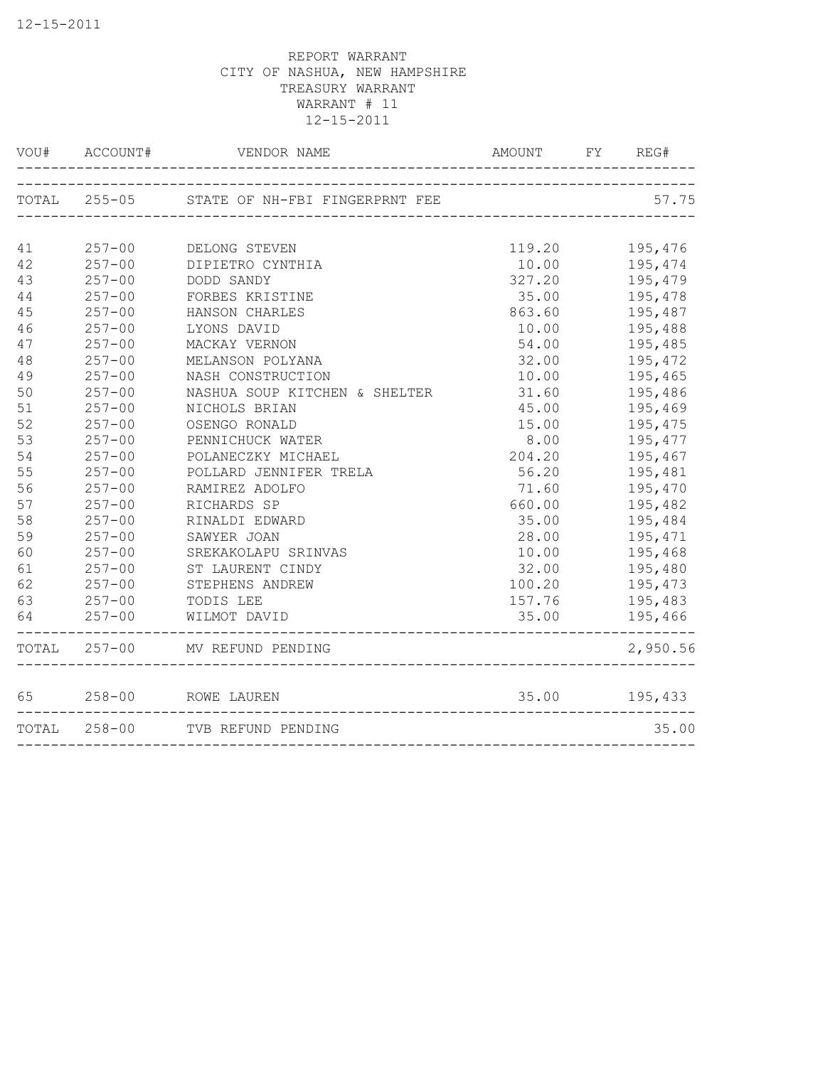|        | VOU# ACCOUNT# | VENDOR NAME                                 | AMOUNT FY REG# |                   |
|--------|---------------|---------------------------------------------|----------------|-------------------|
|        |               | TOTAL 255-05 STATE OF NH-FBI FINGERPRNT FEE |                | 57.75             |
|        |               |                                             |                |                   |
| 41     |               | 257-00 DELONG STEVEN                        |                | 119.20 195,476    |
| 42     | $257 - 00$    | DIPIETRO CYNTHIA                            | 10.00          | 195,474           |
| 43     | $257 - 00$    | DODD SANDY                                  | 327.20         | 195,479           |
| $4\,4$ | $257 - 00$    | FORBES KRISTINE                             | 35.00          | 195,478           |
| 45     | $257 - 00$    | HANSON CHARLES                              | 863.60         | 195,487           |
| 46     | $257 - 00$    | LYONS DAVID                                 | 10.00          | 195,488           |
| 47     | $257 - 00$    | MACKAY VERNON                               | 54.00          | 195,485           |
| 48     | $257 - 00$    | MELANSON POLYANA                            | 32.00          | 195,472           |
| 49     | $257 - 00$    | NASH CONSTRUCTION                           | 10.00          | 195,465           |
| 50     | $257 - 00$    | NASHUA SOUP KITCHEN & SHELTER               | 31.60          | 195,486           |
| 51     | $257 - 00$    | NICHOLS BRIAN                               | 45.00          | 195,469           |
| 52     | $257 - 00$    | OSENGO RONALD                               | 15.00          | 195,475           |
| 53     | $257 - 00$    | PENNICHUCK WATER                            | 8.00           | 195,477           |
| 54     | $257 - 00$    | POLANECZKY MICHAEL                          | 204.20         | 195,467           |
| 55     | $257 - 00$    | POLLARD JENNIFER TRELA                      | 56.20          | 195,481           |
| 56     | $257 - 00$    | RAMIREZ ADOLFO                              | 71.60          | 195,470           |
| 57     | $257 - 00$    | RICHARDS SP                                 | 660.00         | 195,482           |
| 58     | $257 - 00$    | RINALDI EDWARD                              |                | 35.00 195,484     |
| 59     | $257 - 00$    | SAWYER JOAN                                 |                | 28.00 195,471     |
| 60     | $257 - 00$    | SREKAKOLAPU SRINVAS                         | 10.00 195,468  |                   |
| 61     |               | 257-00 ST LAURENT CINDY                     | 32.00 195,480  |                   |
| 62     | $257 - 00$    | STEPHENS ANDREW                             |                | 100.20    195,473 |
| 63     | $257 - 00$    | TODIS LEE                                   |                | 157.76 195,483    |
| 64     | $257 - 00$    | WILMOT DAVID                                | 35.00          | 195,466           |
|        |               | TOTAL 257-00 MV REFUND PENDING              |                | 2,950.56          |
| 65     |               | 258-00 ROWE LAUREN                          | 35.00          | 195,433           |
|        | TOTAL 258-00  | TVB REFUND PENDING                          |                | 35.00             |
|        |               |                                             |                |                   |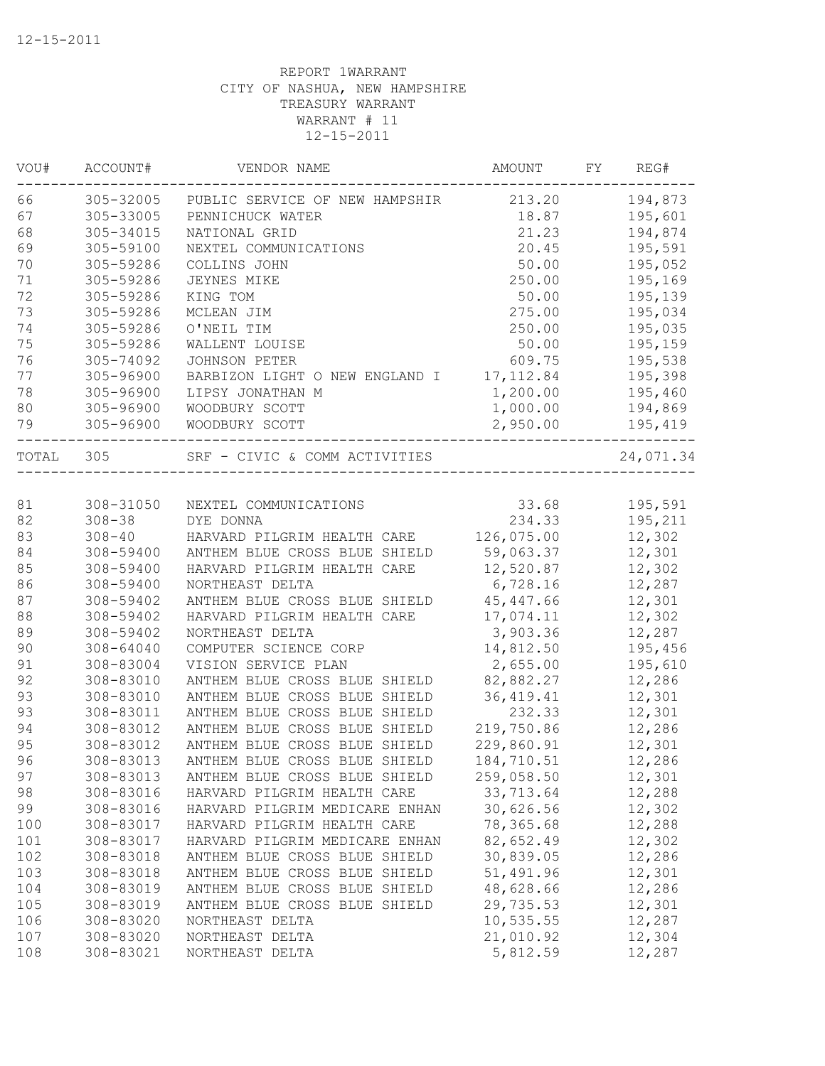| VOU#  | ACCOUNT#      | VENDOR NAME                    | AMOUNT     | FY | REG#      |
|-------|---------------|--------------------------------|------------|----|-----------|
| 66    | 305-32005     | PUBLIC SERVICE OF NEW HAMPSHIR | 213.20     |    | 194,873   |
| 67    | 305-33005     | PENNICHUCK WATER               | 18.87      |    | 195,601   |
| 68    | 305-34015     | NATIONAL GRID                  | 21.23      |    | 194,874   |
| 69    | 305-59100     | NEXTEL COMMUNICATIONS          | 20.45      |    | 195,591   |
| 70    | 305-59286     | COLLINS JOHN                   | 50.00      |    | 195,052   |
| 71    | 305-59286     | JEYNES MIKE                    | 250.00     |    | 195,169   |
| 72    | 305-59286     | KING TOM                       | 50.00      |    | 195,139   |
| 73    | 305-59286     | MCLEAN JIM                     | 275.00     |    | 195,034   |
| 74    | 305-59286     | O'NEIL TIM                     | 250.00     |    | 195,035   |
| 75    | 305-59286     | WALLENT LOUISE                 | 50.00      |    | 195,159   |
| 76    | 305-74092     | <b>JOHNSON PETER</b>           | 609.75     |    | 195,538   |
| 77    | 305-96900     | BARBIZON LIGHT O NEW ENGLAND I | 17, 112.84 |    | 195,398   |
| 78    | 305-96900     | LIPSY JONATHAN M               | 1,200.00   |    | 195,460   |
| 80    | 305-96900     | WOODBURY SCOTT                 | 1,000.00   |    | 194,869   |
| 79    | 305-96900     | WOODBURY SCOTT                 | 2,950.00   |    | 195,419   |
| TOTAL | 305           | SRF - CIVIC & COMM ACTIVITIES  |            |    | 24,071.34 |
|       |               |                                |            |    |           |
| 81    | 308-31050     | NEXTEL COMMUNICATIONS          | 33.68      |    | 195,591   |
| 82    | $308 - 38$    | DYE DONNA                      | 234.33     |    | 195,211   |
| 83    | $308 - 40$    | HARVARD PILGRIM HEALTH CARE    | 126,075.00 |    | 12,302    |
| 84    | 308-59400     | ANTHEM BLUE CROSS BLUE SHIELD  | 59,063.37  |    | 12,301    |
| 85    | 308-59400     | HARVARD PILGRIM HEALTH CARE    | 12,520.87  |    | 12,302    |
| 86    | 308-59400     | NORTHEAST DELTA                | 6,728.16   |    | 12,287    |
| 87    | 308-59402     | ANTHEM BLUE CROSS BLUE SHIELD  | 45, 447.66 |    | 12,301    |
| 88    | 308-59402     | HARVARD PILGRIM HEALTH CARE    | 17,074.11  |    | 12,302    |
| 89    | 308-59402     | NORTHEAST DELTA                | 3,903.36   |    | 12,287    |
| 90    | $308 - 64040$ | COMPUTER SCIENCE CORP          | 14,812.50  |    | 195,456   |
| 91    | 308-83004     | VISION SERVICE PLAN            | 2,655.00   |    | 195,610   |
| 92    | 308-83010     | ANTHEM BLUE CROSS BLUE SHIELD  | 82,882.27  |    | 12,286    |
| 93    | 308-83010     | ANTHEM BLUE CROSS BLUE SHIELD  | 36, 419.41 |    | 12,301    |
| 93    | 308-83011     | ANTHEM BLUE CROSS BLUE SHIELD  | 232.33     |    | 12,301    |
| 94    | 308-83012     | ANTHEM BLUE CROSS BLUE SHIELD  | 219,750.86 |    | 12,286    |
| 95    | 308-83012     | ANTHEM BLUE CROSS BLUE SHIELD  | 229,860.91 |    | 12,301    |
| 96    | 308-83013     | ANTHEM BLUE CROSS BLUE SHIELD  | 184,710.51 |    | 12,286    |
| 97    | 308-83013     | ANTHEM BLUE CROSS BLUE SHIELD  | 259,058.50 |    | 12,301    |
| 98    | 308-83016     | HARVARD PILGRIM HEALTH CARE    | 33,713.64  |    | 12,288    |
| 99    | 308-83016     | HARVARD PILGRIM MEDICARE ENHAN | 30,626.56  |    | 12,302    |
| 100   | 308-83017     | HARVARD PILGRIM HEALTH CARE    | 78,365.68  |    | 12,288    |
| 101   | 308-83017     | HARVARD PILGRIM MEDICARE ENHAN | 82,652.49  |    | 12,302    |
| 102   | 308-83018     | ANTHEM BLUE CROSS BLUE SHIELD  | 30,839.05  |    | 12,286    |
| 103   | 308-83018     | ANTHEM BLUE CROSS BLUE SHIELD  | 51,491.96  |    | 12,301    |
| 104   | 308-83019     | ANTHEM BLUE CROSS BLUE SHIELD  | 48,628.66  |    | 12,286    |
| 105   | 308-83019     | ANTHEM BLUE CROSS BLUE SHIELD  | 29,735.53  |    | 12,301    |
| 106   | 308-83020     | NORTHEAST DELTA                | 10,535.55  |    | 12,287    |
| 107   | 308-83020     | NORTHEAST DELTA                | 21,010.92  |    | 12,304    |
| 108   | 308-83021     | NORTHEAST DELTA                | 5,812.59   |    | 12,287    |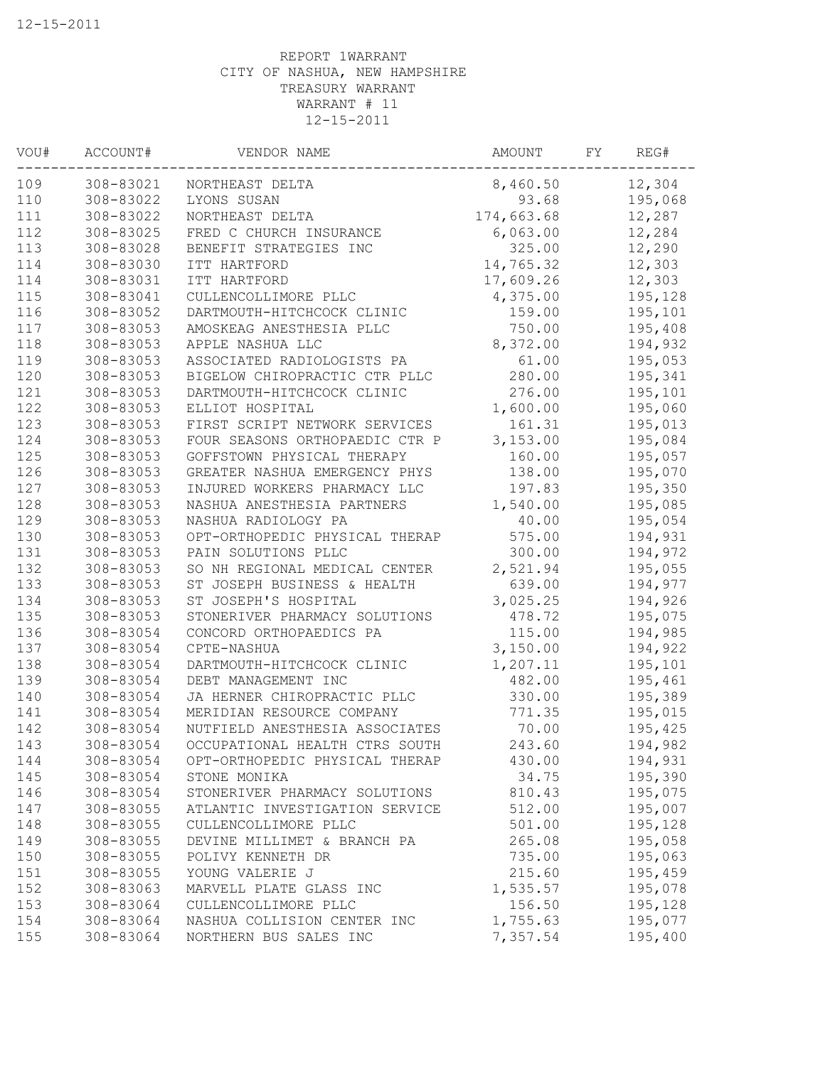| VOU# | ACCOUNT#  | VENDOR NAME                    | AMOUNT     | FY | REG#    |
|------|-----------|--------------------------------|------------|----|---------|
| 109  | 308-83021 | NORTHEAST DELTA                | 8,460.50   |    | 12,304  |
| 110  | 308-83022 | LYONS SUSAN                    | 93.68      |    | 195,068 |
| 111  | 308-83022 | NORTHEAST DELTA                | 174,663.68 |    | 12,287  |
| 112  | 308-83025 | FRED C CHURCH INSURANCE        | 6,063.00   |    | 12,284  |
| 113  | 308-83028 | BENEFIT STRATEGIES INC         | 325.00     |    | 12,290  |
| 114  | 308-83030 | ITT HARTFORD                   | 14,765.32  |    | 12,303  |
| 114  | 308-83031 | ITT HARTFORD                   | 17,609.26  |    | 12,303  |
| 115  | 308-83041 | CULLENCOLLIMORE PLLC           | 4,375.00   |    | 195,128 |
| 116  | 308-83052 | DARTMOUTH-HITCHCOCK CLINIC     | 159.00     |    | 195,101 |
| 117  | 308-83053 | AMOSKEAG ANESTHESIA PLLC       | 750.00     |    | 195,408 |
| 118  | 308-83053 | APPLE NASHUA LLC               | 8,372.00   |    | 194,932 |
| 119  | 308-83053 | ASSOCIATED RADIOLOGISTS PA     | 61.00      |    | 195,053 |
| 120  | 308-83053 | BIGELOW CHIROPRACTIC CTR PLLC  | 280.00     |    | 195,341 |
| 121  | 308-83053 | DARTMOUTH-HITCHCOCK CLINIC     | 276.00     |    | 195,101 |
| 122  | 308-83053 | ELLIOT HOSPITAL                | 1,600.00   |    | 195,060 |
| 123  | 308-83053 | FIRST SCRIPT NETWORK SERVICES  | 161.31     |    | 195,013 |
| 124  | 308-83053 | FOUR SEASONS ORTHOPAEDIC CTR P | 3,153.00   |    | 195,084 |
| 125  | 308-83053 | GOFFSTOWN PHYSICAL THERAPY     | 160.00     |    | 195,057 |
| 126  | 308-83053 | GREATER NASHUA EMERGENCY PHYS  | 138.00     |    | 195,070 |
| 127  | 308-83053 | INJURED WORKERS PHARMACY LLC   | 197.83     |    | 195,350 |
| 128  | 308-83053 | NASHUA ANESTHESIA PARTNERS     | 1,540.00   |    | 195,085 |
| 129  | 308-83053 | NASHUA RADIOLOGY PA            | 40.00      |    | 195,054 |
| 130  | 308-83053 | OPT-ORTHOPEDIC PHYSICAL THERAP | 575.00     |    | 194,931 |
| 131  | 308-83053 | PAIN SOLUTIONS PLLC            | 300.00     |    | 194,972 |
| 132  | 308-83053 | SO NH REGIONAL MEDICAL CENTER  | 2,521.94   |    | 195,055 |
| 133  | 308-83053 | ST JOSEPH BUSINESS & HEALTH    | 639.00     |    | 194,977 |
| 134  | 308-83053 | ST JOSEPH'S HOSPITAL           | 3,025.25   |    | 194,926 |
| 135  | 308-83053 | STONERIVER PHARMACY SOLUTIONS  | 478.72     |    | 195,075 |
| 136  | 308-83054 | CONCORD ORTHOPAEDICS PA        | 115.00     |    | 194,985 |
| 137  | 308-83054 | CPTE-NASHUA                    | 3,150.00   |    | 194,922 |
| 138  | 308-83054 | DARTMOUTH-HITCHCOCK CLINIC     | 1,207.11   |    | 195,101 |
| 139  | 308-83054 | DEBT MANAGEMENT INC            | 482.00     |    | 195,461 |
| 140  | 308-83054 | JA HERNER CHIROPRACTIC PLLC    | 330.00     |    | 195,389 |
| 141  | 308-83054 | MERIDIAN RESOURCE COMPANY      | 771.35     |    | 195,015 |
| 142  | 308-83054 | NUTFIELD ANESTHESIA ASSOCIATES | 70.00      |    | 195,425 |
| 143  | 308-83054 | OCCUPATIONAL HEALTH CTRS SOUTH | 243.60     |    | 194,982 |
| 144  | 308-83054 | OPT-ORTHOPEDIC PHYSICAL THERAP | 430.00     |    | 194,931 |
| 145  | 308-83054 | STONE MONIKA                   | 34.75      |    | 195,390 |
| 146  | 308-83054 | STONERIVER PHARMACY SOLUTIONS  | 810.43     |    | 195,075 |
| 147  | 308-83055 | ATLANTIC INVESTIGATION SERVICE | 512.00     |    | 195,007 |
| 148  | 308-83055 | CULLENCOLLIMORE PLLC           | 501.00     |    | 195,128 |
| 149  | 308-83055 | DEVINE MILLIMET & BRANCH PA    | 265.08     |    | 195,058 |
| 150  | 308-83055 | POLIVY KENNETH DR              | 735.00     |    | 195,063 |
| 151  | 308-83055 | YOUNG VALERIE J                | 215.60     |    | 195,459 |
| 152  | 308-83063 | MARVELL PLATE GLASS INC        | 1,535.57   |    | 195,078 |
| 153  | 308-83064 | CULLENCOLLIMORE PLLC           | 156.50     |    | 195,128 |
| 154  | 308-83064 | NASHUA COLLISION CENTER INC    | 1,755.63   |    | 195,077 |
| 155  | 308-83064 | NORTHERN BUS SALES INC         | 7,357.54   |    | 195,400 |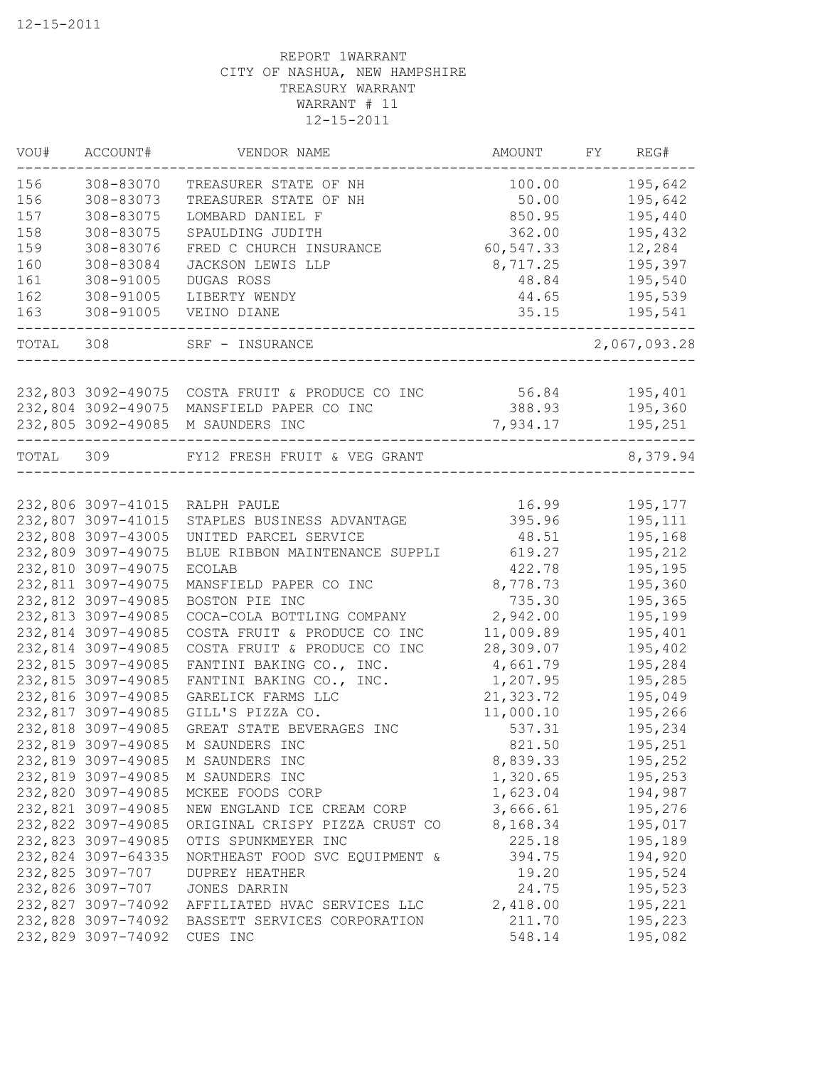| VOU#      | ACCOUNT#           | VENDOR NAME                                           | AMOUNT    | FY | REG#         |
|-----------|--------------------|-------------------------------------------------------|-----------|----|--------------|
| 156       | 308-83070          | TREASURER STATE OF NH                                 | 100.00    |    | 195,642      |
| 156       | 308-83073          | TREASURER STATE OF NH                                 | 50.00     |    | 195,642      |
| 157       | 308-83075          | LOMBARD DANIEL F                                      | 850.95    |    | 195,440      |
| 158       | 308-83075          | SPAULDING JUDITH                                      | 362.00    |    | 195,432      |
| 159       | 308-83076          | FRED C CHURCH INSURANCE                               | 60,547.33 |    | 12,284       |
| 160       | 308-83084          | JACKSON LEWIS LLP                                     | 8,717.25  |    | 195,397      |
| 161       | 308-91005          | DUGAS ROSS                                            | 48.84     |    | 195,540      |
| 162       | 308-91005          | LIBERTY WENDY                                         | 44.65     |    | 195,539      |
| 163       | 308-91005          | VEINO DIANE                                           | 35.15     |    | 195,541      |
| TOTAL 308 |                    | SRF - INSURANCE                                       |           |    | 2,067,093.28 |
|           |                    |                                                       |           |    |              |
|           |                    | 232,803 3092-49075 COSTA FRUIT & PRODUCE CO INC 56.84 |           |    | 195,401      |
|           | 232,804 3092-49075 | MANSFIELD PAPER CO INC                                | 388.93    |    | 195,360      |
|           |                    | 232,805 3092-49085 M SAUNDERS INC                     | 7,934.17  |    | 195,251      |
| TOTAL 309 |                    | FY12 FRESH FRUIT & VEG GRANT                          |           |    | 8,379.94     |
|           |                    |                                                       |           |    |              |
|           | 232,806 3097-41015 | RALPH PAULE                                           | 16.99     |    | 195,177      |
|           | 232,807 3097-41015 | STAPLES BUSINESS ADVANTAGE                            | 395.96    |    | 195,111      |
|           | 232,808 3097-43005 | UNITED PARCEL SERVICE                                 | 48.51     |    | 195,168      |
|           | 232,809 3097-49075 | BLUE RIBBON MAINTENANCE SUPPLI                        | 619.27    |    | 195,212      |
|           | 232,810 3097-49075 | <b>ECOLAB</b>                                         | 422.78    |    | 195,195      |
|           | 232,811 3097-49075 | MANSFIELD PAPER CO INC                                | 8,778.73  |    | 195,360      |
|           | 232,812 3097-49085 | BOSTON PIE INC                                        | 735.30    |    | 195,365      |
|           | 232,813 3097-49085 | COCA-COLA BOTTLING COMPANY                            | 2,942.00  |    | 195,199      |
|           | 232,814 3097-49085 | COSTA FRUIT & PRODUCE CO INC                          | 11,009.89 |    | 195,401      |
|           | 232,814 3097-49085 | COSTA FRUIT & PRODUCE CO INC                          | 28,309.07 |    | 195,402      |
|           | 232,815 3097-49085 | FANTINI BAKING CO., INC.                              | 4,661.79  |    | 195,284      |
|           | 232,815 3097-49085 | FANTINI BAKING CO., INC.                              | 1,207.95  |    | 195,285      |
|           | 232,816 3097-49085 | GARELICK FARMS LLC                                    | 21,323.72 |    | 195,049      |
|           | 232,817 3097-49085 | GILL'S PIZZA CO.                                      | 11,000.10 |    | 195,266      |
|           | 232,818 3097-49085 | GREAT STATE BEVERAGES INC                             | 537.31    |    | 195,234      |
|           | 232,819 3097-49085 | M SAUNDERS INC                                        | 821.50    |    | 195,251      |
|           | 232,819 3097-49085 | M SAUNDERS INC                                        | 8,839.33  |    | 195,252      |
|           | 232,819 3097-49085 | M SAUNDERS INC                                        | 1,320.65  |    | 195,253      |
|           | 232,820 3097-49085 | MCKEE FOODS CORP                                      | 1,623.04  |    | 194,987      |
|           | 232,821 3097-49085 | NEW ENGLAND ICE CREAM CORP                            | 3,666.61  |    | 195,276      |
|           | 232,822 3097-49085 | ORIGINAL CRISPY PIZZA CRUST CO                        | 8,168.34  |    | 195,017      |
|           | 232,823 3097-49085 | OTIS SPUNKMEYER INC                                   | 225.18    |    | 195,189      |
|           | 232,824 3097-64335 | NORTHEAST FOOD SVC EQUIPMENT &                        | 394.75    |    | 194,920      |
|           | 232,825 3097-707   | <b>DUPREY HEATHER</b>                                 | 19.20     |    | 195,524      |
|           | 232,826 3097-707   | JONES DARRIN                                          | 24.75     |    | 195,523      |
|           | 232,827 3097-74092 | AFFILIATED HVAC SERVICES LLC                          | 2,418.00  |    | 195,221      |
|           | 232,828 3097-74092 | BASSETT SERVICES CORPORATION                          | 211.70    |    | 195,223      |
|           | 232,829 3097-74092 | CUES INC                                              | 548.14    |    | 195,082      |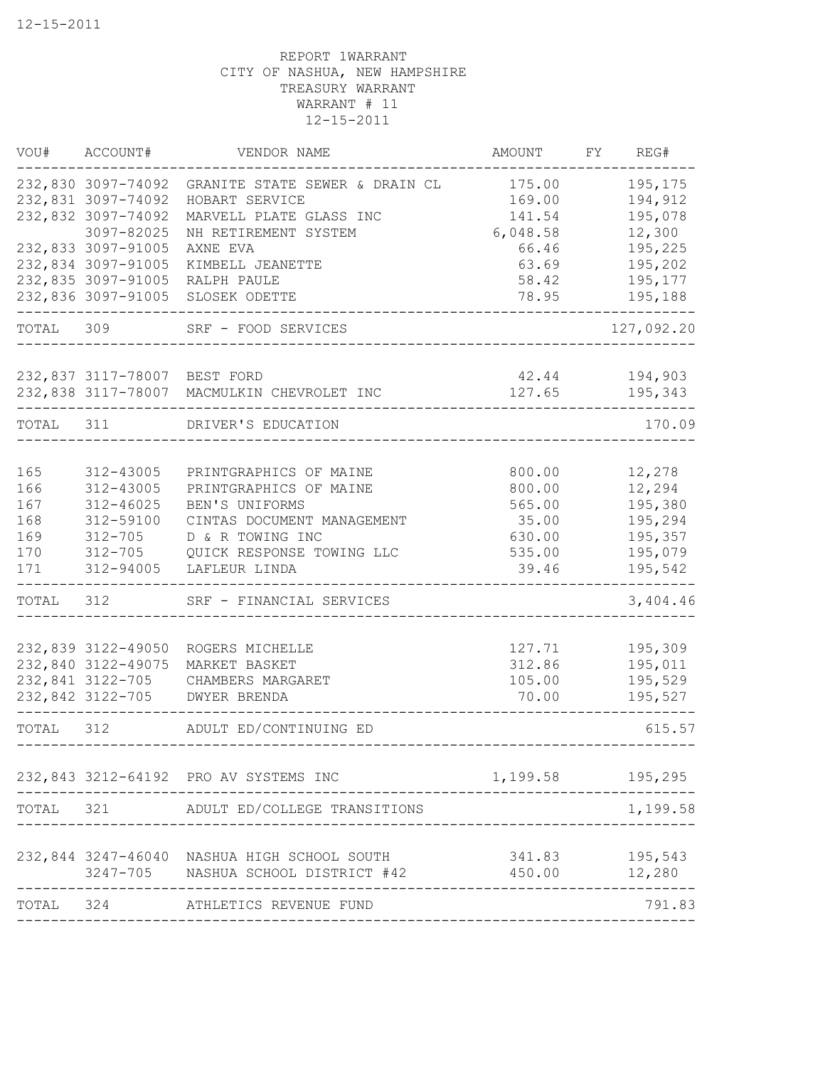|           | VOU# ACCOUNT#                          | VENDOR NAME                                        | AMOUNT           | FY REG#            |
|-----------|----------------------------------------|----------------------------------------------------|------------------|--------------------|
|           | 232,830 3097-74092                     | GRANITE STATE SEWER & DRAIN CL                     | 175.00           | 195,175            |
|           | 232,831 3097-74092                     | HOBART SERVICE                                     | 169.00           | 194,912            |
|           | 232,832 3097-74092                     | MARVELL PLATE GLASS INC                            | 141.54           | 195,078            |
|           | 3097-82025                             | NH RETIREMENT SYSTEM                               | 6,048.58         | 12,300             |
|           | 232,833 3097-91005                     | AXNE EVA                                           | 66.46            | 195,225            |
|           | 232,834 3097-91005                     | KIMBELL JEANETTE                                   | 63.69            | 195,202            |
|           | 232,835 3097-91005                     | RALPH PAULE                                        | 58.42            | 195,177            |
|           | 232,836 3097-91005                     | SLOSEK ODETTE                                      | 78.95            | 195,188            |
| TOTAL 309 |                                        | SRF - FOOD SERVICES                                |                  | 127,092.20         |
|           | 232,837 3117-78007 BEST FORD           |                                                    | 42.44 194,903    |                    |
|           |                                        | 232,838 3117-78007 MACMULKIN CHEVROLET INC         | 127.65           | 195,343            |
|           | TOTAL 311                              | ----------------------------<br>DRIVER'S EDUCATION |                  | 170.09             |
|           |                                        |                                                    |                  |                    |
| 165       | 312-43005                              | PRINTGRAPHICS OF MAINE                             | 800.00           | 12,278             |
| 166       | 312-43005                              | PRINTGRAPHICS OF MAINE                             | 800.00           | 12,294             |
| 167       | $312 - 46025$                          | BEN'S UNIFORMS                                     | 565.00           | 195,380            |
| 168       | 312-59100                              | CINTAS DOCUMENT MANAGEMENT                         | 35.00            | 195,294            |
| 169       | 312-705                                | D & R TOWING INC                                   | 630.00           | 195,357            |
| 170       |                                        | 312-705 QUICK RESPONSE TOWING LLC                  | 535.00           | 195,079            |
| 171       | 312-94005                              | LAFLEUR LINDA                                      | 39.46            | 195,542            |
| TOTAL     | 312                                    | SRF - FINANCIAL SERVICES                           |                  | 3,404.46           |
|           |                                        |                                                    |                  |                    |
|           | 232,839 3122-49050                     | ROGERS MICHELLE                                    | 127.71           | 195,309            |
|           | 232,840 3122-49075<br>232,841 3122-705 | MARKET BASKET<br>CHAMBERS MARGARET                 | 312.86<br>105.00 | 195,011<br>195,529 |
|           | 232,842 3122-705                       | DWYER BRENDA                                       | 70.00            | 195,527            |
|           |                                        |                                                    |                  |                    |
| TOTAL     | 312                                    | ADULT ED/CONTINUING ED                             |                  | 615.57             |
|           |                                        |                                                    |                  |                    |
|           |                                        | 232,843 3212-64192 PRO AV SYSTEMS INC              | 1,199.58         | 195,295            |
| TOTAL     | 321                                    | ADULT ED/COLLEGE TRANSITIONS                       |                  | 1,199.58           |
|           |                                        | 232,844 3247-46040 NASHUA HIGH SCHOOL SOUTH        | 341.83           | 195,543            |
|           |                                        | 3247-705 NASHUA SCHOOL DISTRICT #42                | 450.00           | 12,280             |
| TOTAL     | 324                                    | ATHLETICS REVENUE FUND                             |                  | 791.83             |
|           |                                        |                                                    |                  |                    |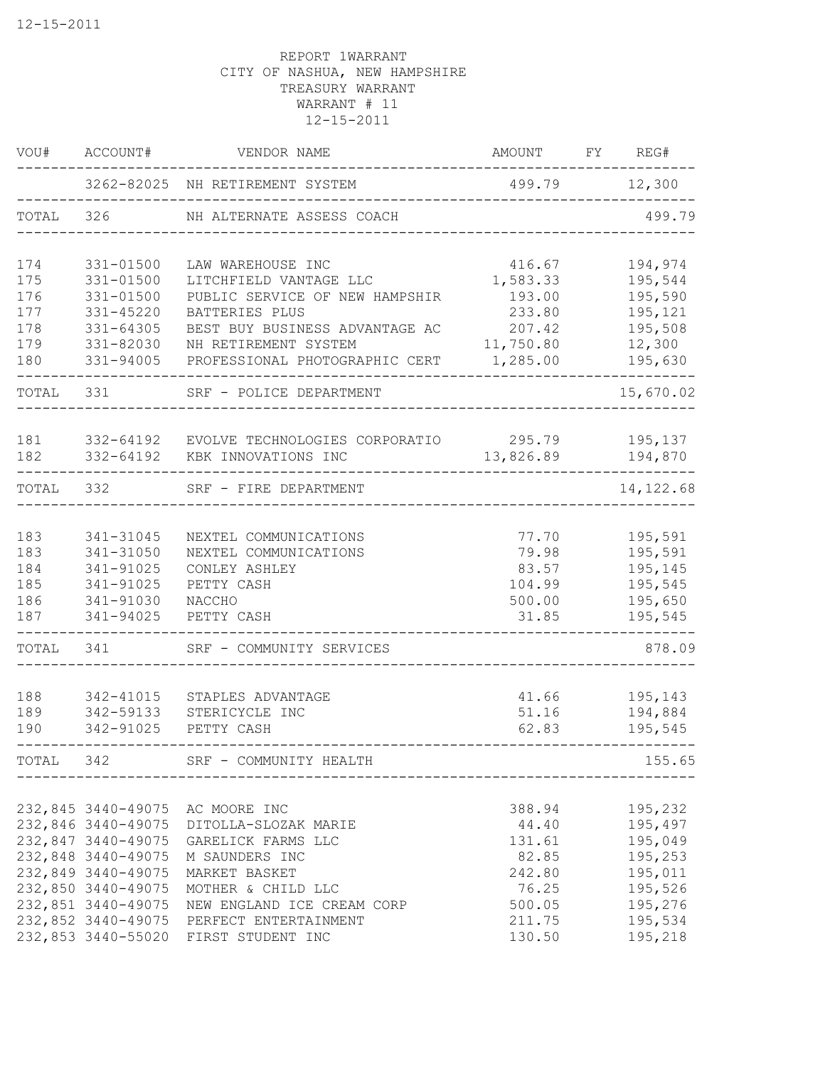| VOU#  | ACCOUNT#           | VENDOR NAME                                   | AMOUNT        | FY REG#    |
|-------|--------------------|-----------------------------------------------|---------------|------------|
|       |                    | 3262-82025 NH RETIREMENT SYSTEM               | 499.79 12,300 |            |
| TOTAL | 326                | NH ALTERNATE ASSESS COACH                     |               | 499.79     |
| 174   | 331-01500          | LAW WAREHOUSE INC                             | 416.67        | 194,974    |
| 175   | 331-01500          | LITCHFIELD VANTAGE LLC                        | 1,583.33      | 195,544    |
| 176   | 331-01500          | PUBLIC SERVICE OF NEW HAMPSHIR                | 193.00        | 195,590    |
| 177   | 331-45220          | BATTERIES PLUS                                | 233.80        | 195,121    |
| 178   | $331 - 64305$      | BEST BUY BUSINESS ADVANTAGE AC                | 207.42        | 195,508    |
| 179   | 331-82030          | NH RETIREMENT SYSTEM                          | 11,750.80     | 12,300     |
| 180   | 331-94005          | PROFESSIONAL PHOTOGRAPHIC CERT                | 1,285.00      | 195,630    |
| TOTAL | 331                | SRF - POLICE DEPARTMENT                       |               | 15,670.02  |
| 181   | 332-64192          | EVOLVE TECHNOLOGIES CORPORATIO 295.79 195,137 |               |            |
| 182   | 332-64192          | KBK INNOVATIONS INC                           | 13,826.89     | 194,870    |
| TOTAL | 332                | SRF - FIRE DEPARTMENT                         |               | 14, 122.68 |
| 183   | 341-31045          | NEXTEL COMMUNICATIONS                         | 77.70         | 195,591    |
| 183   | 341-31050          | NEXTEL COMMUNICATIONS                         | 79.98         | 195,591    |
| 184   | 341-91025          | CONLEY ASHLEY                                 | 83.57         | 195,145    |
| 185   | 341-91025          | PETTY CASH                                    | 104.99        | 195,545    |
| 186   | 341-91030          | NACCHO                                        | 500.00        | 195,650    |
| 187   | 341-94025          | PETTY CASH                                    | 31.85         | 195,545    |
| TOTAL | 341                | SRF - COMMUNITY SERVICES                      |               | 878.09     |
| 188   | 342-41015          | STAPLES ADVANTAGE                             | 41.66         | 195,143    |
| 189   | 342-59133          | STERICYCLE INC                                | 51.16         | 194,884    |
| 190   | 342-91025          | PETTY CASH                                    | 62.83         | 195,545    |
| TOTAL | 342                | SRF - COMMUNITY HEALTH                        |               | 155.65     |
|       |                    |                                               |               |            |
|       | 232,845 3440-49075 | AC MOORE INC                                  | 388.94        | 195,232    |
|       | 232,846 3440-49075 | DITOLLA-SLOZAK MARIE                          | 44.40         | 195,497    |
|       | 232,847 3440-49075 | GARELICK FARMS LLC                            | 131.61        | 195,049    |
|       | 232,848 3440-49075 | M SAUNDERS INC                                | 82.85         | 195,253    |
|       | 232,849 3440-49075 | MARKET BASKET                                 | 242.80        | 195,011    |
|       | 232,850 3440-49075 | MOTHER & CHILD LLC                            | 76.25         | 195,526    |
|       | 232,851 3440-49075 | NEW ENGLAND ICE CREAM CORP                    | 500.05        | 195,276    |
|       | 232,852 3440-49075 | PERFECT ENTERTAINMENT                         | 211.75        | 195,534    |
|       | 232,853 3440-55020 | FIRST STUDENT INC                             | 130.50        | 195,218    |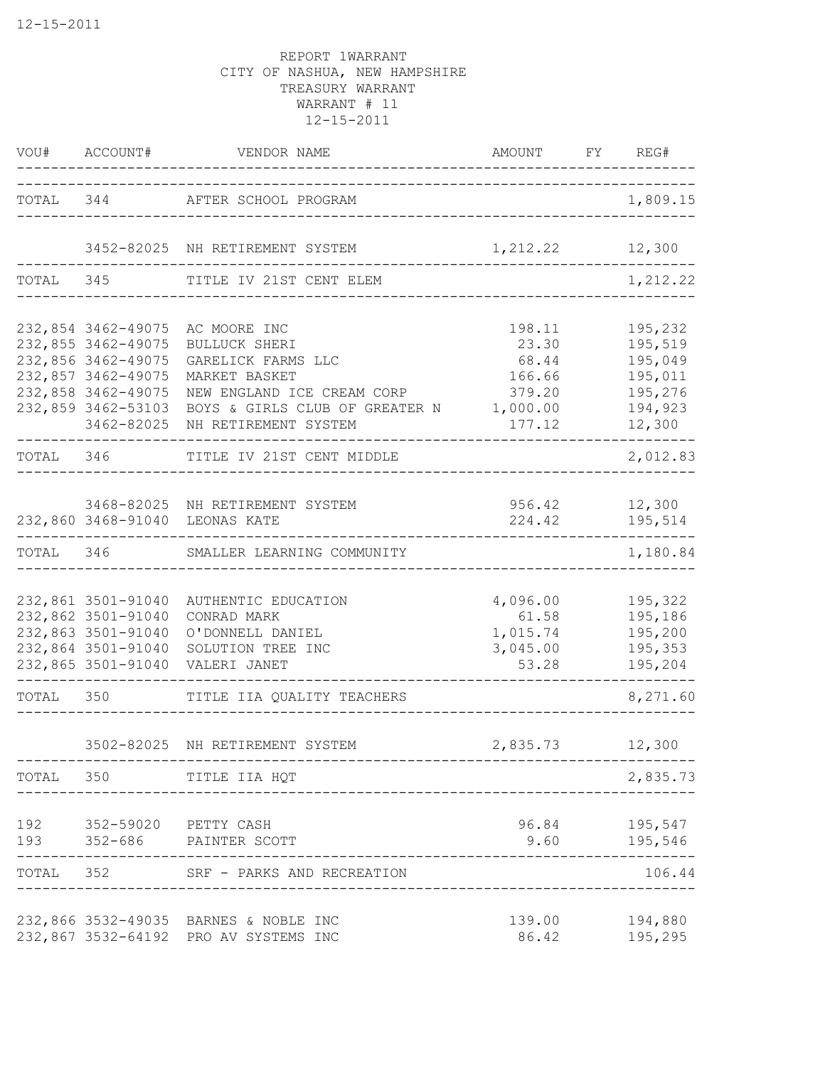|           | VOU# ACCOUNT#                                                                                                                                  | VENDOR NAME<br>---------------------                                                                                                                         | AMOUNT FY REG#                                                     |                                                                          |
|-----------|------------------------------------------------------------------------------------------------------------------------------------------------|--------------------------------------------------------------------------------------------------------------------------------------------------------------|--------------------------------------------------------------------|--------------------------------------------------------------------------|
|           |                                                                                                                                                | TOTAL 344 AFTER SCHOOL PROGRAM                                                                                                                               | ---------------------------------                                  | 1,809.15                                                                 |
|           |                                                                                                                                                | 3452-82025 NH RETIREMENT SYSTEM                                                                                                                              | 1, 212.22 12, 300                                                  |                                                                          |
|           |                                                                                                                                                | TOTAL 345 TITLE IV 21ST CENT ELEM                                                                                                                            | ______________________                                             | 1,212.22                                                                 |
|           | 232,854 3462-49075<br>232,855 3462-49075<br>232,856 3462-49075<br>232,857 3462-49075<br>232,858 3462-49075<br>232,859 3462-53103<br>3462-82025 | AC MOORE INC<br>BULLUCK SHERI<br>GARELICK FARMS LLC<br>MARKET BASKET<br>NEW ENGLAND ICE CREAM CORP<br>BOYS & GIRLS CLUB OF GREATER N<br>NH RETIREMENT SYSTEM | 198.11<br>23.30<br>68.44<br>166.66<br>379.20<br>1,000.00<br>177.12 | 195,232<br>195,519<br>195,049<br>195,011<br>195,276<br>194,923<br>12,300 |
| TOTAL 346 |                                                                                                                                                | TITLE IV 21ST CENT MIDDLE                                                                                                                                    |                                                                    | 2,012.83                                                                 |
|           |                                                                                                                                                | 3468-82025 NH RETIREMENT SYSTEM<br>232,860 3468-91040 LEONAS KATE                                                                                            | 224.42                                                             | 956.42 12,300<br>195,514                                                 |
| TOTAL 346 |                                                                                                                                                | SMALLER LEARNING COMMUNITY                                                                                                                                   |                                                                    | 1,180.84                                                                 |
|           | 232,861 3501-91040<br>232,862 3501-91040<br>232,863 3501-91040<br>232,864 3501-91040<br>232,865 3501-91040                                     | AUTHENTIC EDUCATION<br>CONRAD MARK<br>O'DONNELL DANIEL<br>SOLUTION TREE INC<br>VALERI JANET                                                                  | 4,096.00<br>61.58<br>1,015.74<br>3,045.00<br>53.28                 | 195,322<br>195,186<br>195,200<br>195,353<br>195,204                      |
| TOTAL 350 |                                                                                                                                                | TITLE IIA QUALITY TEACHERS                                                                                                                                   | --------------------------                                         | .<br>8,271.60                                                            |
|           |                                                                                                                                                | 3502-82025 NH RETIREMENT SYSTEM                                                                                                                              | 2,835.73                                                           | 12,300                                                                   |
|           |                                                                                                                                                | TOTAL 350 TITLE IIA HQT                                                                                                                                      |                                                                    | 2,835.73                                                                 |
| 192       |                                                                                                                                                | 352-59020 PETTY CASH<br>193 352-686 PAINTER SCOTT                                                                                                            |                                                                    | 96.84 195,547<br>9.60 195,546                                            |
|           |                                                                                                                                                | TOTAL 352 SRF - PARKS AND RECREATION                                                                                                                         |                                                                    | 106.44                                                                   |
|           |                                                                                                                                                | 232,866 3532-49035 BARNES & NOBLE INC<br>232,867 3532-64192 PRO AV SYSTEMS INC                                                                               | 139.00<br>86.42                                                    | 194,880<br>195,295                                                       |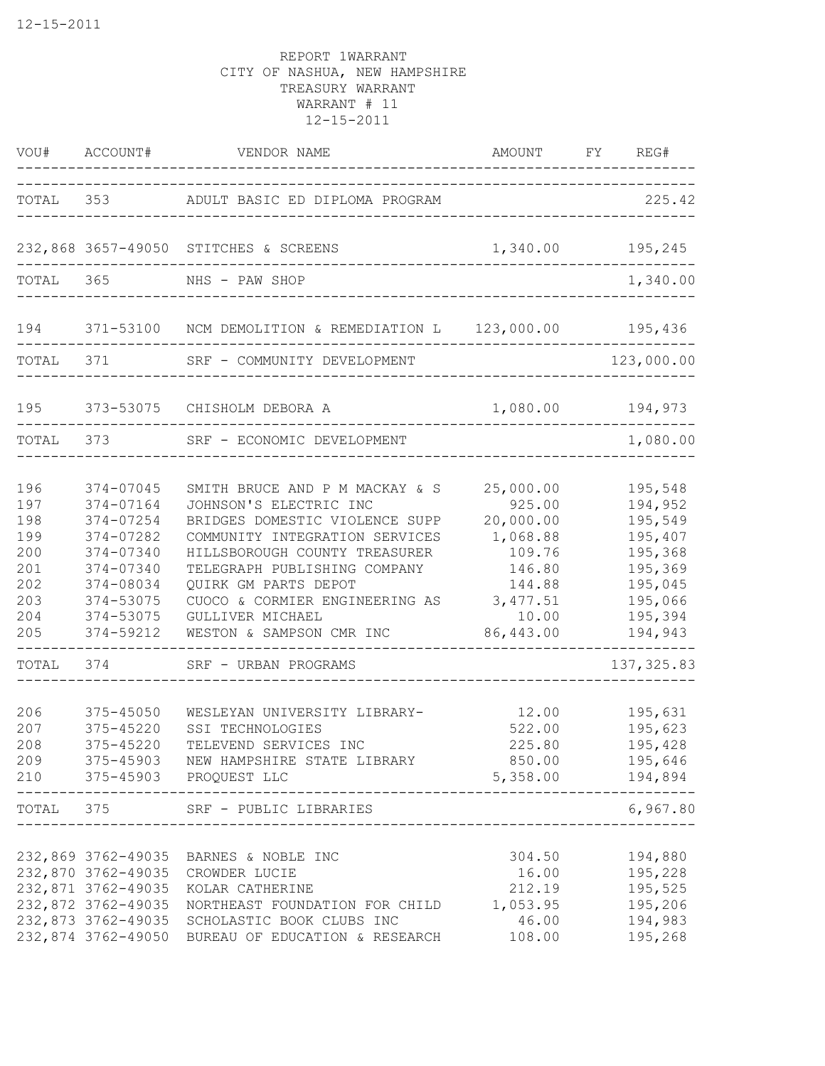|                                                                                           | VOU# ACCOUNT#                                                                                                                                                   | VENDOR NAME<br>. _ _ _ _ _ _ _ _ _ _ _ _ _ _ _                                                                                                                                                                                                                                                                                                                                      | AMOUNT FY<br>________________________________                                                                                                                       | REG#                                                                                                                                            |
|-------------------------------------------------------------------------------------------|-----------------------------------------------------------------------------------------------------------------------------------------------------------------|-------------------------------------------------------------------------------------------------------------------------------------------------------------------------------------------------------------------------------------------------------------------------------------------------------------------------------------------------------------------------------------|---------------------------------------------------------------------------------------------------------------------------------------------------------------------|-------------------------------------------------------------------------------------------------------------------------------------------------|
| TOTAL                                                                                     | 353                                                                                                                                                             | ADULT BASIC ED DIPLOMA PROGRAM                                                                                                                                                                                                                                                                                                                                                      |                                                                                                                                                                     | 225.42                                                                                                                                          |
|                                                                                           |                                                                                                                                                                 | 232,868 3657-49050 STITCHES & SCREENS                                                                                                                                                                                                                                                                                                                                               |                                                                                                                                                                     | 1,340.00 195,245                                                                                                                                |
| TOTAL 365                                                                                 |                                                                                                                                                                 | NHS - PAW SHOP                                                                                                                                                                                                                                                                                                                                                                      |                                                                                                                                                                     | 1,340.00                                                                                                                                        |
| 194                                                                                       |                                                                                                                                                                 | 371-53100 NCM DEMOLITION & REMEDIATION L 123,000.00 195,436                                                                                                                                                                                                                                                                                                                         |                                                                                                                                                                     |                                                                                                                                                 |
|                                                                                           | TOTAL 371                                                                                                                                                       | SRF - COMMUNITY DEVELOPMENT                                                                                                                                                                                                                                                                                                                                                         |                                                                                                                                                                     | 123,000.00                                                                                                                                      |
| 195                                                                                       |                                                                                                                                                                 | 373-53075 CHISHOLM DEBORA A                                                                                                                                                                                                                                                                                                                                                         |                                                                                                                                                                     | 1,080.00 194,973                                                                                                                                |
| TOTAL 373                                                                                 |                                                                                                                                                                 | SRF - ECONOMIC DEVELOPMENT                                                                                                                                                                                                                                                                                                                                                          |                                                                                                                                                                     | 1,080.00                                                                                                                                        |
| 196<br>197<br>198<br>199<br>200<br>201<br>202<br>203<br>204<br>205<br>TOTAL<br>206<br>207 | 374-07045<br>374-07164<br>374-07254<br>374-07282<br>374-07340<br>374-07340<br>374-08034<br>374-53075<br>374-53075<br>374-59212<br>374<br>375-45050<br>375-45220 | SMITH BRUCE AND P M MACKAY & S<br>JOHNSON'S ELECTRIC INC<br>BRIDGES DOMESTIC VIOLENCE SUPP<br>COMMUNITY INTEGRATION SERVICES<br>HILLSBOROUGH COUNTY TREASURER<br>TELEGRAPH PUBLISHING COMPANY<br>QUIRK GM PARTS DEPOT<br>CUOCO & CORMIER ENGINEERING AS<br>GULLIVER MICHAEL<br>WESTON & SAMPSON CMR INC<br>SRF - URBAN PROGRAMS<br>WESLEYAN UNIVERSITY LIBRARY-<br>SSI TECHNOLOGIES | 25,000.00<br>925.00<br>20,000.00<br>1,068.88<br>109.76<br>146.80<br>144.88<br>3, 477.51<br>10.00<br>86,443.00<br>-------------------------------<br>12.00<br>522.00 | 195,548<br>194,952<br>195,549<br>195,407<br>195,368<br>195,369<br>195,045<br>195,066<br>195,394<br>194,943<br>137, 325.83<br>195,631<br>195,623 |
| 208                                                                                       | 375-45220                                                                                                                                                       | TELEVEND SERVICES INC<br>209 375-45903 NEW HAMPSHIRE STATE LIBRARY 850.00 195,646<br>210 375-45903 PROQUEST LLC<br>---------------------------                                                                                                                                                                                                                                      | 225.80<br>5,358.00 194,894                                                                                                                                          | 195,428                                                                                                                                         |
| -------------                                                                             |                                                                                                                                                                 | TOTAL 375 SRF - PUBLIC LIBRARIES                                                                                                                                                                                                                                                                                                                                                    | ---------------------------------                                                                                                                                   | 6,967.80                                                                                                                                        |
|                                                                                           |                                                                                                                                                                 | 232,869 3762-49035 BARNES & NOBLE INC<br>232,870 3762-49035 CROWDER LUCIE<br>232,871 3762-49035 KOLAR CATHERINE<br>232,872 3762-49035 NORTHEAST FOUNDATION FOR CHILD<br>232,873 3762-49035 SCHOLASTIC BOOK CLUBS INC<br>232,874 3762-49050 BUREAU OF EDUCATION & RESEARCH                                                                                                           | 304.50<br>212.19<br>1,053.95<br>46.00<br>108.00                                                                                                                     | 194,880<br>16.00 195,228<br>195,525<br>195,206<br>194,983<br>195,268                                                                            |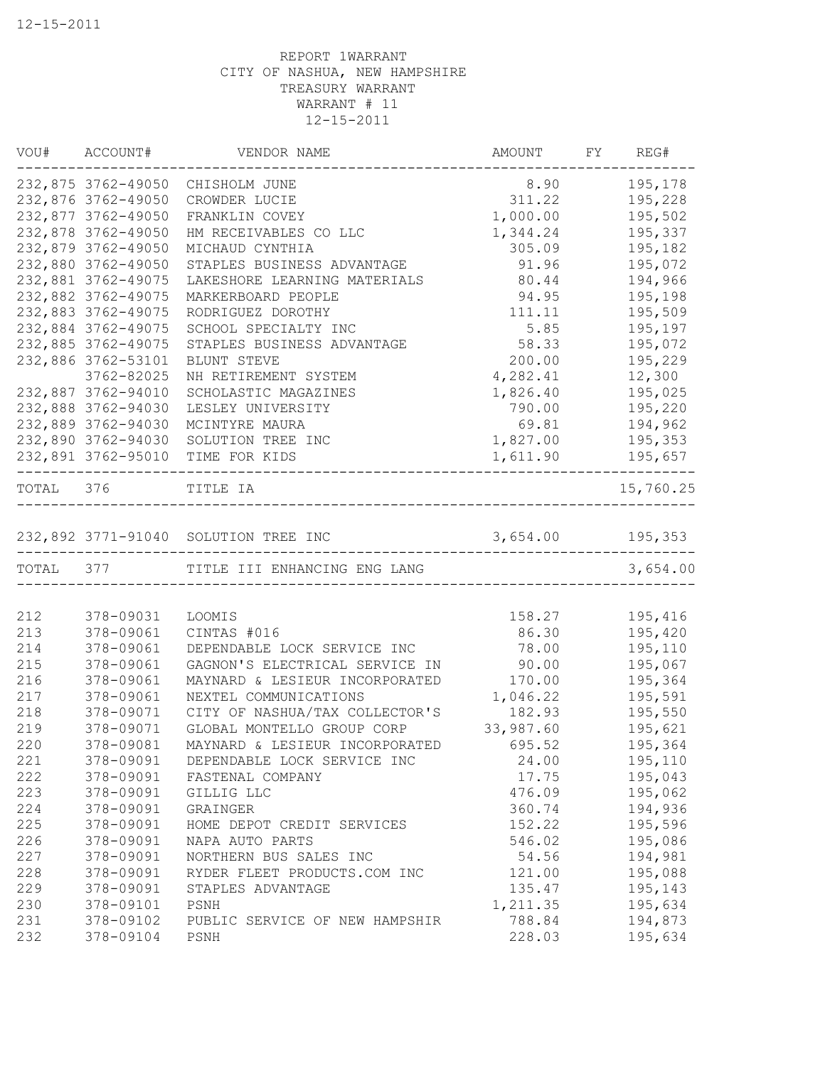|           | VOU# ACCOUNT#      | VENDOR NAME                            | AMOUNT           | FY REG#   |
|-----------|--------------------|----------------------------------------|------------------|-----------|
|           | 232,875 3762-49050 | CHISHOLM JUNE                          | 8.90             | 195,178   |
|           | 232,876 3762-49050 | CROWDER LUCIE                          | 311.22           | 195,228   |
|           | 232,877 3762-49050 | FRANKLIN COVEY                         | 1,000.00         | 195,502   |
|           | 232,878 3762-49050 | HM RECEIVABLES CO LLC                  | 1,344.24         | 195,337   |
|           | 232,879 3762-49050 | MICHAUD CYNTHIA                        | 305.09           | 195,182   |
|           | 232,880 3762-49050 | STAPLES BUSINESS ADVANTAGE             | 91.96            | 195,072   |
|           | 232,881 3762-49075 | LAKESHORE LEARNING MATERIALS           | 80.44            | 194,966   |
|           | 232,882 3762-49075 | MARKERBOARD PEOPLE                     | 94.95            | 195,198   |
|           | 232,883 3762-49075 | RODRIGUEZ DOROTHY                      | 111.11           | 195,509   |
|           | 232,884 3762-49075 | SCHOOL SPECIALTY INC                   | 5.85             | 195,197   |
|           | 232,885 3762-49075 | STAPLES BUSINESS ADVANTAGE             | 58.33            | 195,072   |
|           | 232,886 3762-53101 | BLUNT STEVE                            | 200.00           | 195,229   |
|           | 3762-82025         | NH RETIREMENT SYSTEM                   | 4,282.41         | 12,300    |
|           | 232,887 3762-94010 | SCHOLASTIC MAGAZINES                   | 1,826.40         | 195,025   |
|           | 232,888 3762-94030 | LESLEY UNIVERSITY                      | 790.00           | 195,220   |
|           | 232,889 3762-94030 | MCINTYRE MAURA                         | 69.81            | 194,962   |
|           | 232,890 3762-94030 | SOLUTION TREE INC                      | 1,827.00         | 195,353   |
|           | 232,891 3762-95010 | TIME FOR KIDS                          | 1,611.90         | 195,657   |
| TOTAL 376 |                    | TITLE IA                               |                  | 15,760.25 |
|           |                    | 232,892 3771-91040 SOLUTION TREE INC   | 3,654.00 195,353 |           |
|           |                    | TOTAL 377 TITLE III ENHANCING ENG LANG |                  | 3,654.00  |
|           |                    |                                        |                  |           |
| 212       | 378-09031          | LOOMIS                                 | 158.27           | 195,416   |
| 213       | 378-09061          | CINTAS #016                            | 86.30            | 195,420   |
| 214       | 378-09061          | DEPENDABLE LOCK SERVICE INC            | 78.00            | 195,110   |
| 215       | 378-09061          | GAGNON'S ELECTRICAL SERVICE IN         | 90.00            | 195,067   |
| 216       | 378-09061          | MAYNARD & LESIEUR INCORPORATED         | 170.00           | 195,364   |
| 217       | 378-09061          | NEXTEL COMMUNICATIONS                  | 1,046.22         | 195,591   |
| 218       | 378-09071          | CITY OF NASHUA/TAX COLLECTOR'S         | 182.93           | 195,550   |
| 219       | 378-09071          | GLOBAL MONTELLO GROUP CORP             | 33,987.60        | 195,621   |
| 220       | 378-09081          | MAYNARD & LESIEUR INCORPORATED         | 695.52           | 195,364   |
| 221       | 378-09091          | DEPENDABLE LOCK SERVICE INC            | 24.00            | 195,110   |
| 222       | 378-09091          | FASTENAL COMPANY                       | 17.75            | 195,043   |
| 223       | 378-09091          | GILLIG LLC                             | 476.09           | 195,062   |
| 224       | 378-09091          | GRAINGER                               | 360.74           | 194,936   |
| 225       | 378-09091          | HOME DEPOT CREDIT SERVICES             | 152.22           | 195,596   |
| 226       | 378-09091          | NAPA AUTO PARTS                        | 546.02           | 195,086   |
| 227       | 378-09091          | NORTHERN BUS SALES INC                 | 54.56            | 194,981   |
| 228       | 378-09091          | RYDER FLEET PRODUCTS.COM INC           | 121.00           | 195,088   |
| 229       | 378-09091          | STAPLES ADVANTAGE                      | 135.47           | 195,143   |
| 230       | 378-09101          | PSNH                                   | 1,211.35         | 195,634   |
| 231       | 378-09102          | PUBLIC SERVICE OF NEW HAMPSHIR         | 788.84           | 194,873   |
| 232       | 378-09104          | PSNH                                   | 228.03           | 195,634   |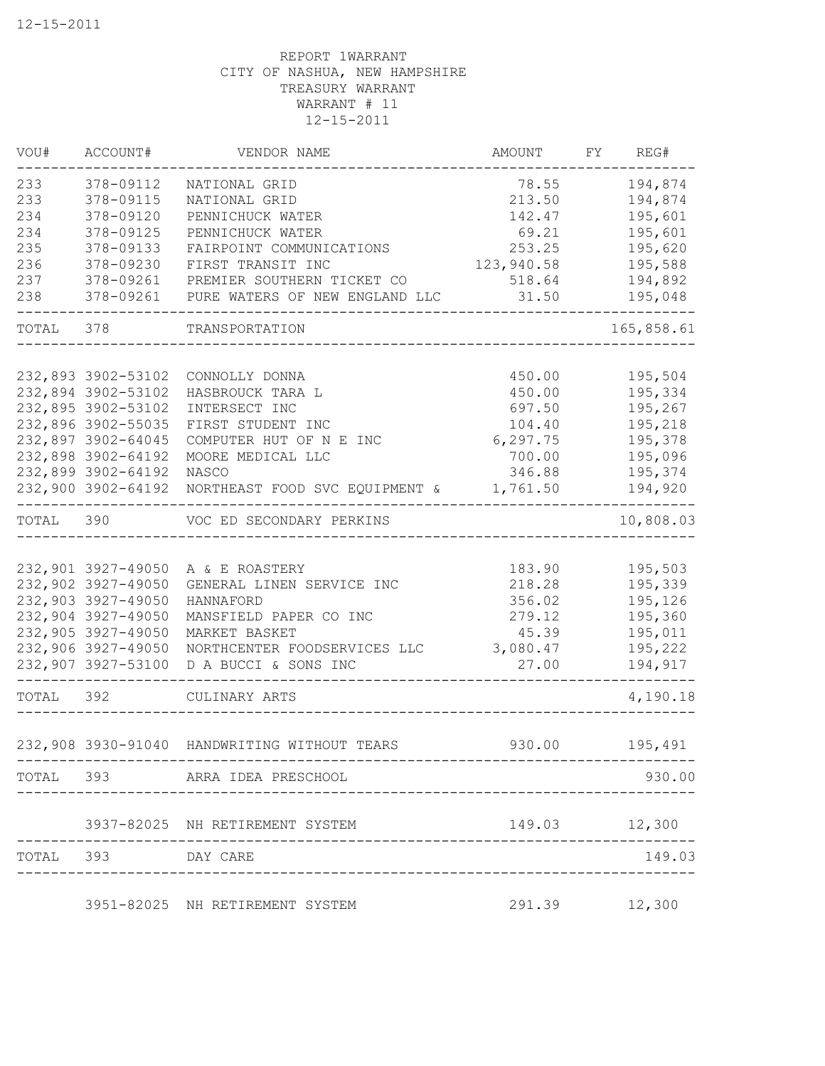| VOU#      | ACCOUNT#           | VENDOR NAME                     | AMOUNT     | FY REG#       |
|-----------|--------------------|---------------------------------|------------|---------------|
| 233       | 378-09112          | NATIONAL GRID                   | 78.55      | 194,874       |
| 233       | 378-09115          | NATIONAL GRID                   | 213.50     | 194,874       |
| 234       | 378-09120          | PENNICHUCK WATER                | 142.47     | 195,601       |
| 234       | 378-09125          | PENNICHUCK WATER                | 69.21      | 195,601       |
| 235       | 378-09133          | FAIRPOINT COMMUNICATIONS        | 253.25     | 195,620       |
| 236       | 378-09230          | FIRST TRANSIT INC               | 123,940.58 | 195,588       |
| 237       | 378-09261          | PREMIER SOUTHERN TICKET CO      | 518.64     | 194,892       |
| 238       | 378-09261          | PURE WATERS OF NEW ENGLAND LLC  | 31.50      | 195,048       |
| TOTAL 378 |                    | TRANSPORTATION                  |            | 165,858.61    |
|           |                    |                                 |            |               |
|           | 232,893 3902-53102 | CONNOLLY DONNA                  | 450.00     | 195,504       |
|           | 232,894 3902-53102 | HASBROUCK TARA L                | 450.00     | 195,334       |
|           | 232,895 3902-53102 | INTERSECT INC                   | 697.50     | 195,267       |
|           | 232,896 3902-55035 | FIRST STUDENT INC               | 104.40     | 195,218       |
|           | 232,897 3902-64045 | COMPUTER HUT OF N E INC         | 6, 297.75  | 195,378       |
|           | 232,898 3902-64192 | MOORE MEDICAL LLC               | 700.00     | 195,096       |
|           | 232,899 3902-64192 | NASCO                           | 346.88     | 195,374       |
|           | 232,900 3902-64192 | NORTHEAST FOOD SVC EQUIPMENT &  | 1,761.50   | 194,920       |
| TOTAL 390 |                    | VOC ED SECONDARY PERKINS        |            | 10,808.03     |
|           |                    |                                 |            |               |
|           | 232,901 3927-49050 | A & E ROASTERY                  | 183.90     | 195,503       |
|           | 232,902 3927-49050 | GENERAL LINEN SERVICE INC       | 218.28     | 195,339       |
|           | 232,903 3927-49050 | HANNAFORD                       | 356.02     | 195,126       |
|           | 232,904 3927-49050 | MANSFIELD PAPER CO INC          | 279.12     | 195,360       |
|           | 232,905 3927-49050 | MARKET BASKET                   | 45.39      | 195,011       |
|           | 232,906 3927-49050 | NORTHCENTER FOODSERVICES LLC    | 3,080.47   | 195,222       |
|           | 232,907 3927-53100 | D A BUCCI & SONS INC            | 27.00      | 194,917       |
| TOTAL 392 |                    | CULINARY ARTS                   |            | 4,190.18      |
|           | 232,908 3930-91040 | HANDWRITING WITHOUT TEARS       | 930.00     | 195,491       |
|           |                    | TOTAL 393 ARRA IDEA PRESCHOOL   |            | 930.00        |
|           |                    |                                 |            |               |
|           |                    | 3937-82025 NH RETIREMENT SYSTEM |            | 149.03 12,300 |
|           | TOTAL 393 DAY CARE |                                 |            | 149.03        |
|           |                    | 3951-82025 NH RETIREMENT SYSTEM |            | 291.39 12,300 |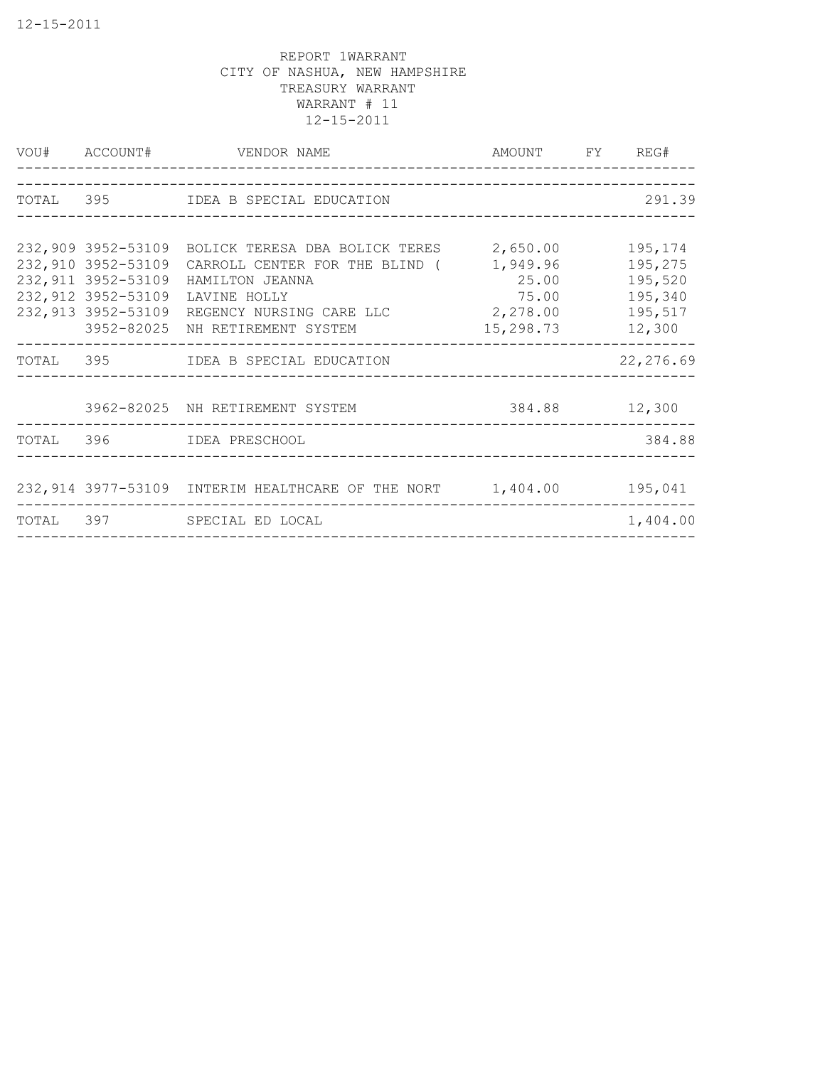| VOU# ACCOUNT#                                                   | VENDOR NAME<br>______________________                                                                                                                                                                             | AMOUNT FY REG#                                      |                                                               |
|-----------------------------------------------------------------|-------------------------------------------------------------------------------------------------------------------------------------------------------------------------------------------------------------------|-----------------------------------------------------|---------------------------------------------------------------|
|                                                                 | TOTAL 395 IDEA B SPECIAL EDUCATION                                                                                                                                                                                |                                                     | 291.39                                                        |
|                                                                 |                                                                                                                                                                                                                   |                                                     |                                                               |
| 232,910 3952-53109<br>232, 911 3952-53109<br>232,912 3952-53109 | 232,909 3952-53109 BOLICK TERESA DBA BOLICK TERES<br>CARROLL CENTER FOR THE BLIND (<br>HAMILTON JEANNA<br>LAVINE HOLLY<br>232,913 3952-53109 REGENCY NURSING CARE LLC 2,278.00<br>3952-82025 NH RETIREMENT SYSTEM | 2,650.00<br>1,949.96<br>25.00<br>75.00<br>15,298.73 | 195,174<br>195,275<br>195,520<br>195,340<br>195,517<br>12,300 |
|                                                                 | TOTAL 395 IDEA B SPECIAL EDUCATION                                                                                                                                                                                |                                                     | 22, 276.69                                                    |
|                                                                 | 3962-82025 NH RETIREMENT SYSTEM                                                                                                                                                                                   | 384.88 12,300                                       |                                                               |
|                                                                 | TOTAL 396 IDEA PRESCHOOL                                                                                                                                                                                          |                                                     | 384.88                                                        |
|                                                                 | 232,914 3977-53109 INTERIM HEALTHCARE OF THE NORT 1,404.00                                                                                                                                                        |                                                     | 195,041                                                       |
|                                                                 | TOTAL 397 SPECIAL ED LOCAL                                                                                                                                                                                        |                                                     | 1,404.00                                                      |
|                                                                 |                                                                                                                                                                                                                   |                                                     |                                                               |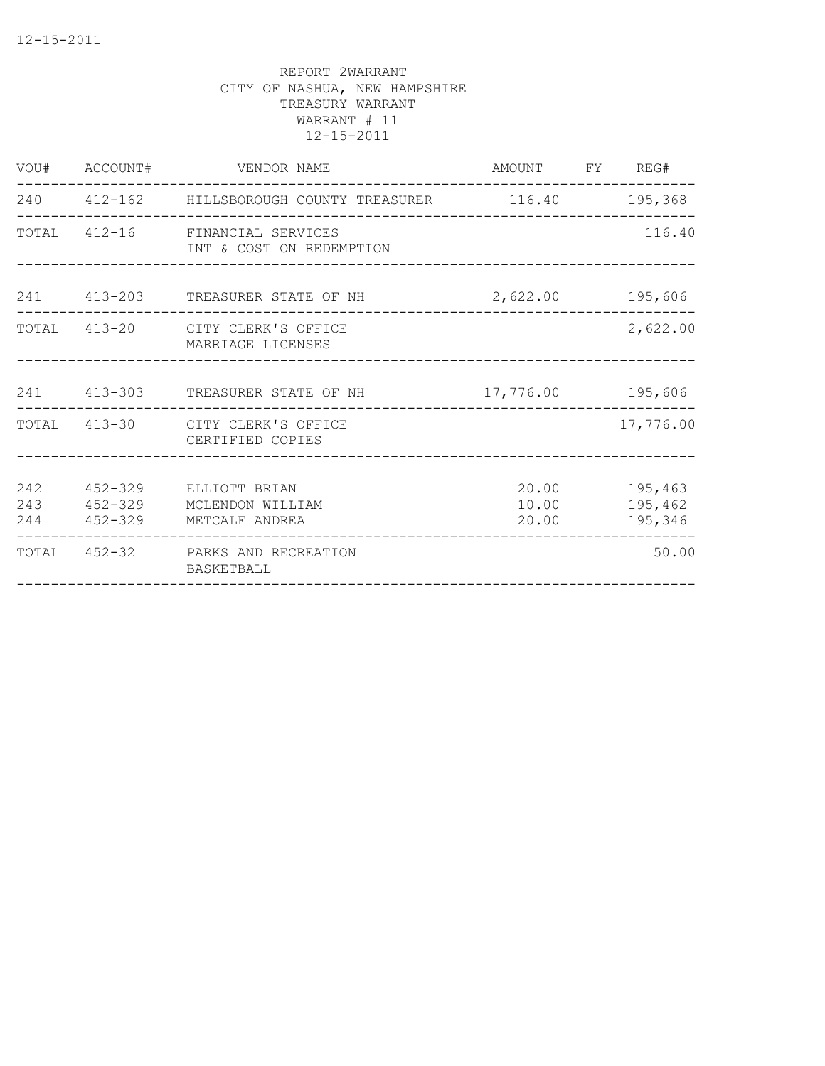|                   |             | VOU# ACCOUNT# VENDOR NAME                                           | AMOUNT FY REG#    |                                     |
|-------------------|-------------|---------------------------------------------------------------------|-------------------|-------------------------------------|
|                   |             | 240  412-162  HILLSBOROUGH COUNTY TREASURER  116.40  195,368        |                   |                                     |
|                   |             | TOTAL 412-16 FINANCIAL SERVICES<br>INT & COST ON REDEMPTION         |                   | 116.40                              |
|                   |             | 241 413-203 TREASURER STATE OF NH                                   | 2,622.00 195,606  |                                     |
|                   |             | TOTAL 413-20 CITY CLERK'S OFFICE<br>MARRIAGE LICENSES               |                   | 2,622.00                            |
|                   |             | 241 413-303 TREASURER STATE OF NH                                   | 17,776.00 195,606 |                                     |
|                   |             | TOTAL 413-30 CITY CLERK'S OFFICE<br>CERTIFIED COPIES                |                   | 17,776.00                           |
| 242<br>243<br>244 | $452 - 329$ | 452-329 ELLIOTT BRIAN<br>MCLENDON WILLIAM<br>452-329 METCALF ANDREA | 10.00<br>20.00    | 20.00 195,463<br>195,462<br>195,346 |
| TOTAL             |             | 452-32 PARKS AND RECREATION<br>BASKETBALL                           |                   | 50.00                               |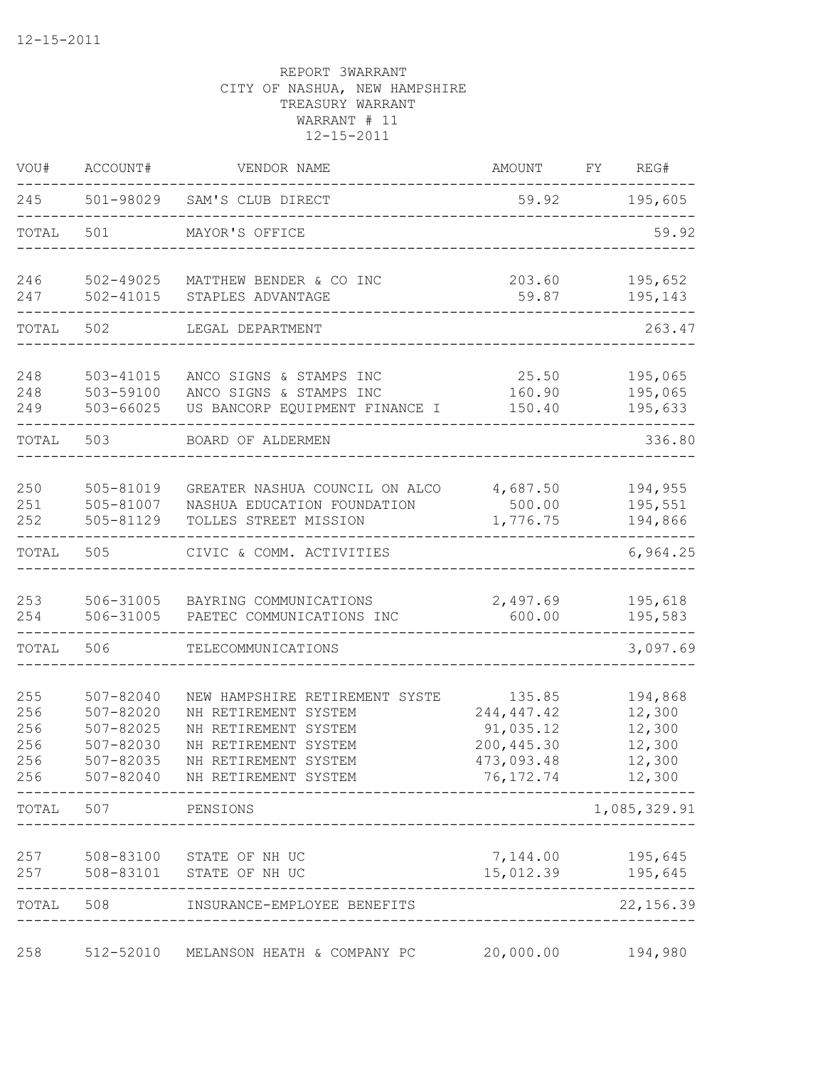| VOU#                                   | ACCOUNT#                                                          | VENDOR NAME                                                                                                                                                      | AMOUNT                                                                        | REG#<br>FY                                                |
|----------------------------------------|-------------------------------------------------------------------|------------------------------------------------------------------------------------------------------------------------------------------------------------------|-------------------------------------------------------------------------------|-----------------------------------------------------------|
| 245                                    |                                                                   | 501-98029 SAM'S CLUB DIRECT                                                                                                                                      | 59.92                                                                         | 195,605                                                   |
| TOTAL                                  | 501                                                               | MAYOR'S OFFICE                                                                                                                                                   |                                                                               | 59.92                                                     |
| 246<br>247                             | 502-49025<br>$502 - 41015$                                        | MATTHEW BENDER & CO INC<br>STAPLES ADVANTAGE                                                                                                                     | 203.60<br>59.87                                                               | 195,652<br>195,143                                        |
| TOTAL                                  | 502                                                               | LEGAL DEPARTMENT                                                                                                                                                 |                                                                               | 263.47                                                    |
| 248<br>248<br>249                      | $503 - 41015$<br>503-59100<br>503-66025                           | ANCO SIGNS & STAMPS INC<br>ANCO SIGNS & STAMPS INC<br>US BANCORP EQUIPMENT FINANCE I                                                                             | 25.50<br>160.90<br>150.40                                                     | 195,065<br>195,065<br>195,633                             |
| TOTAL                                  | 503                                                               | BOARD OF ALDERMEN                                                                                                                                                |                                                                               | 336.80                                                    |
| 250<br>251<br>252                      | 505-81019<br>505-81007<br>505-81129                               | GREATER NASHUA COUNCIL ON ALCO<br>NASHUA EDUCATION FOUNDATION<br>TOLLES STREET MISSION                                                                           | 4,687.50<br>500.00<br>1,776.75                                                | 194,955<br>195,551<br>194,866                             |
| TOTAL                                  | 505                                                               | CIVIC & COMM. ACTIVITIES                                                                                                                                         |                                                                               | 6,964.25                                                  |
| 253<br>254                             | 506-31005<br>506-31005                                            | BAYRING COMMUNICATIONS<br>PAETEC COMMUNICATIONS INC                                                                                                              | 2,497.69<br>600.00                                                            | 195,618<br>195,583                                        |
| TOTAL                                  | 506                                                               | TELECOMMUNICATIONS                                                                                                                                               |                                                                               | 3,097.69                                                  |
| 255<br>256<br>256<br>256<br>256<br>256 | $507 - 82040$<br>507-82020<br>507-82025<br>507-82030<br>507-82035 | NEW HAMPSHIRE RETIREMENT SYSTE<br>NH RETIREMENT SYSTEM<br>NH RETIREMENT SYSTEM<br>NH RETIREMENT SYSTEM<br>NH RETIREMENT SYSTEM<br>507-82040 NH RETIREMENT SYSTEM | 135.85<br>244,447.42<br>91,035.12<br>200, 445.30<br>473,093.48<br>76, 172. 74 | 194,868<br>12,300<br>12,300<br>12,300<br>12,300<br>12,300 |
| TOTAL                                  | 507 PENSIONS                                                      | ---------------------------                                                                                                                                      |                                                                               | 1,085,329.91                                              |
| 257<br>257                             |                                                                   | 508-83100 STATE OF NH UC<br>508-83101 STATE OF NH UC                                                                                                             | 7,144.00                                                                      | 195,645<br>15,012.39 195,645                              |
| TOTAL                                  | 508                                                               | INSURANCE-EMPLOYEE BENEFITS                                                                                                                                      |                                                                               | 22, 156.39                                                |
| 258                                    | 512-52010                                                         | MELANSON HEATH & COMPANY PC                                                                                                                                      | 20,000.00                                                                     | 194,980                                                   |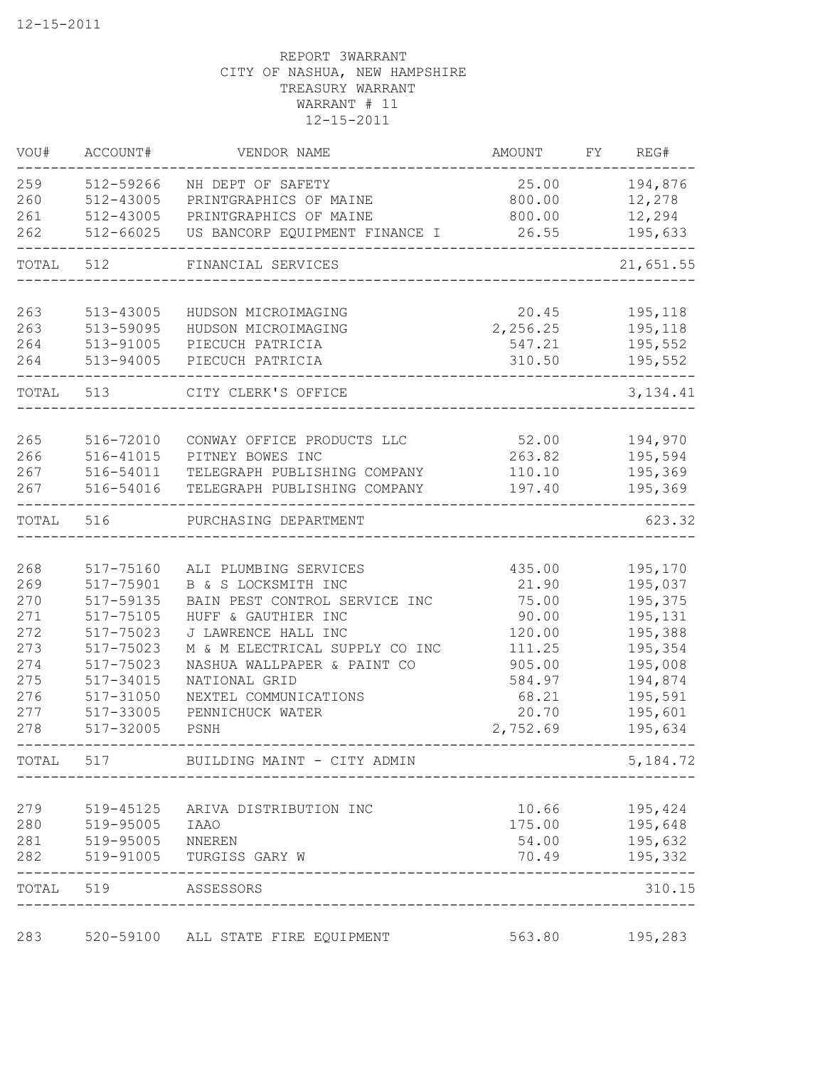| VOU#  | ACCOUNT#               | VENDOR NAME                                    | AMOUNT          | FY. | REG#               |
|-------|------------------------|------------------------------------------------|-----------------|-----|--------------------|
| 259   | 512-59266              | NH DEPT OF SAFETY                              | 25.00           |     | 194,876            |
| 260   | 512-43005              | PRINTGRAPHICS OF MAINE                         | 800.00          |     | 12,278             |
| 261   | 512-43005              | PRINTGRAPHICS OF MAINE                         | 800.00          |     | 12,294             |
| 262   | $512 - 66025$          | US BANCORP EQUIPMENT FINANCE I                 | 26.55           |     | 195,633            |
| TOTAL | 512                    | FINANCIAL SERVICES                             |                 |     | 21,651.55          |
| 263   | 513-43005              | HUDSON MICROIMAGING                            | 20.45           |     | 195,118            |
| 263   | 513-59095              | HUDSON MICROIMAGING                            | 2,256.25        |     | 195,118            |
| 264   | 513-91005              | PIECUCH PATRICIA                               | 547.21          |     | 195,552            |
| 264   | 513-94005              | PIECUCH PATRICIA                               | 310.50          |     | 195,552            |
| TOTAL | 513                    | CITY CLERK'S OFFICE                            |                 |     | 3, 134.41          |
| 265   |                        |                                                |                 |     |                    |
| 266   | 516-72010<br>516-41015 | CONWAY OFFICE PRODUCTS LLC<br>PITNEY BOWES INC | 52.00<br>263.82 |     | 194,970<br>195,594 |
| 267   | 516-54011              | TELEGRAPH PUBLISHING COMPANY                   | 110.10          |     | 195,369            |
| 267   | 516-54016              | TELEGRAPH PUBLISHING COMPANY                   | 197.40          |     | 195,369            |
| TOTAL | 516                    | PURCHASING DEPARTMENT                          |                 |     | 623.32             |
|       |                        |                                                |                 |     |                    |
| 268   | 517-75160              | ALI PLUMBING SERVICES                          | 435.00          |     | 195,170            |
| 269   | 517-75901              | B & S LOCKSMITH INC                            | 21.90           |     | 195,037            |
| 270   | 517-59135              | BAIN PEST CONTROL SERVICE INC                  | 75.00           |     | 195,375            |
| 271   | 517-75105              | HUFF & GAUTHIER INC                            | 90.00           |     | 195,131            |
| 272   | 517-75023              | J LAWRENCE HALL INC                            | 120.00          |     | 195,388            |
| 273   | 517-75023              | M & M ELECTRICAL SUPPLY CO INC                 | 111.25          |     | 195,354            |
| 274   | 517-75023              | NASHUA WALLPAPER & PAINT CO                    | 905.00          |     | 195,008            |
| 275   | 517-34015              | NATIONAL GRID                                  | 584.97          |     | 194,874            |
| 276   | 517-31050              | NEXTEL COMMUNICATIONS                          | 68.21           |     | 195,591            |
| 277   | 517-33005              | PENNICHUCK WATER                               | 20.70           |     | 195,601            |
| 278   | 517-32005              | PSNH                                           | 2,752.69        |     | 195,634            |
| TOTAL | 517                    | BUILDING MAINT - CITY ADMIN                    |                 |     | 5,184.72           |
| 279   | 519-45125              | ARIVA DISTRIBUTION INC                         | 10.66           |     | 195,424            |
| 280   | 519-95005              | <b>IAAO</b>                                    | 175.00          |     | 195,648            |
| 281   | 519-95005              | NNEREN                                         | 54.00           |     | 195,632            |
| 282   | 519-91005              | TURGISS GARY W                                 | 70.49           |     | 195,332            |
| TOTAL | 519                    | ASSESSORS                                      |                 |     | 310.15             |
| 283   |                        | 520-59100 ALL STATE FIRE EQUIPMENT             | 563.80          |     | 195,283            |
|       |                        |                                                |                 |     |                    |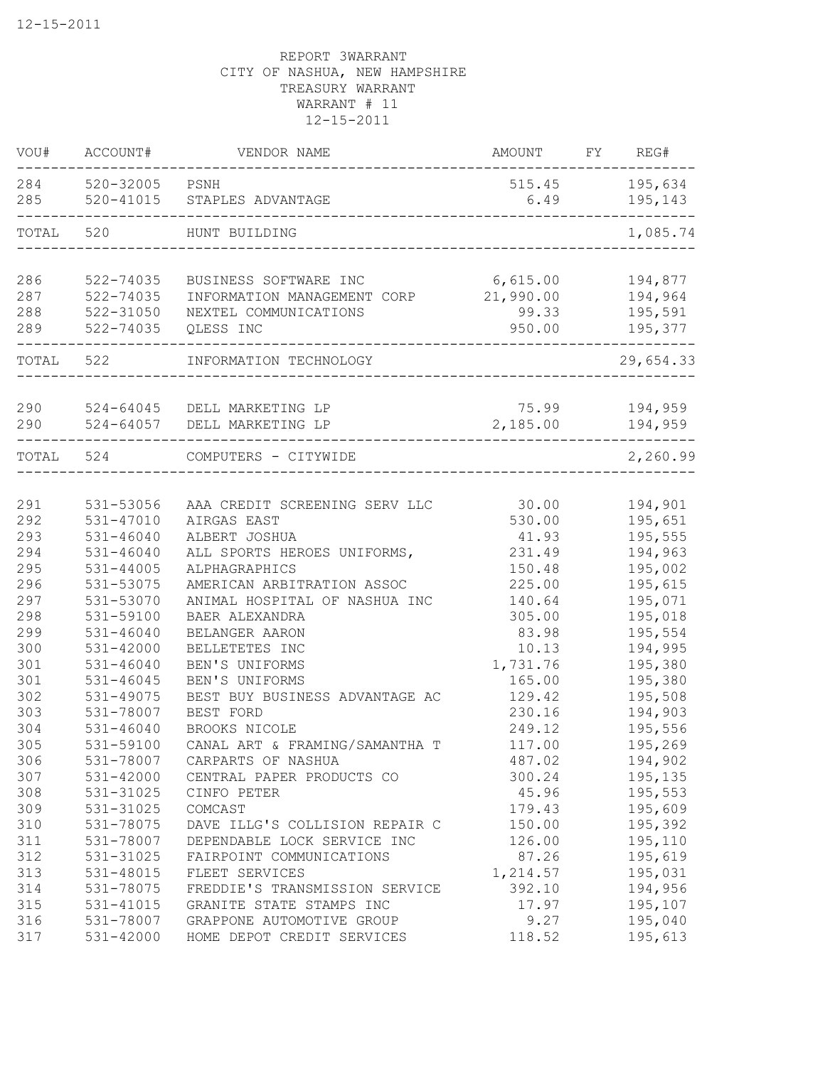| VOU#       | ACCOUNT#               | VENDOR NAME                    | AMOUNT         | FY | REG#               |
|------------|------------------------|--------------------------------|----------------|----|--------------------|
| 284<br>285 | 520-32005<br>520-41015 | PSNH<br>STAPLES ADVANTAGE      | 515.45<br>6.49 |    | 195,634<br>195,143 |
| TOTAL      | 520                    | HUNT BUILDING                  |                |    | 1,085.74           |
|            |                        |                                |                |    |                    |
| 286        | 522-74035              | BUSINESS SOFTWARE INC          | 6,615.00       |    | 194,877            |
| 287        | 522-74035              | INFORMATION MANAGEMENT CORP    | 21,990.00      |    | 194,964            |
| 288        | $522 - 31050$          | NEXTEL COMMUNICATIONS          | 99.33          |    | 195,591            |
| 289        | 522-74035              | QLESS INC                      | 950.00         |    | 195,377            |
| TOTAL      | 522                    | INFORMATION TECHNOLOGY         |                |    | 29,654.33          |
| 290        | 524-64045              | DELL MARKETING LP              | 75.99          |    | 194,959            |
| 290        | 524-64057              | DELL MARKETING LP              | 2,185.00       |    | 194,959            |
| TOTAL      | 524                    | COMPUTERS - CITYWIDE           |                |    | 2,260.99           |
|            |                        |                                |                |    |                    |
| 291        | 531-53056              | AAA CREDIT SCREENING SERV LLC  | 30.00          |    | 194,901            |
| 292        | $531 - 47010$          | AIRGAS EAST                    | 530.00         |    | 195,651            |
| 293        | $531 - 46040$          | ALBERT JOSHUA                  | 41.93          |    | 195,555            |
| 294        | $531 - 46040$          | ALL SPORTS HEROES UNIFORMS,    | 231.49         |    | 194,963            |
| 295        | $531 - 44005$          | ALPHAGRAPHICS                  | 150.48         |    | 195,002            |
| 296        | 531-53075              | AMERICAN ARBITRATION ASSOC     | 225.00         |    | 195,615            |
| 297        | 531-53070              | ANIMAL HOSPITAL OF NASHUA INC  | 140.64         |    | 195,071            |
| 298        | 531-59100              | BAER ALEXANDRA                 | 305.00         |    | 195,018            |
| 299        | $531 - 46040$          | BELANGER AARON                 | 83.98          |    | 195,554            |
| 300        | $531 - 42000$          | BELLETETES INC                 | 10.13          |    | 194,995            |
| 301        | $531 - 46040$          | BEN'S UNIFORMS                 | 1,731.76       |    | 195,380            |
| 301        | $531 - 46045$          | BEN'S UNIFORMS                 | 165.00         |    | 195,380            |
| 302        | 531-49075              | BEST BUY BUSINESS ADVANTAGE AC | 129.42         |    | 195,508            |
| 303        | 531-78007              | BEST FORD                      | 230.16         |    | 194,903            |
| 304        | $531 - 46040$          | BROOKS NICOLE                  | 249.12         |    | 195,556            |
| 305        | 531-59100              | CANAL ART & FRAMING/SAMANTHA T | 117.00         |    | 195,269            |
| 306        | 531-78007              | CARPARTS OF NASHUA             | 487.02         |    | 194,902            |
| 307        | 531-42000              | CENTRAL PAPER PRODUCTS CO      | 300.24         |    | 195,135            |
| 308        | 531-31025              | CINFO PETER                    | 45.96          |    | 195,553            |
| 309        | 531-31025              | COMCAST                        | 179.43         |    | 195,609            |
| 310        | 531-78075              | DAVE ILLG'S COLLISION REPAIR C | 150.00         |    | 195,392            |
| 311        | 531-78007              | DEPENDABLE LOCK SERVICE INC    | 126.00         |    | 195,110            |
| 312        | 531-31025              | FAIRPOINT COMMUNICATIONS       | 87.26          |    | 195,619            |
| 313        | 531-48015              | FLEET SERVICES                 | 1,214.57       |    | 195,031            |
| 314        | 531-78075              | FREDDIE'S TRANSMISSION SERVICE | 392.10         |    | 194,956            |
| 315        | 531-41015              | GRANITE STATE STAMPS INC       | 17.97          |    | 195,107            |
| 316        | 531-78007              | GRAPPONE AUTOMOTIVE GROUP      | 9.27           |    | 195,040            |
| 317        | 531-42000              | HOME DEPOT CREDIT SERVICES     | 118.52         |    | 195,613            |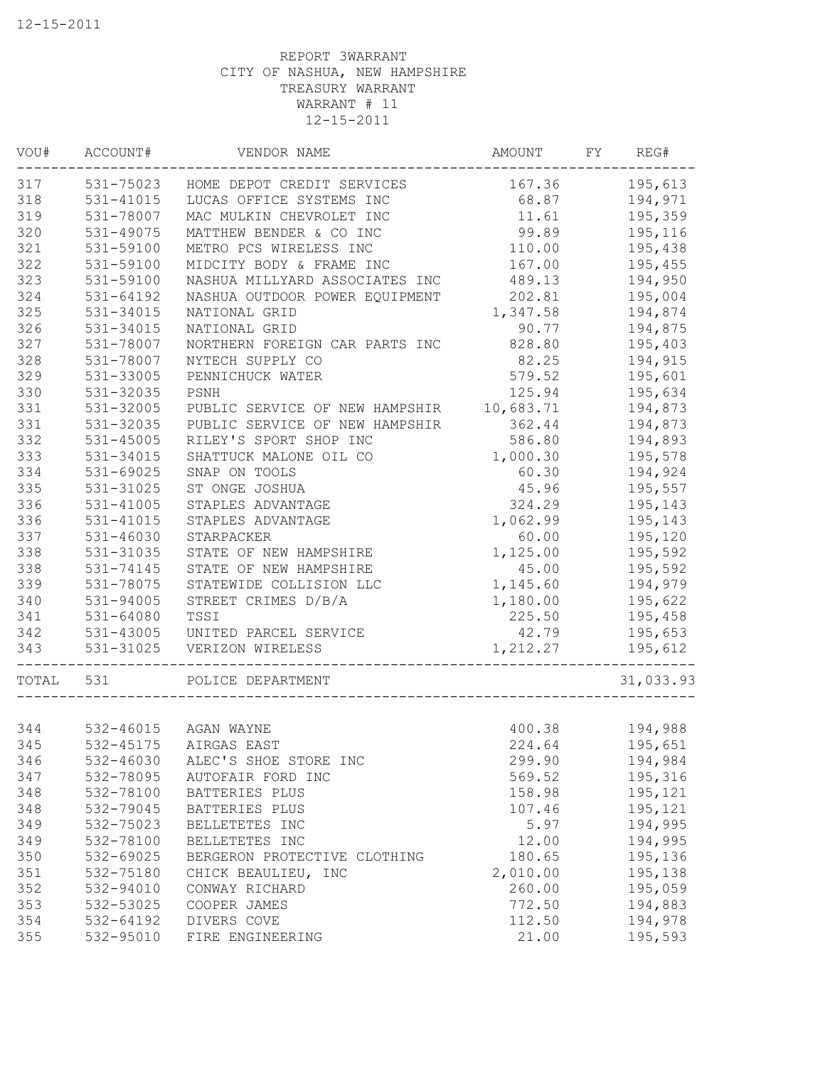| VOU#  | ACCOUNT#      | VENDOR NAME                    | AMOUNT    | FY | REG#      |
|-------|---------------|--------------------------------|-----------|----|-----------|
| 317   | 531-75023     | HOME DEPOT CREDIT SERVICES     | 167.36    |    | 195,613   |
| 318   | 531-41015     | LUCAS OFFICE SYSTEMS INC       | 68.87     |    | 194,971   |
| 319   | 531-78007     | MAC MULKIN CHEVROLET INC       | 11.61     |    | 195,359   |
| 320   | 531-49075     | MATTHEW BENDER & CO INC        | 99.89     |    | 195,116   |
| 321   | 531-59100     | METRO PCS WIRELESS INC         | 110.00    |    | 195,438   |
| 322   | 531-59100     | MIDCITY BODY & FRAME INC       | 167.00    |    | 195,455   |
| 323   | 531-59100     | NASHUA MILLYARD ASSOCIATES INC | 489.13    |    | 194,950   |
| 324   | 531-64192     | NASHUA OUTDOOR POWER EQUIPMENT | 202.81    |    | 195,004   |
| 325   | 531-34015     | NATIONAL GRID                  | 1,347.58  |    | 194,874   |
| 326   | 531-34015     | NATIONAL GRID                  | 90.77     |    | 194,875   |
| 327   | 531-78007     | NORTHERN FOREIGN CAR PARTS INC | 828.80    |    | 195,403   |
| 328   | 531-78007     | NYTECH SUPPLY CO               | 82.25     |    | 194,915   |
| 329   | 531-33005     | PENNICHUCK WATER               | 579.52    |    | 195,601   |
| 330   | 531-32035     | PSNH                           | 125.94    |    | 195,634   |
| 331   | 531-32005     | PUBLIC SERVICE OF NEW HAMPSHIR | 10,683.71 |    | 194,873   |
| 331   | 531-32035     | PUBLIC SERVICE OF NEW HAMPSHIR | 362.44    |    | 194,873   |
| 332   | $531 - 45005$ | RILEY'S SPORT SHOP INC         | 586.80    |    | 194,893   |
| 333   | 531-34015     | SHATTUCK MALONE OIL CO         | 1,000.30  |    | 195,578   |
| 334   | 531-69025     | SNAP ON TOOLS                  | 60.30     |    | 194,924   |
| 335   | 531-31025     | ST ONGE JOSHUA                 | 45.96     |    | 195,557   |
| 336   | 531-41005     | STAPLES ADVANTAGE              | 324.29    |    | 195,143   |
| 336   | 531-41015     | STAPLES ADVANTAGE              | 1,062.99  |    | 195,143   |
| 337   | 531-46030     | STARPACKER                     | 60.00     |    | 195,120   |
| 338   | 531-31035     | STATE OF NEW HAMPSHIRE         | 1,125.00  |    | 195,592   |
| 338   | 531-74145     | STATE OF NEW HAMPSHIRE         | 45.00     |    | 195,592   |
| 339   | 531-78075     | STATEWIDE COLLISION LLC        | 1,145.60  |    | 194,979   |
| 340   | 531-94005     | STREET CRIMES D/B/A            | 1,180.00  |    | 195,622   |
| 341   | 531-64080     | TSSI                           | 225.50    |    | 195,458   |
| 342   | 531-43005     | UNITED PARCEL SERVICE          | 42.79     |    | 195,653   |
| 343   | 531-31025     | VERIZON WIRELESS               | 1,212.27  |    | 195,612   |
| TOTAL | 531           | POLICE DEPARTMENT              |           |    | 31,033.93 |
|       |               |                                |           |    |           |
| 344   |               | 532-46015 AGAN WAYNE           | 400.38    |    | 194,988   |
| 345   | 532-45175     | AIRGAS EAST                    | 224.64    |    | 195,651   |
| 346   | 532-46030     | ALEC'S SHOE STORE INC          | 299.90    |    | 194,984   |
| 347   | 532-78095     | AUTOFAIR FORD INC              | 569.52    |    | 195,316   |
| 348   | 532-78100     | BATTERIES PLUS                 | 158.98    |    | 195,121   |
| 348   | 532-79045     | BATTERIES PLUS                 | 107.46    |    | 195,121   |
| 349   | 532-75023     | BELLETETES INC                 | 5.97      |    | 194,995   |
| 349   | 532-78100     | BELLETETES INC                 | 12.00     |    | 194,995   |
| 350   | 532-69025     | BERGERON PROTECTIVE CLOTHING   | 180.65    |    | 195,136   |
| 351   | 532-75180     | CHICK BEAULIEU, INC            | 2,010.00  |    | 195,138   |
| 352   | 532-94010     | CONWAY RICHARD                 | 260.00    |    | 195,059   |
| 353   | 532-53025     | COOPER JAMES                   | 772.50    |    | 194,883   |
| 354   | 532-64192     | DIVERS COVE                    | 112.50    |    | 194,978   |
| 355   | 532-95010     | FIRE ENGINEERING               | 21.00     |    | 195,593   |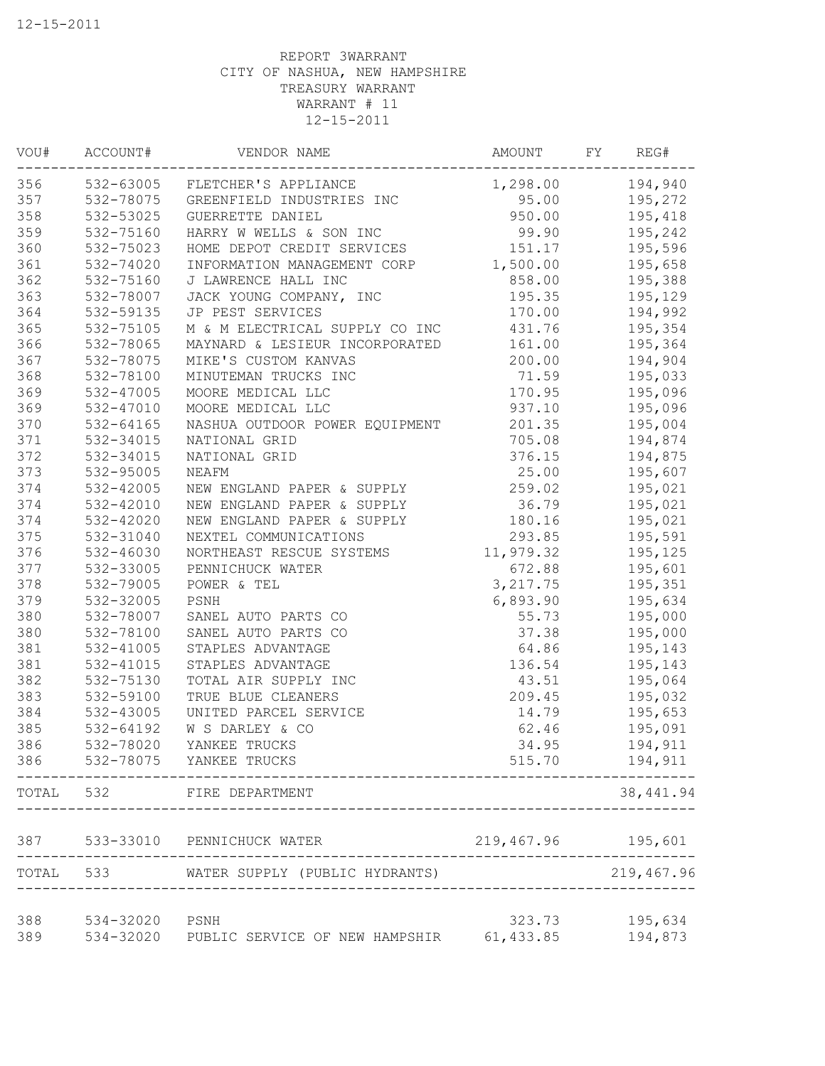| VOU#  | ACCOUNT#               | VENDOR NAME                            | AMOUNT               | FY | REG#               |
|-------|------------------------|----------------------------------------|----------------------|----|--------------------|
| 356   | 532-63005              | FLETCHER'S APPLIANCE                   | 1,298.00             |    | 194,940            |
| 357   | 532-78075              | GREENFIELD INDUSTRIES INC              | 95.00                |    | 195,272            |
| 358   | 532-53025              | GUERRETTE DANIEL                       | 950.00               |    | 195,418            |
| 359   | 532-75160              | HARRY W WELLS & SON INC                | 99.90                |    | 195,242            |
| 360   | 532-75023              | HOME DEPOT CREDIT SERVICES             | 151.17               |    | 195,596            |
| 361   | 532-74020              | INFORMATION MANAGEMENT CORP            | 1,500.00             |    | 195,658            |
| 362   | 532-75160              | J LAWRENCE HALL INC                    | 858.00               |    | 195,388            |
| 363   | 532-78007              | JACK YOUNG COMPANY, INC                | 195.35               |    | 195,129            |
| 364   | 532-59135              | JP PEST SERVICES                       | 170.00               |    | 194,992            |
| 365   | 532-75105              | M & M ELECTRICAL SUPPLY CO INC         | 431.76               |    | 195,354            |
| 366   | 532-78065              | MAYNARD & LESIEUR INCORPORATED         | 161.00               |    | 195,364            |
| 367   | 532-78075              | MIKE'S CUSTOM KANVAS                   | 200.00               |    | 194,904            |
| 368   | 532-78100              | MINUTEMAN TRUCKS INC                   | 71.59                |    | 195,033            |
| 369   | 532-47005              | MOORE MEDICAL LLC                      | 170.95               |    | 195,096            |
| 369   | 532-47010              | MOORE MEDICAL LLC                      | 937.10               |    | 195,096            |
| 370   | 532-64165              | NASHUA OUTDOOR POWER EQUIPMENT         | 201.35               |    | 195,004            |
| 371   | 532-34015              | NATIONAL GRID                          | 705.08               |    | 194,874            |
| 372   | 532-34015              | NATIONAL GRID                          | 376.15               |    | 194,875            |
| 373   | 532-95005              | NEAFM                                  | 25.00                |    | 195,607            |
| 374   | 532-42005              | NEW ENGLAND PAPER & SUPPLY             | 259.02               |    | 195,021            |
| 374   | 532-42010              | NEW ENGLAND PAPER & SUPPLY             | 36.79                |    | 195,021            |
| 374   | 532-42020              | NEW ENGLAND PAPER & SUPPLY             | 180.16               |    | 195,021            |
| 375   | 532-31040              | NEXTEL COMMUNICATIONS                  | 293.85               |    | 195,591            |
| 376   | 532-46030              | NORTHEAST RESCUE SYSTEMS               | 11,979.32            |    | 195,125            |
| 377   | 532-33005              | PENNICHUCK WATER                       | 672.88               |    | 195,601            |
| 378   | 532-79005              | POWER & TEL                            | 3, 217.75            |    | 195,351            |
| 379   | 532-32005              | PSNH                                   | 6,893.90             |    | 195,634            |
| 380   | 532-78007              | SANEL AUTO PARTS CO                    | 55.73                |    | 195,000            |
| 380   | 532-78100              | SANEL AUTO PARTS CO                    | 37.38                |    | 195,000            |
| 381   | 532-41005              | STAPLES ADVANTAGE                      | 64.86                |    | 195,143            |
| 381   | 532-41015              | STAPLES ADVANTAGE                      | 136.54               |    | 195,143            |
| 382   | 532-75130              | TOTAL AIR SUPPLY INC                   | 43.51                |    | 195,064            |
| 383   | 532-59100              | TRUE BLUE CLEANERS                     | 209.45               |    | 195,032            |
| 384   | 532-43005              | UNITED PARCEL SERVICE                  | 14.79                |    | 195,653            |
| 385   | 532-64192              | W S DARLEY & CO                        | 62.46                |    | 195,091            |
| 386   | 532-78020              | YANKEE TRUCKS                          | 34.95                |    | 194,911            |
| 386   |                        | 532-78075 YANKEE TRUCKS                | 515.70               |    | 194,911            |
| TOTAL | 532                    | FIRE DEPARTMENT                        |                      |    | 38, 441.94         |
| 387   |                        | 533-33010 PENNICHUCK WATER             | 219,467.96 195,601   |    |                    |
| TOTAL | 533                    | WATER SUPPLY (PUBLIC HYDRANTS)         |                      |    | 219,467.96         |
| 388   |                        |                                        |                      |    |                    |
| 389   | 534-32020<br>534-32020 | PSNH<br>PUBLIC SERVICE OF NEW HAMPSHIR | 323.73<br>61, 433.85 |    | 195,634<br>194,873 |
|       |                        |                                        |                      |    |                    |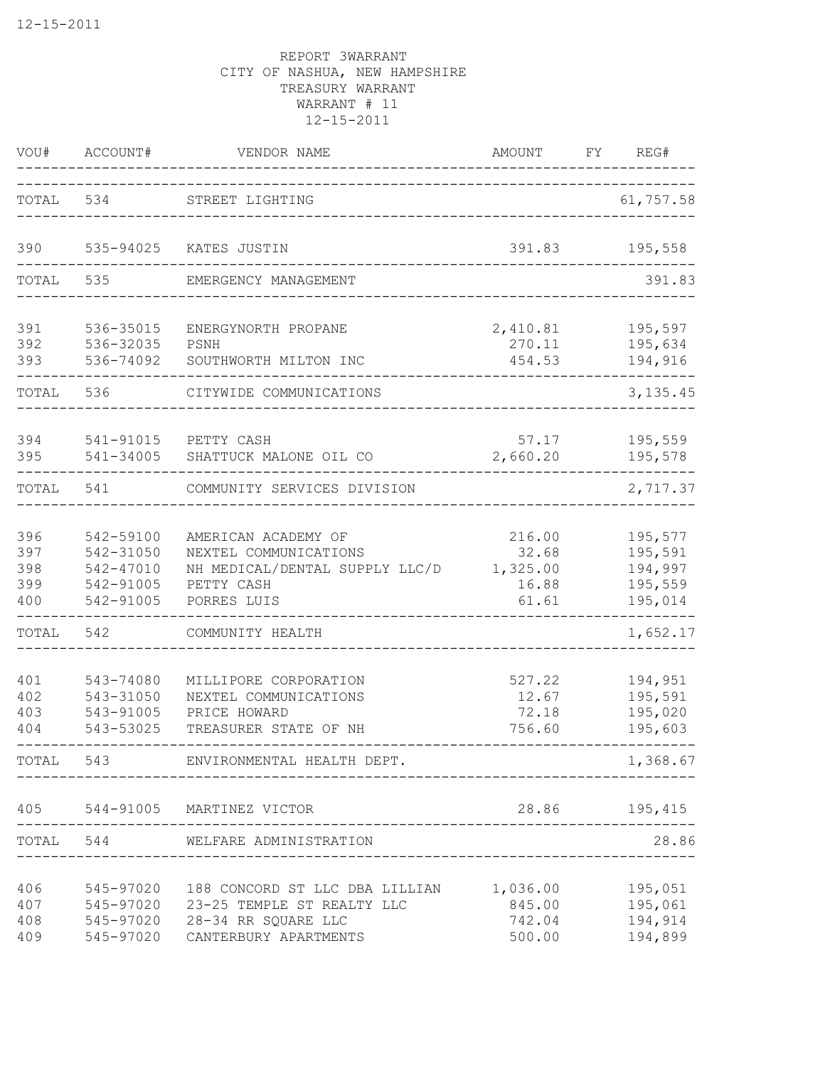| VOU#                            | ACCOUNT#                                                      | VENDOR NAME<br>--------                                                                                                                                               | AMOUNT                                        | FY | REG#                                                |
|---------------------------------|---------------------------------------------------------------|-----------------------------------------------------------------------------------------------------------------------------------------------------------------------|-----------------------------------------------|----|-----------------------------------------------------|
| TOTAL                           | 534                                                           | STREET LIGHTING                                                                                                                                                       |                                               |    | 61,757.58                                           |
| 390                             | 535-94025                                                     | KATES JUSTIN                                                                                                                                                          | 391.83                                        |    | 195,558                                             |
| TOTAL                           | 535                                                           | EMERGENCY MANAGEMENT                                                                                                                                                  |                                               |    | 391.83                                              |
| 391<br>392<br>393               | 536-35015<br>536-32035<br>536-74092                           | ENERGYNORTH PROPANE<br>PSNH<br>SOUTHWORTH MILTON INC                                                                                                                  | 2,410.81<br>270.11<br>454.53                  |    | 195,597<br>195,634<br>194,916                       |
| TOTAL                           | 536                                                           | CITYWIDE COMMUNICATIONS                                                                                                                                               |                                               |    | 3, 135.45                                           |
| 394<br>395                      | 541-91015<br>541-34005                                        | PETTY CASH<br>SHATTUCK MALONE OIL CO                                                                                                                                  | 57.17<br>2,660.20                             |    | 195,559<br>195,578                                  |
| TOTAL                           | 541                                                           | COMMUNITY SERVICES DIVISION                                                                                                                                           |                                               |    | 2,717.37                                            |
| 396<br>397<br>398<br>399<br>400 | 542-59100<br>542-31050<br>542-47010<br>542-91005<br>542-91005 | AMERICAN ACADEMY OF<br>NEXTEL COMMUNICATIONS<br>NH MEDICAL/DENTAL SUPPLY LLC/D<br>PETTY CASH<br>PORRES LUIS                                                           | 216.00<br>32.68<br>1,325.00<br>16.88<br>61.61 |    | 195,577<br>195,591<br>194,997<br>195,559<br>195,014 |
| TOTAL                           | 542                                                           | COMMUNITY HEALTH                                                                                                                                                      |                                               |    | 1,652.17                                            |
| 401<br>402<br>403<br>404        | 543-74080<br>543-31050<br>543-91005<br>543-53025              | MILLIPORE CORPORATION<br>NEXTEL COMMUNICATIONS<br>PRICE HOWARD<br>TREASURER STATE OF NH                                                                               | 527.22<br>12.67<br>72.18<br>756.60            |    | 194,951<br>195,591<br>195,020<br>195,603            |
|                                 |                                                               | TOTAL 543 ENVIRONMENTAL HEALTH DEPT.                                                                                                                                  |                                               |    | 1,368.67                                            |
|                                 |                                                               | 405 544-91005 MARTINEZ VICTOR                                                                                                                                         |                                               |    | 28.86 195,415                                       |
|                                 |                                                               | TOTAL 544 WELFARE ADMINISTRATION                                                                                                                                      | ____________________________                  |    | 28.86                                               |
| 406<br>407<br>408<br>409        |                                                               | 545-97020 188 CONCORD ST LLC DBA LILLIAN 1,036.00 195,051<br>545-97020 23-25 TEMPLE ST REALTY LLC<br>545-97020 28-34 RR SQUARE LLC<br>545-97020 CANTERBURY APARTMENTS | 845.00 195,061                                |    | 742.04 194,914<br>500.00 194,899                    |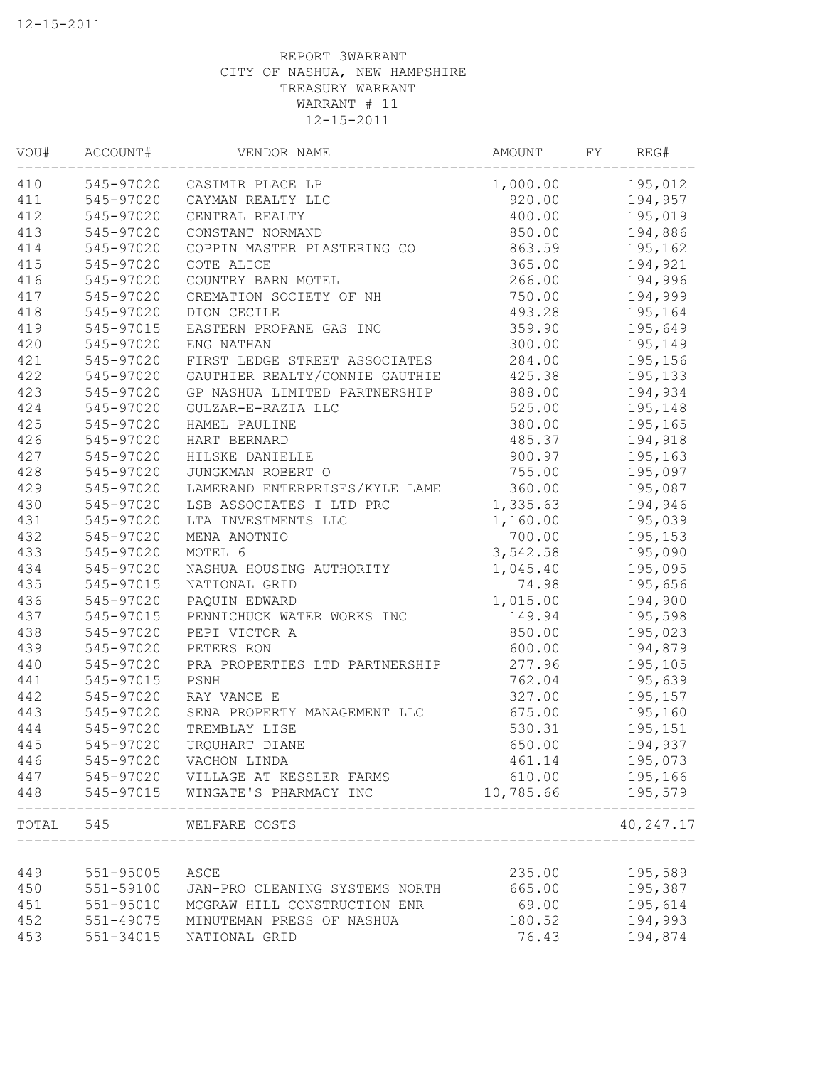| WOU#  | ACCOUNT#      | VENDOR NAME                    | AMOUNT    | FY | REG#       |
|-------|---------------|--------------------------------|-----------|----|------------|
| 410   |               | 545-97020 CASIMIR PLACE LP     | 1,000.00  |    | 195,012    |
| 411   | 545-97020     | CAYMAN REALTY LLC              | 920.00    |    | 194,957    |
| 412   | 545-97020     | CENTRAL REALTY                 | 400.00    |    | 195,019    |
| 413   | 545-97020     | CONSTANT NORMAND               | 850.00    |    | 194,886    |
| 414   | 545-97020     | COPPIN MASTER PLASTERING CO    | 863.59    |    | 195,162    |
| 415   | 545-97020     | COTE ALICE                     | 365.00    |    | 194,921    |
| 416   | 545-97020     | COUNTRY BARN MOTEL             | 266.00    |    | 194,996    |
| 417   | 545-97020     | CREMATION SOCIETY OF NH        | 750.00    |    | 194,999    |
| 418   | 545-97020     | DION CECILE                    | 493.28    |    | 195,164    |
| 419   | 545-97015     | EASTERN PROPANE GAS INC        | 359.90    |    | 195,649    |
| 420   | 545-97020     | ENG NATHAN                     | 300.00    |    | 195,149    |
| 421   | 545-97020     | FIRST LEDGE STREET ASSOCIATES  | 284.00    |    | 195,156    |
| 422   | 545-97020     | GAUTHIER REALTY/CONNIE GAUTHIE | 425.38    |    | 195,133    |
| 423   | 545-97020     | GP NASHUA LIMITED PARTNERSHIP  | 888.00    |    | 194,934    |
| 424   | 545-97020     | GULZAR-E-RAZIA LLC             | 525.00    |    | 195,148    |
| 425   | 545-97020     | HAMEL PAULINE                  | 380.00    |    | 195,165    |
| 426   | 545-97020     | HART BERNARD                   | 485.37    |    | 194,918    |
| 427   | 545-97020     | HILSKE DANIELLE                | 900.97    |    | 195,163    |
| 428   | 545-97020     | JUNGKMAN ROBERT O              | 755.00    |    | 195,097    |
| 429   | 545-97020     | LAMERAND ENTERPRISES/KYLE LAME | 360.00    |    | 195,087    |
| 430   | 545-97020     | LSB ASSOCIATES I LTD PRC       | 1,335.63  |    | 194,946    |
| 431   | 545-97020     | LTA INVESTMENTS LLC            | 1,160.00  |    | 195,039    |
| 432   | 545-97020     | MENA ANOTNIO                   | 700.00    |    | 195,153    |
| 433   | 545-97020     | MOTEL 6                        | 3,542.58  |    | 195,090    |
| 434   | 545-97020     | NASHUA HOUSING AUTHORITY       | 1,045.40  |    | 195,095    |
| 435   | 545-97015     | NATIONAL GRID                  | 74.98     |    | 195,656    |
| 436   | 545-97020     | PAQUIN EDWARD                  | 1,015.00  |    | 194,900    |
| 437   | 545-97015     | PENNICHUCK WATER WORKS INC     | 149.94    |    | 195,598    |
| 438   | 545-97020     | PEPI VICTOR A                  | 850.00    |    | 195,023    |
| 439   | 545-97020     | PETERS RON                     | 600.00    |    | 194,879    |
| 440   | 545-97020     | PRA PROPERTIES LTD PARTNERSHIP | 277.96    |    | 195,105    |
| 441   | 545-97015     | PSNH                           | 762.04    |    | 195,639    |
| 442   | 545-97020     | RAY VANCE E                    | 327.00    |    | 195,157    |
| 443   | 545-97020     | SENA PROPERTY MANAGEMENT LLC   | 675.00    |    | 195,160    |
| 444   | 545-97020     | TREMBLAY LISE                  | 530.31    |    | 195,151    |
| 445   | 545-97020     | URQUHART DIANE                 | 650.00    |    | 194,937    |
| 446   | 545-97020     | VACHON LINDA                   | 461.14    |    | 195,073    |
| 447   | 545-97020     | VILLAGE AT KESSLER FARMS       | 610.00    |    | 195,166    |
| 448   | 545-97015     | WINGATE'S PHARMACY INC         | 10,785.66 |    | 195,579    |
| TOTAL | 545           | WELFARE COSTS                  |           |    | 40, 247.17 |
|       |               |                                |           |    |            |
| 449   | $551 - 95005$ | ASCE                           | 235.00    |    | 195,589    |
| 450   | 551-59100     | JAN-PRO CLEANING SYSTEMS NORTH | 665.00    |    | 195,387    |
| 451   | $551 - 95010$ | MCGRAW HILL CONSTRUCTION ENR   | 69.00     |    | 195,614    |
| 452   | 551-49075     | MINUTEMAN PRESS OF NASHUA      | 180.52    |    | 194,993    |
| 453   | 551-34015     | NATIONAL GRID                  | 76.43     |    | 194,874    |
|       |               |                                |           |    |            |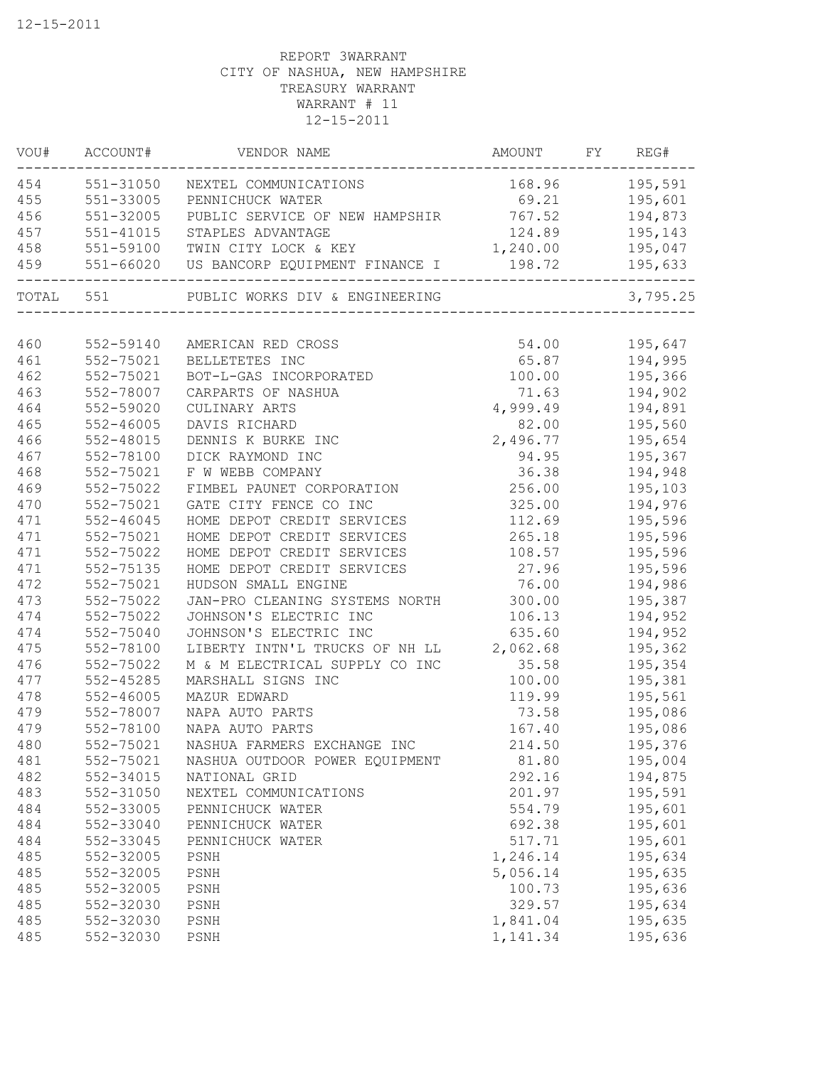| VOU#      | ACCOUNT#      | VENDOR NAME                    | AMOUNT   | FY | REG#               |
|-----------|---------------|--------------------------------|----------|----|--------------------|
| 454       | 551-31050     | NEXTEL COMMUNICATIONS          | 168.96   |    | 195,591            |
| 455       | 551-33005     | PENNICHUCK WATER               | 69.21    |    | 195,601            |
| 456       | 551-32005     | PUBLIC SERVICE OF NEW HAMPSHIR | 767.52   |    | 194,873            |
| 457       | 551-41015     | STAPLES ADVANTAGE              | 124.89   |    | 195,143            |
| 458       | 551-59100     | TWIN CITY LOCK & KEY           | 1,240.00 |    | 195,047            |
| 459       | 551-66020     | US BANCORP EQUIPMENT FINANCE I | 198.72   |    | 195,633            |
| TOTAL 551 |               | PUBLIC WORKS DIV & ENGINEERING |          |    | 3,795.25           |
| 460       | 552-59140     | AMERICAN RED CROSS             | 54.00    |    | 195,647            |
| 461       | 552-75021     | BELLETETES INC                 | 65.87    |    | 194,995            |
| 462       | 552-75021     | BOT-L-GAS INCORPORATED         | 100.00   |    | 195,366            |
| 463       | 552-78007     | CARPARTS OF NASHUA             | 71.63    |    | 194,902            |
| 464       | 552-59020     | CULINARY ARTS                  | 4,999.49 |    | 194,891            |
| 465       | 552-46005     | DAVIS RICHARD                  | 82.00    |    | 195,560            |
| 466       | 552-48015     | DENNIS K BURKE INC             | 2,496.77 |    | 195,654            |
| 467       | 552-78100     | DICK RAYMOND INC               | 94.95    |    | 195,367            |
| 468       | 552-75021     | F W WEBB COMPANY               | 36.38    |    | 194,948            |
| 469       | 552-75022     | FIMBEL PAUNET CORPORATION      | 256.00   |    | 195,103            |
| 470       | 552-75021     | GATE CITY FENCE CO INC         | 325.00   |    | 194,976            |
| 471       | $552 - 46045$ | HOME DEPOT CREDIT SERVICES     | 112.69   |    | 195,596            |
| 471       | 552-75021     | HOME DEPOT CREDIT SERVICES     | 265.18   |    | 195,596            |
| 471       | 552-75022     | HOME DEPOT CREDIT SERVICES     | 108.57   |    | 195,596            |
| 471       | 552-75135     | HOME DEPOT CREDIT SERVICES     | 27.96    |    | 195,596            |
| 472       | 552-75021     | HUDSON SMALL ENGINE            | 76.00    |    | 194,986            |
| 473       | 552-75022     | JAN-PRO CLEANING SYSTEMS NORTH | 300.00   |    | 195,387            |
| 474       | 552-75022     | JOHNSON'S ELECTRIC INC         | 106.13   |    | 194,952            |
| 474       | 552-75040     | JOHNSON'S ELECTRIC INC         | 635.60   |    | 194,952            |
| 475       | 552-78100     | LIBERTY INTN'L TRUCKS OF NH LL | 2,062.68 |    | 195,362            |
| 476       | 552-75022     | M & M ELECTRICAL SUPPLY CO INC | 35.58    |    | 195,354            |
| 477       | 552-45285     | MARSHALL SIGNS INC             | 100.00   |    | 195,381            |
| 478       | 552-46005     | MAZUR EDWARD                   | 119.99   |    | 195,561            |
| 479       | 552-78007     | NAPA AUTO PARTS                | 73.58    |    | 195,086            |
| 479       | 552-78100     | NAPA AUTO PARTS                | 167.40   |    | 195,086            |
| 480       | 552-75021     | NASHUA FARMERS EXCHANGE INC    | 214.50   |    | 195,376            |
| 481       | 552-75021     | NASHUA OUTDOOR POWER EQUIPMENT | 81.80    |    | 195,004            |
| 482       | 552-34015     | NATIONAL GRID                  | 292.16   |    | 194,875            |
| 483       | 552-31050     | NEXTEL COMMUNICATIONS          | 201.97   |    | 195,591            |
| 484       | 552-33005     | PENNICHUCK WATER               | 554.79   |    | 195,601            |
| 484       | 552-33040     | PENNICHUCK WATER               | 692.38   |    | 195,601            |
| 484       | 552-33045     | PENNICHUCK WATER               | 517.71   |    | 195,601            |
| 485       | 552-32005     | PSNH                           | 1,246.14 |    | 195,634            |
| 485       | 552-32005     |                                | 5,056.14 |    | 195,635            |
| 485       | 552-32005     | PSNH                           | 100.73   |    |                    |
| 485       | 552-32030     | PSNH<br>PSNH                   | 329.57   |    | 195,636<br>195,634 |
| 485       | 552-32030     | PSNH                           | 1,841.04 |    | 195,635            |
| 485       | 552-32030     | PSNH                           | 1,141.34 |    | 195,636            |
|           |               |                                |          |    |                    |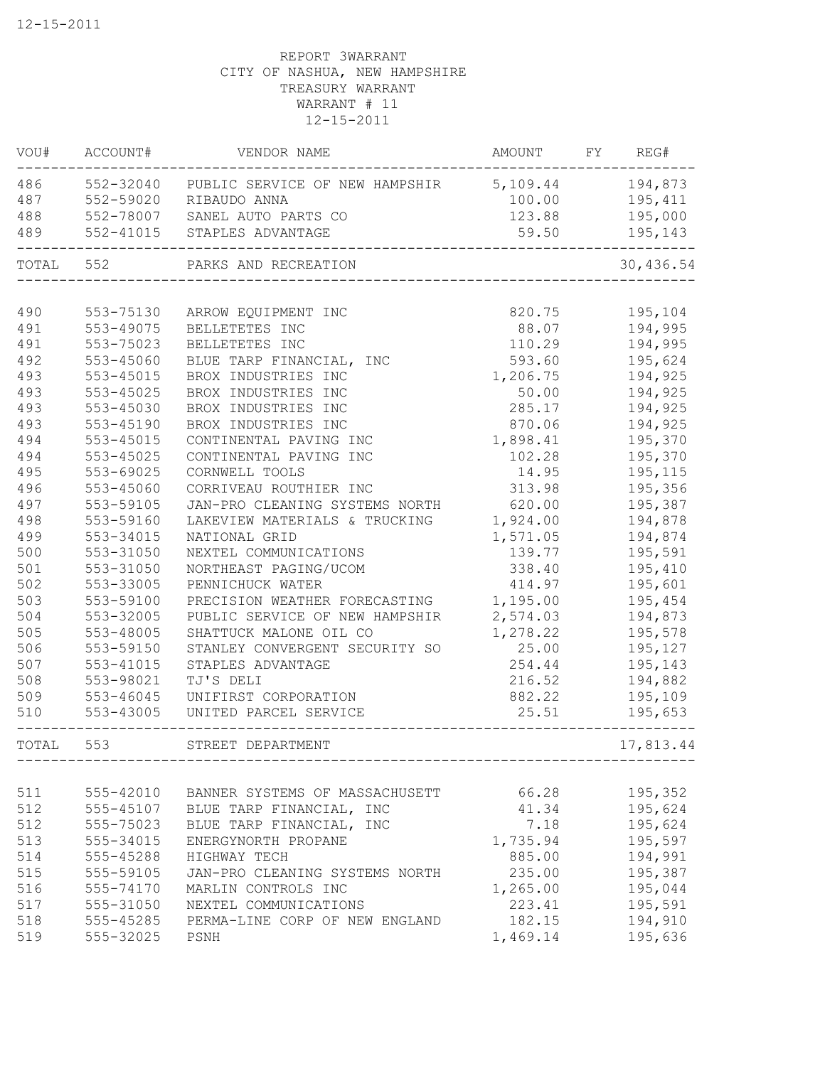| VOU#  | ACCOUNT#  | VENDOR NAME                    | AMOUNT   | FY | REG#      |
|-------|-----------|--------------------------------|----------|----|-----------|
| 486   | 552-32040 | PUBLIC SERVICE OF NEW HAMPSHIR | 5,109.44 |    | 194,873   |
| 487   |           | 552-59020 RIBAUDO ANNA         | 100.00   |    | 195,411   |
| 488   |           | 552-78007 SANEL AUTO PARTS CO  | 123.88   |    | 195,000   |
| 489   |           | 552-41015 STAPLES ADVANTAGE    | 59.50    |    | 195,143   |
|       | TOTAL 552 | PARKS AND RECREATION           |          |    | 30,436.54 |
|       |           |                                |          |    |           |
| 490   | 553-75130 | ARROW EQUIPMENT INC            | 820.75   |    | 195,104   |
| 491   | 553-49075 | BELLETETES INC                 | 88.07    |    | 194,995   |
| 491   | 553-75023 | BELLETETES INC                 | 110.29   |    | 194,995   |
| 492   | 553-45060 | BLUE TARP FINANCIAL, INC       | 593.60   |    | 195,624   |
| 493   | 553-45015 | BROX INDUSTRIES INC            | 1,206.75 |    | 194,925   |
| 493   | 553-45025 | BROX INDUSTRIES INC            | 50.00    |    | 194,925   |
| 493   | 553-45030 | BROX INDUSTRIES INC            | 285.17   |    | 194,925   |
| 493   | 553-45190 | BROX INDUSTRIES INC            | 870.06   |    | 194,925   |
| 494   | 553-45015 | CONTINENTAL PAVING INC         | 1,898.41 |    | 195,370   |
| 494   | 553-45025 | CONTINENTAL PAVING INC         | 102.28   |    | 195,370   |
| 495   | 553-69025 | CORNWELL TOOLS                 | 14.95    |    | 195,115   |
| 496   | 553-45060 | CORRIVEAU ROUTHIER INC         | 313.98   |    | 195,356   |
| 497   | 553-59105 | JAN-PRO CLEANING SYSTEMS NORTH | 620.00   |    | 195,387   |
| 498   | 553-59160 | LAKEVIEW MATERIALS & TRUCKING  | 1,924.00 |    | 194,878   |
| 499   | 553-34015 | NATIONAL GRID                  | 1,571.05 |    | 194,874   |
| 500   | 553-31050 | NEXTEL COMMUNICATIONS          | 139.77   |    | 195,591   |
| 501   | 553-31050 | NORTHEAST PAGING/UCOM          | 338.40   |    | 195,410   |
| 502   | 553-33005 | PENNICHUCK WATER               | 414.97   |    | 195,601   |
| 503   | 553-59100 | PRECISION WEATHER FORECASTING  | 1,195.00 |    | 195,454   |
| 504   | 553-32005 | PUBLIC SERVICE OF NEW HAMPSHIR | 2,574.03 |    | 194,873   |
| 505   | 553-48005 | SHATTUCK MALONE OIL CO         | 1,278.22 |    | 195,578   |
| 506   | 553-59150 | STANLEY CONVERGENT SECURITY SO | 25.00    |    | 195,127   |
| 507   | 553-41015 | STAPLES ADVANTAGE              | 254.44   |    | 195,143   |
| 508   | 553-98021 | TJ'S DELI                      | 216.52   |    | 194,882   |
| 509   | 553-46045 | UNIFIRST CORPORATION           | 882.22   |    | 195,109   |
| 510   | 553-43005 | UNITED PARCEL SERVICE          | 25.51    |    | 195,653   |
| TOTAL | 553       | STREET DEPARTMENT              |          |    | 17,813.44 |
|       |           |                                |          |    |           |
| 511   | 555-42010 | BANNER SYSTEMS OF MASSACHUSETT | 66.28    |    | 195,352   |
| 512   | 555-45107 | BLUE TARP FINANCIAL, INC       | 41.34    |    | 195,624   |
| 512   | 555-75023 | BLUE TARP FINANCIAL, INC       | 7.18     |    | 195,624   |
| 513   | 555-34015 | ENERGYNORTH PROPANE            | 1,735.94 |    | 195,597   |
| 514   | 555-45288 | HIGHWAY TECH                   | 885.00   |    | 194,991   |
| 515   | 555-59105 | JAN-PRO CLEANING SYSTEMS NORTH | 235.00   |    | 195,387   |
| 516   | 555-74170 | MARLIN CONTROLS INC            | 1,265.00 |    | 195,044   |
| 517   | 555-31050 | NEXTEL COMMUNICATIONS          | 223.41   |    | 195,591   |
| 518   | 555-45285 | PERMA-LINE CORP OF NEW ENGLAND | 182.15   |    | 194,910   |
| 519   | 555-32025 | PSNH                           | 1,469.14 |    | 195,636   |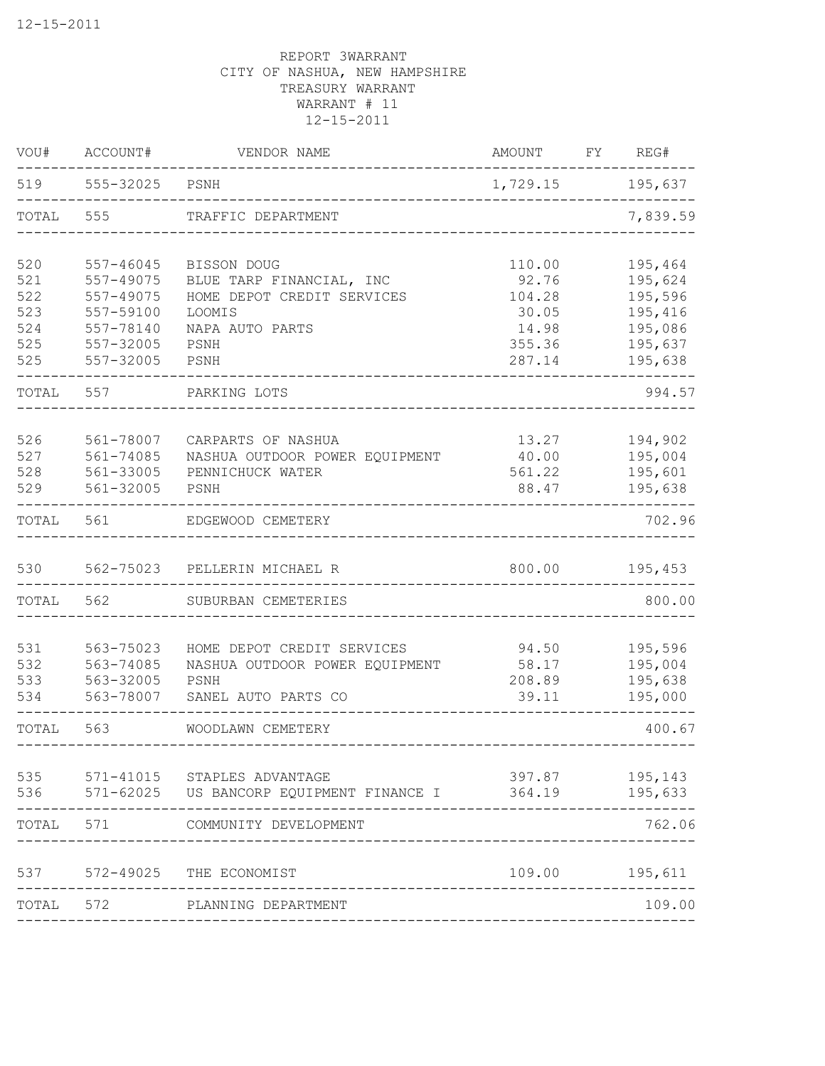| VOU#       | ACCOUNT#                   | VENDOR NAME                                          | <b>AMOUNT</b>    | FY REG#            |
|------------|----------------------------|------------------------------------------------------|------------------|--------------------|
|            | 519   555-32025   PSNH     |                                                      | 1,729.15 195,637 |                    |
| TOTAL      | 555                        | TRAFFIC DEPARTMENT                                   |                  | 7,839.59           |
| 520<br>521 | $557 - 46045$<br>557-49075 | BISSON DOUG<br>BLUE TARP FINANCIAL, INC              | 110.00<br>92.76  | 195,464<br>195,624 |
| 522        | 557-49075                  | HOME DEPOT CREDIT SERVICES                           | 104.28           | 195,596            |
| 523        | 557-59100                  | LOOMIS                                               | 30.05            | 195,416            |
| 524        | 557-78140                  | NAPA AUTO PARTS                                      | 14.98            | 195,086            |
| 525<br>525 | 557-32005<br>557-32005     | PSNH<br>PSNH                                         | 355.36<br>287.14 | 195,637<br>195,638 |
| TOTAL      | 557                        | PARKING LOTS                                         |                  | 994.57             |
|            |                            |                                                      |                  |                    |
| 526<br>527 | 561-78007<br>561-74085     | CARPARTS OF NASHUA<br>NASHUA OUTDOOR POWER EQUIPMENT | 13.27<br>40.00   | 194,902<br>195,004 |
| 528        | 561-33005                  | PENNICHUCK WATER                                     | 561.22           | 195,601            |
| 529        | 561-32005                  | PSNH                                                 | 88.47            | 195,638            |
| TOTAL      | 561                        | EDGEWOOD CEMETERY                                    |                  | 702.96             |
| 530        |                            | 562-75023 PELLERIN MICHAEL R                         | 800.00           | 195,453            |
| TOTAL      | 562                        | SUBURBAN CEMETERIES                                  |                  | 800.00             |
|            |                            |                                                      |                  |                    |
| 531        | 563-75023                  | HOME DEPOT CREDIT SERVICES                           | 94.50            | 195,596            |
| 532        | 563-74085                  | NASHUA OUTDOOR POWER EQUIPMENT                       | 58.17            | 195,004            |
| 533<br>534 | 563-32005<br>563-78007     | PSNH<br>SANEL AUTO PARTS CO                          | 208.89<br>39.11  | 195,638<br>195,000 |
| TOTAL      | 563                        | WOODLAWN CEMETERY                                    |                  | 400.67             |
| 535        |                            | 571-41015 STAPLES ADVANTAGE                          | 397.87           | 195,143            |
|            |                            | 536 571-62025 US BANCORP EQUIPMENT FINANCE I         | 364.19           | 195,633            |
| TOTAL      | 571                        | COMMUNITY DEVELOPMENT                                |                  | 762.06             |
| 537        |                            | 572-49025 THE ECONOMIST                              | 109.00           | 195,611            |
| TOTAL 572  |                            | PLANNING DEPARTMENT                                  |                  | 109.00             |
|            |                            |                                                      |                  |                    |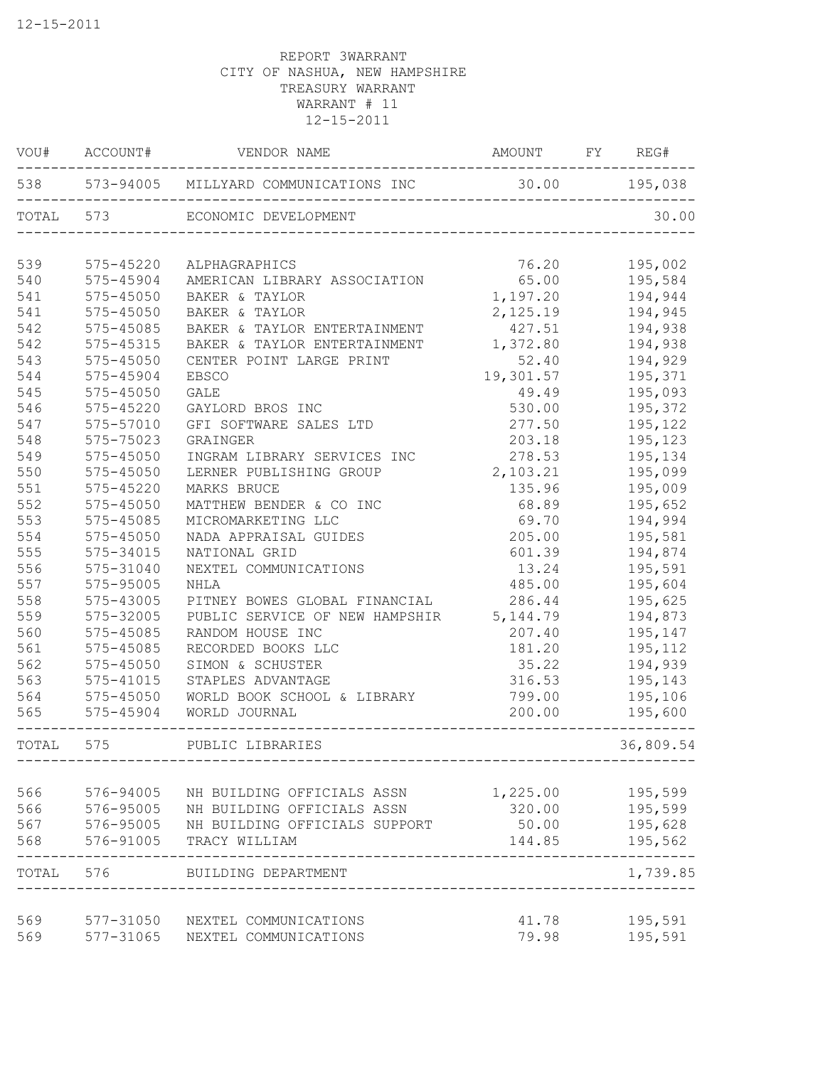|       | VOU# ACCOUNT# | VENDOR NAME                                             | AMOUNT    | FY | REG#      |
|-------|---------------|---------------------------------------------------------|-----------|----|-----------|
|       |               | 538 573-94005 MILLYARD COMMUNICATIONS INC 30.00 195,038 |           |    |           |
|       | TOTAL 573     | ECONOMIC DEVELOPMENT                                    |           |    | 30.00     |
| 539   | 575-45220     | ALPHAGRAPHICS                                           | 76.20     |    | 195,002   |
| 540   | 575-45904     | AMERICAN LIBRARY ASSOCIATION                            | 65.00     |    | 195,584   |
| 541   | 575-45050     | BAKER & TAYLOR                                          | 1,197.20  |    | 194,944   |
| 541   | 575-45050     | BAKER & TAYLOR                                          | 2,125.19  |    | 194,945   |
| 542   | 575-45085     | BAKER & TAYLOR ENTERTAINMENT                            | 427.51    |    | 194,938   |
| 542   | 575-45315     | BAKER & TAYLOR ENTERTAINMENT                            | 1,372.80  |    | 194,938   |
| 543   | 575-45050     | CENTER POINT LARGE PRINT                                | 52.40     |    | 194,929   |
| 544   | 575-45904     | <b>EBSCO</b>                                            | 19,301.57 |    | 195,371   |
| 545   | 575-45050     | GALE                                                    | 49.49     |    | 195,093   |
| 546   | $575 - 45220$ | GAYLORD BROS INC                                        | 530.00    |    | 195,372   |
| 547   | 575-57010     | GFI SOFTWARE SALES LTD                                  | 277.50    |    | 195,122   |
| 548   | 575-75023     | GRAINGER                                                | 203.18    |    | 195,123   |
| 549   | $575 - 45050$ | INGRAM LIBRARY SERVICES INC                             | 278.53    |    | 195,134   |
| 550   | 575-45050     | LERNER PUBLISHING GROUP                                 | 2,103.21  |    | 195,099   |
| 551   | 575-45220     | MARKS BRUCE                                             | 135.96    |    | 195,009   |
| 552   | 575-45050     | MATTHEW BENDER & CO INC                                 | 68.89     |    | 195,652   |
| 553   | 575-45085     | MICROMARKETING LLC                                      | 69.70     |    | 194,994   |
| 554   | $575 - 45050$ | NADA APPRAISAL GUIDES                                   | 205.00    |    | 195,581   |
| 555   | 575-34015     | NATIONAL GRID                                           | 601.39    |    | 194,874   |
| 556   | 575-31040     | NEXTEL COMMUNICATIONS                                   | 13.24     |    | 195,591   |
| 557   | 575-95005     | <b>NHLA</b>                                             | 485.00    |    | 195,604   |
| 558   | 575-43005     | PITNEY BOWES GLOBAL FINANCIAL                           | 286.44    |    | 195,625   |
| 559   | 575-32005     | PUBLIC SERVICE OF NEW HAMPSHIR                          | 5, 144.79 |    | 194,873   |
| 560   | 575-45085     | RANDOM HOUSE INC                                        | 207.40    |    | 195,147   |
| 561   | 575-45085     | RECORDED BOOKS LLC                                      | 181.20    |    | 195,112   |
| 562   | 575-45050     | SIMON & SCHUSTER                                        | 35.22     |    | 194,939   |
| 563   | 575-41015     | STAPLES ADVANTAGE                                       | 316.53    |    | 195,143   |
| 564   | 575-45050     | WORLD BOOK SCHOOL & LIBRARY                             | 799.00    |    | 195,106   |
| 565   | 575-45904     | WORLD JOURNAL                                           | 200.00    |    | 195,600   |
| TOTAL | 575           | PUBLIC LIBRARIES                                        |           |    | 36,809.54 |
|       |               |                                                         |           |    |           |
| 566   | 576-94005     | NH BUILDING OFFICIALS ASSN                              | 1,225.00  |    | 195,599   |
| 566   | 576-95005     | NH BUILDING OFFICIALS ASSN                              | 320.00    |    | 195,599   |
| 567   | 576-95005     | NH BUILDING OFFICIALS SUPPORT                           | 50.00     |    | 195,628   |
| 568   | 576-91005     | TRACY WILLIAM                                           | 144.85    |    | 195,562   |
| TOTAL | 576           | BUILDING DEPARTMENT                                     |           |    | 1,739.85  |
| 569   | 577-31050     | NEXTEL COMMUNICATIONS                                   | 41.78     |    | 195,591   |
| 569   | 577-31065     | NEXTEL COMMUNICATIONS                                   | 79.98     |    | 195,591   |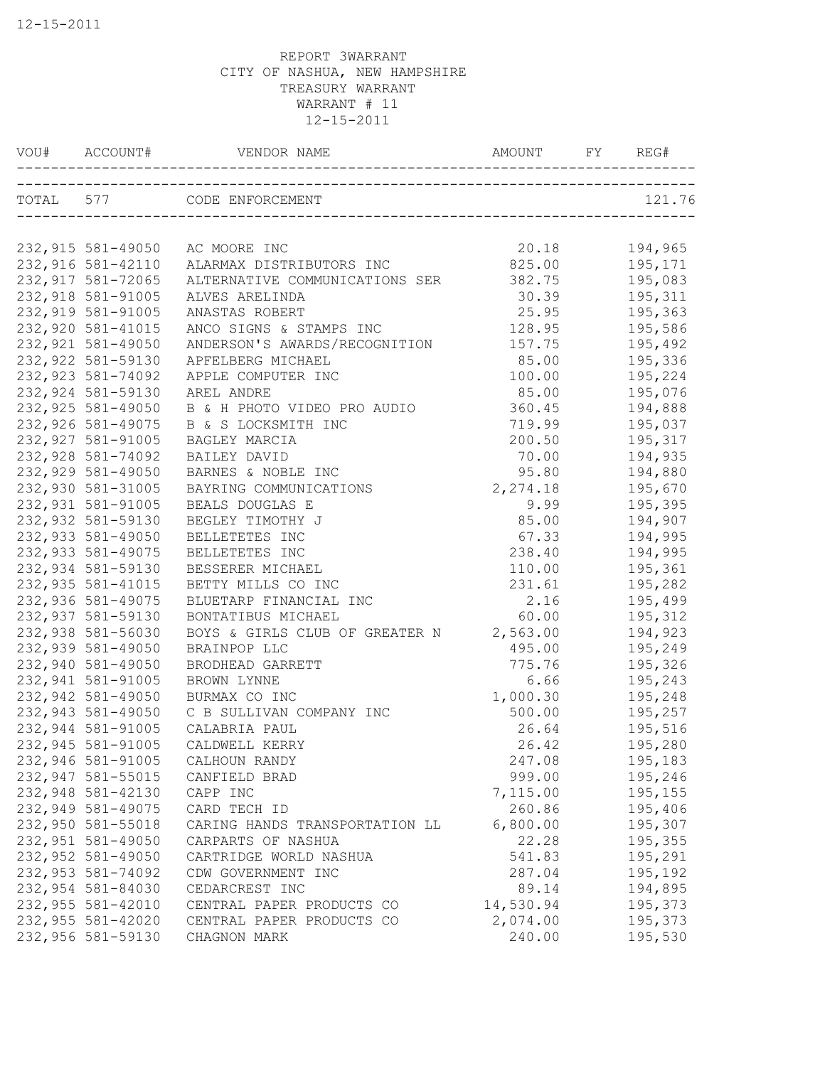|                    | VOU# ACCOUNT# VENDOR NAME AND AMOUNT FY REG# |           |         |
|--------------------|----------------------------------------------|-----------|---------|
|                    | TOTAL 577 CODE ENFORCEMENT                   |           | 121.76  |
|                    |                                              |           |         |
| 232,915 581-49050  | AC MOORE INC                                 | 20.18     | 194,965 |
| 232,916 581-42110  | ALARMAX DISTRIBUTORS INC                     | 825.00    | 195,171 |
| 232, 917 581-72065 | ALTERNATIVE COMMUNICATIONS SER               | 382.75    | 195,083 |
| 232,918 581-91005  | ALVES ARELINDA                               | 30.39     | 195,311 |
| 232,919 581-91005  | ANASTAS ROBERT                               | 25.95     | 195,363 |
| 232,920 581-41015  | ANCO SIGNS & STAMPS INC                      | 128.95    | 195,586 |
| 232,921 581-49050  | ANDERSON'S AWARDS/RECOGNITION                | 157.75    | 195,492 |
| 232,922 581-59130  | APFELBERG MICHAEL                            | 85.00     | 195,336 |
| 232, 923 581-74092 | APPLE COMPUTER INC                           | 100.00    | 195,224 |
| 232,924 581-59130  | AREL ANDRE                                   | 85.00     | 195,076 |
| 232,925 581-49050  | B & H PHOTO VIDEO PRO AUDIO                  | 360.45    | 194,888 |
| 232,926 581-49075  | B & S LOCKSMITH INC                          | 719.99    | 195,037 |
| 232,927 581-91005  | BAGLEY MARCIA                                | 200.50    | 195,317 |
| 232,928 581-74092  | BAILEY DAVID                                 | 70.00     | 194,935 |
| 232,929 581-49050  | BARNES & NOBLE INC                           | 95.80     | 194,880 |
| 232,930 581-31005  | BAYRING COMMUNICATIONS                       | 2, 274.18 | 195,670 |
| 232,931 581-91005  | BEALS DOUGLAS E                              | 9.99      | 195,395 |
| 232,932 581-59130  | BEGLEY TIMOTHY J                             | 85.00     | 194,907 |
| 232,933 581-49050  | BELLETETES INC                               | 67.33     | 194,995 |
| 232,933 581-49075  | BELLETETES INC                               | 238.40    | 194,995 |
| 232,934 581-59130  | BESSERER MICHAEL                             | 110.00    | 195,361 |
| 232,935 581-41015  | BETTY MILLS CO INC                           | 231.61    | 195,282 |
| 232,936 581-49075  | BLUETARP FINANCIAL INC                       | 2.16      | 195,499 |
| 232,937 581-59130  | BONTATIBUS MICHAEL                           | 60.00     | 195,312 |
| 232,938 581-56030  | BOYS & GIRLS CLUB OF GREATER N 2,563.00      |           | 194,923 |
| 232,939 581-49050  | BRAINPOP LLC                                 | 495.00    | 195,249 |
| 232,940 581-49050  | BRODHEAD GARRETT                             | 775.76    | 195,326 |
| 232,941 581-91005  | BROWN LYNNE                                  | 6.66      | 195,243 |
| 232,942 581-49050  | BURMAX CO INC                                | 1,000.30  | 195,248 |
| 232,943 581-49050  | C B SULLIVAN COMPANY INC                     | 500.00    | 195,257 |
| 232,944 581-91005  | CALABRIA PAUL                                | 26.64     | 195,516 |
| 232,945 581-91005  | CALDWELL KERRY                               | 26.42     | 195,280 |
| 232,946 581-91005  | CALHOUN RANDY                                | 247.08    | 195,183 |
| 232,947 581-55015  | CANFIELD BRAD                                | 999.00    | 195,246 |
| 232,948 581-42130  | CAPP INC                                     | 7,115.00  | 195,155 |
| 232,949 581-49075  | CARD TECH ID                                 | 260.86    | 195,406 |
| 232,950 581-55018  | CARING HANDS TRANSPORTATION LL               | 6,800.00  | 195,307 |
| 232,951 581-49050  | CARPARTS OF NASHUA                           | 22.28     | 195,355 |
| 232,952 581-49050  | CARTRIDGE WORLD NASHUA                       | 541.83    | 195,291 |
| 232,953 581-74092  | CDW GOVERNMENT INC                           | 287.04    | 195,192 |
| 232,954 581-84030  | CEDARCREST INC                               | 89.14     | 194,895 |
| 232,955 581-42010  | CENTRAL PAPER PRODUCTS CO                    | 14,530.94 | 195,373 |
| 232,955 581-42020  | CENTRAL PAPER PRODUCTS CO                    | 2,074.00  | 195,373 |
| 232,956 581-59130  | CHAGNON MARK                                 | 240.00    | 195,530 |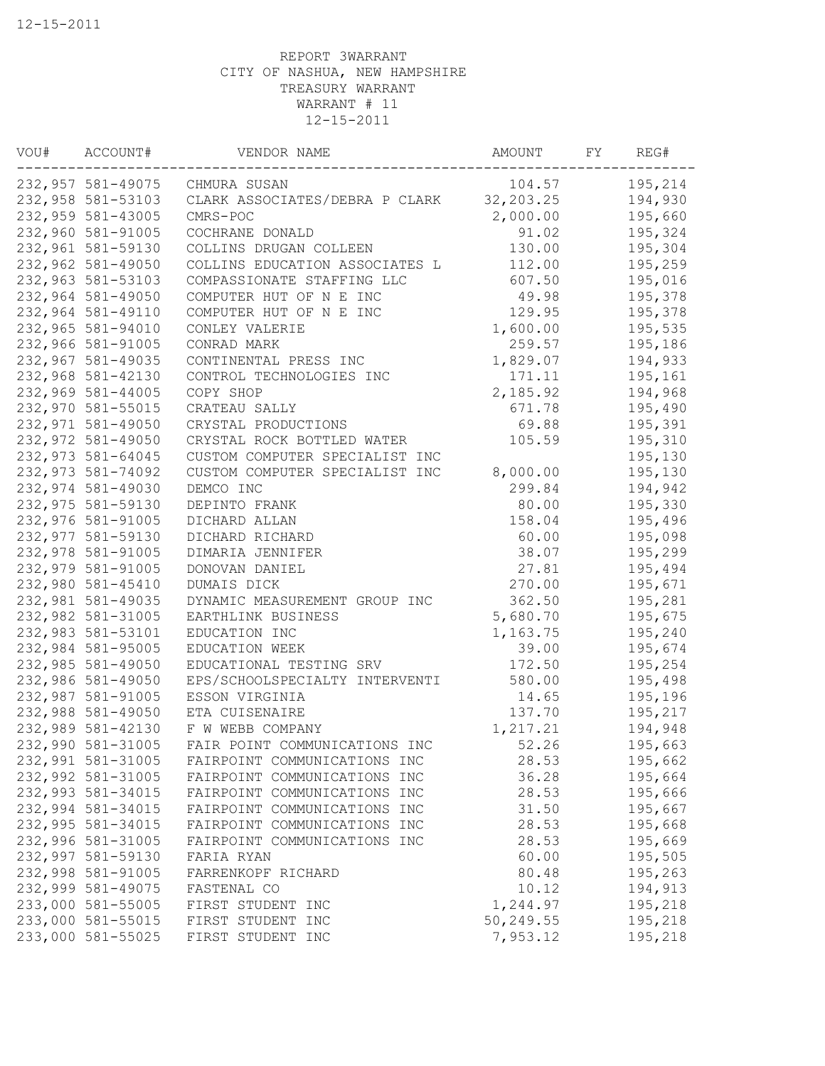| VOU# | ACCOUNT#          | VENDOR NAME                    | AMOUNT      | FY | REG#    |
|------|-------------------|--------------------------------|-------------|----|---------|
|      | 232,957 581-49075 | CHMURA SUSAN                   | 104.57      |    | 195,214 |
|      | 232,958 581-53103 | CLARK ASSOCIATES/DEBRA P CLARK | 32, 203. 25 |    | 194,930 |
|      | 232,959 581-43005 | CMRS-POC                       | 2,000.00    |    | 195,660 |
|      | 232,960 581-91005 | COCHRANE DONALD                | 91.02       |    | 195,324 |
|      | 232,961 581-59130 | COLLINS DRUGAN COLLEEN         | 130.00      |    | 195,304 |
|      | 232,962 581-49050 | COLLINS EDUCATION ASSOCIATES L | 112.00      |    | 195,259 |
|      | 232,963 581-53103 | COMPASSIONATE STAFFING LLC     | 607.50      |    | 195,016 |
|      | 232,964 581-49050 | COMPUTER HUT OF N E INC        | 49.98       |    | 195,378 |
|      | 232,964 581-49110 | COMPUTER HUT OF N E INC        | 129.95      |    | 195,378 |
|      | 232,965 581-94010 | CONLEY VALERIE                 | 1,600.00    |    | 195,535 |
|      | 232,966 581-91005 | CONRAD MARK                    | 259.57      |    | 195,186 |
|      | 232,967 581-49035 | CONTINENTAL PRESS INC          | 1,829.07    |    | 194,933 |
|      | 232,968 581-42130 | CONTROL TECHNOLOGIES INC       | 171.11      |    | 195,161 |
|      | 232,969 581-44005 | COPY SHOP                      | 2,185.92    |    | 194,968 |
|      | 232,970 581-55015 | CRATEAU SALLY                  | 671.78      |    | 195,490 |
|      | 232,971 581-49050 | CRYSTAL PRODUCTIONS            | 69.88       |    | 195,391 |
|      | 232,972 581-49050 | CRYSTAL ROCK BOTTLED WATER     | 105.59      |    | 195,310 |
|      | 232,973 581-64045 | CUSTOM COMPUTER SPECIALIST INC |             |    | 195,130 |
|      | 232,973 581-74092 | CUSTOM COMPUTER SPECIALIST INC | 8,000.00    |    | 195,130 |
|      | 232,974 581-49030 | DEMCO INC                      | 299.84      |    | 194,942 |
|      | 232,975 581-59130 | DEPINTO FRANK                  | 80.00       |    | 195,330 |
|      | 232,976 581-91005 | DICHARD ALLAN                  | 158.04      |    | 195,496 |
|      | 232,977 581-59130 | DICHARD RICHARD                | 60.00       |    | 195,098 |
|      | 232,978 581-91005 | DIMARIA JENNIFER               | 38.07       |    | 195,299 |
|      | 232,979 581-91005 | DONOVAN DANIEL                 | 27.81       |    | 195,494 |
|      | 232,980 581-45410 | DUMAIS DICK                    | 270.00      |    | 195,671 |
|      | 232,981 581-49035 | DYNAMIC MEASUREMENT GROUP INC  | 362.50      |    | 195,281 |
|      | 232,982 581-31005 | EARTHLINK BUSINESS             | 5,680.70    |    | 195,675 |
|      | 232,983 581-53101 | EDUCATION INC                  | 1,163.75    |    | 195,240 |
|      | 232,984 581-95005 | EDUCATION WEEK                 | 39.00       |    | 195,674 |
|      | 232,985 581-49050 | EDUCATIONAL TESTING SRV        | 172.50      |    | 195,254 |
|      | 232,986 581-49050 | EPS/SCHOOLSPECIALTY INTERVENTI | 580.00      |    | 195,498 |
|      | 232,987 581-91005 | ESSON VIRGINIA                 | 14.65       |    | 195,196 |
|      | 232,988 581-49050 | ETA CUISENAIRE                 | 137.70      |    | 195,217 |
|      | 232,989 581-42130 | F W WEBB COMPANY               | 1,217.21    |    | 194,948 |
|      | 232,990 581-31005 | FAIR POINT COMMUNICATIONS INC  | 52.26       |    | 195,663 |
|      | 232,991 581-31005 | FAIRPOINT COMMUNICATIONS INC   | 28.53       |    | 195,662 |
|      | 232,992 581-31005 | FAIRPOINT COMMUNICATIONS INC   | 36.28       |    | 195,664 |
|      | 232,993 581-34015 | FAIRPOINT COMMUNICATIONS INC   | 28.53       |    | 195,666 |
|      | 232,994 581-34015 | FAIRPOINT COMMUNICATIONS INC   | 31.50       |    | 195,667 |
|      | 232,995 581-34015 | FAIRPOINT COMMUNICATIONS INC   | 28.53       |    | 195,668 |
|      | 232,996 581-31005 | FAIRPOINT COMMUNICATIONS INC   | 28.53       |    | 195,669 |
|      | 232,997 581-59130 | FARIA RYAN                     | 60.00       |    | 195,505 |
|      | 232,998 581-91005 | FARRENKOPF RICHARD             | 80.48       |    | 195,263 |
|      | 232,999 581-49075 | FASTENAL CO                    | 10.12       |    | 194,913 |
|      | 233,000 581-55005 | FIRST STUDENT INC              | 1,244.97    |    | 195,218 |
|      | 233,000 581-55015 | FIRST STUDENT INC              | 50,249.55   |    | 195,218 |
|      | 233,000 581-55025 | FIRST STUDENT INC              | 7,953.12    |    | 195,218 |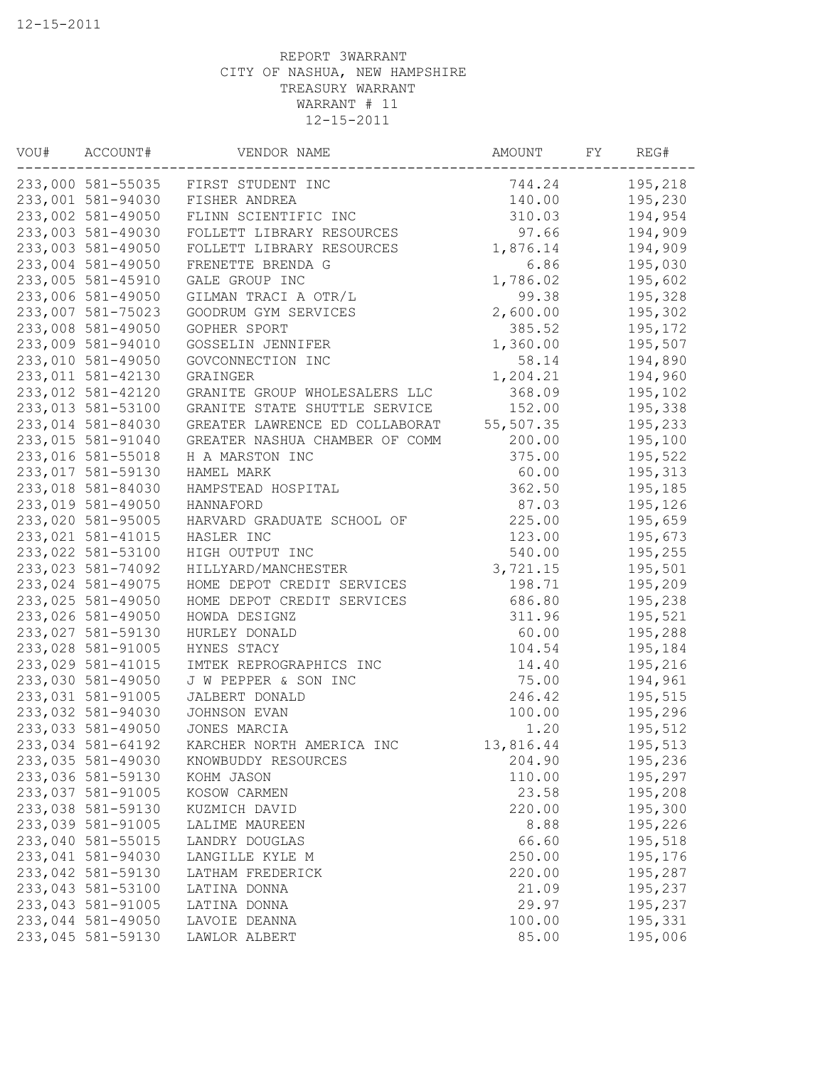| VOU# | ACCOUNT#          | VENDOR NAME                         | AMOUNT    | FΥ | REG#    |
|------|-------------------|-------------------------------------|-----------|----|---------|
|      |                   | 233,000 581-55035 FIRST STUDENT INC | 744.24    |    | 195,218 |
|      | 233,001 581-94030 | FISHER ANDREA                       | 140.00    |    | 195,230 |
|      | 233,002 581-49050 | FLINN SCIENTIFIC INC                | 310.03    |    | 194,954 |
|      | 233,003 581-49030 | FOLLETT LIBRARY RESOURCES           | 97.66     |    | 194,909 |
|      | 233,003 581-49050 | FOLLETT LIBRARY RESOURCES           | 1,876.14  |    | 194,909 |
|      | 233,004 581-49050 | FRENETTE BRENDA G                   | 6.86      |    | 195,030 |
|      | 233,005 581-45910 | GALE GROUP INC                      | 1,786.02  |    | 195,602 |
|      | 233,006 581-49050 | GILMAN TRACI A OTR/L                | 99.38     |    | 195,328 |
|      | 233,007 581-75023 | GOODRUM GYM SERVICES                | 2,600.00  |    | 195,302 |
|      | 233,008 581-49050 | GOPHER SPORT                        | 385.52    |    | 195,172 |
|      | 233,009 581-94010 | GOSSELIN JENNIFER                   | 1,360.00  |    | 195,507 |
|      | 233,010 581-49050 | GOVCONNECTION INC                   | 58.14     |    | 194,890 |
|      | 233,011 581-42130 | GRAINGER                            | 1,204.21  |    | 194,960 |
|      | 233,012 581-42120 | GRANITE GROUP WHOLESALERS LLC       | 368.09    |    | 195,102 |
|      | 233,013 581-53100 | GRANITE STATE SHUTTLE SERVICE       | 152.00    |    | 195,338 |
|      | 233,014 581-84030 | GREATER LAWRENCE ED COLLABORAT      | 55,507.35 |    | 195,233 |
|      | 233,015 581-91040 | GREATER NASHUA CHAMBER OF COMM      | 200.00    |    | 195,100 |
|      | 233,016 581-55018 | H A MARSTON INC                     | 375.00    |    | 195,522 |
|      | 233,017 581-59130 | HAMEL MARK                          | 60.00     |    | 195,313 |
|      | 233,018 581-84030 | HAMPSTEAD HOSPITAL                  | 362.50    |    | 195,185 |
|      | 233,019 581-49050 | HANNAFORD                           | 87.03     |    | 195,126 |
|      | 233,020 581-95005 | HARVARD GRADUATE SCHOOL OF          | 225.00    |    | 195,659 |
|      | 233,021 581-41015 | HASLER INC                          | 123.00    |    |         |
|      | 233,022 581-53100 |                                     |           |    | 195,673 |
|      |                   | HIGH OUTPUT INC                     | 540.00    |    | 195,255 |
|      | 233,023 581-74092 | HILLYARD/MANCHESTER                 | 3,721.15  |    | 195,501 |
|      | 233,024 581-49075 | HOME DEPOT CREDIT SERVICES          | 198.71    |    | 195,209 |
|      | 233,025 581-49050 | HOME DEPOT CREDIT SERVICES          | 686.80    |    | 195,238 |
|      | 233,026 581-49050 | HOWDA DESIGNZ                       | 311.96    |    | 195,521 |
|      | 233,027 581-59130 | HURLEY DONALD                       | 60.00     |    | 195,288 |
|      | 233,028 581-91005 | HYNES STACY                         | 104.54    |    | 195,184 |
|      | 233,029 581-41015 | IMTEK REPROGRAPHICS INC             | 14.40     |    | 195,216 |
|      | 233,030 581-49050 | J W PEPPER & SON INC                | 75.00     |    | 194,961 |
|      | 233,031 581-91005 | JALBERT DONALD                      | 246.42    |    | 195,515 |
|      | 233,032 581-94030 | JOHNSON EVAN                        | 100.00    |    | 195,296 |
|      | 233,033 581-49050 | JONES MARCIA                        | 1.20      |    | 195,512 |
|      | 233,034 581-64192 | KARCHER NORTH AMERICA INC           | 13,816.44 |    | 195,513 |
|      | 233,035 581-49030 | KNOWBUDDY RESOURCES                 | 204.90    |    | 195,236 |
|      | 233,036 581-59130 | KOHM JASON                          | 110.00    |    | 195,297 |
|      | 233,037 581-91005 | KOSOW CARMEN                        | 23.58     |    | 195,208 |
|      | 233,038 581-59130 | KUZMICH DAVID                       | 220.00    |    | 195,300 |
|      | 233,039 581-91005 | LALIME MAUREEN                      | 8.88      |    | 195,226 |
|      | 233,040 581-55015 | LANDRY DOUGLAS                      | 66.60     |    | 195,518 |
|      | 233,041 581-94030 | LANGILLE KYLE M                     | 250.00    |    | 195,176 |
|      | 233,042 581-59130 | LATHAM FREDERICK                    | 220.00    |    | 195,287 |
|      | 233,043 581-53100 | LATINA DONNA                        | 21.09     |    | 195,237 |
|      | 233,043 581-91005 | LATINA DONNA                        | 29.97     |    | 195,237 |
|      | 233,044 581-49050 | LAVOIE DEANNA                       | 100.00    |    | 195,331 |
|      | 233,045 581-59130 | LAWLOR ALBERT                       | 85.00     |    | 195,006 |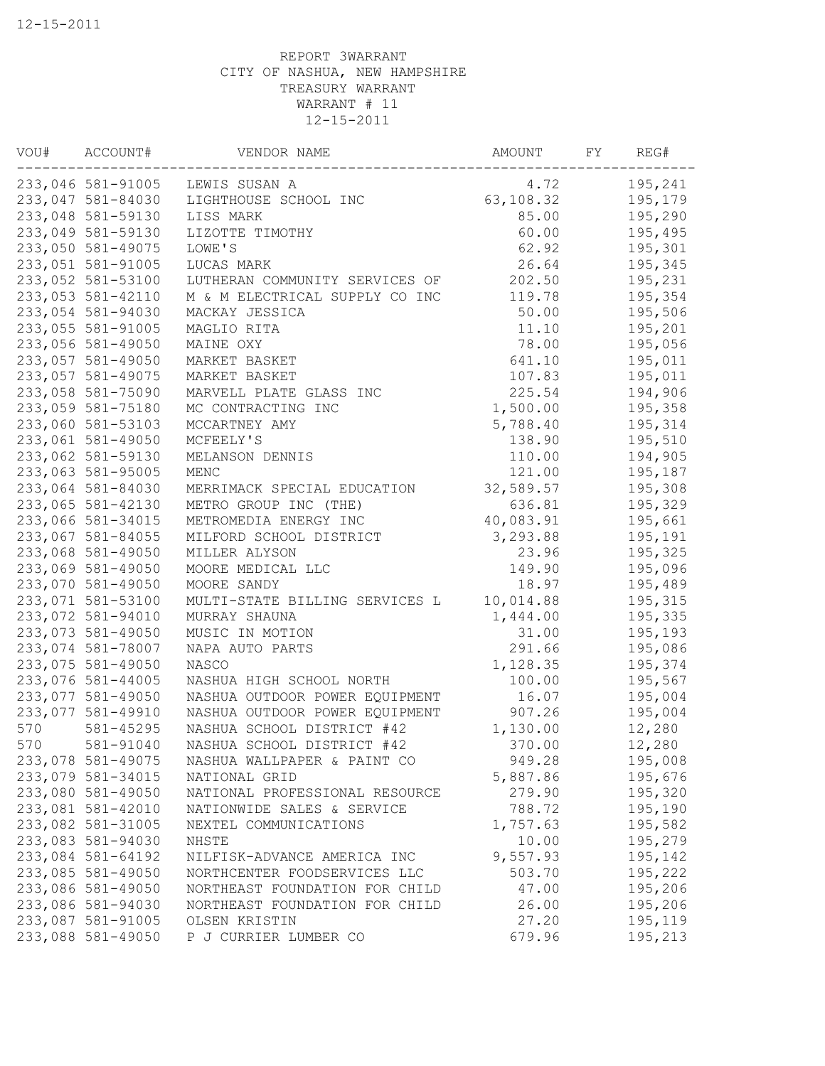| VOU# | ACCOUNT#          | VENDOR NAME                    | AMOUNT    | FΥ | REG#    |
|------|-------------------|--------------------------------|-----------|----|---------|
|      | 233,046 581-91005 | LEWIS SUSAN A                  | 4.72      |    | 195,241 |
|      | 233,047 581-84030 | LIGHTHOUSE SCHOOL INC          | 63,108.32 |    | 195,179 |
|      | 233,048 581-59130 | LISS MARK                      | 85.00     |    | 195,290 |
|      | 233,049 581-59130 | LIZOTTE TIMOTHY                | 60.00     |    | 195,495 |
|      | 233,050 581-49075 | LOWE'S                         | 62.92     |    | 195,301 |
|      | 233,051 581-91005 | LUCAS MARK                     | 26.64     |    | 195,345 |
|      | 233,052 581-53100 | LUTHERAN COMMUNITY SERVICES OF | 202.50    |    | 195,231 |
|      | 233,053 581-42110 | M & M ELECTRICAL SUPPLY CO INC | 119.78    |    | 195,354 |
|      | 233,054 581-94030 | MACKAY JESSICA                 | 50.00     |    | 195,506 |
|      | 233,055 581-91005 | MAGLIO RITA                    | 11.10     |    | 195,201 |
|      | 233,056 581-49050 | MAINE OXY                      | 78.00     |    | 195,056 |
|      | 233,057 581-49050 | MARKET BASKET                  | 641.10    |    | 195,011 |
|      | 233,057 581-49075 | MARKET BASKET                  | 107.83    |    | 195,011 |
|      | 233,058 581-75090 | MARVELL PLATE GLASS INC        | 225.54    |    | 194,906 |
|      | 233,059 581-75180 | MC CONTRACTING INC             | 1,500.00  |    | 195,358 |
|      | 233,060 581-53103 | MCCARTNEY AMY                  | 5,788.40  |    | 195,314 |
|      | 233,061 581-49050 | MCFEELY'S                      | 138.90    |    | 195,510 |
|      | 233,062 581-59130 | MELANSON DENNIS                | 110.00    |    | 194,905 |
|      | 233,063 581-95005 | MENC                           | 121.00    |    | 195,187 |
|      | 233,064 581-84030 | MERRIMACK SPECIAL EDUCATION    | 32,589.57 |    | 195,308 |
|      | 233,065 581-42130 | METRO GROUP INC (THE)          | 636.81    |    | 195,329 |
|      | 233,066 581-34015 | METROMEDIA ENERGY INC          | 40,083.91 |    | 195,661 |
|      | 233,067 581-84055 | MILFORD SCHOOL DISTRICT        | 3,293.88  |    | 195,191 |
|      | 233,068 581-49050 | MILLER ALYSON                  | 23.96     |    | 195,325 |
|      | 233,069 581-49050 | MOORE MEDICAL LLC              | 149.90    |    | 195,096 |
|      | 233,070 581-49050 | MOORE SANDY                    | 18.97     |    | 195,489 |
|      | 233,071 581-53100 | MULTI-STATE BILLING SERVICES L | 10,014.88 |    | 195,315 |
|      | 233,072 581-94010 | MURRAY SHAUNA                  | 1,444.00  |    | 195,335 |
|      | 233,073 581-49050 | MUSIC IN MOTION                | 31.00     |    | 195,193 |
|      | 233,074 581-78007 | NAPA AUTO PARTS                | 291.66    |    | 195,086 |
|      | 233,075 581-49050 | NASCO                          | 1,128.35  |    | 195,374 |
|      | 233,076 581-44005 | NASHUA HIGH SCHOOL NORTH       | 100.00    |    | 195,567 |
|      | 233,077 581-49050 | NASHUA OUTDOOR POWER EQUIPMENT | 16.07     |    | 195,004 |
|      | 233,077 581-49910 | NASHUA OUTDOOR POWER EQUIPMENT | 907.26    |    | 195,004 |
| 570  | 581-45295         | NASHUA SCHOOL DISTRICT #42     | 1,130.00  |    | 12,280  |
| 570  | 581-91040         | NASHUA SCHOOL DISTRICT #42     | 370.00    |    | 12,280  |
|      | 233,078 581-49075 | NASHUA WALLPAPER & PAINT CO    | 949.28    |    | 195,008 |
|      | 233,079 581-34015 | NATIONAL GRID                  | 5,887.86  |    | 195,676 |
|      | 233,080 581-49050 | NATIONAL PROFESSIONAL RESOURCE | 279.90    |    | 195,320 |
|      | 233,081 581-42010 | NATIONWIDE SALES & SERVICE     | 788.72    |    | 195,190 |
|      | 233,082 581-31005 | NEXTEL COMMUNICATIONS          | 1,757.63  |    | 195,582 |
|      | 233,083 581-94030 | NHSTE                          | 10.00     |    | 195,279 |
|      | 233,084 581-64192 | NILFISK-ADVANCE AMERICA INC    | 9,557.93  |    | 195,142 |
|      | 233,085 581-49050 | NORTHCENTER FOODSERVICES LLC   | 503.70    |    | 195,222 |
|      | 233,086 581-49050 | NORTHEAST FOUNDATION FOR CHILD | 47.00     |    | 195,206 |
|      | 233,086 581-94030 | NORTHEAST FOUNDATION FOR CHILD | 26.00     |    | 195,206 |
|      | 233,087 581-91005 | OLSEN KRISTIN                  | 27.20     |    | 195,119 |
|      | 233,088 581-49050 | P J CURRIER LUMBER CO          | 679.96    |    | 195,213 |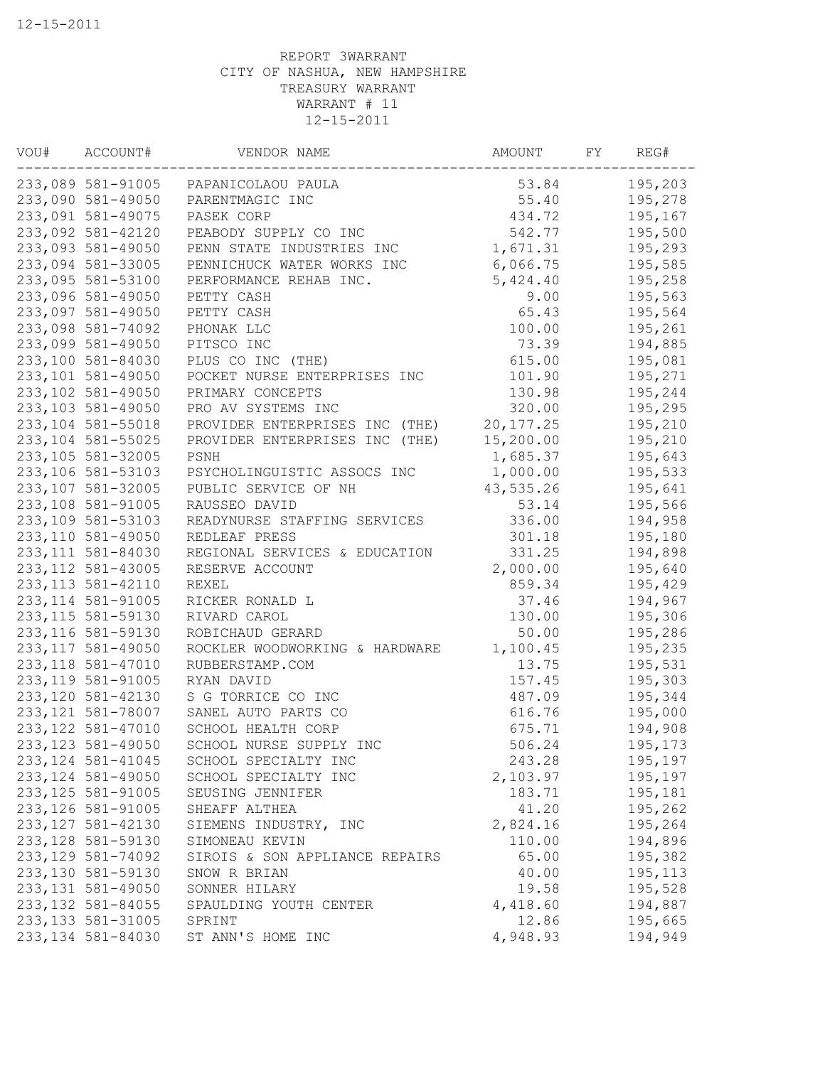| VOU# | ACCOUNT#           | VENDOR NAME                           | AMOUNT     | FΥ | REG#    |
|------|--------------------|---------------------------------------|------------|----|---------|
|      |                    | 233,089 581-91005  PAPANICOLAOU PAULA | 53.84      |    | 195,203 |
|      | 233,090 581-49050  | PARENTMAGIC INC                       | 55.40      |    | 195,278 |
|      | 233,091 581-49075  | PASEK CORP                            | 434.72     |    | 195,167 |
|      | 233,092 581-42120  | PEABODY SUPPLY CO INC                 | 542.77     |    | 195,500 |
|      | 233,093 581-49050  | PENN STATE INDUSTRIES INC             | 1,671.31   |    | 195,293 |
|      | 233,094 581-33005  | PENNICHUCK WATER WORKS INC            | 6,066.75   |    | 195,585 |
|      | 233,095 581-53100  | PERFORMANCE REHAB INC.                | 5,424.40   |    | 195,258 |
|      | 233,096 581-49050  | PETTY CASH                            | 9.00       |    | 195,563 |
|      | 233,097 581-49050  | PETTY CASH                            | 65.43      |    | 195,564 |
|      | 233,098 581-74092  | PHONAK LLC                            | 100.00     |    | 195,261 |
|      | 233,099 581-49050  | PITSCO INC                            | 73.39      |    | 194,885 |
|      | 233,100 581-84030  | PLUS CO INC (THE)                     | 615.00     |    | 195,081 |
|      | 233,101 581-49050  | POCKET NURSE ENTERPRISES INC          | 101.90     |    | 195,271 |
|      | 233,102 581-49050  | PRIMARY CONCEPTS                      | 130.98     |    | 195,244 |
|      | 233,103 581-49050  | PRO AV SYSTEMS INC                    | 320.00     |    | 195,295 |
|      | 233,104 581-55018  | PROVIDER ENTERPRISES INC (THE)        | 20, 177.25 |    | 195,210 |
|      | 233,104 581-55025  | PROVIDER ENTERPRISES INC (THE)        | 15,200.00  |    | 195,210 |
|      | 233,105 581-32005  | PSNH                                  | 1,685.37   |    | 195,643 |
|      | 233,106 581-53103  | PSYCHOLINGUISTIC ASSOCS INC           | 1,000.00   |    | 195,533 |
|      | 233,107 581-32005  | PUBLIC SERVICE OF NH                  | 43,535.26  |    | 195,641 |
|      | 233,108 581-91005  | RAUSSEO DAVID                         | 53.14      |    | 195,566 |
|      | 233,109 581-53103  | READYNURSE STAFFING SERVICES          | 336.00     |    | 194,958 |
|      | 233,110 581-49050  | REDLEAF PRESS                         | 301.18     |    | 195,180 |
|      | 233, 111 581-84030 | REGIONAL SERVICES & EDUCATION         | 331.25     |    |         |
|      | 233, 112 581-43005 |                                       |            |    | 194,898 |
|      |                    | RESERVE ACCOUNT                       | 2,000.00   |    | 195,640 |
|      | 233, 113 581-42110 | <b>REXEL</b>                          | 859.34     |    | 195,429 |
|      | 233, 114 581-91005 | RICKER RONALD L                       | 37.46      |    | 194,967 |
|      | 233, 115 581-59130 | RIVARD CAROL                          | 130.00     |    | 195,306 |
|      | 233, 116 581-59130 | ROBICHAUD GERARD                      | 50.00      |    | 195,286 |
|      | 233, 117 581-49050 | ROCKLER WOODWORKING & HARDWARE        | 1,100.45   |    | 195,235 |
|      | 233, 118 581-47010 | RUBBERSTAMP.COM                       | 13.75      |    | 195,531 |
|      | 233, 119 581-91005 | RYAN DAVID                            | 157.45     |    | 195,303 |
|      | 233, 120 581-42130 | S G TORRICE CO INC                    | 487.09     |    | 195,344 |
|      | 233, 121 581-78007 | SANEL AUTO PARTS CO                   | 616.76     |    | 195,000 |
|      | 233, 122 581-47010 | SCHOOL HEALTH CORP                    | 675.71     |    | 194,908 |
|      | 233, 123 581-49050 | SCHOOL NURSE SUPPLY INC               | 506.24     |    | 195,173 |
|      | 233, 124 581-41045 | SCHOOL SPECIALTY INC                  | 243.28     |    | 195,197 |
|      | 233, 124 581-49050 | SCHOOL SPECIALTY INC                  | 2,103.97   |    | 195,197 |
|      | 233, 125 581-91005 | SEUSING JENNIFER                      | 183.71     |    | 195,181 |
|      | 233, 126 581-91005 | SHEAFF ALTHEA                         | 41.20      |    | 195,262 |
|      | 233, 127 581-42130 | SIEMENS INDUSTRY, INC                 | 2,824.16   |    | 195,264 |
|      | 233, 128 581-59130 | SIMONEAU KEVIN                        | 110.00     |    | 194,896 |
|      | 233, 129 581-74092 | SIROIS & SON APPLIANCE REPAIRS        | 65.00      |    | 195,382 |
|      | 233,130 581-59130  | SNOW R BRIAN                          | 40.00      |    | 195,113 |
|      | 233, 131 581-49050 | SONNER HILARY                         | 19.58      |    | 195,528 |
|      | 233, 132 581-84055 | SPAULDING YOUTH CENTER                | 4,418.60   |    | 194,887 |
|      | 233, 133 581-31005 | SPRINT                                | 12.86      |    | 195,665 |
|      | 233, 134 581-84030 | ST ANN'S HOME INC                     | 4,948.93   |    | 194,949 |
|      |                    |                                       |            |    |         |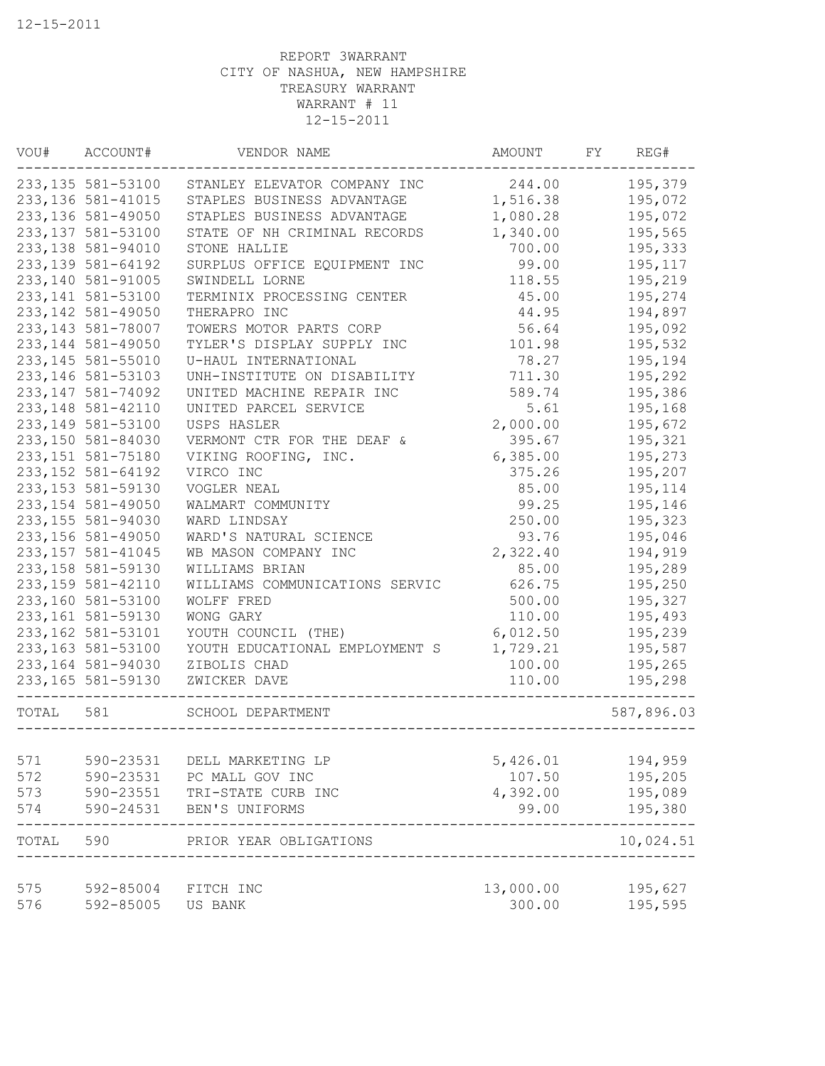| VOU#       | ACCOUNT#           | VENDOR NAME                          | AMOUNT             | FY | REG#       |
|------------|--------------------|--------------------------------------|--------------------|----|------------|
|            | 233,135 581-53100  | STANLEY ELEVATOR COMPANY INC         | 244.00             |    | 195,379    |
|            | 233, 136 581-41015 | STAPLES BUSINESS ADVANTAGE           | 1,516.38           |    | 195,072    |
|            | 233, 136 581-49050 | STAPLES BUSINESS ADVANTAGE           | 1,080.28           |    | 195,072    |
|            | 233, 137 581-53100 | STATE OF NH CRIMINAL RECORDS         | 1,340.00           |    | 195,565    |
|            | 233, 138 581-94010 | STONE HALLIE                         | 700.00             |    | 195,333    |
|            | 233, 139 581-64192 | SURPLUS OFFICE EQUIPMENT INC         | 99.00              |    | 195,117    |
|            | 233,140 581-91005  | SWINDELL LORNE                       | 118.55             |    | 195,219    |
|            | 233, 141 581-53100 | TERMINIX PROCESSING CENTER           | 45.00              |    | 195,274    |
|            | 233, 142 581-49050 | THERAPRO INC                         | 44.95              |    | 194,897    |
|            | 233, 143 581-78007 | TOWERS MOTOR PARTS CORP              | 56.64              |    | 195,092    |
|            | 233, 144 581-49050 | TYLER'S DISPLAY SUPPLY INC           | 101.98             |    | 195,532    |
|            | 233, 145 581-55010 | U-HAUL INTERNATIONAL                 | 78.27              |    | 195,194    |
|            | 233, 146 581-53103 | UNH-INSTITUTE ON DISABILITY          | 711.30             |    | 195,292    |
|            | 233, 147 581-74092 | UNITED MACHINE REPAIR INC            | 589.74             |    | 195,386    |
|            | 233, 148 581-42110 | UNITED PARCEL SERVICE                | 5.61               |    | 195,168    |
|            | 233, 149 581-53100 | USPS HASLER                          | 2,000.00           |    | 195,672    |
|            | 233,150 581-84030  | VERMONT CTR FOR THE DEAF &           | 395.67             |    | 195,321    |
|            | 233, 151 581-75180 | VIKING ROOFING, INC.                 | 6,385.00           |    | 195,273    |
|            | 233, 152 581-64192 | VIRCO INC                            | 375.26             |    | 195,207    |
|            | 233, 153 581-59130 | VOGLER NEAL                          | 85.00              |    | 195,114    |
|            | 233, 154 581-49050 | WALMART COMMUNITY                    | 99.25              |    | 195,146    |
|            | 233, 155 581-94030 | WARD LINDSAY                         | 250.00             |    | 195,323    |
|            | 233, 156 581-49050 | WARD'S NATURAL SCIENCE               | 93.76              |    | 195,046    |
|            | 233, 157 581-41045 | WB MASON COMPANY INC                 | 2,322.40           |    | 194,919    |
|            | 233, 158 581-59130 | WILLIAMS BRIAN                       | 85.00              |    | 195,289    |
|            | 233, 159 581-42110 | WILLIAMS COMMUNICATIONS SERVIC       | 626.75             |    | 195,250    |
|            | 233,160 581-53100  | WOLFF FRED                           | 500.00             |    | 195,327    |
|            | 233, 161 581-59130 | WONG GARY                            | 110.00             |    | 195,493    |
|            | 233, 162 581-53101 | YOUTH COUNCIL (THE)                  | 6,012.50           |    | 195,239    |
|            | 233, 163 581-53100 | YOUTH EDUCATIONAL EMPLOYMENT S       | 1,729.21           |    | 195,587    |
|            |                    |                                      | 100.00             |    |            |
|            | 233,164 581-94030  | ZIBOLIS CHAD                         | 110.00             |    | 195,265    |
|            | 233, 165 581-59130 | ZWICKER DAVE                         |                    |    | 195,298    |
| TOTAL      | 581                | SCHOOL DEPARTMENT                    |                    |    | 587,896.03 |
|            |                    |                                      |                    |    |            |
| 571        | 590-23531          | DELL MARKETING LP<br>PC MALL GOV INC | 5,426.01           |    | 194,959    |
| 572<br>573 | 590-23531          |                                      | 107.50<br>4,392.00 |    | 195,205    |
|            | 590-23551          | TRI-STATE CURB INC                   |                    |    | 195,089    |
| 574        | 590-24531          | BEN'S UNIFORMS                       | 99.00              |    | 195,380    |
| TOTAL      | 590                | PRIOR YEAR OBLIGATIONS               |                    |    | 10,024.51  |
| 575        | 592-85004          | FITCH INC                            | 13,000.00          |    | 195,627    |
| 576        | 592-85005          | US BANK                              | 300.00             |    | 195,595    |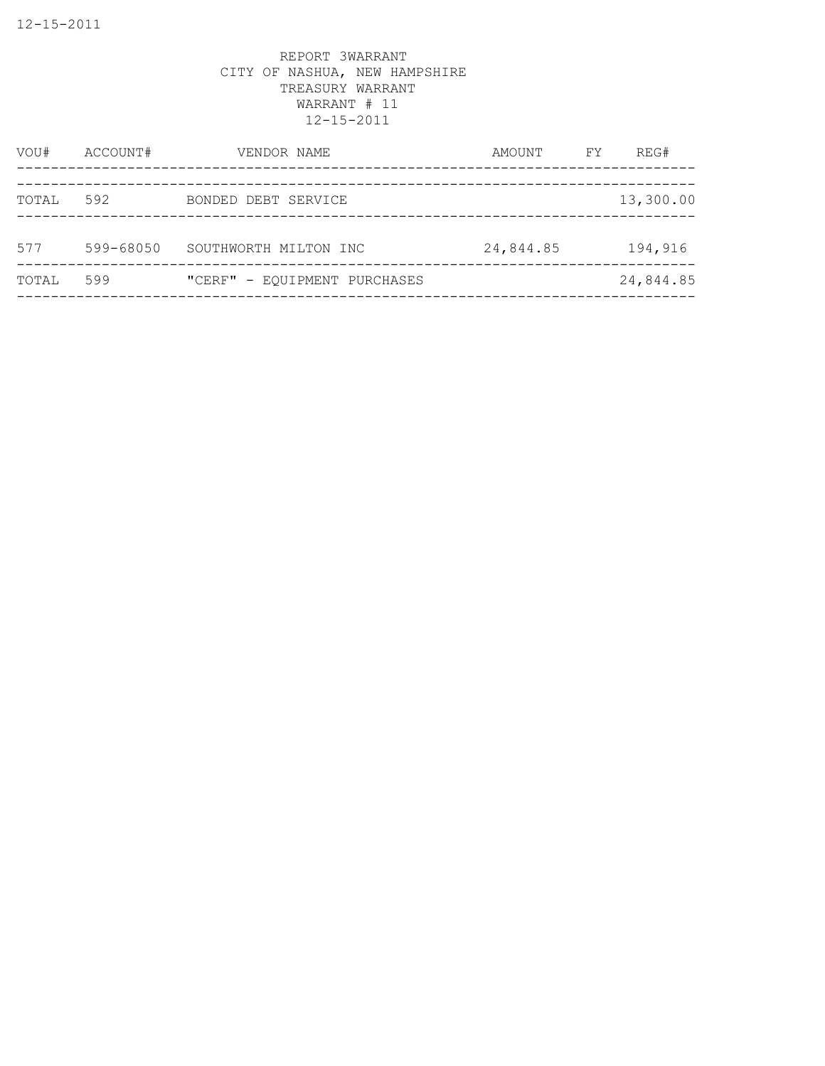| VOU#  | ACCOUNT#  | VENDOR NAME                  | AMOUNT    | FY | REG#      |
|-------|-----------|------------------------------|-----------|----|-----------|
| TOTAL | 592       | BONDED DEBT SERVICE          |           |    | 13,300.00 |
| 577   | 599-68050 | SOUTHWORTH MILTON INC        | 24,844.85 |    | 194,916   |
| TOTAL | 599       | "CERF" - EQUIPMENT PURCHASES |           |    | 24,844.85 |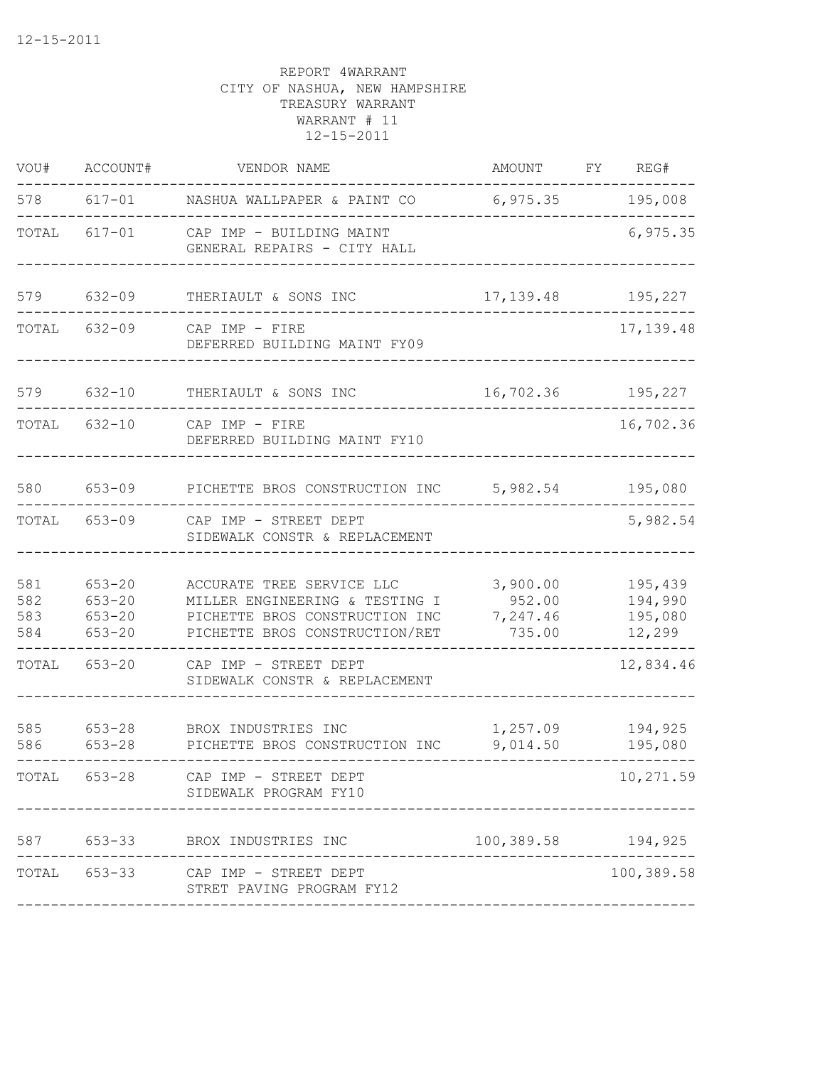| VOU#                     | ACCOUNT#                                             | VENDOR NAME                                                                                                                     | AMOUNT                                   | FY REG#                                 |
|--------------------------|------------------------------------------------------|---------------------------------------------------------------------------------------------------------------------------------|------------------------------------------|-----------------------------------------|
|                          |                                                      | 578 617-01 NASHUA WALLPAPER & PAINT CO                                                                                          | 6,975.35                                 | 195,008                                 |
|                          | TOTAL 617-01                                         | CAP IMP - BUILDING MAINT<br>GENERAL REPAIRS - CITY HALL                                                                         |                                          | 6,975.35                                |
| 579                      | $632 - 09$                                           | THERIAULT & SONS INC                                                                                                            | 17, 139.48 195, 227                      |                                         |
|                          | TOTAL 632-09                                         | CAP IMP - FIRE<br>DEFERRED BUILDING MAINT FY09                                                                                  |                                          | 17, 139.48                              |
| 579                      | $632 - 10$                                           | THERIAULT & SONS INC                                                                                                            | 16,702.36 195,227                        |                                         |
|                          | TOTAL 632-10                                         | CAP IMP - FIRE<br>DEFERRED BUILDING MAINT FY10                                                                                  |                                          | 16,702.36                               |
| 580                      | $653 - 09$                                           | PICHETTE BROS CONSTRUCTION INC                                                                                                  | 5,982.54                                 | 195,080                                 |
| TOTAL                    | 653-09                                               | CAP IMP - STREET DEPT<br>SIDEWALK CONSTR & REPLACEMENT                                                                          |                                          | 5,982.54                                |
| 581<br>582<br>583<br>584 | $653 - 20$<br>$653 - 20$<br>$653 - 20$<br>$653 - 20$ | ACCURATE TREE SERVICE LLC<br>MILLER ENGINEERING & TESTING I<br>PICHETTE BROS CONSTRUCTION INC<br>PICHETTE BROS CONSTRUCTION/RET | 3,900.00<br>952.00<br>7,247.46<br>735.00 | 195,439<br>194,990<br>195,080<br>12,299 |
| TOTAL                    | 653-20                                               | CAP IMP - STREET DEPT<br>SIDEWALK CONSTR & REPLACEMENT                                                                          |                                          | 12,834.46                               |
| 585<br>586               | $653 - 28$<br>$653 - 28$                             | BROX INDUSTRIES INC<br>PICHETTE BROS CONSTRUCTION INC                                                                           | 1,257.09<br>9,014.50                     | 194,925<br>195,080                      |
|                          | TOTAL 653-28                                         | CAP IMP - STREET DEPT<br>SIDEWALK PROGRAM FY10                                                                                  |                                          | 10,271.59                               |
|                          |                                                      | 587 653-33 BROX INDUSTRIES INC                                                                                                  | 100,389.58 194,925                       |                                         |
|                          |                                                      | TOTAL 653-33 CAP IMP - STREET DEPT<br>STRET PAVING PROGRAM FY12                                                                 |                                          | 100,389.58                              |
|                          |                                                      |                                                                                                                                 |                                          |                                         |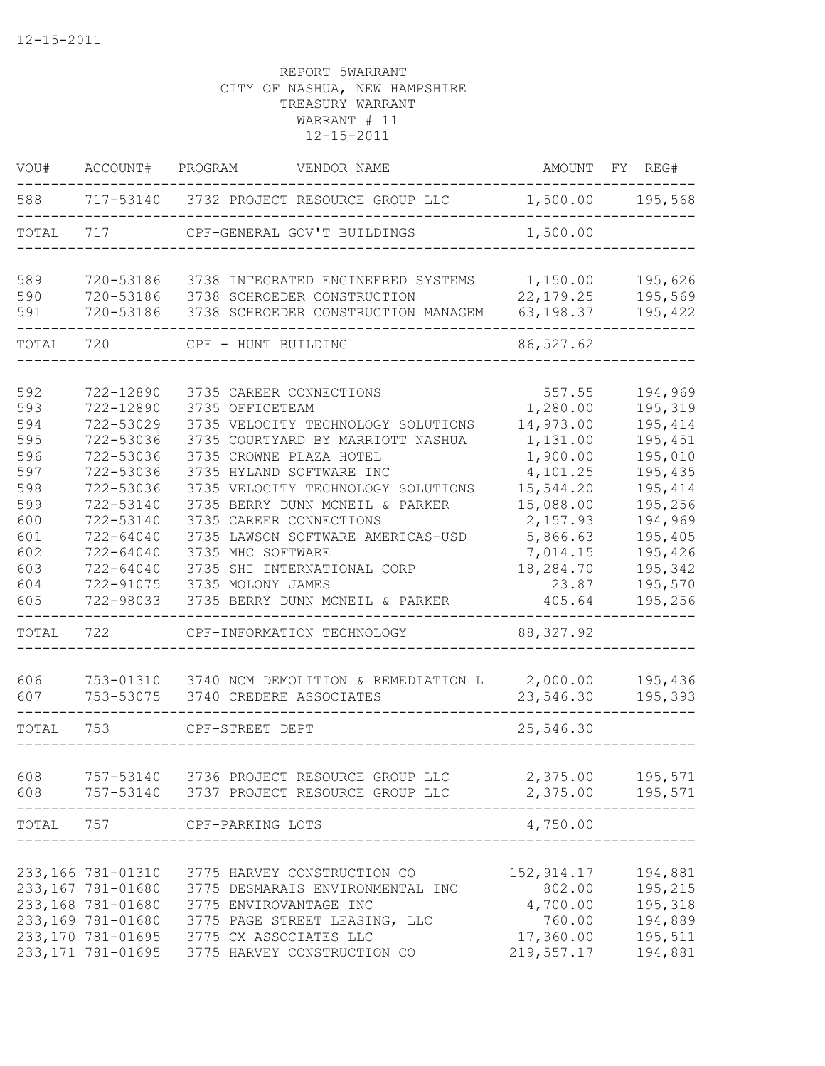| VOU#  | ACCOUNT#           | PROGRAM<br>VENDOR NAME                    | AMOUNT      | FY REG#          |
|-------|--------------------|-------------------------------------------|-------------|------------------|
| 588   |                    | 717-53140 3732 PROJECT RESOURCE GROUP LLC |             | 1,500.00 195,568 |
| TOTAL | 717                | CPF-GENERAL GOV'T BUILDINGS               | 1,500.00    |                  |
| 589   | 720-53186          | 3738 INTEGRATED ENGINEERED SYSTEMS        | 1,150.00    | 195,626          |
| 590   | 720-53186          | 3738 SCHROEDER CONSTRUCTION               | 22, 179. 25 | 195,569          |
| 591   | 720-53186          | 3738 SCHROEDER CONSTRUCTION MANAGEM       | 63,198.37   | 195,422          |
| TOTAL | 720                | CPF - HUNT BUILDING                       | 86,527.62   |                  |
|       |                    |                                           |             |                  |
| 592   | 722-12890          | 3735 CAREER CONNECTIONS                   | 557.55      | 194,969          |
| 593   | 722-12890          | 3735 OFFICETEAM                           | 1,280.00    | 195,319          |
| 594   | 722-53029          | 3735 VELOCITY TECHNOLOGY SOLUTIONS        | 14,973.00   | 195,414          |
| 595   | 722-53036          | 3735 COURTYARD BY MARRIOTT NASHUA         | 1,131.00    | 195,451          |
| 596   | 722-53036          | 3735 CROWNE PLAZA HOTEL                   | 1,900.00    | 195,010          |
| 597   | 722-53036          | 3735 HYLAND SOFTWARE INC                  | 4,101.25    | 195,435          |
| 598   | 722-53036          | 3735 VELOCITY TECHNOLOGY SOLUTIONS        | 15,544.20   | 195,414          |
| 599   | 722-53140          | 3735 BERRY DUNN MCNEIL & PARKER           | 15,088.00   | 195,256          |
| 600   | 722-53140          | 3735 CAREER CONNECTIONS                   | 2,157.93    | 194,969          |
| 601   | $722 - 64040$      | 3735 LAWSON SOFTWARE AMERICAS-USD         | 5,866.63    | 195,405          |
| 602   | 722-64040          | 3735 MHC SOFTWARE                         | 7,014.15    | 195,426          |
| 603   | 722-64040          | 3735 SHI INTERNATIONAL CORP               | 18,284.70   | 195,342          |
| 604   | 722-91075          | 3735 MOLONY JAMES                         | 23.87       | 195,570          |
| 605   | 722-98033          | 3735 BERRY DUNN MCNEIL & PARKER           | 405.64      | 195,256          |
| TOTAL | 722                | CPF-INFORMATION TECHNOLOGY                | 88, 327.92  |                  |
| 606   | 753-01310          | 3740 NCM DEMOLITION & REMEDIATION L       | 2,000.00    | 195,436          |
| 607   | 753-53075          | 3740 CREDERE ASSOCIATES                   | 23,546.30   | 195,393          |
| TOTAL | 753                | CPF-STREET DEPT                           | 25,546.30   |                  |
| 608   | 757-53140          | 3736 PROJECT RESOURCE GROUP LLC           | 2,375.00    | 195,571          |
| 608   | 757-53140          | 3737 PROJECT RESOURCE GROUP LLC           | 2,375.00    | 195,571          |
| TOTAL | 757                | CPF-PARKING LOTS                          | 4,750.00    |                  |
|       |                    |                                           |             |                  |
|       | 233,166 781-01310  | 3775 HARVEY CONSTRUCTION CO               | 152, 914.17 | 194,881          |
|       | 233,167 781-01680  | 3775 DESMARAIS ENVIRONMENTAL INC          | 802.00      | 195,215          |
|       | 233,168 781-01680  | 3775 ENVIROVANTAGE INC                    | 4,700.00    | 195,318          |
|       | 233,169 781-01680  | 3775 PAGE STREET LEASING, LLC             | 760.00      | 194,889          |
|       | 233,170 781-01695  | 3775 CX ASSOCIATES LLC                    | 17,360.00   | 195,511          |
|       | 233, 171 781-01695 | 3775 HARVEY CONSTRUCTION CO               | 219,557.17  | 194,881          |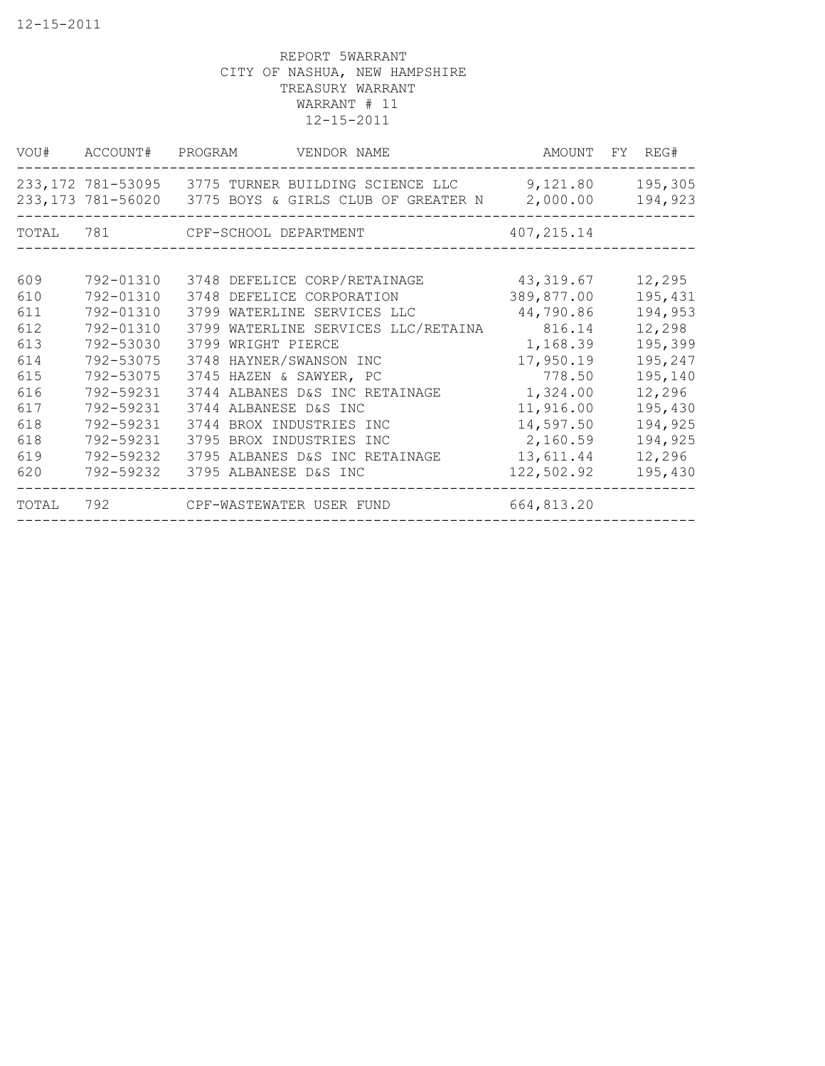|       | VOU# ACCOUNT# PROGRAM | VENDOR NAME                                                                                                          |             | AMOUNT FY REG#     |
|-------|-----------------------|----------------------------------------------------------------------------------------------------------------------|-------------|--------------------|
|       |                       | 233,172 781-53095 3775 TURNER BUILDING SCIENCE LLC 9,121.80<br>233,173 781-56020 3775 BOYS & GIRLS CLUB OF GREATER N | 2,000.00    | 195,305<br>194,923 |
|       |                       | TOTAL 781 CPF-SCHOOL DEPARTMENT                                                                                      | 407, 215.14 |                    |
| 609   | 792-01310             | 3748 DEFELICE CORP/RETAINAGE                                                                                         | 43,319.67   | 12,295             |
| 610   | 792-01310             | 3748 DEFELICE CORPORATION                                                                                            | 389,877.00  | 195,431            |
| 611   | 792-01310             | 3799 WATERLINE SERVICES LLC                                                                                          | 44,790.86   | 194,953            |
| 612   | 792-01310             | 3799 WATERLINE SERVICES LLC/RETAINA                                                                                  | 816.14      | 12,298             |
| 613   | 792-53030             | 3799 WRIGHT PIERCE                                                                                                   | 1,168.39    | 195,399            |
| 614   | 792-53075             | 3748 HAYNER/SWANSON INC                                                                                              | 17,950.19   | 195,247            |
| 615   | 792-53075             | 3745 HAZEN & SAWYER, PC                                                                                              | 778.50      | 195,140            |
| 616   | 792-59231             | 3744 ALBANES D&S INC RETAINAGE                                                                                       | 1,324.00    | 12,296             |
| 617   | 792-59231             | 3744 ALBANESE D&S INC                                                                                                | 11,916.00   | 195,430            |
| 618   | 792-59231             | 3744 BROX INDUSTRIES INC                                                                                             | 14,597.50   | 194,925            |
| 618   | 792-59231             | 3795 BROX INDUSTRIES INC                                                                                             | 2,160.59    | 194,925            |
| 619   | 792-59232             | 3795 ALBANES D&S INC RETAINAGE                                                                                       | 13,611.44   | 12,296             |
| 620   | 792-59232             | 3795 ALBANESE D&S INC                                                                                                | 122,502.92  | 195,430            |
| TOTAL | 792                   | CPF-WASTEWATER USER FUND                                                                                             | 664,813.20  |                    |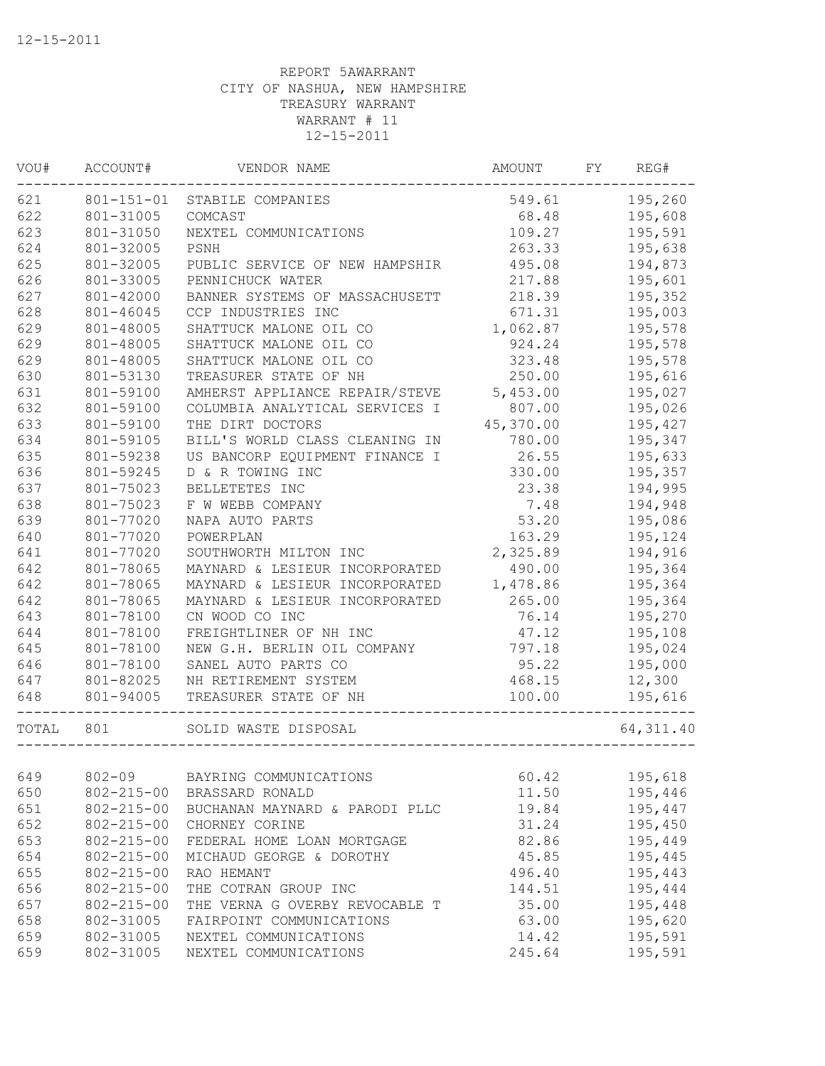| VOU#  | ACCOUNT#         | VENDOR NAME                    | AMOUNT    | FY | REG#       |
|-------|------------------|--------------------------------|-----------|----|------------|
| 621   | $801 - 151 - 01$ | STABILE COMPANIES              | 549.61    |    | 195,260    |
| 622   | 801-31005        | COMCAST                        | 68.48     |    | 195,608    |
| 623   | 801-31050        | NEXTEL COMMUNICATIONS          | 109.27    |    | 195,591    |
| 624   | 801-32005        | PSNH                           | 263.33    |    | 195,638    |
| 625   | 801-32005        | PUBLIC SERVICE OF NEW HAMPSHIR | 495.08    |    | 194,873    |
| 626   | 801-33005        | PENNICHUCK WATER               | 217.88    |    | 195,601    |
| 627   | 801-42000        | BANNER SYSTEMS OF MASSACHUSETT | 218.39    |    | 195,352    |
| 628   | 801-46045        | CCP INDUSTRIES INC             | 671.31    |    | 195,003    |
| 629   | 801-48005        | SHATTUCK MALONE OIL CO         | 1,062.87  |    | 195,578    |
| 629   | 801-48005        | SHATTUCK MALONE OIL CO         | 924.24    |    | 195,578    |
| 629   | 801-48005        | SHATTUCK MALONE OIL CO         | 323.48    |    | 195,578    |
| 630   | 801-53130        | TREASURER STATE OF NH          | 250.00    |    | 195,616    |
| 631   | 801-59100        | AMHERST APPLIANCE REPAIR/STEVE | 5,453.00  |    | 195,027    |
| 632   | 801-59100        | COLUMBIA ANALYTICAL SERVICES I | 807.00    |    | 195,026    |
| 633   | 801-59100        | THE DIRT DOCTORS               | 45,370.00 |    | 195,427    |
| 634   | 801-59105        | BILL'S WORLD CLASS CLEANING IN | 780.00    |    | 195,347    |
| 635   | 801-59238        | US BANCORP EQUIPMENT FINANCE I | 26.55     |    | 195,633    |
| 636   | 801-59245        | D & R TOWING INC               | 330.00    |    | 195,357    |
| 637   | 801-75023        | BELLETETES INC                 | 23.38     |    | 194,995    |
| 638   | 801-75023        | F W WEBB COMPANY               | 7.48      |    | 194,948    |
| 639   | 801-77020        | NAPA AUTO PARTS                | 53.20     |    | 195,086    |
| 640   | 801-77020        | POWERPLAN                      | 163.29    |    | 195,124    |
| 641   | 801-77020        | SOUTHWORTH MILTON INC          | 2,325.89  |    | 194,916    |
| 642   | 801-78065        | MAYNARD & LESIEUR INCORPORATED | 490.00    |    | 195,364    |
| 642   | 801-78065        | MAYNARD & LESIEUR INCORPORATED | 1,478.86  |    | 195,364    |
| 642   | 801-78065        | MAYNARD & LESIEUR INCORPORATED | 265.00    |    | 195,364    |
| 643   | 801-78100        | CN WOOD CO INC                 | 76.14     |    | 195,270    |
| 644   | 801-78100        | FREIGHTLINER OF NH INC         | 47.12     |    | 195,108    |
| 645   | 801-78100        | NEW G.H. BERLIN OIL COMPANY    | 797.18    |    | 195,024    |
| 646   | 801-78100        | SANEL AUTO PARTS CO            | 95.22     |    | 195,000    |
| 647   | 801-82025        | NH RETIREMENT SYSTEM           | 468.15    |    | 12,300     |
| 648   | 801-94005        | TREASURER STATE OF NH          | 100.00    |    | 195,616    |
| TOTAL | 801              | SOLID WASTE DISPOSAL           |           |    | 64, 311.40 |
|       |                  |                                |           |    |            |
| 649   | $802 - 09$       | BAYRING COMMUNICATIONS         | 60.42     |    | 195,618    |
| 650   | $802 - 215 - 00$ | BRASSARD RONALD                | 11.50     |    | 195,446    |
| 651   | $802 - 215 - 00$ | BUCHANAN MAYNARD & PARODI PLLC | 19.84     |    | 195,447    |
| 652   | $802 - 215 - 00$ | CHORNEY CORINE                 | 31.24     |    | 195,450    |
| 653   | $802 - 215 - 00$ | FEDERAL HOME LOAN MORTGAGE     | 82.86     |    | 195,449    |
| 654   | $802 - 215 - 00$ | MICHAUD GEORGE & DOROTHY       | 45.85     |    | 195,445    |
| 655   | $802 - 215 - 00$ | RAO HEMANT                     | 496.40    |    | 195,443    |
| 656   | $802 - 215 - 00$ | THE COTRAN GROUP INC           | 144.51    |    | 195,444    |
| 657   | $802 - 215 - 00$ | THE VERNA G OVERBY REVOCABLE T | 35.00     |    | 195,448    |
| 658   | 802-31005        | FAIRPOINT COMMUNICATIONS       | 63.00     |    | 195,620    |
| 659   | 802-31005        | NEXTEL COMMUNICATIONS          | 14.42     |    | 195,591    |
| 659   | 802-31005        | NEXTEL COMMUNICATIONS          | 245.64    |    | 195,591    |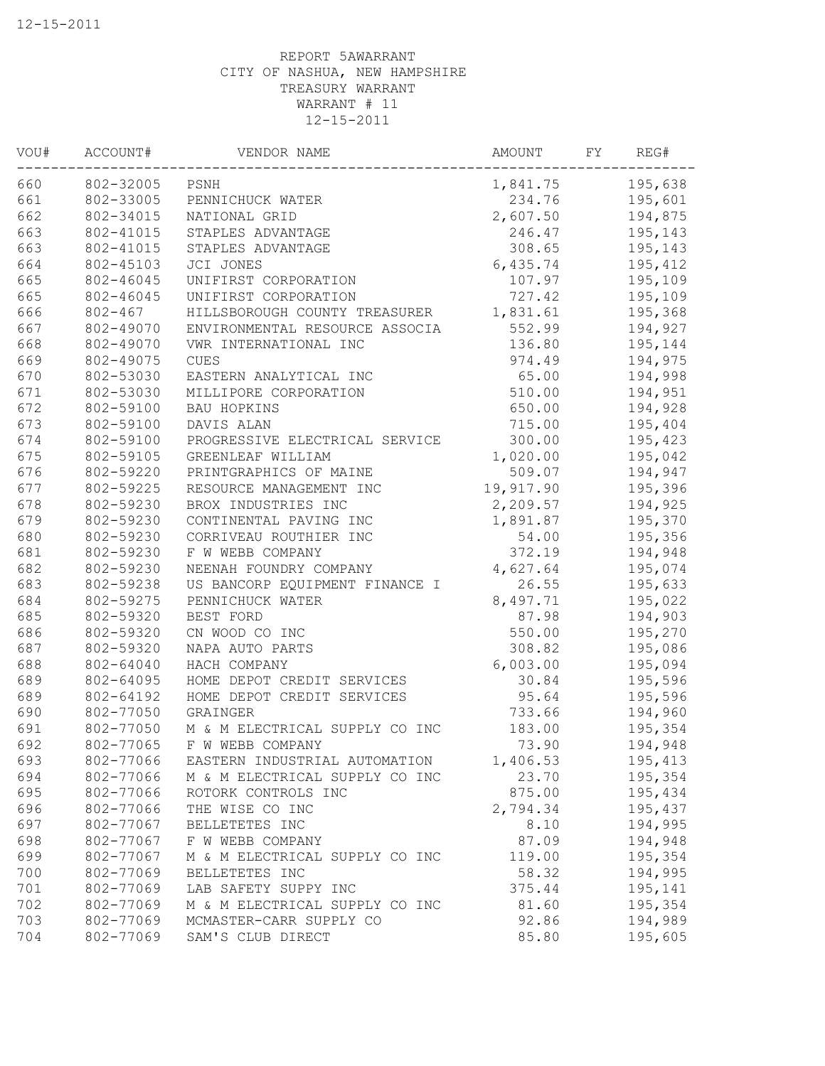| WOU# | ACCOUNT#  | VENDOR NAME                    | AMOUNT    | FY | REG#    |
|------|-----------|--------------------------------|-----------|----|---------|
| 660  | 802-32005 | PSNH                           | 1,841.75  |    | 195,638 |
| 661  | 802-33005 | PENNICHUCK WATER               | 234.76    |    | 195,601 |
| 662  | 802-34015 | NATIONAL GRID                  | 2,607.50  |    | 194,875 |
| 663  | 802-41015 | STAPLES ADVANTAGE              | 246.47    |    | 195,143 |
| 663  | 802-41015 | STAPLES ADVANTAGE              | 308.65    |    | 195,143 |
| 664  | 802-45103 | JCI JONES                      | 6,435.74  |    | 195,412 |
| 665  | 802-46045 | UNIFIRST CORPORATION           | 107.97    |    | 195,109 |
| 665  | 802-46045 | UNIFIRST CORPORATION           | 727.42    |    | 195,109 |
| 666  | 802-467   | HILLSBOROUGH COUNTY TREASURER  | 1,831.61  |    | 195,368 |
| 667  | 802-49070 | ENVIRONMENTAL RESOURCE ASSOCIA | 552.99    |    | 194,927 |
| 668  | 802-49070 | VWR INTERNATIONAL INC          | 136.80    |    | 195,144 |
| 669  | 802-49075 | <b>CUES</b>                    | 974.49    |    | 194,975 |
| 670  | 802-53030 | EASTERN ANALYTICAL INC         | 65.00     |    | 194,998 |
| 671  | 802-53030 | MILLIPORE CORPORATION          | 510.00    |    | 194,951 |
| 672  | 802-59100 | BAU HOPKINS                    | 650.00    |    | 194,928 |
| 673  | 802-59100 | DAVIS ALAN                     | 715.00    |    | 195,404 |
| 674  | 802-59100 | PROGRESSIVE ELECTRICAL SERVICE | 300.00    |    | 195,423 |
| 675  | 802-59105 | GREENLEAF WILLIAM              | 1,020.00  |    | 195,042 |
| 676  | 802-59220 | PRINTGRAPHICS OF MAINE         | 509.07    |    | 194,947 |
| 677  | 802-59225 | RESOURCE MANAGEMENT INC        | 19,917.90 |    | 195,396 |
| 678  | 802-59230 | BROX INDUSTRIES INC            | 2,209.57  |    | 194,925 |
| 679  | 802-59230 | CONTINENTAL PAVING INC         | 1,891.87  |    | 195,370 |
| 680  | 802-59230 | CORRIVEAU ROUTHIER INC         | 54.00     |    | 195,356 |
| 681  | 802-59230 | F W WEBB COMPANY               | 372.19    |    | 194,948 |
| 682  | 802-59230 | NEENAH FOUNDRY COMPANY         | 4,627.64  |    | 195,074 |
| 683  | 802-59238 | US BANCORP EQUIPMENT FINANCE I | 26.55     |    | 195,633 |
| 684  | 802-59275 | PENNICHUCK WATER               | 8,497.71  |    | 195,022 |
| 685  | 802-59320 | BEST FORD                      | 87.98     |    | 194,903 |
| 686  | 802-59320 | CN WOOD CO INC                 | 550.00    |    | 195,270 |
| 687  | 802-59320 | NAPA AUTO PARTS                | 308.82    |    | 195,086 |
| 688  | 802-64040 | HACH COMPANY                   | 6,003.00  |    | 195,094 |
| 689  | 802-64095 | HOME DEPOT CREDIT SERVICES     | 30.84     |    | 195,596 |
| 689  | 802-64192 | HOME DEPOT CREDIT SERVICES     | 95.64     |    | 195,596 |
| 690  | 802-77050 | GRAINGER                       | 733.66    |    | 194,960 |
| 691  | 802-77050 | M & M ELECTRICAL SUPPLY CO INC | 183.00    |    | 195,354 |
| 692  | 802-77065 | F W WEBB COMPANY               | 73.90     |    | 194,948 |
| 693  | 802-77066 | EASTERN INDUSTRIAL AUTOMATION  | 1,406.53  |    | 195,413 |
| 694  | 802-77066 | M & M ELECTRICAL SUPPLY CO INC | 23.70     |    | 195,354 |
| 695  | 802-77066 | ROTORK CONTROLS INC            | 875.00    |    | 195,434 |
| 696  | 802-77066 | THE WISE CO INC                | 2,794.34  |    | 195,437 |
| 697  | 802-77067 | BELLETETES INC                 | 8.10      |    | 194,995 |
| 698  | 802-77067 | F W WEBB COMPANY               | 87.09     |    | 194,948 |
| 699  | 802-77067 | M & M ELECTRICAL SUPPLY CO INC | 119.00    |    | 195,354 |
| 700  | 802-77069 | BELLETETES INC                 | 58.32     |    | 194,995 |
| 701  | 802-77069 | LAB SAFETY SUPPY INC           | 375.44    |    | 195,141 |
| 702  | 802-77069 | M & M ELECTRICAL SUPPLY CO INC | 81.60     |    | 195,354 |
| 703  | 802-77069 | MCMASTER-CARR SUPPLY CO        | 92.86     |    | 194,989 |
| 704  | 802-77069 | SAM'S CLUB DIRECT              | 85.80     |    | 195,605 |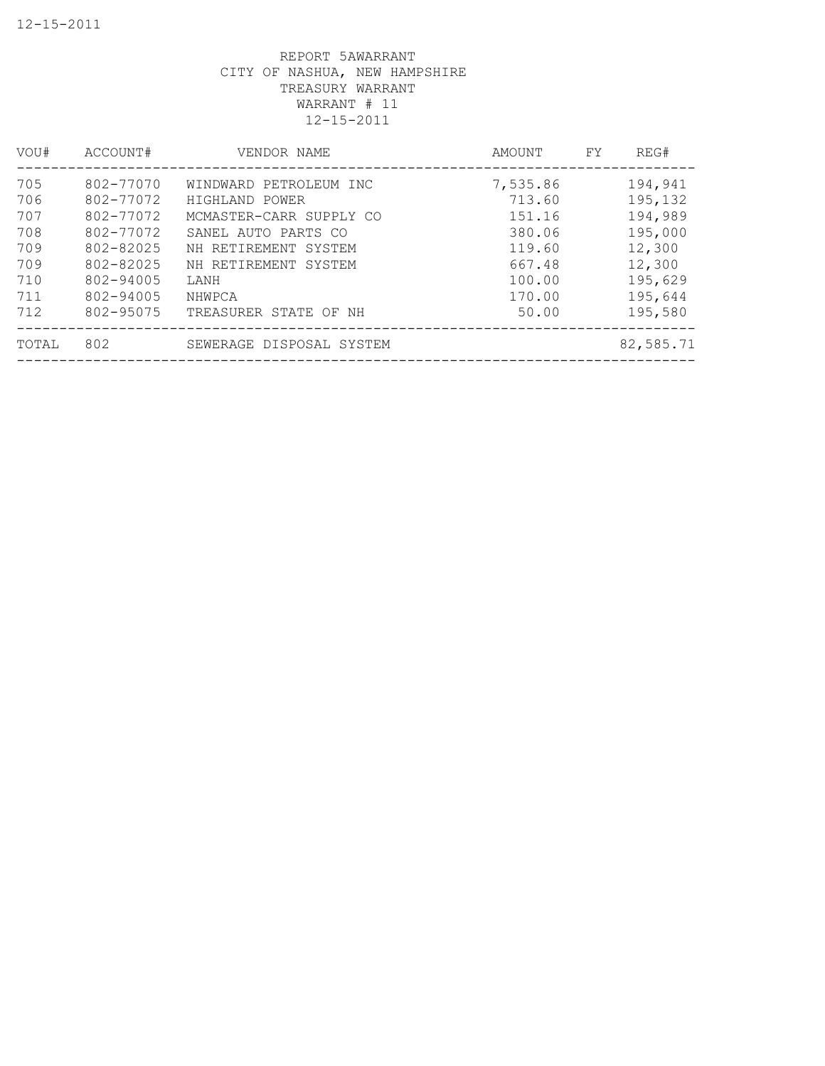| VOU#  | ACCOUNT#  | VENDOR NAME              | AMOUNT   | FY | REG#      |
|-------|-----------|--------------------------|----------|----|-----------|
| 705   | 802-77070 | WINDWARD PETROLEUM INC   | 7,535.86 |    | 194,941   |
| 706   | 802-77072 | HIGHLAND POWER           | 713.60   |    | 195,132   |
| 707   | 802-77072 | MCMASTER-CARR SUPPLY CO  | 151.16   |    | 194,989   |
| 708   | 802-77072 | SANEL AUTO PARTS CO      | 380.06   |    | 195,000   |
| 709   | 802-82025 | NH RETIREMENT SYSTEM     | 119.60   |    | 12,300    |
| 709   | 802-82025 | NH RETIREMENT SYSTEM     | 667.48   |    | 12,300    |
| 710   | 802-94005 | LANH                     | 100.00   |    | 195,629   |
| 711   | 802-94005 | NHWPCA                   | 170.00   |    | 195,644   |
| 712   | 802-95075 | TREASURER STATE OF NH    | 50.00    |    | 195,580   |
| TOTAL | 802       | SEWERAGE DISPOSAL SYSTEM |          |    | 82,585.71 |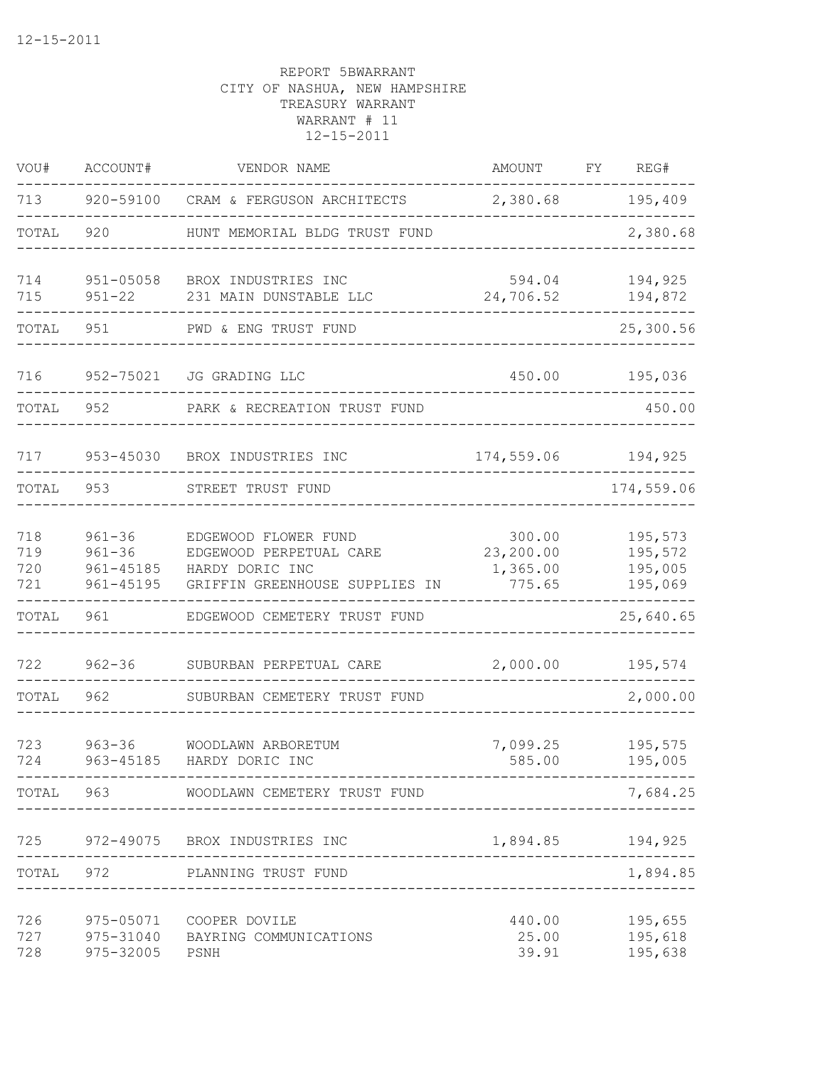| VOU#                     | ACCOUNT#                                               | VENDOR NAME                                                                                          | AMOUNT                                    | FY | REG#                                     |
|--------------------------|--------------------------------------------------------|------------------------------------------------------------------------------------------------------|-------------------------------------------|----|------------------------------------------|
| 713                      | 920-59100                                              | CRAM & FERGUSON ARCHITECTS                                                                           | 2,380.68                                  |    | 195,409                                  |
| TOTAL                    | 920                                                    | HUNT MEMORIAL BLDG TRUST FUND                                                                        |                                           |    | 2,380.68                                 |
| 714<br>715               | $951 - 05058$<br>$951 - 22$                            | BROX INDUSTRIES INC<br>231 MAIN DUNSTABLE LLC                                                        | 594.04<br>24,706.52                       |    | 194,925<br>194,872                       |
| TOTAL                    | 951                                                    | PWD & ENG TRUST FUND                                                                                 |                                           |    | 25,300.56                                |
| 716                      | 952-75021                                              | JG GRADING LLC                                                                                       | 450.00                                    |    | 195,036                                  |
| TOTAL                    | 952                                                    | PARK & RECREATION TRUST FUND                                                                         |                                           |    | 450.00                                   |
| 717                      | 953-45030                                              | BROX INDUSTRIES INC                                                                                  | 174,559.06                                |    | 194,925                                  |
| TOTAL                    | 953                                                    | STREET TRUST FUND                                                                                    |                                           |    | 174,559.06                               |
| 718<br>719<br>720<br>721 | $961 - 36$<br>$961 - 36$<br>$961 - 45185$<br>961-45195 | EDGEWOOD FLOWER FUND<br>EDGEWOOD PERPETUAL CARE<br>HARDY DORIC INC<br>GRIFFIN GREENHOUSE SUPPLIES IN | 300.00<br>23,200.00<br>1,365.00<br>775.65 |    | 195,573<br>195,572<br>195,005<br>195,069 |
| TOTAL                    | 961                                                    | EDGEWOOD CEMETERY TRUST FUND                                                                         |                                           |    | 25,640.65                                |
| 722                      | $962 - 36$                                             | SUBURBAN PERPETUAL CARE                                                                              | 2,000.00                                  |    | 195,574                                  |
| TOTAL                    | 962                                                    | SUBURBAN CEMETERY TRUST FUND                                                                         |                                           |    | 2,000.00                                 |
| 723<br>724               | $963 - 36$<br>963-45185                                | WOODLAWN ARBORETUM<br>HARDY DORIC INC                                                                | 7,099.25<br>585.00                        |    | 195,575<br>195,005                       |
|                          |                                                        | TOTAL 963 WOODLAWN CEMETERY TRUST FUND                                                               |                                           |    | 7,684.25                                 |
|                          | ------------                                           | 725 972-49075 BROX INDUSTRIES INC<br>------------------                                              | 1,894.85                                  |    | 194,925                                  |
|                          |                                                        | TOTAL 972 PLANNING TRUST FUND                                                                        | ____________________________              |    | 1,894.85                                 |
| 728                      | 975-32005 PSNH                                         | 726 975-05071 COOPER DOVILE<br>727 975-31040 BAYRING COMMUNICATIONS                                  | 440.00<br>25.00<br>39.91                  |    | 195,655<br>195,618<br>195,638            |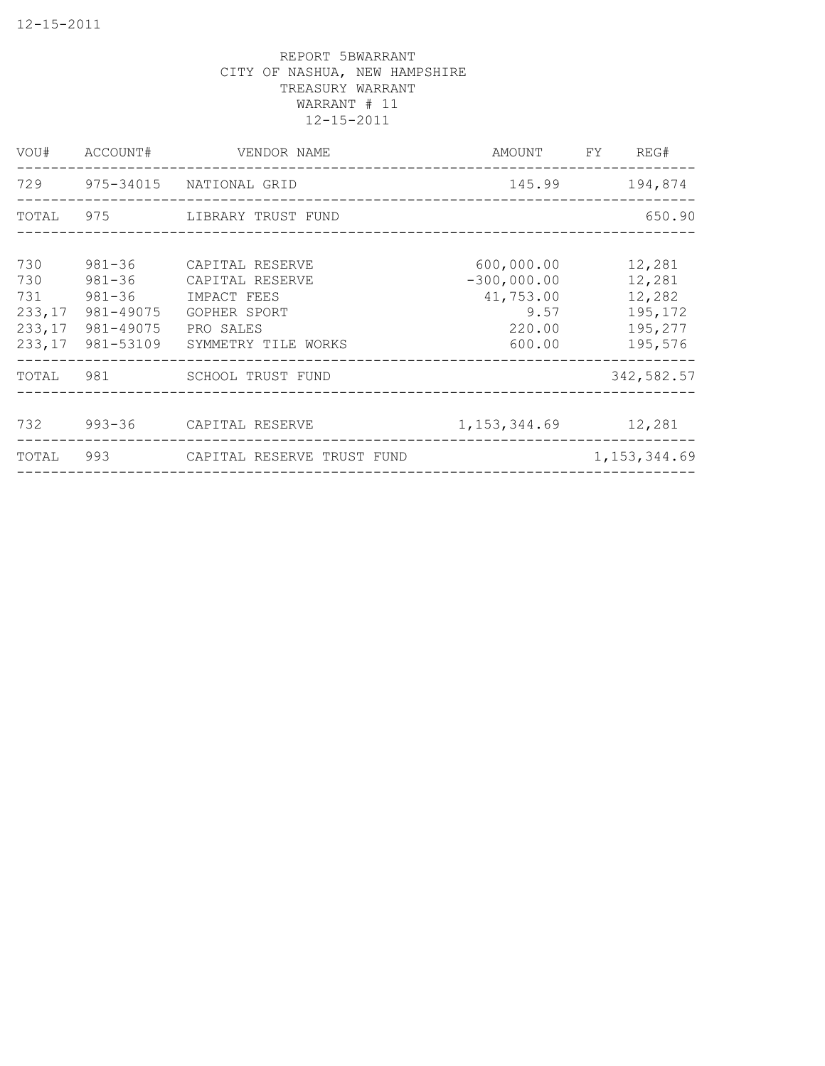|            |                                                                    | VOU# ACCOUNT# VENDOR NAME                                                                                                     |                                                                      | AMOUNT FY REG#                                              |
|------------|--------------------------------------------------------------------|-------------------------------------------------------------------------------------------------------------------------------|----------------------------------------------------------------------|-------------------------------------------------------------|
|            |                                                                    | 729 975-34015 NATIONAL GRID                                                                                                   |                                                                      | 145.99 194,874                                              |
|            |                                                                    | TOTAL 975 LIBRARY TRUST FUND                                                                                                  |                                                                      | 650.90                                                      |
| 730<br>730 | $981 - 36$<br>731 981-36<br>233, 17 981-49075<br>233, 17 981-49075 | 981-36 CAPITAL RESERVE<br>CAPITAL RESERVE<br>IMPACT FEES<br>GOPHER SPORT<br>PRO SALES<br>233,17 981-53109 SYMMETRY TILE WORKS | 600,000.00<br>$-300,000.00$<br>41,753.00<br>9.57<br>220.00<br>600.00 | 12,281<br>12,281<br>12,282<br>195,172<br>195,277<br>195,576 |
|            |                                                                    | TOTAL 981 SCHOOL TRUST FUND                                                                                                   |                                                                      | 342,582.57                                                  |
|            |                                                                    | 732 993-36 CAPITAL RESERVE                                                                                                    | 1, 153, 344.69 12, 281                                               |                                                             |
|            |                                                                    | TOTAL 993 CAPITAL RESERVE TRUST FUND                                                                                          | --------------------------                                           | 1, 153, 344.69                                              |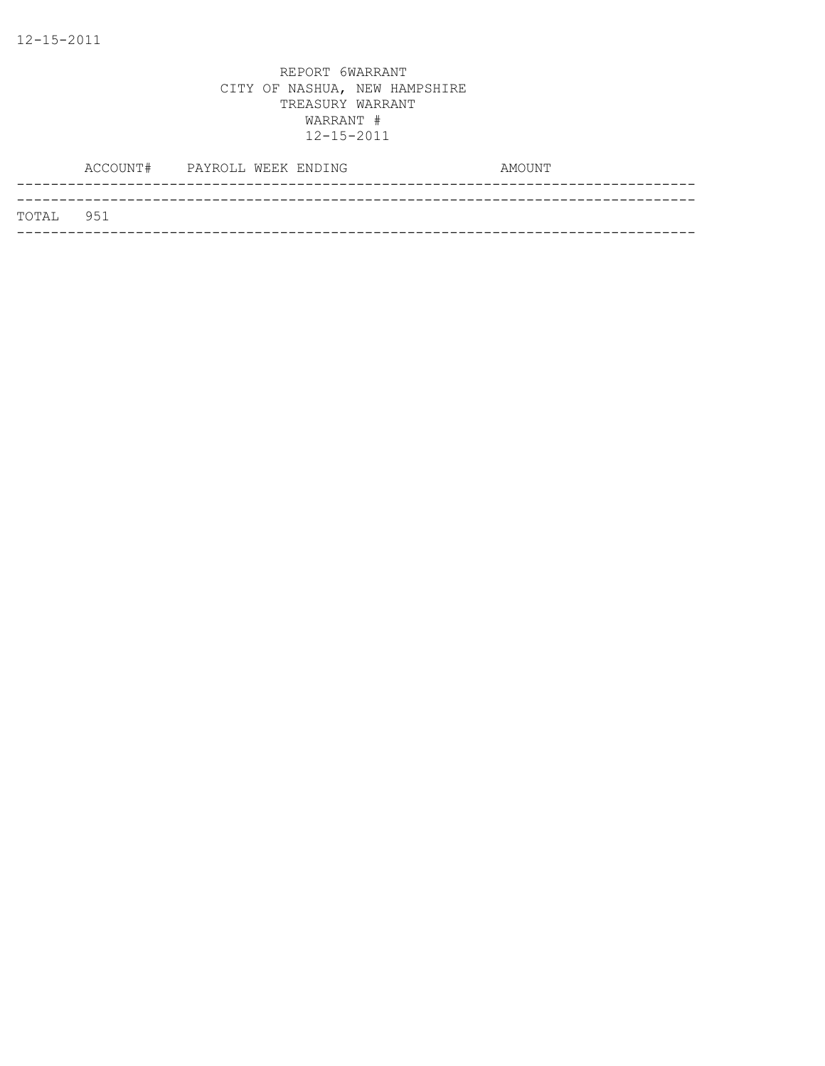|           | ACCOUNT# PAYROLL WEEK ENDING |  | AMOUNT |  |
|-----------|------------------------------|--|--------|--|
| TOTAL 951 |                              |  |        |  |
|           |                              |  |        |  |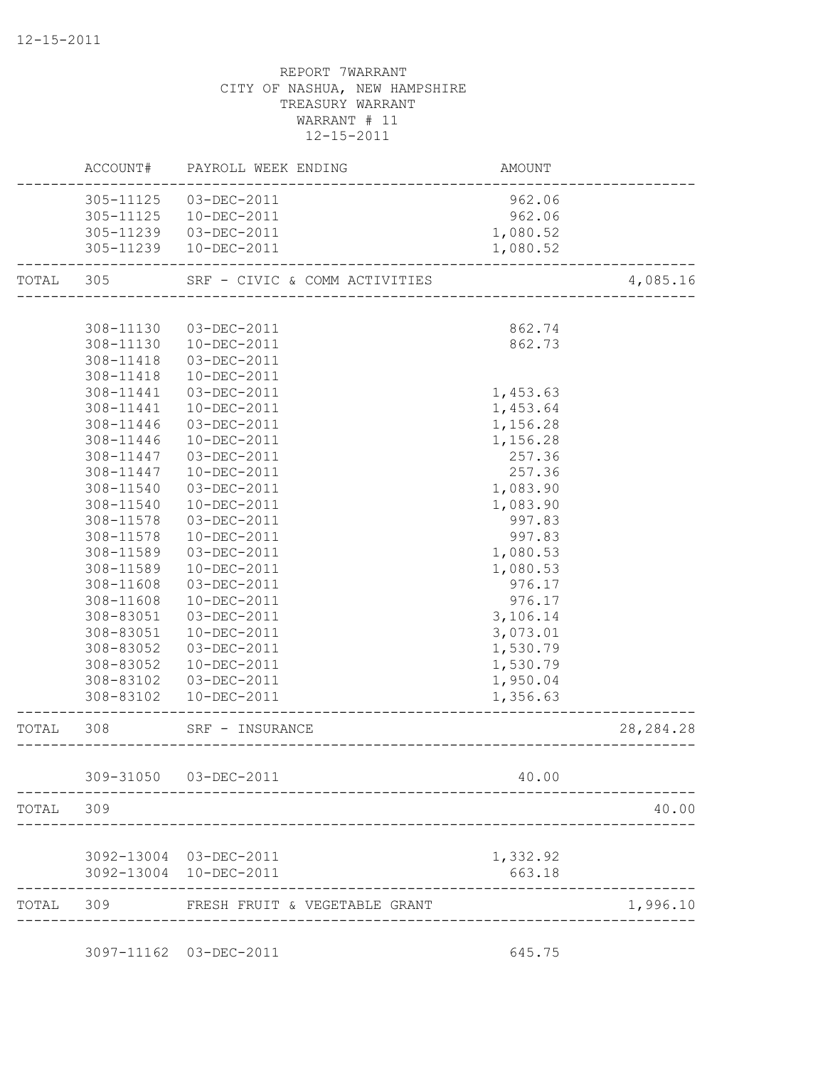|           | ACCOUNT#  | PAYROLL WEEK ENDING           | AMOUNT   |             |
|-----------|-----------|-------------------------------|----------|-------------|
|           | 305-11125 | 03-DEC-2011                   | 962.06   |             |
|           | 305-11125 | 10-DEC-2011                   | 962.06   |             |
|           | 305-11239 | 03-DEC-2011                   | 1,080.52 |             |
|           | 305-11239 | 10-DEC-2011                   | 1,080.52 |             |
| TOTAL 305 |           | SRF - CIVIC & COMM ACTIVITIES |          | 4,085.16    |
|           |           |                               |          |             |
|           | 308-11130 | 03-DEC-2011                   | 862.74   |             |
|           | 308-11130 | 10-DEC-2011                   | 862.73   |             |
|           | 308-11418 | 03-DEC-2011                   |          |             |
|           | 308-11418 | 10-DEC-2011                   |          |             |
|           | 308-11441 | 03-DEC-2011                   | 1,453.63 |             |
|           | 308-11441 | 10-DEC-2011                   | 1,453.64 |             |
|           | 308-11446 | 03-DEC-2011                   | 1,156.28 |             |
|           | 308-11446 | 10-DEC-2011                   | 1,156.28 |             |
|           | 308-11447 | 03-DEC-2011                   | 257.36   |             |
|           | 308-11447 | 10-DEC-2011                   | 257.36   |             |
|           | 308-11540 | 03-DEC-2011                   | 1,083.90 |             |
|           | 308-11540 | 10-DEC-2011                   | 1,083.90 |             |
|           | 308-11578 | 03-DEC-2011                   | 997.83   |             |
|           | 308-11578 | 10-DEC-2011                   | 997.83   |             |
|           | 308-11589 | 03-DEC-2011                   | 1,080.53 |             |
|           | 308-11589 | 10-DEC-2011                   | 1,080.53 |             |
|           | 308-11608 | 03-DEC-2011                   | 976.17   |             |
|           | 308-11608 | 10-DEC-2011                   | 976.17   |             |
|           | 308-83051 | 03-DEC-2011                   | 3,106.14 |             |
|           | 308-83051 | 10-DEC-2011                   | 3,073.01 |             |
|           | 308-83052 | 03-DEC-2011                   | 1,530.79 |             |
|           | 308-83052 | 10-DEC-2011                   | 1,530.79 |             |
|           |           |                               |          |             |
|           | 308-83102 | 03-DEC-2011                   | 1,950.04 |             |
|           | 308-83102 | 10-DEC-2011                   | 1,356.63 |             |
| TOTAL     | 308       | SRF - INSURANCE               |          | 28, 284. 28 |
|           | 309-31050 | 03-DEC-2011                   | 40.00    |             |
| TOTAL     | 309       |                               |          | 40.00       |
|           |           |                               |          |             |
|           |           | 3092-13004 03-DEC-2011        | 1,332.92 |             |
|           |           | 3092-13004 10-DEC-2011        | 663.18   |             |
| TOTAL     | 309       | FRESH FRUIT & VEGETABLE GRANT |          | 1,996.10    |

3097-11162 03-DEC-2011 645.75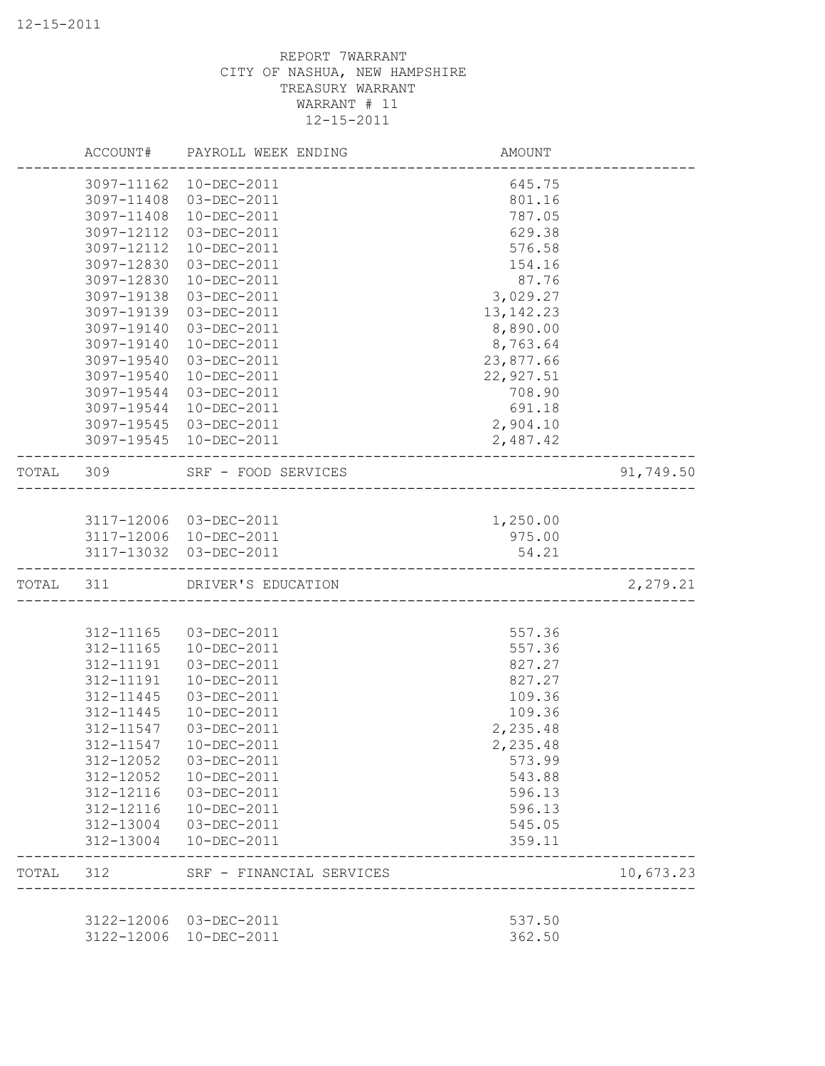|           |            | ACCOUNT# PAYROLL WEEK ENDING                            | AMOUNT                              |           |
|-----------|------------|---------------------------------------------------------|-------------------------------------|-----------|
|           |            | 3097-11162  10-DEC-2011                                 | 645.75                              |           |
|           |            | 3097-11408 03-DEC-2011                                  | 801.16                              |           |
|           | 3097-11408 | 10-DEC-2011                                             | 787.05                              |           |
|           | 3097-12112 | 03-DEC-2011                                             | 629.38                              |           |
|           | 3097-12112 | 10-DEC-2011                                             | 576.58                              |           |
|           | 3097-12830 | 03-DEC-2011                                             | 154.16                              |           |
|           | 3097-12830 | 10-DEC-2011                                             | 87.76                               |           |
|           | 3097-19138 | 03-DEC-2011                                             | 3,029.27                            |           |
|           | 3097-19139 | 03-DEC-2011                                             | 13, 142. 23                         |           |
|           | 3097-19140 | 03-DEC-2011                                             | 8,890.00                            |           |
|           | 3097-19140 | 10-DEC-2011                                             | 8,763.64                            |           |
|           | 3097-19540 | 03-DEC-2011                                             | 23,877.66                           |           |
|           | 3097-19540 | 10-DEC-2011                                             | 22,927.51                           |           |
|           | 3097-19544 | 03-DEC-2011                                             | 708.90                              |           |
|           | 3097-19544 | 10-DEC-2011                                             | 691.18                              |           |
|           |            | 3097-19545 03-DEC-2011                                  | 2,904.10                            |           |
|           |            | 3097-19545 10-DEC-2011                                  | 2,487.42                            |           |
| TOTAL 309 |            | SRF - FOOD SERVICES                                     | ----------------------------------- | 91,749.50 |
|           |            |                                                         |                                     |           |
|           |            | 3117-12006 03-DEC-2011                                  | 1,250.00                            |           |
|           |            | 3117-12006 10-DEC-2011                                  | 975.00                              |           |
|           |            | 3117-13032 03-DEC-2011                                  | 54.21                               |           |
| TOTAL 311 |            | DRIVER'S EDUCATION                                      |                                     | 2,279.21  |
|           |            |                                                         |                                     |           |
|           | 312-11165  | 03-DEC-2011                                             | 557.36                              |           |
|           | 312-11165  | 10-DEC-2011                                             | 557.36                              |           |
|           | 312-11191  | 03-DEC-2011                                             | 827.27                              |           |
|           | 312-11191  | 10-DEC-2011                                             | 827.27                              |           |
|           | 312-11445  | 03-DEC-2011                                             | 109.36                              |           |
|           | 312-11445  | 10-DEC-2011                                             | 109.36                              |           |
|           | 312-11547  | 03-DEC-2011                                             | 2,235.48                            |           |
|           | 312-11547  | $10 - DEC - 2011$                                       | 2,235.48                            |           |
|           | 312-12052  | 03-DEC-2011                                             | 573.99                              |           |
|           | 312-12052  | 10-DEC-2011                                             | 543.88                              |           |
|           | 312-12116  | 03-DEC-2011                                             | 596.13                              |           |
|           | 312-12116  | 10-DEC-2011                                             | 596.13                              |           |
|           | 312-13004  | 03-DEC-2011                                             | 545.05                              |           |
|           | 312-13004  | 10-DEC-2011                                             | 359.11                              |           |
| TOTAL     | 312        | SRF - FINANCIAL SERVICES<br>___________________________ |                                     | 10,673.23 |
|           |            |                                                         |                                     |           |
|           |            | 3122-12006 03-DEC-2011<br>3122-12006 10-DEC-2011        | 537.50<br>362.50                    |           |
|           |            |                                                         |                                     |           |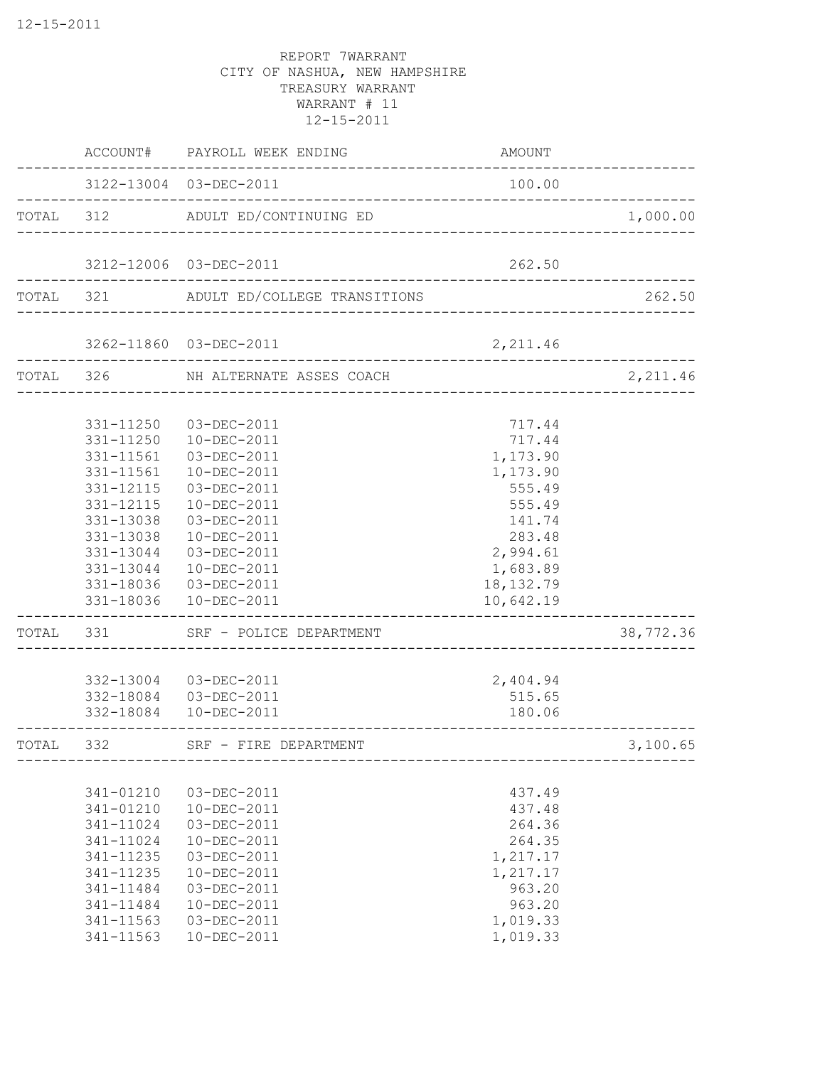|           |                                                                                                                                | ACCOUNT# PAYROLL WEEK ENDING                                                                                                                                                                                                                                           | AMOUNT                                                                                                                              |           |
|-----------|--------------------------------------------------------------------------------------------------------------------------------|------------------------------------------------------------------------------------------------------------------------------------------------------------------------------------------------------------------------------------------------------------------------|-------------------------------------------------------------------------------------------------------------------------------------|-----------|
|           |                                                                                                                                | 3122-13004 03-DEC-2011<br>-------------------------------                                                                                                                                                                                                              | 100.00                                                                                                                              |           |
|           |                                                                                                                                | TOTAL 312 ADULT ED/CONTINUING ED                                                                                                                                                                                                                                       |                                                                                                                                     | 1,000.00  |
|           |                                                                                                                                | 3212-12006 03-DEC-2011                                                                                                                                                                                                                                                 | 262.50                                                                                                                              |           |
|           |                                                                                                                                | TOTAL 321 ADULT ED/COLLEGE TRANSITIONS                                                                                                                                                                                                                                 |                                                                                                                                     | 262.50    |
|           |                                                                                                                                | 3262-11860 03-DEC-2011                                                                                                                                                                                                                                                 | 2,211.46                                                                                                                            |           |
| TOTAL 326 |                                                                                                                                | NH ALTERNATE ASSES COACH                                                                                                                                                                                                                                               |                                                                                                                                     | 2,211.46  |
| TOTAL     | 331-11250<br>331-11561<br>331-11561<br>331-12115<br>331-12115<br>331-13038<br>331-13038<br>331                                 | 03-DEC-2011<br>331-11250  10-DEC-2011<br>03-DEC-2011<br>10-DEC-2011<br>03-DEC-2011<br>10-DEC-2011<br>03-DEC-2011<br>$10 - DEC - 2011$<br>331-13044 03-DEC-2011<br>331-13044  10-DEC-2011<br>331-18036 03-DEC-2011<br>331-18036  10-DEC-2011<br>SRF - POLICE DEPARTMENT | 717.44<br>717.44<br>1,173.90<br>1,173.90<br>555.49<br>555.49<br>141.74<br>283.48<br>2,994.61<br>1,683.89<br>18, 132.79<br>10,642.19 | 38,772.36 |
|           |                                                                                                                                | 332-13004 03-DEC-2011<br>332-18084  03-DEC-2011<br>332-18084  10-DEC-2011                                                                                                                                                                                              | 2,404.94<br>515.65<br>180.06                                                                                                        |           |
| TOTAL     | 332                                                                                                                            | SRF - FIRE DEPARTMENT                                                                                                                                                                                                                                                  |                                                                                                                                     | 3,100.65  |
|           | 341-01210<br>341-01210<br>341-11024<br>341-11024<br>341-11235<br>341-11235<br>341-11484<br>341-11484<br>341-11563<br>341-11563 | 03-DEC-2011<br>10-DEC-2011<br>03-DEC-2011<br>10-DEC-2011<br>03-DEC-2011<br>10-DEC-2011<br>03-DEC-2011<br>10-DEC-2011<br>03-DEC-2011<br>10-DEC-2011                                                                                                                     | 437.49<br>437.48<br>264.36<br>264.35<br>1,217.17<br>1,217.17<br>963.20<br>963.20<br>1,019.33<br>1,019.33                            |           |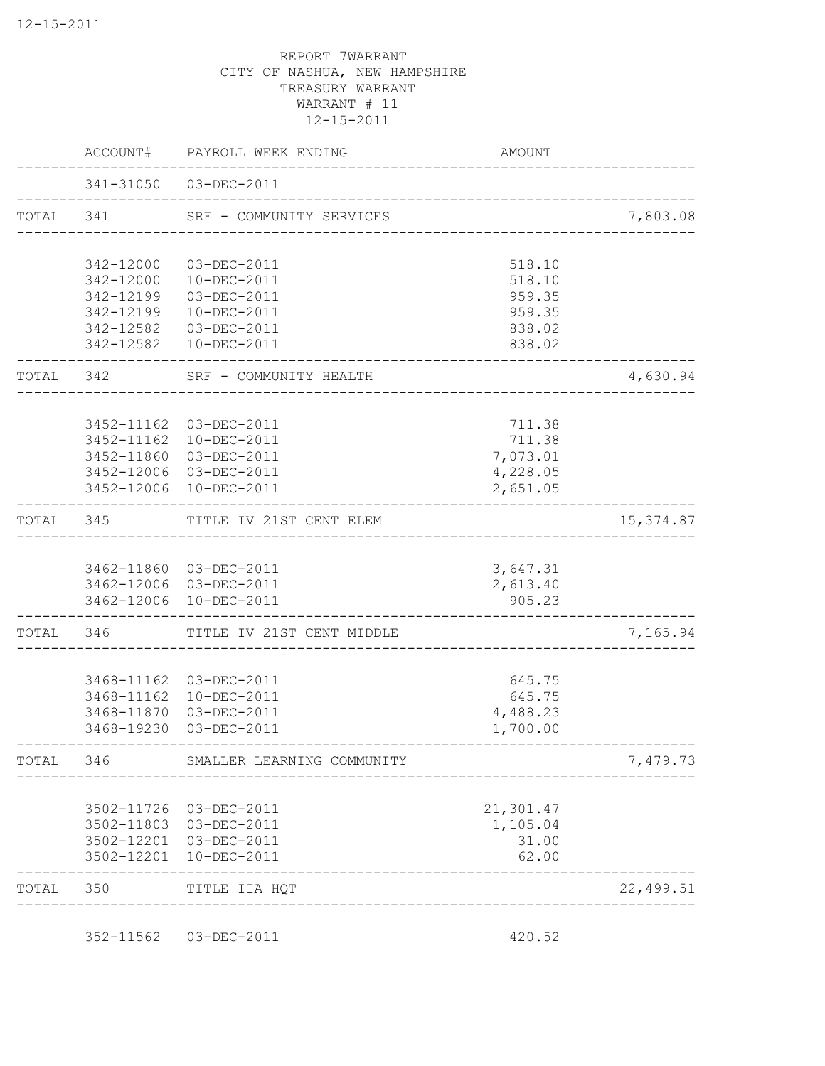|           |                        | ACCOUNT# PAYROLL WEEK ENDING      | AMOUNT                               |            |
|-----------|------------------------|-----------------------------------|--------------------------------------|------------|
|           |                        | 341-31050 03-DEC-2011             |                                      |            |
| TOTAL 341 |                        | SRF - COMMUNITY SERVICES          |                                      | 7,803.08   |
|           | 342-12000              | 03-DEC-2011                       | 518.10                               |            |
|           | 342-12000              | 10-DEC-2011                       | 518.10                               |            |
|           | 342-12199              | 03-DEC-2011                       | 959.35                               |            |
|           | 342-12199              | 10-DEC-2011                       | 959.35                               |            |
|           | 342-12582<br>342-12582 | 03-DEC-2011<br>10-DEC-2011        | 838.02<br>838.02                     |            |
| TOTAL 342 |                        | SRF - COMMUNITY HEALTH            |                                      | 4,630.94   |
|           |                        | 3452-11162 03-DEC-2011            | 711.38                               |            |
|           | 3452-11162             | 10-DEC-2011                       | 711.38                               |            |
|           |                        | 3452-11860 03-DEC-2011            | 7,073.01                             |            |
|           |                        | 3452-12006 03-DEC-2011            | 4,228.05                             |            |
|           |                        | 3452-12006 10-DEC-2011            | 2,651.05                             |            |
|           |                        | TOTAL 345 TITLE IV 21ST CENT ELEM | ____________________________________ | 15, 374.87 |
|           |                        | 3462-11860 03-DEC-2011            | 3,647.31                             |            |
|           |                        | 3462-12006 03-DEC-2011            | 2,613.40                             |            |
|           |                        | 3462-12006 10-DEC-2011            | 905.23                               |            |
| TOTAL     |                        | 346 TITLE IV 21ST CENT MIDDLE     | _________________________________    | 7,165.94   |
|           |                        | 3468-11162 03-DEC-2011            | 645.75                               |            |
|           |                        | 3468-11162  10-DEC-2011           | 645.75                               |            |
|           | 3468-11870             | 03-DEC-2011                       | 4,488.23                             |            |
|           | 3468-19230             | 03-DEC-2011                       | 1,700.00                             |            |
| TOTAL     | 346                    | SMALLER LEARNING COMMUNITY        |                                      | 7,479.73   |
|           | 3502-11726             | 03-DEC-2011                       | 21,301.47                            |            |
|           | 3502-11803             | 03-DEC-2011                       | 1,105.04                             |            |
|           | 3502-12201             | 03-DEC-2011                       | 31.00                                |            |
|           | 3502-12201             | 10-DEC-2011                       | 62.00                                |            |
| TOTAL     | 350                    | TITLE IIA HQT                     |                                      | 22,499.51  |

352-11562 03-DEC-2011 420.52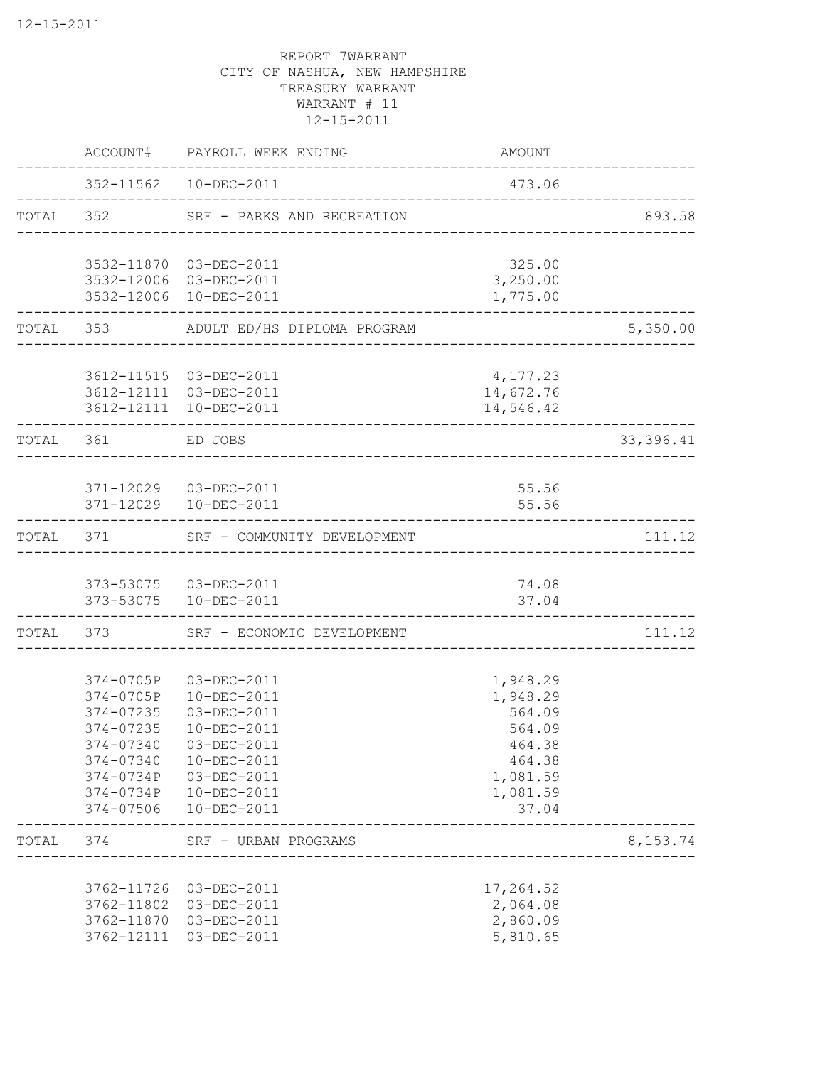|           |                        | ACCOUNT# PAYROLL WEEK ENDING                                 | AMOUNT                 |           |
|-----------|------------------------|--------------------------------------------------------------|------------------------|-----------|
|           |                        | 352-11562  10-DEC-2011                                       | 473.06                 |           |
|           |                        | TOTAL 352 SRF - PARKS AND RECREATION                         |                        | 893.58    |
|           |                        | 3532-11870 03-DEC-2011                                       | 325.00                 |           |
|           |                        | 3532-12006 03-DEC-2011<br>3532-12006 10-DEC-2011             | 3,250.00<br>1,775.00   |           |
|           |                        |                                                              |                        |           |
|           | TOTAL 353              | ADULT ED/HS DIPLOMA PROGRAM                                  |                        | 5,350.00  |
|           |                        | 3612-11515 03-DEC-2011                                       | 4,177.23               |           |
|           |                        | 3612-12111 03-DEC-2011<br>3612-12111 10-DEC-2011             | 14,672.76<br>14,546.42 |           |
| TOTAL 361 |                        | ED JOBS                                                      |                        | 33,396.41 |
|           |                        |                                                              |                        |           |
|           |                        | 371-12029  03-DEC-2011                                       | 55.56                  |           |
|           | -----------            | 371-12029  10-DEC-2011                                       | 55.56                  |           |
|           |                        | TOTAL 371 SRF - COMMUNITY DEVELOPMENT                        |                        | 111.12    |
|           |                        | 373-53075  03-DEC-2011                                       | 74.08                  |           |
|           |                        | 373-53075  10-DEC-2011<br>_______________________________    | 37.04                  |           |
| TOTAL     |                        | ._________________________<br>373 SRF - ECONOMIC DEVELOPMENT |                        | 111.12    |
|           |                        | 374-0705P 03-DEC-2011                                        | 1,948.29               |           |
|           | 374-0705P              | 10-DEC-2011                                                  | 1,948.29               |           |
|           | 374-07235              | 03-DEC-2011                                                  | 564.09                 |           |
|           | 374-07235              | 10-DEC-2011                                                  | 564.09                 |           |
|           | 374-07340              | 03-DEC-2011                                                  | 464.38                 |           |
|           | 374-07340<br>374-0734P | 10-DEC-2011<br>03-DEC-2011                                   | 464.38<br>1,081.59     |           |
|           | 374-0734P              | 10-DEC-2011                                                  | 1,081.59               |           |
|           | 374-07506              | 10-DEC-2011                                                  | 37.04                  |           |
| TOTAL     | 374                    | SRF - URBAN PROGRAMS<br>________________________             |                        | 8,153.74  |
|           | 3762-11726             | 03-DEC-2011                                                  | 17,264.52              |           |
|           | 3762-11802             | 03-DEC-2011                                                  | 2,064.08               |           |
|           | 3762-11870             | 03-DEC-2011                                                  | 2,860.09               |           |
|           | 3762-12111             | 03-DEC-2011                                                  | 5,810.65               |           |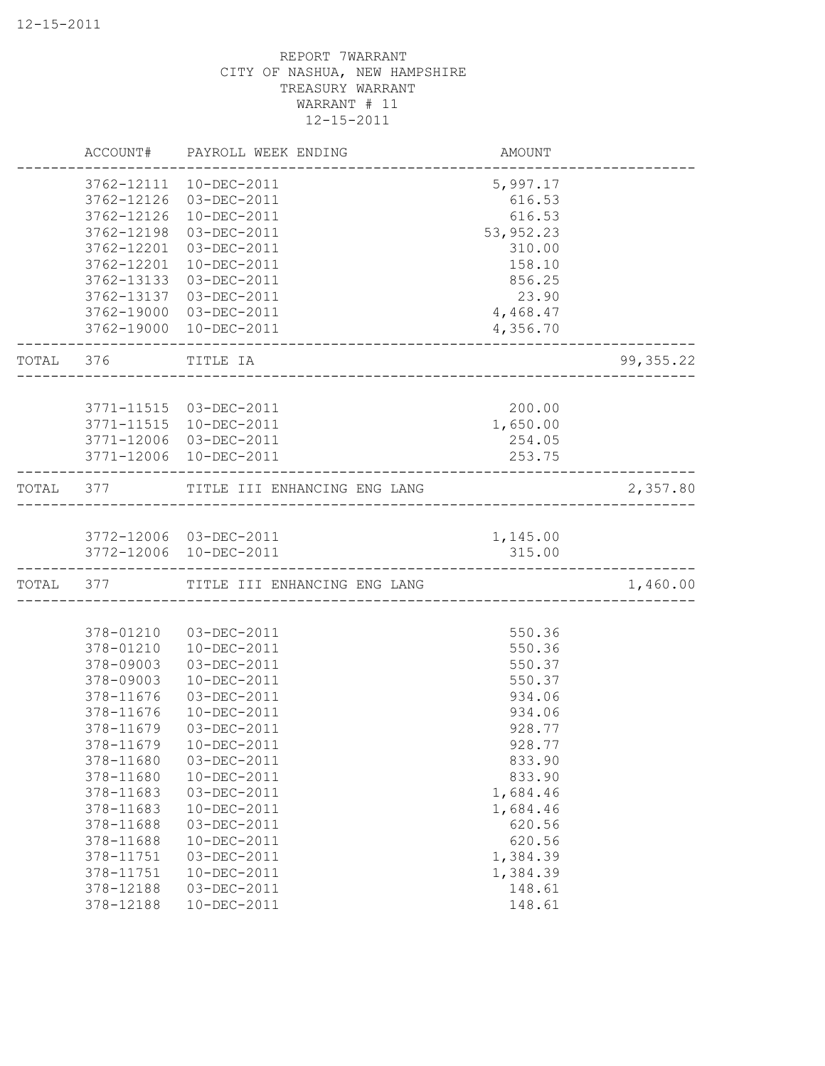|           |            | ACCOUNT# PAYROLL WEEK ENDING                  | AMOUNT     |            |
|-----------|------------|-----------------------------------------------|------------|------------|
|           | 3762-12111 | 10-DEC-2011                                   | 5,997.17   |            |
|           | 3762-12126 | 03-DEC-2011                                   | 616.53     |            |
|           | 3762-12126 | 10-DEC-2011                                   | 616.53     |            |
|           | 3762-12198 | 03-DEC-2011                                   | 53, 952.23 |            |
|           | 3762-12201 | 03-DEC-2011                                   | 310.00     |            |
|           | 3762-12201 | 10-DEC-2011                                   | 158.10     |            |
|           | 3762-13133 | 03-DEC-2011                                   | 856.25     |            |
|           | 3762-13137 | 03-DEC-2011                                   | 23.90      |            |
|           | 3762-19000 | 03-DEC-2011                                   | 4,468.47   |            |
|           | 3762-19000 | 10-DEC-2011                                   | 4,356.70   |            |
| TOTAL 376 |            | TITLE IA<br>_________________________________ |            | 99, 355.22 |
|           |            |                                               |            |            |
|           |            | 3771-11515 03-DEC-2011                        | 200.00     |            |
|           | 3771-11515 | $10 - DEC - 2011$                             | 1,650.00   |            |
|           | 3771-12006 | 03-DEC-2011                                   | 254.05     |            |
|           |            | 3771-12006 10-DEC-2011                        | 253.75     |            |
| TOTAL 377 |            | TITLE III ENHANCING ENG LANG                  |            | 2,357.80   |
|           |            |                                               |            |            |
|           |            | 3772-12006 03-DEC-2011                        | 1,145.00   |            |
|           |            | 3772-12006 10-DEC-2011                        | 315.00     |            |
| TOTAL 377 |            | TITLE III ENHANCING ENG LANG                  |            | 1,460.00   |
|           |            |                                               |            |            |
|           | 378-01210  | 03-DEC-2011                                   | 550.36     |            |
|           | 378-01210  | 10-DEC-2011                                   | 550.36     |            |
|           | 378-09003  | 03-DEC-2011                                   | 550.37     |            |
|           | 378-09003  | 10-DEC-2011                                   | 550.37     |            |
|           | 378-11676  | 03-DEC-2011                                   | 934.06     |            |
|           | 378-11676  | 10-DEC-2011                                   | 934.06     |            |
|           | 378-11679  | 03-DEC-2011                                   | 928.77     |            |
|           | 378-11679  | 10-DEC-2011                                   | 928.77     |            |
|           | 378-11680  | 03-DEC-2011                                   | 833.90     |            |
|           | 378-11680  | 10-DEC-2011                                   | 833.90     |            |
|           | 378-11683  | 03-DEC-2011                                   | 1,684.46   |            |
|           | 378-11683  | 10-DEC-2011                                   | 1,684.46   |            |
|           | 378-11688  | 03-DEC-2011                                   | 620.56     |            |
|           | 378-11688  | 10-DEC-2011                                   | 620.56     |            |
|           | 378-11751  | 03-DEC-2011                                   | 1,384.39   |            |
|           | 378-11751  | 10-DEC-2011                                   | 1,384.39   |            |
|           | 378-12188  | 03-DEC-2011                                   | 148.61     |            |
|           | 378-12188  | 10-DEC-2011                                   | 148.61     |            |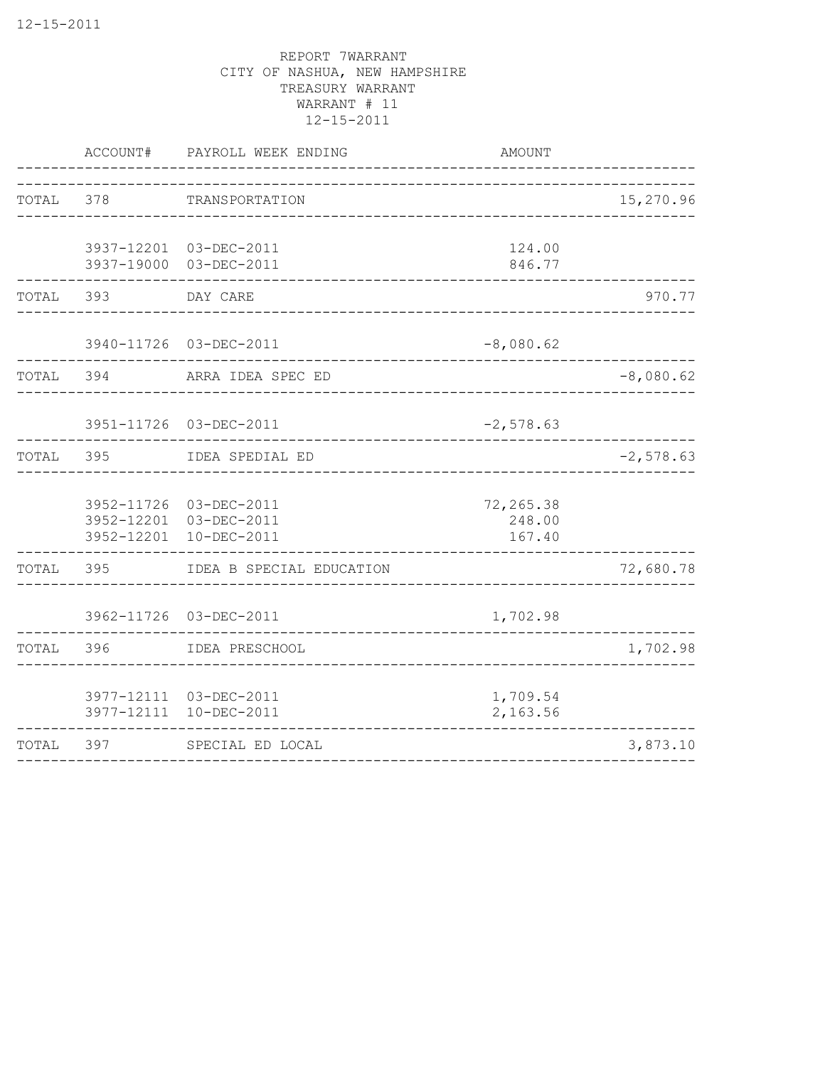|           |     | ACCOUNT# PAYROLL WEEK ENDING                                               | <b>AMOUNT</b>                      |             |
|-----------|-----|----------------------------------------------------------------------------|------------------------------------|-------------|
| TOTAL     | 378 | TRANSPORTATION                                                             | ---------------------------------- | 15,270.96   |
|           |     | 3937-12201 03-DEC-2011<br>3937-19000 03-DEC-2011                           | 124.00<br>846.77                   |             |
| TOTAL     | 393 | DAY CARE                                                                   |                                    | 970.77      |
|           |     | 3940-11726 03-DEC-2011                                                     | $-8,080.62$                        |             |
| TOTAL     | 394 | ARRA IDEA SPEC ED                                                          |                                    | $-8,080.62$ |
|           |     | 3951-11726 03-DEC-2011                                                     | $-2,578.63$                        |             |
| TOTAL 395 |     | IDEA SPEDIAL ED                                                            |                                    | $-2,578.63$ |
|           |     | 3952-11726 03-DEC-2011<br>3952-12201 03-DEC-2011<br>3952-12201 10-DEC-2011 | 72,265.38<br>248.00<br>167.40      |             |
| TOTAL     | 395 | IDEA B SPECIAL EDUCATION                                                   |                                    | 72,680.78   |
|           |     | 3962-11726 03-DEC-2011                                                     | 1,702.98                           |             |
| TOTAL     | 396 | IDEA PRESCHOOL                                                             |                                    | 1,702.98    |
|           |     | 3977-12111 03-DEC-2011<br>3977-12111 10-DEC-2011                           | 1,709.54<br>2,163.56               |             |
| TOTAL     | 397 | SPECIAL ED LOCAL                                                           |                                    | 3,873.10    |
|           |     |                                                                            |                                    |             |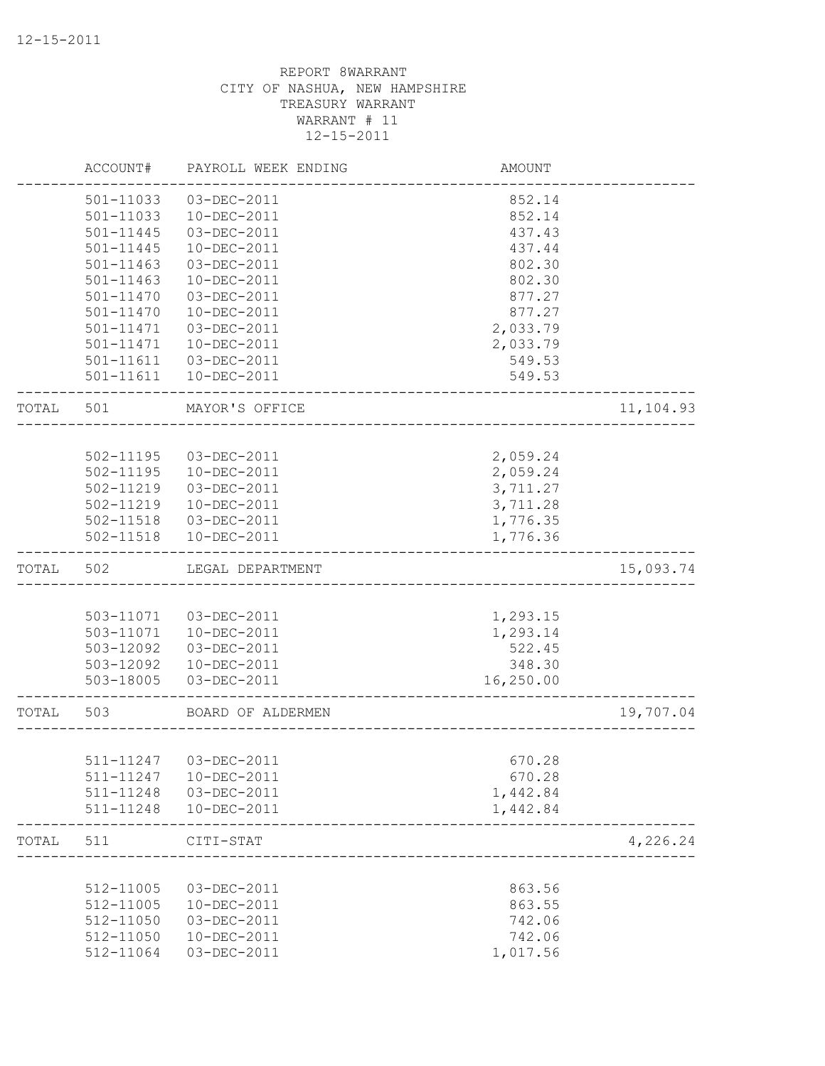|       | ACCOUNT#      | PAYROLL WEEK ENDING    | AMOUNT                      |           |
|-------|---------------|------------------------|-----------------------------|-----------|
|       | 501-11033     | 03-DEC-2011            | 852.14                      |           |
|       | 501-11033     | 10-DEC-2011            | 852.14                      |           |
|       | $501 - 11445$ | 03-DEC-2011            | 437.43                      |           |
|       | 501-11445     | 10-DEC-2011            | 437.44                      |           |
|       | $501 - 11463$ | 03-DEC-2011            | 802.30                      |           |
|       | $501 - 11463$ | 10-DEC-2011            | 802.30                      |           |
|       | 501-11470     | 03-DEC-2011            | 877.27                      |           |
|       | $501 - 11470$ | 10-DEC-2011            | 877.27                      |           |
|       | 501-11471     | 03-DEC-2011            | 2,033.79                    |           |
|       | 501-11471     | 10-DEC-2011            | 2,033.79                    |           |
|       |               | 501-11611  03-DEC-2011 | 549.53                      |           |
|       | 501-11611     | 10-DEC-2011            | 549.53                      |           |
| TOTAL | 501           | MAYOR'S OFFICE         | ___________________________ | 11,104.93 |
|       |               |                        |                             |           |
|       | 502-11195     | 03-DEC-2011            | 2,059.24                    |           |
|       |               | 502-11195  10-DEC-2011 | 2,059.24                    |           |
|       | 502-11219     | 03-DEC-2011            | 3,711.27                    |           |
|       |               | 502-11219  10-DEC-2011 | 3,711.28                    |           |
|       |               | 502-11518  03-DEC-2011 | 1,776.35                    |           |
|       |               | 502-11518  10-DEC-2011 | 1,776.36                    |           |
| TOTAL | 502           | LEGAL DEPARTMENT       |                             | 15,093.74 |
|       |               |                        |                             |           |
|       |               | 503-11071  03-DEC-2011 | 1,293.15                    |           |
|       |               | 503-11071  10-DEC-2011 | 1,293.14                    |           |
|       | 503-12092     | 03-DEC-2011            | 522.45                      |           |
|       | 503-12092     | 10-DEC-2011            | 348.30                      |           |
|       | 503-18005     | 03-DEC-2011            | 16,250.00                   |           |
| TOTAL | 503           | BOARD OF ALDERMEN      |                             | 19,707.04 |
|       |               |                        |                             |           |
|       | 511-11247     | 03-DEC-2011            | 670.28                      |           |
|       | 511-11247     | 10-DEC-2011            | 670.28                      |           |
|       | 511-11248     | 03-DEC-2011            | 1,442.84                    |           |
|       | 511-11248     | 10-DEC-2011            | 1,442.84                    |           |
| TOTAL | 511           | CITI-STAT              |                             | 4,226.24  |
|       |               |                        |                             |           |
|       | 512-11005     | 03-DEC-2011            | 863.56                      |           |
|       | 512-11005     | 10-DEC-2011            | 863.55                      |           |
|       | 512-11050     | 03-DEC-2011            | 742.06                      |           |
|       | 512-11050     | 10-DEC-2011            | 742.06                      |           |
|       | 512-11064     | 03-DEC-2011            | 1,017.56                    |           |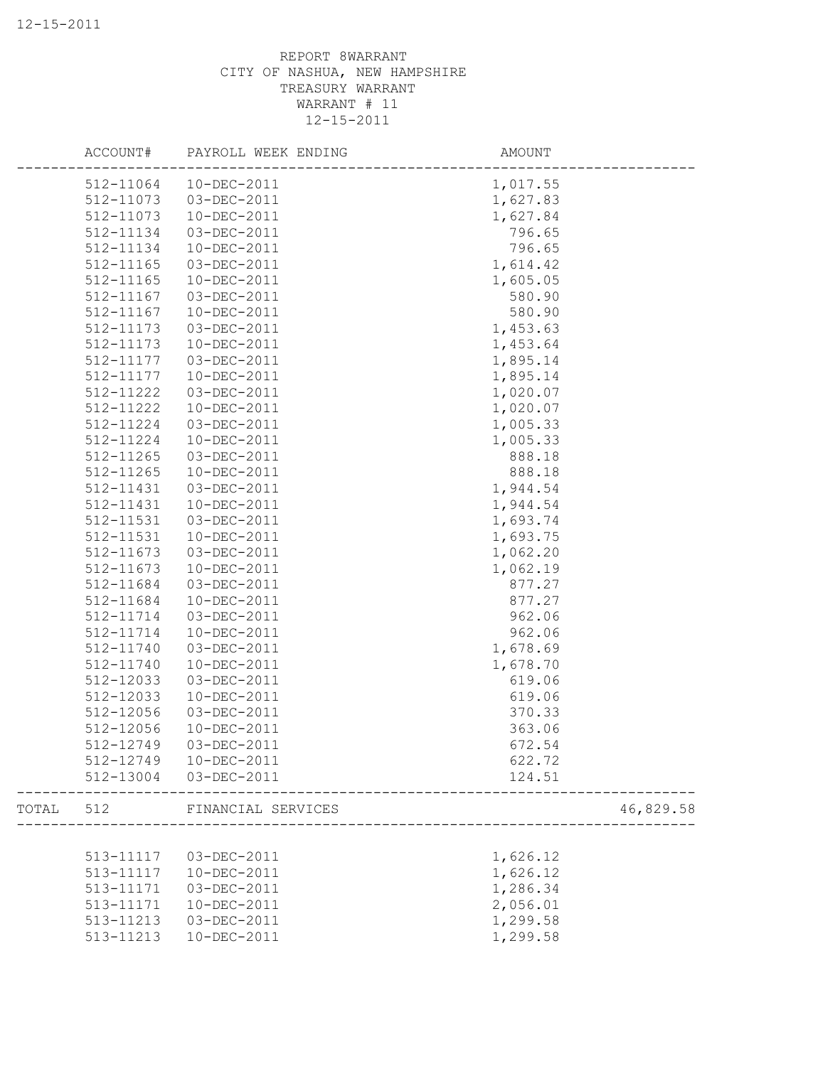|       | ACCOUNT#  | PAYROLL WEEK ENDING | AMOUNT   |           |
|-------|-----------|---------------------|----------|-----------|
|       | 512-11064 | 10-DEC-2011         | 1,017.55 |           |
|       | 512-11073 | 03-DEC-2011         | 1,627.83 |           |
|       | 512-11073 | 10-DEC-2011         | 1,627.84 |           |
|       | 512-11134 | 03-DEC-2011         | 796.65   |           |
|       | 512-11134 | 10-DEC-2011         | 796.65   |           |
|       | 512-11165 | 03-DEC-2011         | 1,614.42 |           |
|       | 512-11165 | 10-DEC-2011         | 1,605.05 |           |
|       | 512-11167 | 03-DEC-2011         | 580.90   |           |
|       | 512-11167 | 10-DEC-2011         | 580.90   |           |
|       | 512-11173 | 03-DEC-2011         | 1,453.63 |           |
|       | 512-11173 | 10-DEC-2011         | 1,453.64 |           |
|       | 512-11177 | 03-DEC-2011         | 1,895.14 |           |
|       | 512-11177 | 10-DEC-2011         | 1,895.14 |           |
|       | 512-11222 | 03-DEC-2011         | 1,020.07 |           |
|       | 512-11222 | 10-DEC-2011         | 1,020.07 |           |
|       | 512-11224 | 03-DEC-2011         | 1,005.33 |           |
|       | 512-11224 | 10-DEC-2011         | 1,005.33 |           |
|       | 512-11265 | 03-DEC-2011         | 888.18   |           |
|       | 512-11265 | 10-DEC-2011         | 888.18   |           |
|       | 512-11431 | 03-DEC-2011         | 1,944.54 |           |
|       | 512-11431 | 10-DEC-2011         | 1,944.54 |           |
|       | 512-11531 | 03-DEC-2011         | 1,693.74 |           |
|       | 512-11531 | 10-DEC-2011         | 1,693.75 |           |
|       | 512-11673 | 03-DEC-2011         | 1,062.20 |           |
|       | 512-11673 | 10-DEC-2011         | 1,062.19 |           |
|       | 512-11684 | 03-DEC-2011         | 877.27   |           |
|       | 512-11684 | 10-DEC-2011         | 877.27   |           |
|       |           |                     |          |           |
|       | 512-11714 | 03-DEC-2011         | 962.06   |           |
|       | 512-11714 | 10-DEC-2011         | 962.06   |           |
|       | 512-11740 | 03-DEC-2011         | 1,678.69 |           |
|       | 512-11740 | 10-DEC-2011         | 1,678.70 |           |
|       | 512-12033 | 03-DEC-2011         | 619.06   |           |
|       | 512-12033 | 10-DEC-2011         | 619.06   |           |
|       | 512-12056 | 03-DEC-2011         | 370.33   |           |
|       | 512-12056 | 10-DEC-2011         | 363.06   |           |
|       | 512-12749 | 03-DEC-2011         | 672.54   |           |
|       | 512-12749 | 10-DEC-2011         | 622.72   |           |
|       | 512-13004 | 03-DEC-2011         | 124.51   |           |
| TOTAL | 512       | FINANCIAL SERVICES  |          | 46,829.58 |
|       |           |                     |          |           |
|       | 513-11117 | 03-DEC-2011         | 1,626.12 |           |
|       | 513-11117 | 10-DEC-2011         | 1,626.12 |           |
|       | 513-11171 | 03-DEC-2011         | 1,286.34 |           |
|       | 513-11171 | 10-DEC-2011         | 2,056.01 |           |
|       | 513-11213 | 03-DEC-2011         | 1,299.58 |           |
|       | 513-11213 | 10-DEC-2011         | 1,299.58 |           |
|       |           |                     |          |           |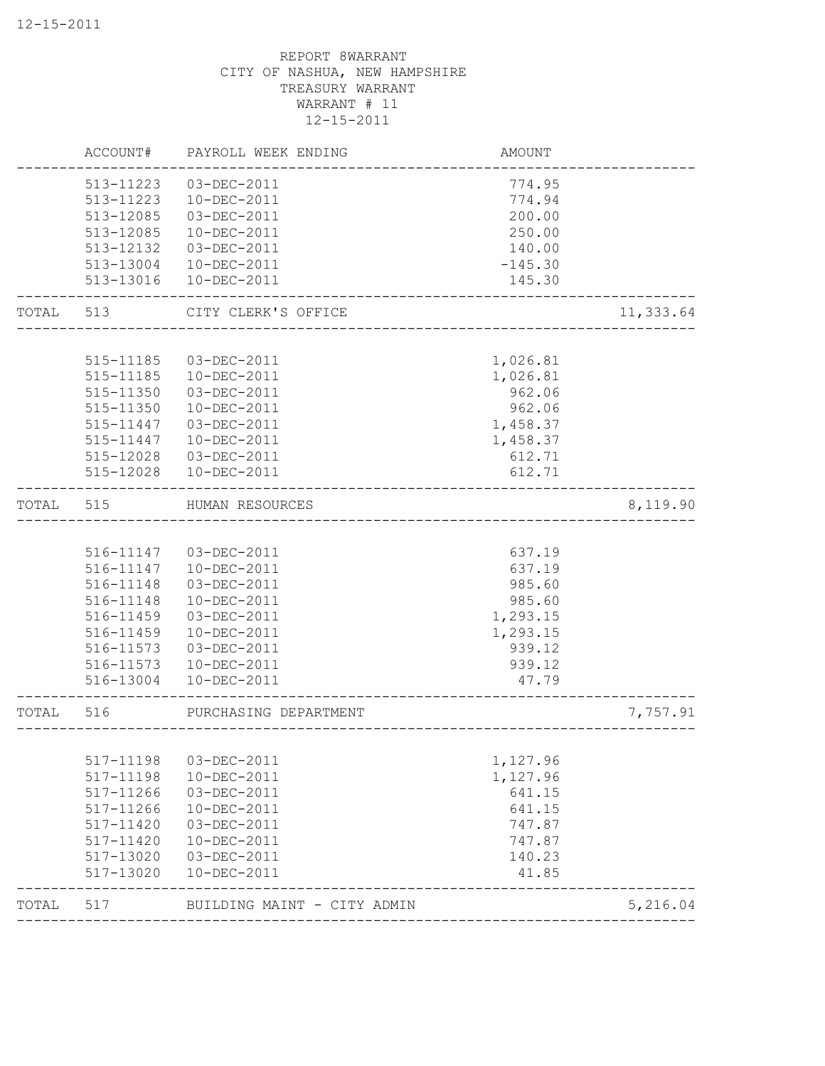|       | ACCOUNT#               | PAYROLL WEEK ENDING         | AMOUNT                 |           |
|-------|------------------------|-----------------------------|------------------------|-----------|
|       | 513-11223              | 03-DEC-2011                 | 774.95                 |           |
|       | 513-11223              | 10-DEC-2011                 | 774.94                 |           |
|       | 513-12085              | 03-DEC-2011                 | 200.00                 |           |
|       | 513-12085              | 10-DEC-2011                 | 250.00                 |           |
|       | 513-12132              | 03-DEC-2011                 | 140.00                 |           |
|       | 513-13004              | 10-DEC-2011                 | $-145.30$              |           |
|       | 513-13016              | 10-DEC-2011                 | 145.30                 |           |
| TOTAL | 513                    | CITY CLERK'S OFFICE         |                        | 11,333.64 |
|       |                        |                             |                        |           |
|       | 515-11185              | 03-DEC-2011                 | 1,026.81               |           |
|       | 515-11185              | 10-DEC-2011                 | 1,026.81               |           |
|       | 515-11350              | 03-DEC-2011                 | 962.06                 |           |
|       | 515-11350              | 10-DEC-2011                 | 962.06                 |           |
|       | 515-11447              | 03-DEC-2011                 | 1,458.37               |           |
|       | 515-11447              | 10-DEC-2011                 | 1,458.37               |           |
|       | 515-12028              | 03-DEC-2011                 | 612.71                 |           |
|       | 515-12028              | 10-DEC-2011                 | 612.71                 |           |
| TOTAL | 515                    | HUMAN RESOURCES             |                        | 8,119.90  |
|       |                        |                             |                        |           |
|       | 516-11147              | 03-DEC-2011                 | 637.19                 |           |
|       | 516-11147              | 10-DEC-2011                 | 637.19                 |           |
|       | 516-11148              | 03-DEC-2011                 | 985.60                 |           |
|       | 516-11148              | 10-DEC-2011                 | 985.60                 |           |
|       | 516-11459              | 03-DEC-2011                 | 1,293.15               |           |
|       | 516-11459              | 10-DEC-2011                 | 1,293.15               |           |
|       | 516-11573              | 03-DEC-2011                 | 939.12                 |           |
|       | 516-11573              | 10-DEC-2011                 | 939.12                 |           |
|       | 516-13004              | 10-DEC-2011                 | 47.79                  |           |
| TOTAL | 516                    | PURCHASING DEPARTMENT       | ---------------------- | 7,757.91  |
|       |                        |                             |                        |           |
|       | 517-11198              | 03-DEC-2011                 | 1,127.96               |           |
|       | 517-11198              | 10-DEC-2011                 | 1,127.96               |           |
|       | 517-11266              | 03-DEC-2011                 | 641.15                 |           |
|       | 517-11266              | 10-DEC-2011                 | 641.15                 |           |
|       | 517-11420              | 03-DEC-2011                 | 747.87                 |           |
|       | 517-11420              | 10-DEC-2011                 | 747.87                 |           |
|       | 517-13020<br>517-13020 | 03-DEC-2011<br>10-DEC-2011  | 140.23<br>41.85        |           |
| TOTAL | 517                    | BUILDING MAINT - CITY ADMIN |                        | 5,216.04  |
|       |                        |                             |                        |           |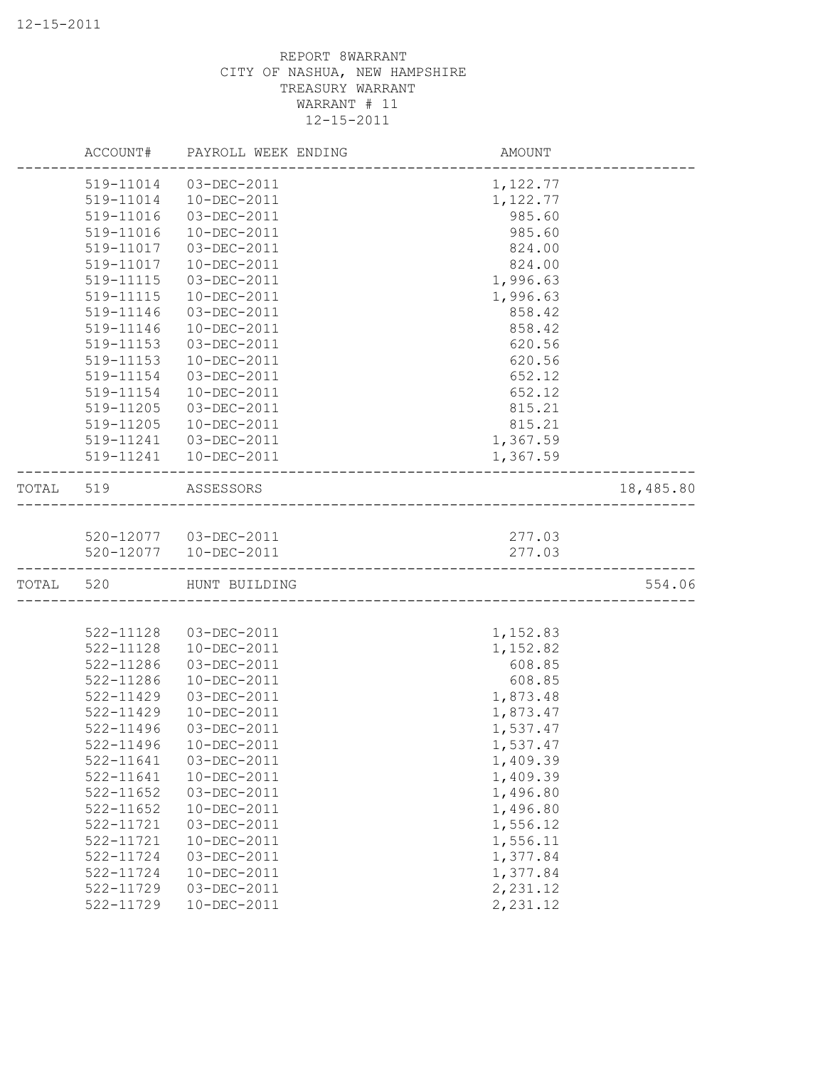|           |           | ACCOUNT# PAYROLL WEEK ENDING | AMOUNT   |           |
|-----------|-----------|------------------------------|----------|-----------|
|           | 519-11014 | 03-DEC-2011                  | 1,122.77 |           |
|           | 519-11014 | 10-DEC-2011                  | 1,122.77 |           |
|           | 519-11016 | 03-DEC-2011                  | 985.60   |           |
|           | 519-11016 | 10-DEC-2011                  | 985.60   |           |
|           | 519-11017 | 03-DEC-2011                  | 824.00   |           |
|           | 519-11017 | 10-DEC-2011                  | 824.00   |           |
|           | 519-11115 | 03-DEC-2011                  | 1,996.63 |           |
|           | 519-11115 | 10-DEC-2011                  | 1,996.63 |           |
|           | 519-11146 | 03-DEC-2011                  | 858.42   |           |
|           | 519-11146 | 10-DEC-2011                  | 858.42   |           |
|           | 519-11153 | 03-DEC-2011                  | 620.56   |           |
|           | 519-11153 | 10-DEC-2011                  | 620.56   |           |
|           | 519-11154 | 03-DEC-2011                  | 652.12   |           |
|           | 519-11154 | 10-DEC-2011                  | 652.12   |           |
|           | 519-11205 | 03-DEC-2011                  | 815.21   |           |
|           | 519-11205 | 10-DEC-2011                  | 815.21   |           |
|           |           | 519-11241  03-DEC-2011       | 1,367.59 |           |
|           |           | 519-11241  10-DEC-2011       | 1,367.59 |           |
|           |           |                              |          |           |
|           | TOTAL 519 | ASSESSORS                    |          | 18,485.80 |
|           |           |                              |          |           |
|           |           | 520-12077  03-DEC-2011       | 277.03   |           |
|           |           | 520-12077  10-DEC-2011       | 277.03   |           |
| TOTAL 520 |           | HUNT BUILDING                |          | 554.06    |
|           |           |                              |          |           |
|           | 522-11128 | 03-DEC-2011                  | 1,152.83 |           |
|           | 522-11128 | 10-DEC-2011                  | 1,152.82 |           |
|           | 522-11286 | 03-DEC-2011                  | 608.85   |           |
|           | 522-11286 | 10-DEC-2011                  | 608.85   |           |
|           | 522-11429 | 03-DEC-2011                  | 1,873.48 |           |
|           | 522-11429 | 10-DEC-2011                  | 1,873.47 |           |
|           | 522-11496 | 03-DEC-2011                  | 1,537.47 |           |
|           | 522-11496 | 10-DEC-2011                  | 1,537.47 |           |
|           | 522-11641 | 03-DEC-2011                  | 1,409.39 |           |
|           | 522-11641 | 10-DEC-2011                  | 1,409.39 |           |
|           | 522-11652 | 03-DEC-2011                  | 1,496.80 |           |
|           | 522-11652 | 10-DEC-2011                  | 1,496.80 |           |
|           | 522-11721 | 03-DEC-2011                  | 1,556.12 |           |
|           | 522-11721 | 10-DEC-2011                  | 1,556.11 |           |
|           | 522-11724 | 03-DEC-2011                  | 1,377.84 |           |
|           | 522-11724 | 10-DEC-2011                  | 1,377.84 |           |
|           | 522-11729 | 03-DEC-2011                  | 2,231.12 |           |
|           | 522-11729 | 10-DEC-2011                  | 2,231.12 |           |
|           |           |                              |          |           |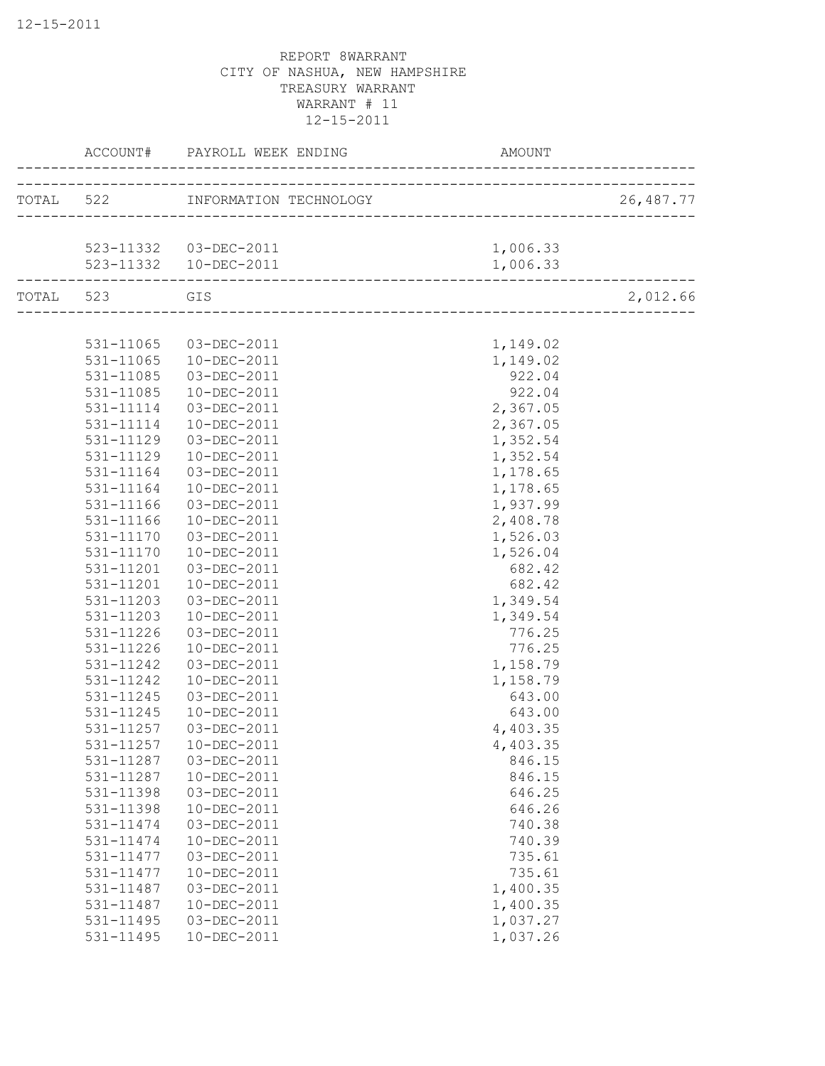|           |                        | ACCOUNT# PAYROLL WEEK ENDING            | AMOUNT                                   |           |
|-----------|------------------------|-----------------------------------------|------------------------------------------|-----------|
|           |                        | TOTAL 522 INFORMATION TECHNOLOGY        | -<br>___________________________________ | 26,487.77 |
|           |                        |                                         |                                          |           |
|           |                        | 523-11332  03-DEC-2011                  | 1,006.33                                 |           |
|           |                        | 523-11332  10-DEC-2011                  | 1,006.33                                 |           |
| TOTAL 523 |                        | GIS<br>-------------------------------- |                                          | 2,012.66  |
|           |                        |                                         |                                          |           |
|           | 531-11065              | 03-DEC-2011                             | 1,149.02                                 |           |
|           | 531-11065              | 10-DEC-2011                             | 1,149.02                                 |           |
|           | 531-11085              | 03-DEC-2011                             | 922.04                                   |           |
|           | 531-11085              | 10-DEC-2011                             | 922.04                                   |           |
|           | 531-11114              | 03-DEC-2011                             | 2,367.05                                 |           |
|           | 531-11114              | 10-DEC-2011                             | 2,367.05                                 |           |
|           | 531-11129              | 03-DEC-2011                             | 1,352.54                                 |           |
|           | 531-11129              | 10-DEC-2011                             | 1,352.54                                 |           |
|           | 531-11164              | 03-DEC-2011                             | 1,178.65                                 |           |
|           | 531-11164              | 10-DEC-2011                             | 1,178.65                                 |           |
|           | 531-11166              | 03-DEC-2011                             | 1,937.99                                 |           |
|           | 531-11166              | 10-DEC-2011                             | 2,408.78                                 |           |
|           | 531-11170              | 03-DEC-2011                             | 1,526.03                                 |           |
|           | 531-11170              | 10-DEC-2011                             | 1,526.04                                 |           |
|           | 531-11201              | 03-DEC-2011                             | 682.42                                   |           |
|           | 531-11201              | $10 - DEC - 2011$                       | 682.42                                   |           |
|           | 531-11203              | 03-DEC-2011                             | 1,349.54                                 |           |
|           | 531-11203              | 10-DEC-2011                             | 1,349.54                                 |           |
|           | 531-11226              | 03-DEC-2011                             | 776.25                                   |           |
|           | 531-11226              | 10-DEC-2011                             | 776.25                                   |           |
|           | 531-11242              | 03-DEC-2011                             | 1,158.79                                 |           |
|           | 531-11242              | 10-DEC-2011                             | 1,158.79                                 |           |
|           | 531-11245              | 03-DEC-2011                             | 643.00                                   |           |
|           | 531-11245              | 10-DEC-2011                             | 643.00                                   |           |
|           | 531-11257              | 03-DEC-2011                             | 4,403.35                                 |           |
|           | 531-11257              | 10-DEC-2011                             |                                          |           |
|           |                        | 03-DEC-2011                             | 4,403.35                                 |           |
|           | 531-11287<br>531-11287 | 10-DEC-2011                             | 846.15                                   |           |
|           |                        |                                         | 846.15                                   |           |
|           | 531-11398              | 03-DEC-2011                             | 646.25                                   |           |
|           | 531-11398              | 10-DEC-2011                             | 646.26                                   |           |
|           | 531-11474              | 03-DEC-2011                             | 740.38                                   |           |
|           | 531-11474              | 10-DEC-2011                             | 740.39                                   |           |
|           | 531-11477              | 03-DEC-2011                             | 735.61                                   |           |
|           | 531-11477              | 10-DEC-2011                             | 735.61                                   |           |
|           | 531-11487              | 03-DEC-2011                             | 1,400.35                                 |           |
|           | 531-11487              | $10 - DEC - 2011$                       | 1,400.35                                 |           |
|           | 531-11495              | 03-DEC-2011                             | 1,037.27                                 |           |
|           | 531-11495              | 10-DEC-2011                             | 1,037.26                                 |           |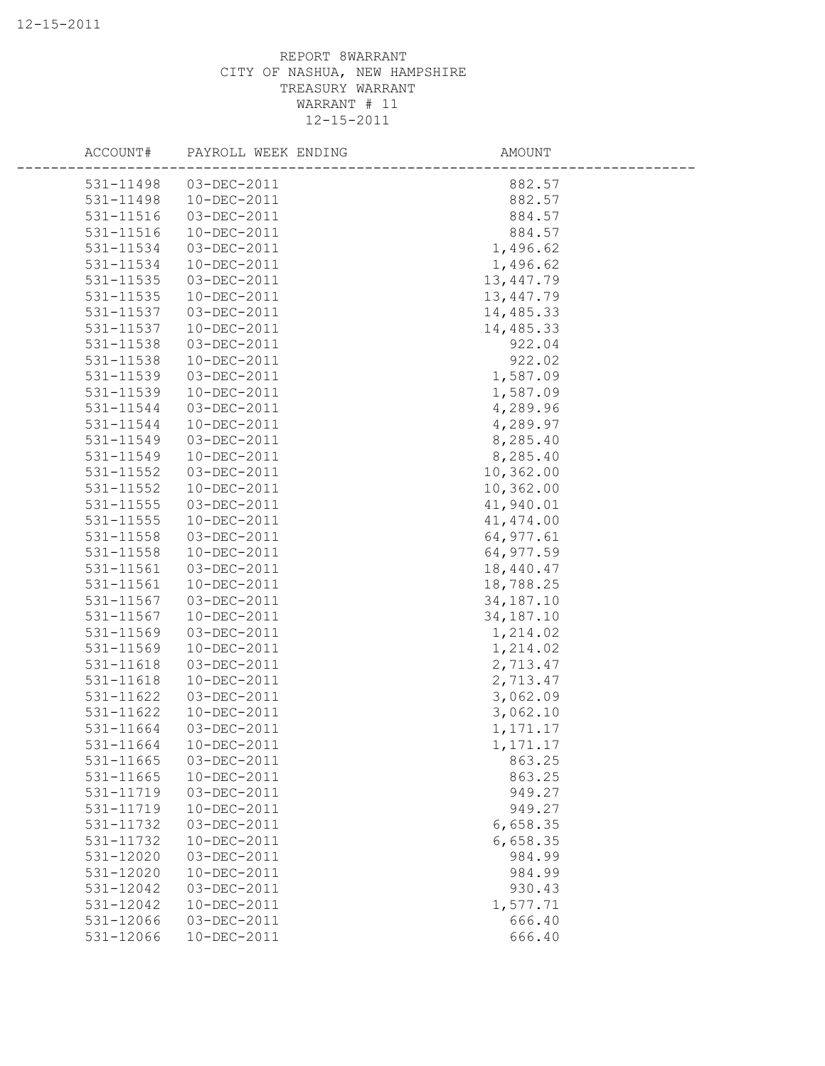| ACCOUNT#  | PAYROLL WEEK ENDING | AMOUNT      |
|-----------|---------------------|-------------|
| 531-11498 | 03-DEC-2011         | 882.57      |
| 531-11498 | 10-DEC-2011         | 882.57      |
| 531-11516 | 03-DEC-2011         | 884.57      |
| 531-11516 | 10-DEC-2011         | 884.57      |
| 531-11534 | 03-DEC-2011         | 1,496.62    |
| 531-11534 | 10-DEC-2011         | 1,496.62    |
| 531-11535 | 03-DEC-2011         | 13,447.79   |
| 531-11535 | 10-DEC-2011         | 13,447.79   |
| 531-11537 | 03-DEC-2011         | 14,485.33   |
| 531-11537 | 10-DEC-2011         | 14,485.33   |
| 531-11538 | 03-DEC-2011         | 922.04      |
| 531-11538 | 10-DEC-2011         | 922.02      |
| 531-11539 | 03-DEC-2011         | 1,587.09    |
| 531-11539 | $10 - DEC - 2011$   | 1,587.09    |
| 531-11544 | 03-DEC-2011         | 4,289.96    |
| 531-11544 | 10-DEC-2011         | 4,289.97    |
| 531-11549 | 03-DEC-2011         | 8,285.40    |
| 531-11549 | 10-DEC-2011         | 8,285.40    |
| 531-11552 | 03-DEC-2011         | 10,362.00   |
| 531-11552 | 10-DEC-2011         | 10,362.00   |
| 531-11555 | 03-DEC-2011         | 41,940.01   |
| 531-11555 | 10-DEC-2011         | 41, 474.00  |
| 531-11558 | 03-DEC-2011         | 64, 977.61  |
| 531-11558 | 10-DEC-2011         | 64,977.59   |
| 531-11561 | 03-DEC-2011         | 18,440.47   |
| 531-11561 | 10-DEC-2011         | 18,788.25   |
| 531-11567 | 03-DEC-2011         | 34, 187. 10 |
| 531-11567 | 10-DEC-2011         | 34,187.10   |
| 531-11569 | 03-DEC-2011         | 1,214.02    |
| 531-11569 | 10-DEC-2011         | 1,214.02    |
| 531-11618 | 03-DEC-2011         | 2,713.47    |
| 531-11618 | 10-DEC-2011         | 2,713.47    |
| 531-11622 | 03-DEC-2011         | 3,062.09    |
| 531-11622 | 10-DEC-2011         | 3,062.10    |
| 531-11664 | 03-DEC-2011         | 1, 171. 17  |
| 531-11664 | 10-DEC-2011         | 1,171.17    |
| 531-11665 | 03-DEC-2011         | 863.25      |
| 531-11665 | 10-DEC-2011         | 863.25      |
| 531-11719 | 03-DEC-2011         | 949.27      |
| 531-11719 | 10-DEC-2011         | 949.27      |
| 531-11732 | 03-DEC-2011         | 6,658.35    |
| 531-11732 | 10-DEC-2011         | 6,658.35    |
| 531-12020 | 03-DEC-2011         | 984.99      |
| 531-12020 | 10-DEC-2011         | 984.99      |
| 531-12042 | 03-DEC-2011         | 930.43      |
| 531-12042 | 10-DEC-2011         | 1,577.71    |
| 531-12066 | 03-DEC-2011         | 666.40      |
| 531-12066 | 10-DEC-2011         | 666.40      |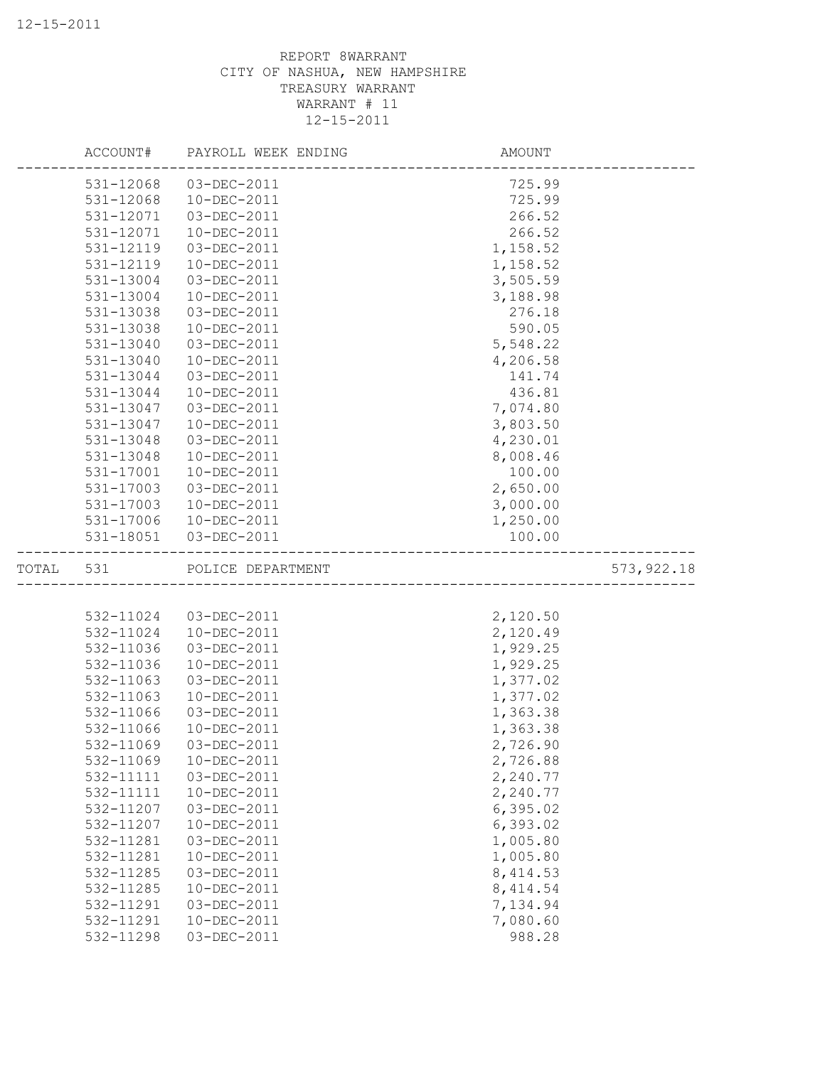|           | ACCOUNT#               | PAYROLL WEEK ENDING              | AMOUNT               |  |
|-----------|------------------------|----------------------------------|----------------------|--|
|           | 531-12068              | 03-DEC-2011                      | 725.99               |  |
|           | 531-12068              | 10-DEC-2011                      | 725.99               |  |
|           | 531-12071              | 03-DEC-2011                      | 266.52               |  |
|           | 531-12071              | 10-DEC-2011                      | 266.52               |  |
|           | 531-12119              | 03-DEC-2011                      | 1,158.52             |  |
|           | 531-12119              | 10-DEC-2011                      | 1,158.52             |  |
|           | 531-13004              | 03-DEC-2011                      | 3,505.59             |  |
|           | 531-13004              | 10-DEC-2011                      | 3,188.98             |  |
|           | 531-13038              | 03-DEC-2011                      | 276.18               |  |
|           | 531-13038              | 10-DEC-2011                      | 590.05               |  |
|           | 531-13040              | 03-DEC-2011                      | 5,548.22             |  |
|           | 531-13040              | 10-DEC-2011                      | 4,206.58             |  |
|           | 531-13044              | 03-DEC-2011                      | 141.74               |  |
|           | 531-13044              | 10-DEC-2011                      | 436.81               |  |
|           | 531-13047              | 03-DEC-2011                      | 7,074.80             |  |
|           | 531-13047              | 10-DEC-2011                      | 3,803.50             |  |
|           | 531-13048              | 03-DEC-2011                      | 4,230.01             |  |
|           | 531-13048              | 10-DEC-2011                      | 8,008.46             |  |
|           | 531-17001              | 10-DEC-2011                      | 100.00               |  |
|           | 531-17003              | 03-DEC-2011                      | 2,650.00             |  |
|           | 531-17003              | 10-DEC-2011                      | 3,000.00             |  |
|           | 531-17006              | 10-DEC-2011                      | 1,250.00             |  |
|           |                        | 531-18051  03-DEC-2011           | 100.00               |  |
| TOTAL 531 |                        | POLICE DEPARTMENT                | 573, 922.18          |  |
|           |                        |                                  |                      |  |
|           |                        |                                  |                      |  |
|           |                        | 03-DEC-2011                      |                      |  |
|           | 532-11024<br>532-11024 | 10-DEC-2011                      | 2,120.50             |  |
|           | 532-11036              | 03-DEC-2011                      | 2,120.49             |  |
|           |                        |                                  | 1,929.25             |  |
|           | 532-11036<br>532-11063 | $10 - DEC - 2011$<br>03-DEC-2011 | 1,929.25<br>1,377.02 |  |
|           | 532-11063              | 10-DEC-2011                      | 1,377.02             |  |
|           | 532-11066              | 03-DEC-2011                      | 1,363.38             |  |
|           | 532-11066              | 10-DEC-2011                      | 1,363.38             |  |
|           | 532-11069              | 03-DEC-2011                      | 2,726.90             |  |
|           | 532-11069              | 10-DEC-2011                      | 2,726.88             |  |
|           | 532-11111              | 03-DEC-2011                      | 2,240.77             |  |
|           | 532-11111              | 10-DEC-2011                      | 2,240.77             |  |
|           | 532-11207              | 03-DEC-2011                      | 6,395.02             |  |
|           | 532-11207              | 10-DEC-2011                      | 6,393.02             |  |
|           | 532-11281              | 03-DEC-2011                      | 1,005.80             |  |
|           | 532-11281              | 10-DEC-2011                      | 1,005.80             |  |
|           | 532-11285              | 03-DEC-2011                      | 8, 414.53            |  |
|           | 532-11285              | 10-DEC-2011                      | 8, 414.54            |  |
|           | 532-11291              | 03-DEC-2011                      | 7,134.94             |  |
|           | 532-11291              | 10-DEC-2011<br>03-DEC-2011       | 7,080.60             |  |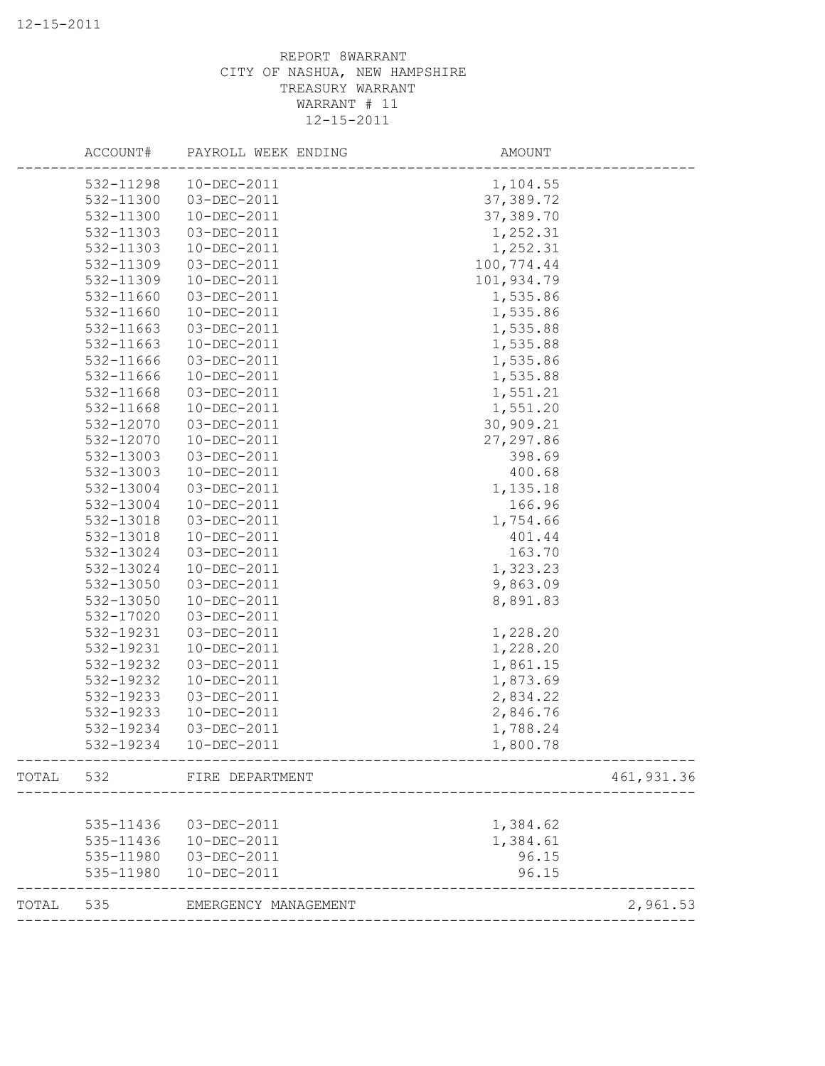|       | ACCOUNT#  | PAYROLL WEEK ENDING  | AMOUNT     |            |
|-------|-----------|----------------------|------------|------------|
|       | 532-11298 | 10-DEC-2011          | 1,104.55   |            |
|       | 532-11300 | 03-DEC-2011          | 37,389.72  |            |
|       | 532-11300 | 10-DEC-2011          | 37,389.70  |            |
|       | 532-11303 | 03-DEC-2011          | 1,252.31   |            |
|       | 532-11303 | 10-DEC-2011          | 1,252.31   |            |
|       | 532-11309 | 03-DEC-2011          | 100,774.44 |            |
|       | 532-11309 | 10-DEC-2011          | 101,934.79 |            |
|       | 532-11660 | 03-DEC-2011          | 1,535.86   |            |
|       | 532-11660 | 10-DEC-2011          | 1,535.86   |            |
|       | 532-11663 | 03-DEC-2011          | 1,535.88   |            |
|       | 532-11663 | 10-DEC-2011          | 1,535.88   |            |
|       | 532-11666 | 03-DEC-2011          | 1,535.86   |            |
|       | 532-11666 | 10-DEC-2011          | 1,535.88   |            |
|       | 532-11668 | 03-DEC-2011          | 1,551.21   |            |
|       | 532-11668 | 10-DEC-2011          | 1,551.20   |            |
|       | 532-12070 | 03-DEC-2011          | 30,909.21  |            |
|       | 532-12070 | 10-DEC-2011          | 27, 297.86 |            |
|       | 532-13003 | 03-DEC-2011          | 398.69     |            |
|       | 532-13003 | 10-DEC-2011          | 400.68     |            |
|       | 532-13004 | 03-DEC-2011          | 1,135.18   |            |
|       | 532-13004 | 10-DEC-2011          | 166.96     |            |
|       | 532-13018 | 03-DEC-2011          | 1,754.66   |            |
|       | 532-13018 | 10-DEC-2011          | 401.44     |            |
|       | 532-13024 | 03-DEC-2011          | 163.70     |            |
|       | 532-13024 | 10-DEC-2011          | 1,323.23   |            |
|       | 532-13050 | 03-DEC-2011          | 9,863.09   |            |
|       | 532-13050 | 10-DEC-2011          | 8,891.83   |            |
|       | 532-17020 | 03-DEC-2011          |            |            |
|       | 532-19231 | 03-DEC-2011          | 1,228.20   |            |
|       | 532-19231 | 10-DEC-2011          | 1,228.20   |            |
|       | 532-19232 | 03-DEC-2011          | 1,861.15   |            |
|       | 532-19232 | 10-DEC-2011          | 1,873.69   |            |
|       | 532-19233 | 03-DEC-2011          | 2,834.22   |            |
|       | 532-19233 | $10 - DEC - 2011$    | 2,846.76   |            |
|       | 532-19234 | 03-DEC-2011          | 1,788.24   |            |
|       |           |                      |            |            |
|       | 532-19234 | $10 - DEC - 2011$    | 1,800.78   |            |
| TOTAL | 532       | FIRE DEPARTMENT      |            | 461,931.36 |
|       |           |                      |            |            |
|       | 535-11436 | 03-DEC-2011          | 1,384.62   |            |
|       | 535-11436 | 10-DEC-2011          | 1,384.61   |            |
|       | 535-11980 | 03-DEC-2011          | 96.15      |            |
|       | 535-11980 | 10-DEC-2011          | 96.15      |            |
| TOTAL | 535       | EMERGENCY MANAGEMENT |            | 2,961.53   |
|       |           |                      |            |            |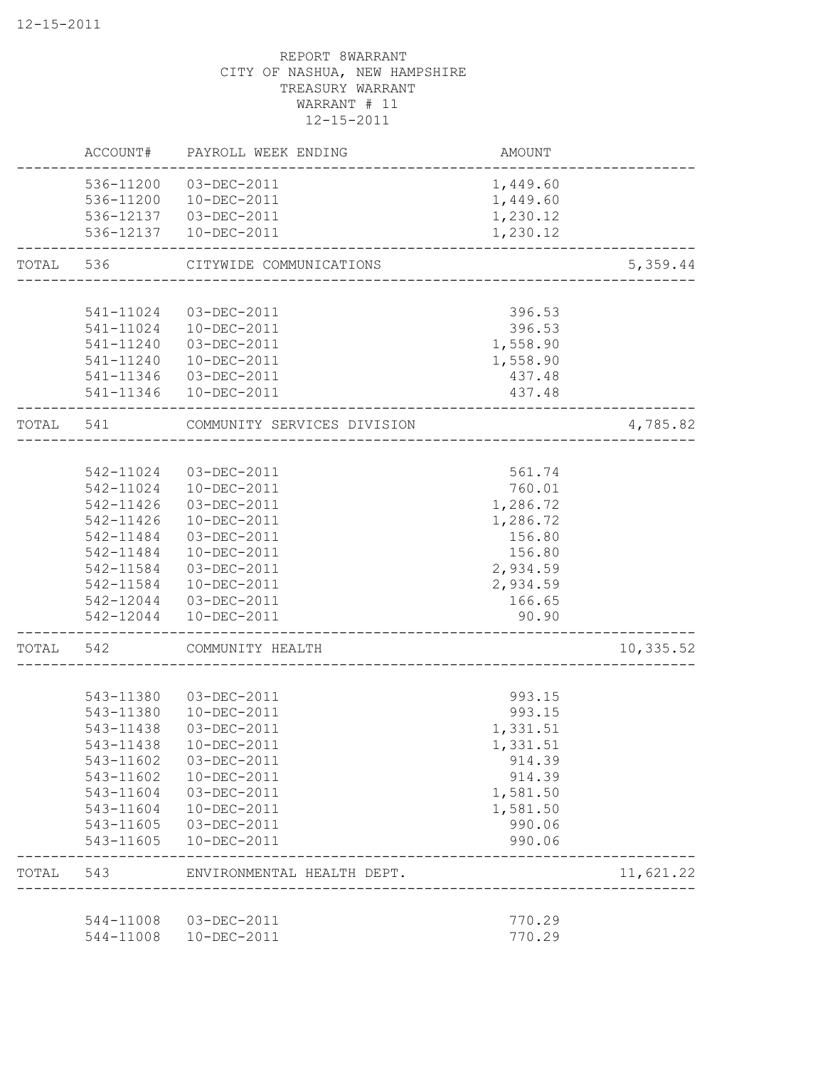|           | 544-11008<br>544-11008 | 03-DEC-2011<br>10-DEC-2011                                 | 770.29<br>770.29      |           |
|-----------|------------------------|------------------------------------------------------------|-----------------------|-----------|
| TOTAL     | 543                    | ENVIRONMENTAL HEALTH DEPT.<br>____________________________ |                       | 11,621.22 |
|           | 543-11605              | 10-DEC-2011                                                | 990.06<br>----------- |           |
|           | 543-11605              | 03-DEC-2011                                                | 990.06                |           |
|           | 543-11604              | 10-DEC-2011                                                | 1,581.50              |           |
|           | 543-11604              | 03-DEC-2011                                                | 1,581.50              |           |
|           | 543-11602              | 10-DEC-2011                                                | 914.39                |           |
|           | 543-11602              | 03-DEC-2011                                                | 914.39                |           |
|           | 543-11438              | $10 - DEC - 2011$                                          | 1,331.51              |           |
|           | 543-11438              | 03-DEC-2011                                                | 1,331.51              |           |
|           | 543-11380              | 543-11380 03-DEC-2011<br>10-DEC-2011                       | 993.15<br>993.15      |           |
|           | 542                    | COMMUNITY HEALTH                                           |                       | 10,335.52 |
| TOTAL     |                        |                                                            |                       |           |
|           | 542-12044              | 10-DEC-2011                                                | 90.90                 |           |
|           |                        | 542-12044 03-DEC-2011                                      | 166.65                |           |
|           | 542-11584              | 10-DEC-2011                                                | 2,934.59              |           |
|           | 542-11584              | 03-DEC-2011                                                | 2,934.59              |           |
|           | 542-11484              | 10-DEC-2011                                                | 156.80                |           |
|           | 542-11426<br>542-11484 | 10-DEC-2011<br>03-DEC-2011                                 | 1,286.72<br>156.80    |           |
|           | 542-11426              | 03-DEC-2011                                                | 1,286.72              |           |
|           | 542-11024              | 10-DEC-2011                                                | 760.01                |           |
|           |                        | 542-11024 03-DEC-2011                                      | 561.74                |           |
|           |                        |                                                            |                       |           |
| TOTAL 541 |                        | COMMUNITY SERVICES DIVISION                                |                       | 4,785.82  |
|           | 541-11346              | 10-DEC-2011                                                | 437.48                |           |
|           | 541-11240<br>541-11346 | 10-DEC-2011<br>03-DEC-2011                                 | 437.48                |           |
|           |                        | 541-11240  03-DEC-2011                                     | 1,558.90<br>1,558.90  |           |
|           | 541-11024              | 10-DEC-2011                                                | 396.53                |           |
|           | 541-11024              | 03-DEC-2011                                                | 396.53                |           |
|           |                        |                                                            |                       |           |
| TOTAL     | 536                    | CITYWIDE COMMUNICATIONS                                    |                       | 5,359.44  |
|           |                        | 536-12137  03-DEC-2011<br>536-12137  10-DEC-2011           | 1,230.12<br>1,230.12  |           |
|           | 536-11200              | 10-DEC-2011                                                | 1,449.60              |           |
|           |                        | 536-11200 03-DEC-2011                                      | 1,449.60              |           |
|           | ACCOUNT#               | PAYROLL WEEK ENDING                                        | AMOUNT                |           |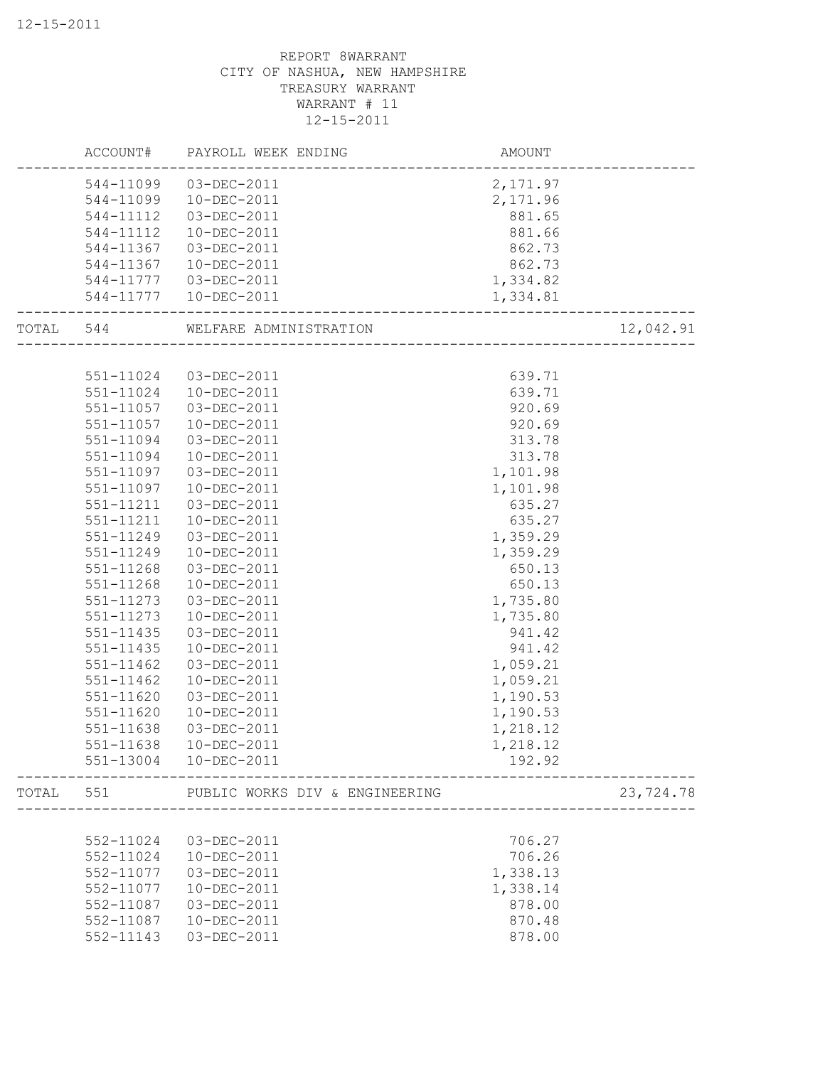| 544-11099<br>03-DEC-2011<br>2, 171.97<br>10-DEC-2011<br>2,171.96<br>544-11099<br>03-DEC-2011<br>881.65<br>544-11112<br>10-DEC-2011<br>881.66<br>544-11112<br>03-DEC-2011<br>862.73<br>544-11367<br>862.73<br>544-11367<br>10-DEC-2011<br>1,334.82<br>03-DEC-2011<br>544-11777<br>544-11777<br>10-DEC-2011<br>1,334.81<br>12,042.91<br>TOTAL 544<br>WELFARE ADMINISTRATION<br>551-11024<br>03-DEC-2011<br>639.71<br>639.71<br>551-11024<br>10-DEC-2011<br>920.69<br>551-11057<br>03-DEC-2011<br>920.69<br>551-11057<br>$10 - DEC - 2011$<br>551-11094<br>03-DEC-2011<br>313.78<br>551-11094<br>10-DEC-2011<br>313.78<br>551-11097<br>03-DEC-2011<br>1,101.98<br>551-11097<br>10-DEC-2011<br>1,101.98<br>551-11211<br>03-DEC-2011<br>635.27<br>635.27<br>551-11211<br>10-DEC-2011<br>1,359.29<br>551-11249<br>03-DEC-2011<br>551-11249<br>10-DEC-2011<br>1,359.29<br>$551 - 11268$<br>650.13<br>03-DEC-2011<br>551-11268<br>10-DEC-2011<br>650.13<br>551-11273<br>03-DEC-2011<br>1,735.80<br>551-11273<br>10-DEC-2011<br>1,735.80<br>551-11435<br>03-DEC-2011<br>941.42<br>551-11435<br>10-DEC-2011<br>941.42<br>551-11462<br>03-DEC-2011<br>1,059.21<br>551-11462<br>10-DEC-2011<br>1,059.21<br>551-11620<br>03-DEC-2011<br>1,190.53<br>551-11620<br>10-DEC-2011<br>1,190.53<br>551-11638<br>03-DEC-2011<br>1,218.12<br>$10 - DEC - 2011$<br>551-11638<br>1,218.12<br>551-13004<br>10-DEC-2011<br>192.92 |
|---------------------------------------------------------------------------------------------------------------------------------------------------------------------------------------------------------------------------------------------------------------------------------------------------------------------------------------------------------------------------------------------------------------------------------------------------------------------------------------------------------------------------------------------------------------------------------------------------------------------------------------------------------------------------------------------------------------------------------------------------------------------------------------------------------------------------------------------------------------------------------------------------------------------------------------------------------------------------------------------------------------------------------------------------------------------------------------------------------------------------------------------------------------------------------------------------------------------------------------------------------------------------------------------------------------------------------------------------------------------------------------------------------|
|                                                                                                                                                                                                                                                                                                                                                                                                                                                                                                                                                                                                                                                                                                                                                                                                                                                                                                                                                                                                                                                                                                                                                                                                                                                                                                                                                                                                         |
|                                                                                                                                                                                                                                                                                                                                                                                                                                                                                                                                                                                                                                                                                                                                                                                                                                                                                                                                                                                                                                                                                                                                                                                                                                                                                                                                                                                                         |
|                                                                                                                                                                                                                                                                                                                                                                                                                                                                                                                                                                                                                                                                                                                                                                                                                                                                                                                                                                                                                                                                                                                                                                                                                                                                                                                                                                                                         |
|                                                                                                                                                                                                                                                                                                                                                                                                                                                                                                                                                                                                                                                                                                                                                                                                                                                                                                                                                                                                                                                                                                                                                                                                                                                                                                                                                                                                         |
|                                                                                                                                                                                                                                                                                                                                                                                                                                                                                                                                                                                                                                                                                                                                                                                                                                                                                                                                                                                                                                                                                                                                                                                                                                                                                                                                                                                                         |
|                                                                                                                                                                                                                                                                                                                                                                                                                                                                                                                                                                                                                                                                                                                                                                                                                                                                                                                                                                                                                                                                                                                                                                                                                                                                                                                                                                                                         |
|                                                                                                                                                                                                                                                                                                                                                                                                                                                                                                                                                                                                                                                                                                                                                                                                                                                                                                                                                                                                                                                                                                                                                                                                                                                                                                                                                                                                         |
|                                                                                                                                                                                                                                                                                                                                                                                                                                                                                                                                                                                                                                                                                                                                                                                                                                                                                                                                                                                                                                                                                                                                                                                                                                                                                                                                                                                                         |
|                                                                                                                                                                                                                                                                                                                                                                                                                                                                                                                                                                                                                                                                                                                                                                                                                                                                                                                                                                                                                                                                                                                                                                                                                                                                                                                                                                                                         |
|                                                                                                                                                                                                                                                                                                                                                                                                                                                                                                                                                                                                                                                                                                                                                                                                                                                                                                                                                                                                                                                                                                                                                                                                                                                                                                                                                                                                         |
|                                                                                                                                                                                                                                                                                                                                                                                                                                                                                                                                                                                                                                                                                                                                                                                                                                                                                                                                                                                                                                                                                                                                                                                                                                                                                                                                                                                                         |
|                                                                                                                                                                                                                                                                                                                                                                                                                                                                                                                                                                                                                                                                                                                                                                                                                                                                                                                                                                                                                                                                                                                                                                                                                                                                                                                                                                                                         |
|                                                                                                                                                                                                                                                                                                                                                                                                                                                                                                                                                                                                                                                                                                                                                                                                                                                                                                                                                                                                                                                                                                                                                                                                                                                                                                                                                                                                         |
|                                                                                                                                                                                                                                                                                                                                                                                                                                                                                                                                                                                                                                                                                                                                                                                                                                                                                                                                                                                                                                                                                                                                                                                                                                                                                                                                                                                                         |
|                                                                                                                                                                                                                                                                                                                                                                                                                                                                                                                                                                                                                                                                                                                                                                                                                                                                                                                                                                                                                                                                                                                                                                                                                                                                                                                                                                                                         |
|                                                                                                                                                                                                                                                                                                                                                                                                                                                                                                                                                                                                                                                                                                                                                                                                                                                                                                                                                                                                                                                                                                                                                                                                                                                                                                                                                                                                         |
|                                                                                                                                                                                                                                                                                                                                                                                                                                                                                                                                                                                                                                                                                                                                                                                                                                                                                                                                                                                                                                                                                                                                                                                                                                                                                                                                                                                                         |
|                                                                                                                                                                                                                                                                                                                                                                                                                                                                                                                                                                                                                                                                                                                                                                                                                                                                                                                                                                                                                                                                                                                                                                                                                                                                                                                                                                                                         |
|                                                                                                                                                                                                                                                                                                                                                                                                                                                                                                                                                                                                                                                                                                                                                                                                                                                                                                                                                                                                                                                                                                                                                                                                                                                                                                                                                                                                         |
|                                                                                                                                                                                                                                                                                                                                                                                                                                                                                                                                                                                                                                                                                                                                                                                                                                                                                                                                                                                                                                                                                                                                                                                                                                                                                                                                                                                                         |
|                                                                                                                                                                                                                                                                                                                                                                                                                                                                                                                                                                                                                                                                                                                                                                                                                                                                                                                                                                                                                                                                                                                                                                                                                                                                                                                                                                                                         |
|                                                                                                                                                                                                                                                                                                                                                                                                                                                                                                                                                                                                                                                                                                                                                                                                                                                                                                                                                                                                                                                                                                                                                                                                                                                                                                                                                                                                         |
|                                                                                                                                                                                                                                                                                                                                                                                                                                                                                                                                                                                                                                                                                                                                                                                                                                                                                                                                                                                                                                                                                                                                                                                                                                                                                                                                                                                                         |
|                                                                                                                                                                                                                                                                                                                                                                                                                                                                                                                                                                                                                                                                                                                                                                                                                                                                                                                                                                                                                                                                                                                                                                                                                                                                                                                                                                                                         |
|                                                                                                                                                                                                                                                                                                                                                                                                                                                                                                                                                                                                                                                                                                                                                                                                                                                                                                                                                                                                                                                                                                                                                                                                                                                                                                                                                                                                         |
|                                                                                                                                                                                                                                                                                                                                                                                                                                                                                                                                                                                                                                                                                                                                                                                                                                                                                                                                                                                                                                                                                                                                                                                                                                                                                                                                                                                                         |
|                                                                                                                                                                                                                                                                                                                                                                                                                                                                                                                                                                                                                                                                                                                                                                                                                                                                                                                                                                                                                                                                                                                                                                                                                                                                                                                                                                                                         |
|                                                                                                                                                                                                                                                                                                                                                                                                                                                                                                                                                                                                                                                                                                                                                                                                                                                                                                                                                                                                                                                                                                                                                                                                                                                                                                                                                                                                         |
|                                                                                                                                                                                                                                                                                                                                                                                                                                                                                                                                                                                                                                                                                                                                                                                                                                                                                                                                                                                                                                                                                                                                                                                                                                                                                                                                                                                                         |
|                                                                                                                                                                                                                                                                                                                                                                                                                                                                                                                                                                                                                                                                                                                                                                                                                                                                                                                                                                                                                                                                                                                                                                                                                                                                                                                                                                                                         |
|                                                                                                                                                                                                                                                                                                                                                                                                                                                                                                                                                                                                                                                                                                                                                                                                                                                                                                                                                                                                                                                                                                                                                                                                                                                                                                                                                                                                         |
|                                                                                                                                                                                                                                                                                                                                                                                                                                                                                                                                                                                                                                                                                                                                                                                                                                                                                                                                                                                                                                                                                                                                                                                                                                                                                                                                                                                                         |
|                                                                                                                                                                                                                                                                                                                                                                                                                                                                                                                                                                                                                                                                                                                                                                                                                                                                                                                                                                                                                                                                                                                                                                                                                                                                                                                                                                                                         |
|                                                                                                                                                                                                                                                                                                                                                                                                                                                                                                                                                                                                                                                                                                                                                                                                                                                                                                                                                                                                                                                                                                                                                                                                                                                                                                                                                                                                         |
|                                                                                                                                                                                                                                                                                                                                                                                                                                                                                                                                                                                                                                                                                                                                                                                                                                                                                                                                                                                                                                                                                                                                                                                                                                                                                                                                                                                                         |
| 551<br>23,724.78<br>TOTAL<br>PUBLIC WORKS DIV & ENGINEERING                                                                                                                                                                                                                                                                                                                                                                                                                                                                                                                                                                                                                                                                                                                                                                                                                                                                                                                                                                                                                                                                                                                                                                                                                                                                                                                                             |
|                                                                                                                                                                                                                                                                                                                                                                                                                                                                                                                                                                                                                                                                                                                                                                                                                                                                                                                                                                                                                                                                                                                                                                                                                                                                                                                                                                                                         |
| 552-11024<br>03-DEC-2011<br>706.27                                                                                                                                                                                                                                                                                                                                                                                                                                                                                                                                                                                                                                                                                                                                                                                                                                                                                                                                                                                                                                                                                                                                                                                                                                                                                                                                                                      |
| 706.26<br>552-11024<br>10-DEC-2011                                                                                                                                                                                                                                                                                                                                                                                                                                                                                                                                                                                                                                                                                                                                                                                                                                                                                                                                                                                                                                                                                                                                                                                                                                                                                                                                                                      |
| 1,338.13<br>552-11077<br>03-DEC-2011                                                                                                                                                                                                                                                                                                                                                                                                                                                                                                                                                                                                                                                                                                                                                                                                                                                                                                                                                                                                                                                                                                                                                                                                                                                                                                                                                                    |
| 10-DEC-2011<br>1,338.14<br>552-11077                                                                                                                                                                                                                                                                                                                                                                                                                                                                                                                                                                                                                                                                                                                                                                                                                                                                                                                                                                                                                                                                                                                                                                                                                                                                                                                                                                    |
| 878.00<br>552-11087<br>03-DEC-2011                                                                                                                                                                                                                                                                                                                                                                                                                                                                                                                                                                                                                                                                                                                                                                                                                                                                                                                                                                                                                                                                                                                                                                                                                                                                                                                                                                      |
| 870.48<br>552-11087<br>10-DEC-2011                                                                                                                                                                                                                                                                                                                                                                                                                                                                                                                                                                                                                                                                                                                                                                                                                                                                                                                                                                                                                                                                                                                                                                                                                                                                                                                                                                      |
| 03-DEC-2011<br>552-11143<br>878.00                                                                                                                                                                                                                                                                                                                                                                                                                                                                                                                                                                                                                                                                                                                                                                                                                                                                                                                                                                                                                                                                                                                                                                                                                                                                                                                                                                      |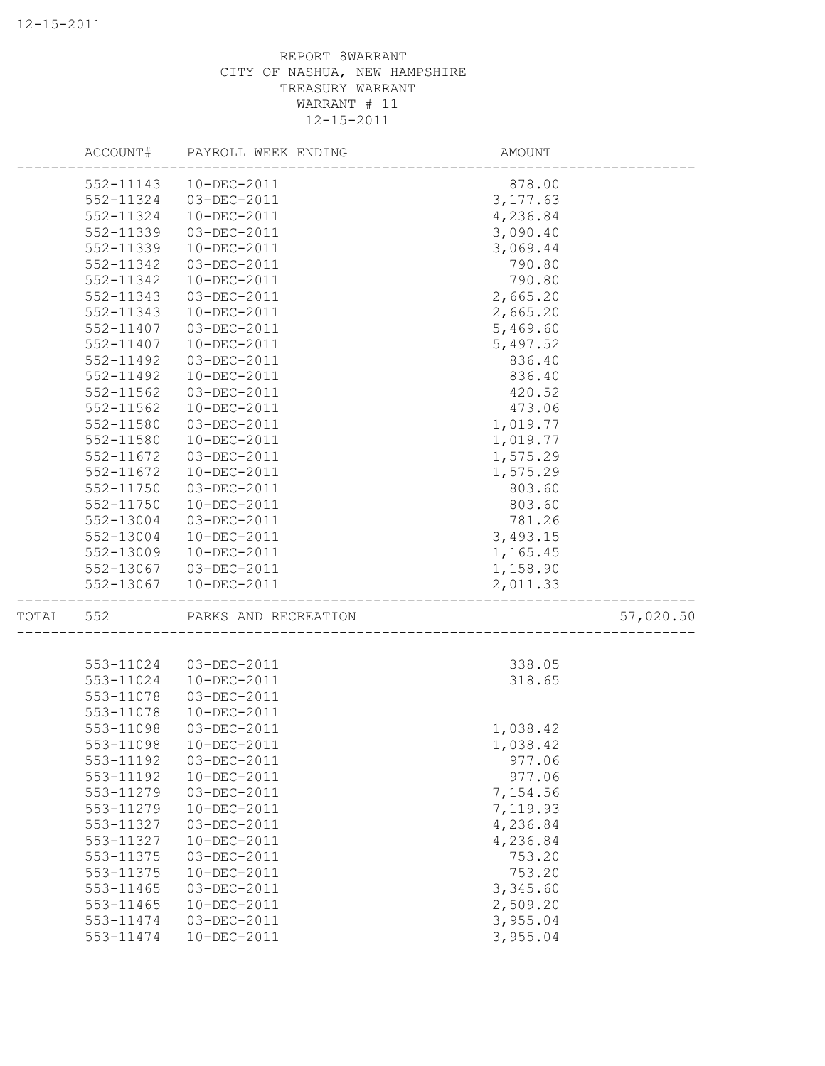|           | ACCOUNT# PAYROLL WEEK ENDING     | AMOUNT                             |           |
|-----------|----------------------------------|------------------------------------|-----------|
| 552-11143 | 10-DEC-2011                      | 878.00                             |           |
| 552-11324 | 03-DEC-2011                      | 3, 177.63                          |           |
| 552-11324 | 10-DEC-2011                      | 4,236.84                           |           |
| 552-11339 | 03-DEC-2011                      | 3,090.40                           |           |
| 552-11339 | 10-DEC-2011                      | 3,069.44                           |           |
| 552-11342 | 03-DEC-2011                      | 790.80                             |           |
| 552-11342 | 10-DEC-2011                      | 790.80                             |           |
| 552-11343 | 03-DEC-2011                      | 2,665.20                           |           |
| 552-11343 | 10-DEC-2011                      | 2,665.20                           |           |
| 552-11407 | 03-DEC-2011                      | 5,469.60                           |           |
| 552-11407 | 10-DEC-2011                      | 5,497.52                           |           |
| 552-11492 | 03-DEC-2011                      | 836.40                             |           |
| 552-11492 | 10-DEC-2011                      | 836.40                             |           |
| 552-11562 | 03-DEC-2011                      | 420.52                             |           |
| 552-11562 | 10-DEC-2011                      | 473.06                             |           |
| 552-11580 | 03-DEC-2011                      | 1,019.77                           |           |
| 552-11580 | $10 - DEC - 2011$                | 1,019.77                           |           |
| 552-11672 | 03-DEC-2011                      | 1,575.29                           |           |
| 552-11672 | 10-DEC-2011                      | 1,575.29                           |           |
| 552-11750 | 03-DEC-2011                      | 803.60                             |           |
| 552-11750 | 10-DEC-2011                      | 803.60                             |           |
| 552-13004 | 03-DEC-2011                      | 781.26                             |           |
| 552-13004 | 10-DEC-2011                      | 3,493.15                           |           |
| 552-13009 | 10-DEC-2011                      | 1,165.45                           |           |
| 552-13067 | 03-DEC-2011                      | 1,158.90                           |           |
| 552-13067 | 10-DEC-2011<br>----------------- | 2,011.33                           |           |
| TOTAL 552 | PARKS AND RECREATION             | ---------------------------------- | 57,020.50 |
|           |                                  |                                    |           |
| 553-11024 | 03-DEC-2011                      | 338.05                             |           |
| 553-11024 | 10-DEC-2011                      | 318.65                             |           |
| 553-11078 | 03-DEC-2011                      |                                    |           |
| 553-11078 | 10-DEC-2011                      |                                    |           |
| 553-11098 | 03-DEC-2011                      | 1,038.42                           |           |
| 553-11098 | $10 - DEC - 2011$                | 1,038.42                           |           |
| 553-11192 | 03-DEC-2011                      | 977.06                             |           |
| 553-11192 | 10-DEC-2011                      | 977.06                             |           |
| 553-11279 | 03-DEC-2011                      | 7,154.56                           |           |
| 553-11279 | 10-DEC-2011                      | 7,119.93                           |           |
| 553-11327 | 03-DEC-2011                      | 4,236.84                           |           |
| 553-11327 | 10-DEC-2011                      | 4,236.84                           |           |
| 553-11375 | 03-DEC-2011                      | 753.20                             |           |
| 553-11375 | 10-DEC-2011                      | 753.20                             |           |
| 553-11465 | 03-DEC-2011                      | 3,345.60                           |           |
| 553-11465 | 10-DEC-2011                      | 2,509.20                           |           |
| 553-11474 | 03-DEC-2011                      | 3,955.04                           |           |
| 553-11474 | 10-DEC-2011                      | 3,955.04                           |           |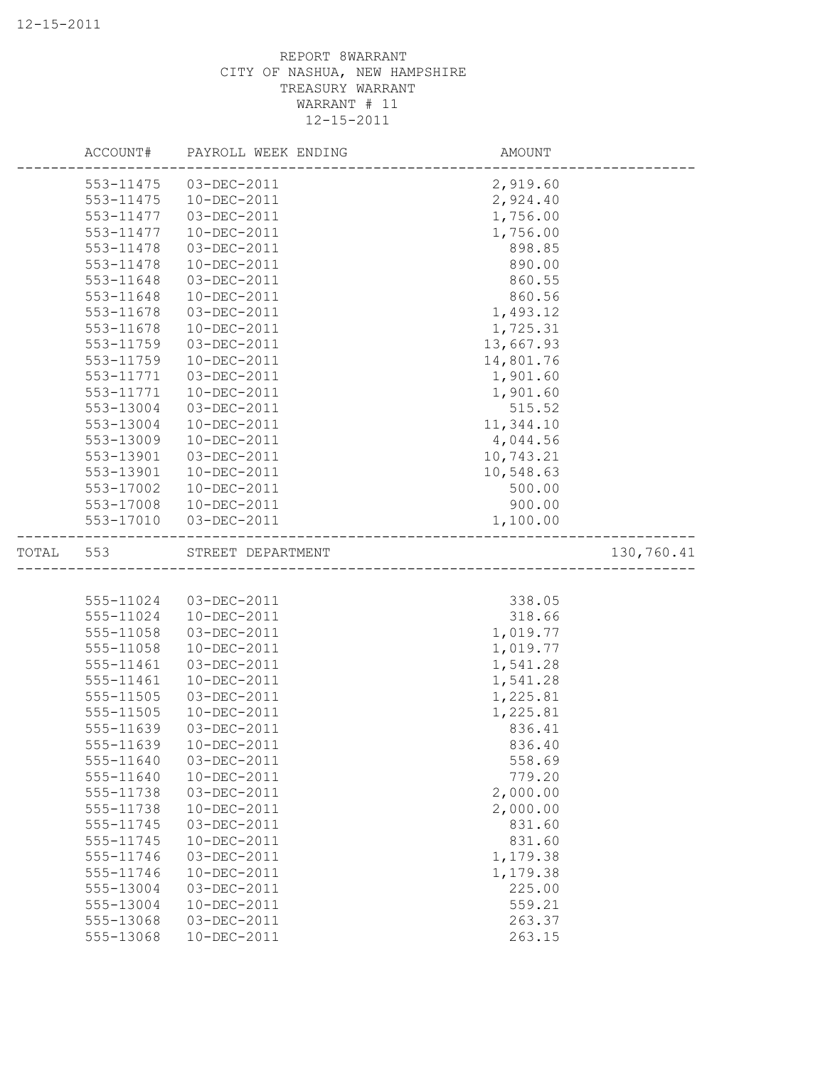|       | ACCOUNT#  | PAYROLL WEEK ENDING | AMOUNT                 |            |
|-------|-----------|---------------------|------------------------|------------|
|       | 553-11475 | 03-DEC-2011         | 2,919.60               |            |
|       | 553-11475 | 10-DEC-2011         | 2,924.40               |            |
|       | 553-11477 | 03-DEC-2011         | 1,756.00               |            |
|       | 553-11477 | 10-DEC-2011         | 1,756.00               |            |
|       | 553-11478 | 03-DEC-2011         | 898.85                 |            |
|       | 553-11478 | 10-DEC-2011         | 890.00                 |            |
|       | 553-11648 | 03-DEC-2011         | 860.55                 |            |
|       | 553-11648 | 10-DEC-2011         | 860.56                 |            |
|       | 553-11678 | 03-DEC-2011         | 1,493.12               |            |
|       | 553-11678 | 10-DEC-2011         | 1,725.31               |            |
|       | 553-11759 | 03-DEC-2011         | 13,667.93              |            |
|       | 553-11759 | 10-DEC-2011         | 14,801.76              |            |
|       | 553-11771 | 03-DEC-2011         | 1,901.60               |            |
|       | 553-11771 | 10-DEC-2011         | 1,901.60               |            |
|       | 553-13004 | 03-DEC-2011         | 515.52                 |            |
|       | 553-13004 | 10-DEC-2011         | 11,344.10              |            |
|       | 553-13009 | 10-DEC-2011         | 4,044.56               |            |
|       | 553-13901 | 03-DEC-2011         | 10,743.21              |            |
|       | 553-13901 | 10-DEC-2011         | 10,548.63              |            |
|       | 553-17002 | 10-DEC-2011         | 500.00                 |            |
|       | 553-17008 | 10-DEC-2011         | 900.00                 |            |
|       | 553-17010 | 03-DEC-2011         | 1,100.00               |            |
| TOTAL | 553       | STREET DEPARTMENT   | ______________________ | 130,760.41 |
|       |           |                     |                        |            |
|       | 555-11024 | 03-DEC-2011         | 338.05                 |            |
|       | 555-11024 | 10-DEC-2011         | 318.66                 |            |
|       | 555-11058 | 03-DEC-2011         | 1,019.77               |            |
|       | 555-11058 | 10-DEC-2011         | 1,019.77               |            |
|       | 555-11461 | 03-DEC-2011         | 1,541.28               |            |
|       | 555-11461 | 10-DEC-2011         | 1,541.28               |            |
|       | 555-11505 | 03-DEC-2011         | 1,225.81               |            |
|       | 555-11505 | $10 - DEC - 2011$   | 1,225.81               |            |
|       | 555-11639 | 03-DEC-2011         | 836.41                 |            |
|       | 555-11639 | 10-DEC-2011         | 836.40                 |            |
|       | 555-11640 | 03-DEC-2011         | 558.69                 |            |
|       | 555-11640 | 10-DEC-2011         | 779.20                 |            |
|       | 555-11738 | 03-DEC-2011         | 2,000.00               |            |
|       | 555-11738 | 10-DEC-2011         | 2,000.00               |            |
|       | 555-11745 | 03-DEC-2011         | 831.60                 |            |
|       | 555-11745 | 10-DEC-2011         | 831.60                 |            |
|       | 555-11746 | 03-DEC-2011         | 1,179.38               |            |
|       | 555-11746 | 10-DEC-2011         | 1,179.38               |            |
|       | 555-13004 | 03-DEC-2011         | 225.00                 |            |
|       | 555-13004 | 10-DEC-2011         | 559.21                 |            |
|       | 555-13068 | 03-DEC-2011         | 263.37                 |            |
|       | 555-13068 | 10-DEC-2011         | 263.15                 |            |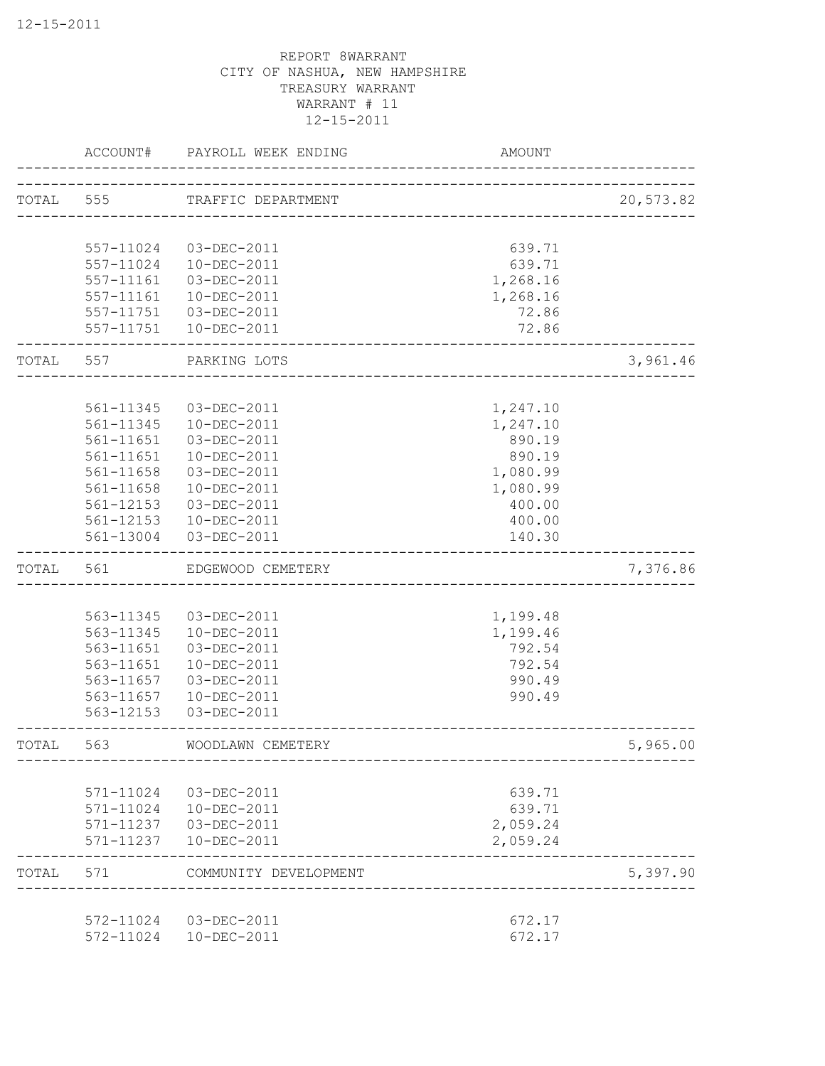|           | ACCOUNT#  | PAYROLL WEEK ENDING   | AMOUNT   |           |
|-----------|-----------|-----------------------|----------|-----------|
|           |           |                       |          |           |
| TOTAL 555 |           | TRAFFIC DEPARTMENT    |          | 20,573.82 |
|           | 557-11024 | 03-DEC-2011           | 639.71   |           |
|           | 557-11024 | 10-DEC-2011           | 639.71   |           |
|           | 557-11161 | 03-DEC-2011           | 1,268.16 |           |
|           | 557-11161 | 10-DEC-2011           | 1,268.16 |           |
|           | 557-11751 | 03-DEC-2011           | 72.86    |           |
|           | 557-11751 | 10-DEC-2011           | 72.86    |           |
| TOTAL     | 557       | PARKING LOTS          |          | 3,961.46  |
|           |           |                       |          |           |
|           | 561-11345 | 03-DEC-2011           | 1,247.10 |           |
|           | 561-11345 | 10-DEC-2011           | 1,247.10 |           |
|           | 561-11651 | 03-DEC-2011           | 890.19   |           |
|           | 561-11651 | 10-DEC-2011           | 890.19   |           |
|           | 561-11658 | 03-DEC-2011           | 1,080.99 |           |
|           | 561-11658 | 10-DEC-2011           | 1,080.99 |           |
|           | 561-12153 | 03-DEC-2011           | 400.00   |           |
|           | 561-12153 | 10-DEC-2011           | 400.00   |           |
|           | 561-13004 | 03-DEC-2011           | 140.30   |           |
| TOTAL     | 561       | EDGEWOOD CEMETERY     |          | 7,376.86  |
|           |           |                       |          |           |
|           | 563-11345 | 03-DEC-2011           | 1,199.48 |           |
|           | 563-11345 | 10-DEC-2011           | 1,199.46 |           |
|           | 563-11651 | 03-DEC-2011           | 792.54   |           |
|           | 563-11651 | 10-DEC-2011           | 792.54   |           |
|           | 563-11657 | 03-DEC-2011           | 990.49   |           |
|           | 563-11657 | 10-DEC-2011           | 990.49   |           |
|           | 563-12153 | 03-DEC-2011           |          |           |
| TOTAL     | 563       | WOODLAWN CEMETERY     |          | 5,965.00  |
|           |           |                       |          |           |
|           | 571-11024 | 03-DEC-2011           | 639.71   |           |
|           | 571-11024 | 10-DEC-2011           | 639.71   |           |
|           | 571-11237 | 03-DEC-2011           | 2,059.24 |           |
|           | 571-11237 | 10-DEC-2011           | 2,059.24 |           |
| TOTAL     | 571       | COMMUNITY DEVELOPMENT |          | 5,397.90  |
|           | 572-11024 | 03-DEC-2011           | 672.17   |           |
|           | 572-11024 | 10-DEC-2011           | 672.17   |           |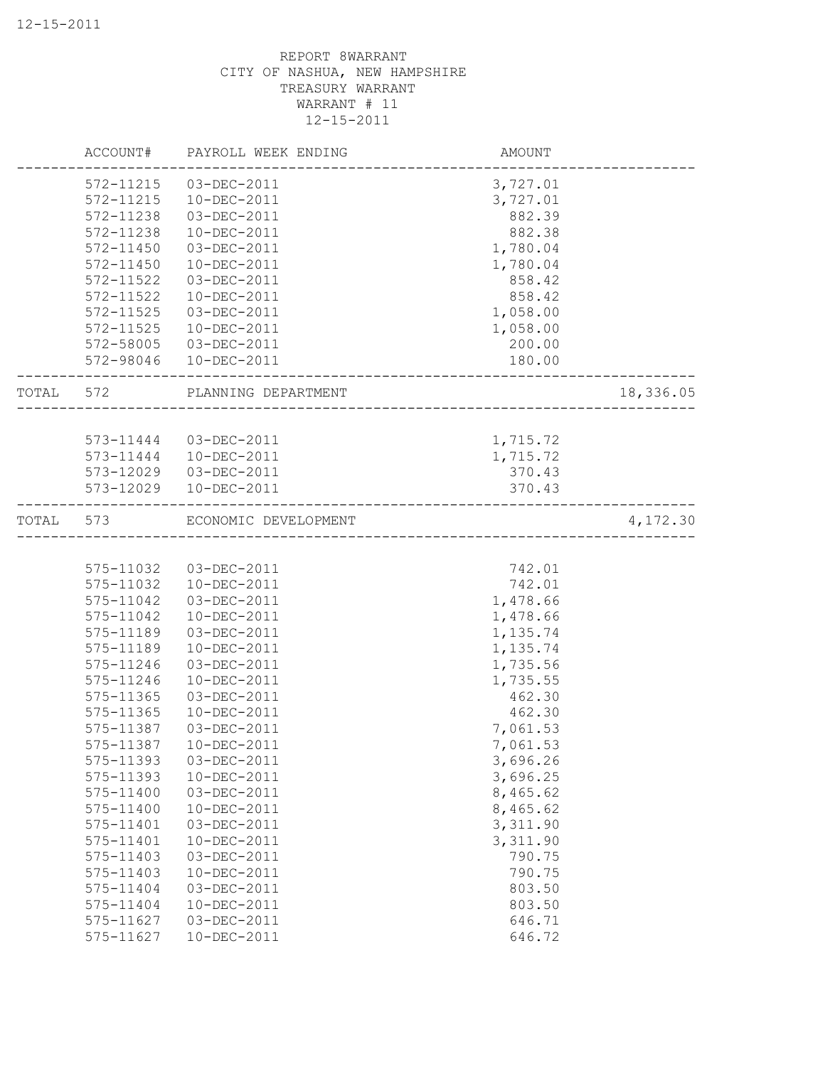|           | ACCOUNT#  | PAYROLL WEEK ENDING    | AMOUNT   |           |
|-----------|-----------|------------------------|----------|-----------|
|           | 572-11215 | 03-DEC-2011            | 3,727.01 |           |
|           | 572-11215 | 10-DEC-2011            | 3,727.01 |           |
|           | 572-11238 | 03-DEC-2011            | 882.39   |           |
|           | 572-11238 | 10-DEC-2011            | 882.38   |           |
|           | 572-11450 | 03-DEC-2011            | 1,780.04 |           |
|           | 572-11450 | 10-DEC-2011            | 1,780.04 |           |
|           | 572-11522 | 03-DEC-2011            | 858.42   |           |
|           | 572-11522 | 10-DEC-2011            | 858.42   |           |
|           | 572-11525 | 03-DEC-2011            | 1,058.00 |           |
|           | 572-11525 | 10-DEC-2011            | 1,058.00 |           |
|           | 572-58005 | 03-DEC-2011            | 200.00   |           |
|           | 572-98046 | 10-DEC-2011            | 180.00   |           |
| TOTAL 572 |           | PLANNING DEPARTMENT    |          | 18,336.05 |
|           |           |                        |          |           |
|           |           | 573-11444 03-DEC-2011  | 1,715.72 |           |
|           |           | 573-11444  10-DEC-2011 | 1,715.72 |           |
|           | 573-12029 | 03-DEC-2011            | 370.43   |           |
|           | 573-12029 | 10-DEC-2011            | 370.43   |           |
| TOTAL 573 |           | ECONOMIC DEVELOPMENT   |          | 4,172.30  |
|           |           |                        |          |           |
|           | 575-11032 | 03-DEC-2011            | 742.01   |           |
|           | 575-11032 | 10-DEC-2011            | 742.01   |           |
|           | 575-11042 | 03-DEC-2011            | 1,478.66 |           |
|           | 575-11042 | 10-DEC-2011            | 1,478.66 |           |
|           | 575-11189 | 03-DEC-2011            | 1,135.74 |           |
|           | 575-11189 | 10-DEC-2011            | 1,135.74 |           |
|           | 575-11246 | 03-DEC-2011            | 1,735.56 |           |
|           | 575-11246 | 10-DEC-2011            | 1,735.55 |           |
|           | 575-11365 | 03-DEC-2011            | 462.30   |           |
|           | 575-11365 | $10 - DEC - 2011$      | 462.30   |           |
|           | 575-11387 | 03-DEC-2011            | 7,061.53 |           |
|           | 575-11387 | $10 - DEC - 2011$      | 7,061.53 |           |
|           | 575-11393 | 03-DEC-2011            | 3,696.26 |           |
|           | 575-11393 | 10-DEC-2011            | 3,696.25 |           |
|           | 575-11400 | 03-DEC-2011            | 8,465.62 |           |
|           | 575-11400 | 10-DEC-2011            | 8,465.62 |           |
|           | 575-11401 | 03-DEC-2011            | 3,311.90 |           |
|           | 575-11401 | 10-DEC-2011            | 3,311.90 |           |
|           | 575-11403 | 03-DEC-2011            | 790.75   |           |
|           | 575-11403 | 10-DEC-2011            | 790.75   |           |
|           | 575-11404 | 03-DEC-2011            | 803.50   |           |
|           | 575-11404 | 10-DEC-2011            | 803.50   |           |
|           | 575-11627 | 03-DEC-2011            | 646.71   |           |
|           | 575-11627 | 10-DEC-2011            | 646.72   |           |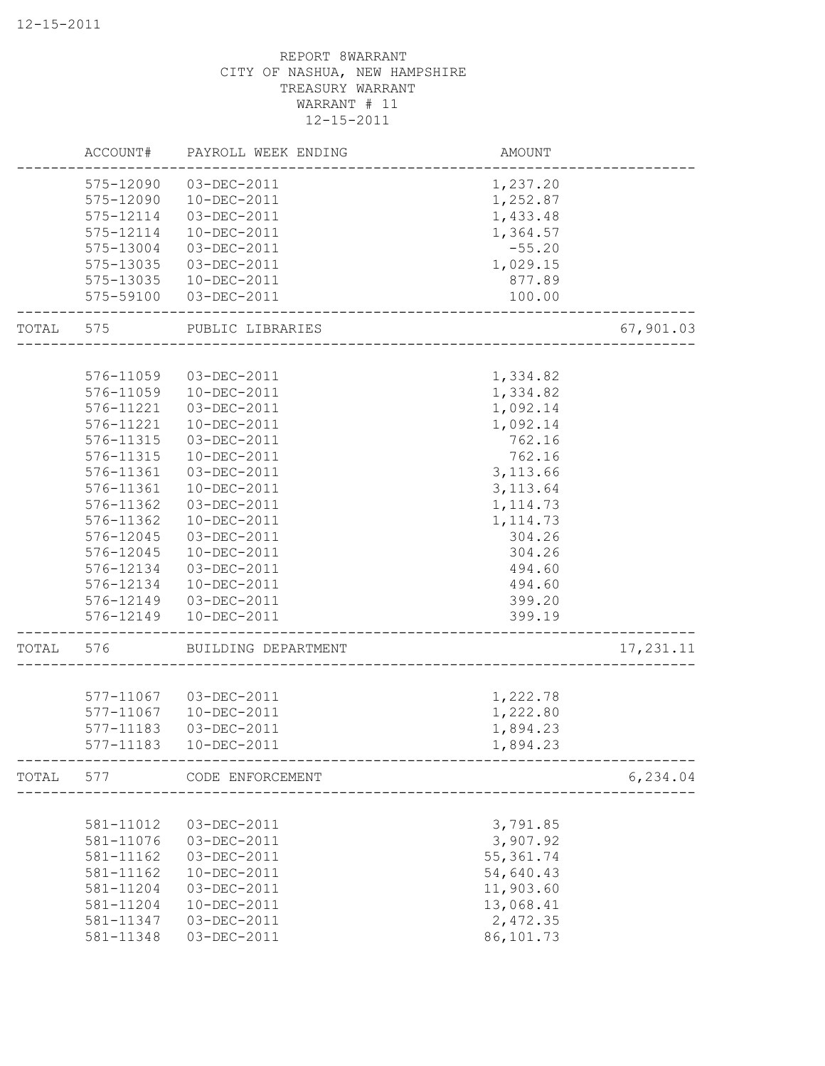|       | ACCOUNT#  | PAYROLL WEEK ENDING | AMOUNT     |            |
|-------|-----------|---------------------|------------|------------|
|       | 575-12090 | 03-DEC-2011         | 1,237.20   |            |
|       | 575-12090 | 10-DEC-2011         | 1,252.87   |            |
|       | 575-12114 | 03-DEC-2011         | 1,433.48   |            |
|       | 575-12114 | 10-DEC-2011         | 1,364.57   |            |
|       | 575-13004 | 03-DEC-2011         | $-55.20$   |            |
|       | 575-13035 | 03-DEC-2011         | 1,029.15   |            |
|       | 575-13035 | 10-DEC-2011         | 877.89     |            |
|       | 575-59100 | 03-DEC-2011         | 100.00     |            |
| TOTAL | 575       | PUBLIC LIBRARIES    |            | 67,901.03  |
|       |           |                     |            |            |
|       | 576-11059 | 03-DEC-2011         | 1,334.82   |            |
|       | 576-11059 | 10-DEC-2011         | 1,334.82   |            |
|       | 576-11221 | 03-DEC-2011         | 1,092.14   |            |
|       | 576-11221 | $10 - DEC - 2011$   | 1,092.14   |            |
|       | 576-11315 | 03-DEC-2011         | 762.16     |            |
|       | 576-11315 | 10-DEC-2011         | 762.16     |            |
|       | 576-11361 | 03-DEC-2011         | 3,113.66   |            |
|       | 576-11361 | 10-DEC-2011         | 3, 113.64  |            |
|       | 576-11362 | 03-DEC-2011         | 1, 114.73  |            |
|       | 576-11362 | 10-DEC-2011         | 1, 114.73  |            |
|       | 576-12045 | 03-DEC-2011         | 304.26     |            |
|       | 576-12045 | 10-DEC-2011         | 304.26     |            |
|       | 576-12134 | 03-DEC-2011         | 494.60     |            |
|       | 576-12134 | 10-DEC-2011         | 494.60     |            |
|       | 576-12149 | 03-DEC-2011         | 399.20     |            |
|       | 576-12149 | 10-DEC-2011         | 399.19     |            |
| TOTAL | 576       | BUILDING DEPARTMENT |            | 17, 231.11 |
|       |           |                     |            |            |
|       | 577-11067 | 03-DEC-2011         | 1,222.78   |            |
|       | 577-11067 | 10-DEC-2011         | 1,222.80   |            |
|       | 577-11183 | 03-DEC-2011         | 1,894.23   |            |
|       | 577-11183 | 10-DEC-2011         | 1,894.23   |            |
| TOTAL | 577       | CODE ENFORCEMENT    |            | 6, 234.04  |
|       |           |                     |            |            |
|       | 581-11012 | 03-DEC-2011         | 3,791.85   |            |
|       | 581-11076 | 03-DEC-2011         | 3,907.92   |            |
|       | 581-11162 | 03-DEC-2011         | 55, 361.74 |            |
|       | 581-11162 | 10-DEC-2011         | 54,640.43  |            |
|       | 581-11204 | 03-DEC-2011         | 11,903.60  |            |
|       | 581-11204 | 10-DEC-2011         | 13,068.41  |            |
|       | 581-11347 | 03-DEC-2011         | 2,472.35   |            |
|       | 581-11348 | 03-DEC-2011         | 86,101.73  |            |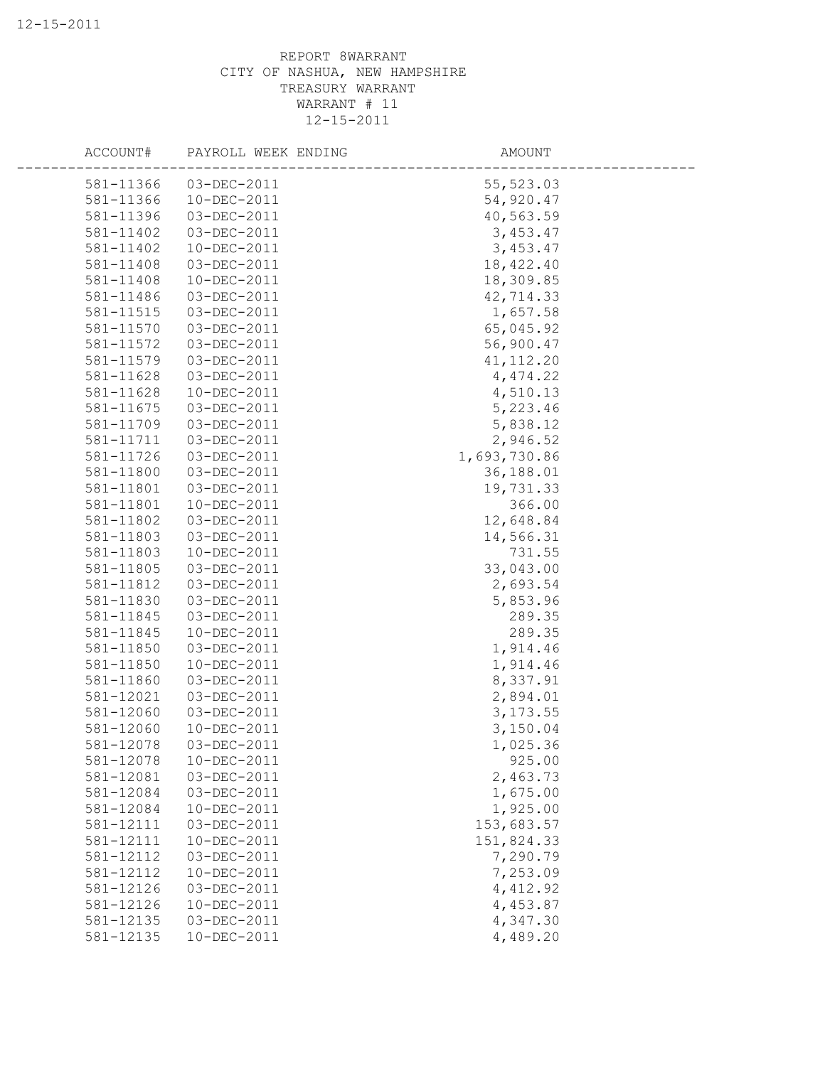| ACCOUNT#  | PAYROLL WEEK ENDING | AMOUNT       |  |
|-----------|---------------------|--------------|--|
| 581-11366 | 03-DEC-2011         | 55,523.03    |  |
| 581-11366 | 10-DEC-2011         | 54,920.47    |  |
| 581-11396 | 03-DEC-2011         | 40,563.59    |  |
| 581-11402 | 03-DEC-2011         | 3,453.47     |  |
| 581-11402 | 10-DEC-2011         | 3,453.47     |  |
| 581-11408 | 03-DEC-2011         | 18,422.40    |  |
| 581-11408 | 10-DEC-2011         | 18,309.85    |  |
| 581-11486 | 03-DEC-2011         | 42,714.33    |  |
| 581-11515 | 03-DEC-2011         | 1,657.58     |  |
| 581-11570 | 03-DEC-2011         | 65,045.92    |  |
| 581-11572 | 03-DEC-2011         | 56,900.47    |  |
| 581-11579 | 03-DEC-2011         | 41, 112.20   |  |
| 581-11628 | 03-DEC-2011         | 4,474.22     |  |
| 581-11628 | $10 - DEC - 2011$   | 4,510.13     |  |
| 581-11675 | 03-DEC-2011         | 5,223.46     |  |
| 581-11709 | 03-DEC-2011         | 5,838.12     |  |
| 581-11711 | 03-DEC-2011         | 2,946.52     |  |
| 581-11726 | 03-DEC-2011         | 1,693,730.86 |  |
| 581-11800 | 03-DEC-2011         | 36,188.01    |  |
| 581-11801 | 03-DEC-2011         | 19,731.33    |  |
| 581-11801 | 10-DEC-2011         | 366.00       |  |
| 581-11802 | 03-DEC-2011         | 12,648.84    |  |
| 581-11803 | 03-DEC-2011         | 14,566.31    |  |
| 581-11803 | 10-DEC-2011         | 731.55       |  |
| 581-11805 | 03-DEC-2011         | 33,043.00    |  |
| 581-11812 | 03-DEC-2011         | 2,693.54     |  |
| 581-11830 | 03-DEC-2011         | 5,853.96     |  |
| 581-11845 | 03-DEC-2011         | 289.35       |  |
| 581-11845 | 10-DEC-2011         | 289.35       |  |
| 581-11850 | 03-DEC-2011         | 1,914.46     |  |
| 581-11850 | $10 - DEC - 2011$   | 1,914.46     |  |
| 581-11860 | 03-DEC-2011         | 8,337.91     |  |
| 581-12021 | 03-DEC-2011         | 2,894.01     |  |
| 581-12060 | 03-DEC-2011         | 3, 173.55    |  |
| 581-12060 | 10-DEC-2011         | 3,150.04     |  |
| 581-12078 | 03-DEC-2011         | 1,025.36     |  |
| 581-12078 | 10-DEC-2011         | 925.00       |  |
| 581-12081 | 03-DEC-2011         | 2,463.73     |  |
| 581-12084 | 03-DEC-2011         | 1,675.00     |  |
| 581-12084 | 10-DEC-2011         | 1,925.00     |  |
| 581-12111 | 03-DEC-2011         | 153,683.57   |  |
| 581-12111 | 10-DEC-2011         | 151,824.33   |  |
| 581-12112 | 03-DEC-2011         | 7,290.79     |  |
| 581-12112 | 10-DEC-2011         | 7,253.09     |  |
| 581-12126 | 03-DEC-2011         | 4,412.92     |  |
| 581-12126 | 10-DEC-2011         | 4,453.87     |  |
| 581-12135 | 03-DEC-2011         | 4,347.30     |  |
| 581-12135 | 10-DEC-2011         | 4,489.20     |  |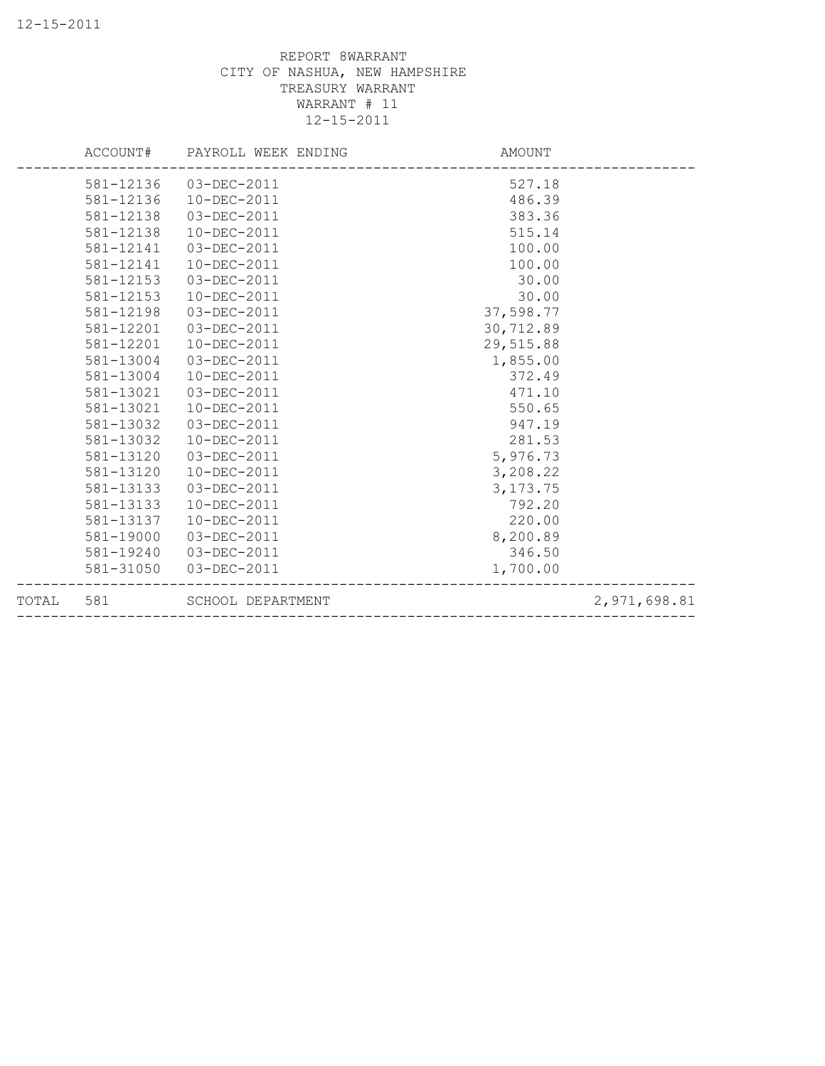| TOTAL 581 |           | SCHOOL DEPARTMENT            |            | 2,971,698.81 |
|-----------|-----------|------------------------------|------------|--------------|
|           | 581-31050 | 03-DEC-2011                  | 1,700.00   |              |
|           | 581-19240 | 03-DEC-2011                  | 346.50     |              |
|           | 581-19000 | 03-DEC-2011                  | 8,200.89   |              |
|           | 581-13137 | $10 - DEC - 2011$            | 220.00     |              |
|           | 581-13133 | 10-DEC-2011                  | 792.20     |              |
|           | 581-13133 | 03-DEC-2011                  | 3, 173. 75 |              |
|           | 581-13120 | $10 - DEC - 2011$            | 3,208.22   |              |
|           | 581-13120 | 03-DEC-2011                  | 5,976.73   |              |
|           | 581-13032 | $10 - DEC - 2011$            | 281.53     |              |
|           | 581-13032 | 03-DEC-2011                  | 947.19     |              |
|           | 581-13021 | 10-DEC-2011                  | 550.65     |              |
|           | 581-13021 | 03-DEC-2011                  | 471.10     |              |
|           | 581-13004 | 10-DEC-2011                  | 372.49     |              |
|           | 581-13004 | 03-DEC-2011                  | 1,855.00   |              |
|           | 581-12201 | $10 - DEC - 2011$            | 29,515.88  |              |
|           | 581-12201 | 03-DEC-2011                  | 30,712.89  |              |
|           | 581-12198 | 03-DEC-2011                  | 37,598.77  |              |
|           | 581-12153 | 10-DEC-2011                  | 30.00      |              |
|           | 581-12153 | 03-DEC-2011                  | 30.00      |              |
|           | 581-12141 | 10-DEC-2011                  | 100.00     |              |
|           | 581-12141 | 03-DEC-2011                  | 100.00     |              |
|           | 581-12138 | 10-DEC-2011                  | 515.14     |              |
|           | 581-12138 | 03-DEC-2011                  | 383.36     |              |
|           | 581-12136 | 10-DEC-2011                  | 486.39     |              |
|           |           | 581-12136 03-DEC-2011        | 527.18     |              |
|           |           | ACCOUNT# PAYROLL WEEK ENDING | AMOUNT     |              |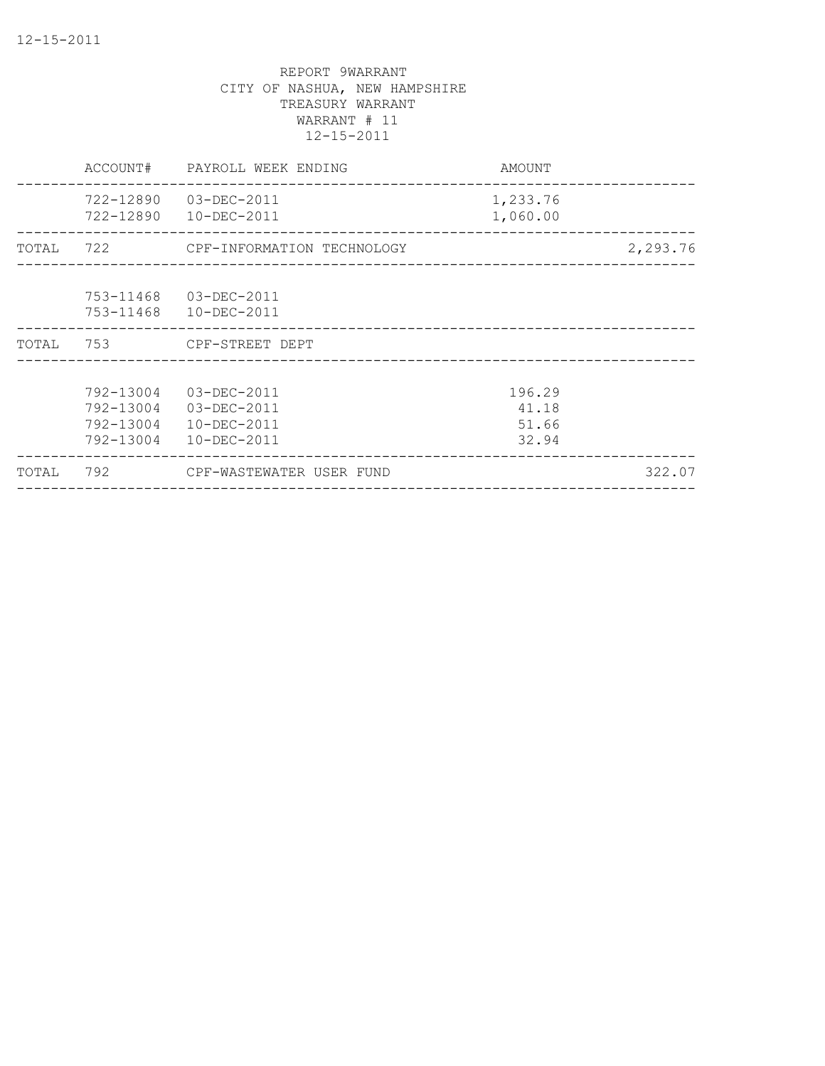|       | ACCOUNT#                                         | PAYROLL WEEK ENDING                                      | AMOUNT                            |          |
|-------|--------------------------------------------------|----------------------------------------------------------|-----------------------------------|----------|
|       | 722-12890                                        | 03-DEC-2011<br>722-12890 10-DEC-2011                     | 1,233.76<br>1,060.00              |          |
|       |                                                  | TOTAL 722 CPF-INFORMATION TECHNOLOGY                     |                                   | 2,293.76 |
|       | 753-11468                                        | 03-DEC-2011<br>753-11468  10-DEC-2011                    |                                   |          |
|       |                                                  | TOTAL 753 CPF-STREET DEPT                                |                                   |          |
|       | 792-13004<br>792-13004<br>792-13004<br>792-13004 | 03-DEC-2011<br>03-DEC-2011<br>10-DEC-2011<br>10-DEC-2011 | 196.29<br>41.18<br>51.66<br>32.94 |          |
| TOTAL |                                                  | 792 CPF-WASTEWATER USER FUND                             |                                   | 322.07   |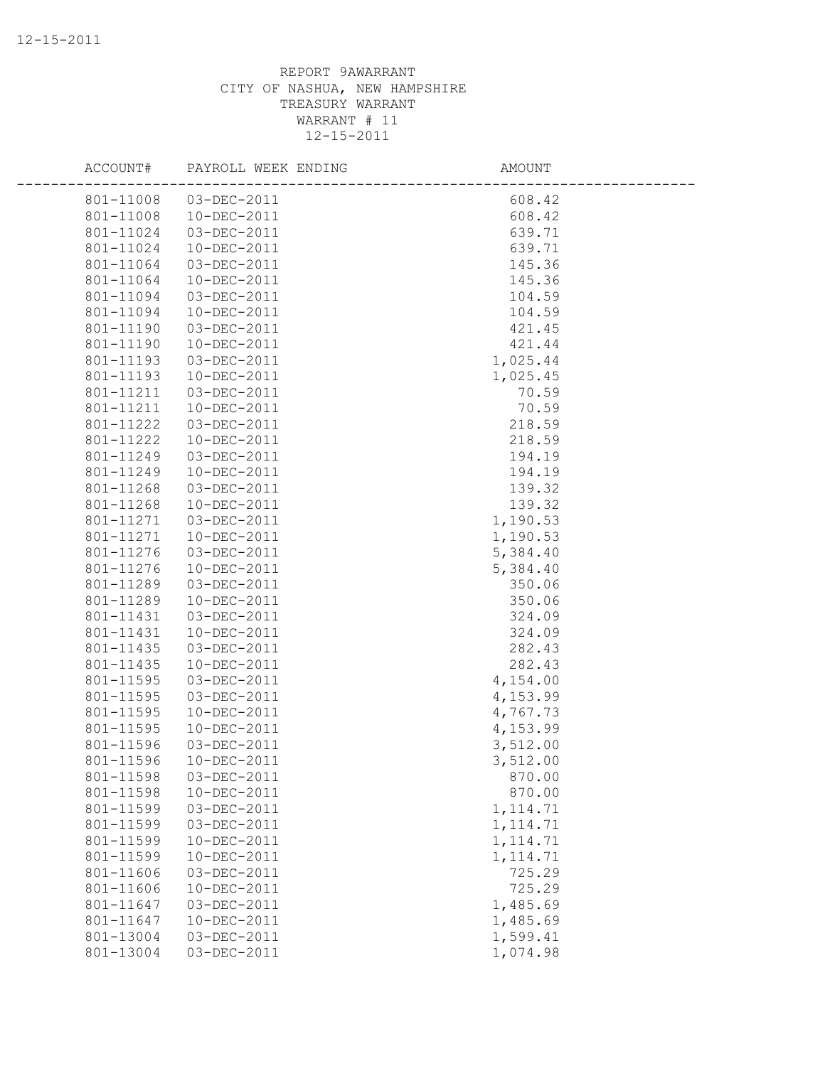| ACCOUNT#  | PAYROLL WEEK ENDING | AMOUNT    |  |
|-----------|---------------------|-----------|--|
| 801-11008 | 03-DEC-2011         | 608.42    |  |
| 801-11008 | 10-DEC-2011         | 608.42    |  |
| 801-11024 | 03-DEC-2011         | 639.71    |  |
| 801-11024 | 10-DEC-2011         | 639.71    |  |
| 801-11064 | 03-DEC-2011         | 145.36    |  |
| 801-11064 | 10-DEC-2011         | 145.36    |  |
| 801-11094 | 03-DEC-2011         | 104.59    |  |
| 801-11094 | 10-DEC-2011         | 104.59    |  |
| 801-11190 | 03-DEC-2011         | 421.45    |  |
| 801-11190 | 10-DEC-2011         | 421.44    |  |
| 801-11193 | 03-DEC-2011         | 1,025.44  |  |
| 801-11193 | 10-DEC-2011         | 1,025.45  |  |
| 801-11211 | 03-DEC-2011         | 70.59     |  |
| 801-11211 | 10-DEC-2011         | 70.59     |  |
| 801-11222 | 03-DEC-2011         | 218.59    |  |
| 801-11222 | 10-DEC-2011         | 218.59    |  |
| 801-11249 | 03-DEC-2011         | 194.19    |  |
| 801-11249 | 10-DEC-2011         | 194.19    |  |
| 801-11268 | 03-DEC-2011         | 139.32    |  |
| 801-11268 | 10-DEC-2011         | 139.32    |  |
| 801-11271 | 03-DEC-2011         | 1,190.53  |  |
| 801-11271 | 10-DEC-2011         | 1,190.53  |  |
| 801-11276 | 03-DEC-2011         | 5,384.40  |  |
| 801-11276 | 10-DEC-2011         | 5,384.40  |  |
| 801-11289 | 03-DEC-2011         | 350.06    |  |
| 801-11289 | 10-DEC-2011         | 350.06    |  |
| 801-11431 | 03-DEC-2011         | 324.09    |  |
| 801-11431 | 10-DEC-2011         | 324.09    |  |
| 801-11435 | 03-DEC-2011         | 282.43    |  |
| 801-11435 | 10-DEC-2011         | 282.43    |  |
| 801-11595 | 03-DEC-2011         | 4,154.00  |  |
| 801-11595 | 03-DEC-2011         | 4,153.99  |  |
| 801-11595 | 10-DEC-2011         | 4,767.73  |  |
| 801-11595 | 10-DEC-2011         | 4,153.99  |  |
| 801-11596 | 03-DEC-2011         | 3,512.00  |  |
| 801-11596 | $10 - DEC - 2011$   | 3,512.00  |  |
| 801-11598 | 03-DEC-2011         | 870.00    |  |
| 801-11598 | 10-DEC-2011         | 870.00    |  |
| 801-11599 | 03-DEC-2011         | 1, 114.71 |  |
| 801-11599 | 03-DEC-2011         | 1, 114.71 |  |
| 801-11599 | 10-DEC-2011         | 1, 114.71 |  |
| 801-11599 | 10-DEC-2011         | 1, 114.71 |  |
| 801-11606 | 03-DEC-2011         | 725.29    |  |
| 801-11606 | 10-DEC-2011         | 725.29    |  |
| 801-11647 | 03-DEC-2011         | 1,485.69  |  |
| 801-11647 | 10-DEC-2011         | 1,485.69  |  |
| 801-13004 | 03-DEC-2011         | 1,599.41  |  |
| 801-13004 | 03-DEC-2011         | 1,074.98  |  |
|           |                     |           |  |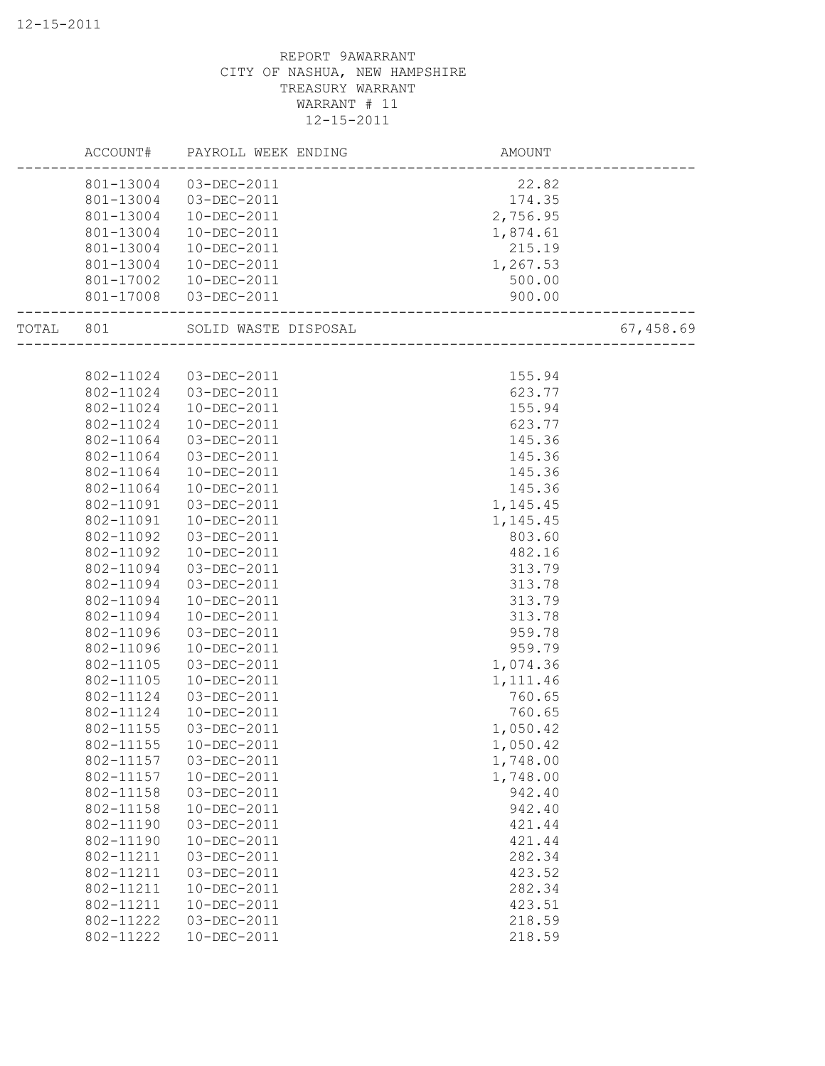|       | ACCOUNT#  | PAYROLL WEEK ENDING  | AMOUNT   |           |
|-------|-----------|----------------------|----------|-----------|
|       | 801-13004 | 03-DEC-2011          | 22.82    |           |
|       | 801-13004 | 03-DEC-2011          | 174.35   |           |
|       | 801-13004 | 10-DEC-2011          | 2,756.95 |           |
|       | 801-13004 | 10-DEC-2011          | 1,874.61 |           |
|       | 801-13004 | 10-DEC-2011          | 215.19   |           |
|       | 801-13004 | 10-DEC-2011          | 1,267.53 |           |
|       | 801-17002 | 10-DEC-2011          | 500.00   |           |
|       | 801-17008 | 03-DEC-2011          | 900.00   |           |
| TOTAL | 801       | SOLID WASTE DISPOSAL |          | 67,458.69 |
|       |           |                      |          |           |
|       | 802-11024 | 03-DEC-2011          | 155.94   |           |
|       | 802-11024 | 03-DEC-2011          | 623.77   |           |
|       | 802-11024 | 10-DEC-2011          | 155.94   |           |
|       | 802-11024 | $10 - DEC - 2011$    | 623.77   |           |
|       | 802-11064 | 03-DEC-2011          | 145.36   |           |
|       | 802-11064 | 03-DEC-2011          | 145.36   |           |
|       | 802-11064 | 10-DEC-2011          | 145.36   |           |
|       | 802-11064 | $10 - DEC - 2011$    | 145.36   |           |
|       | 802-11091 | 03-DEC-2011          | 1,145.45 |           |
|       | 802-11091 | 10-DEC-2011          | 1,145.45 |           |
|       | 802-11092 | 03-DEC-2011          | 803.60   |           |
|       | 802-11092 | 10-DEC-2011          | 482.16   |           |
|       | 802-11094 | 03-DEC-2011          | 313.79   |           |
|       | 802-11094 | 03-DEC-2011          | 313.78   |           |
|       | 802-11094 | 10-DEC-2011          | 313.79   |           |
|       | 802-11094 | 10-DEC-2011          | 313.78   |           |
|       | 802-11096 | 03-DEC-2011          | 959.78   |           |
|       | 802-11096 | 10-DEC-2011          | 959.79   |           |
|       | 802-11105 | 03-DEC-2011          | 1,074.36 |           |
|       | 802-11105 | 10-DEC-2011          | 1,111.46 |           |
|       | 802-11124 | 03-DEC-2011          | 760.65   |           |
|       | 802-11124 | 10-DEC-2011          | 760.65   |           |
|       | 802-11155 | 03-DEC-2011          | 1,050.42 |           |
|       | 802-11155 | 10-DEC-2011          | 1,050.42 |           |
|       | 802-11157 | 03-DEC-2011          | 1,748.00 |           |
|       | 802-11157 | 10-DEC-2011          | 1,748.00 |           |
|       | 802-11158 | 03-DEC-2011          | 942.40   |           |
|       | 802-11158 | 10-DEC-2011          | 942.40   |           |
|       | 802-11190 | 03-DEC-2011          | 421.44   |           |
|       | 802-11190 | 10-DEC-2011          | 421.44   |           |
|       | 802-11211 | 03-DEC-2011          | 282.34   |           |
|       | 802-11211 | 03-DEC-2011          | 423.52   |           |
|       | 802-11211 | 10-DEC-2011          | 282.34   |           |
|       | 802-11211 | 10-DEC-2011          | 423.51   |           |
|       | 802-11222 | 03-DEC-2011          | 218.59   |           |
|       | 802-11222 | 10-DEC-2011          | 218.59   |           |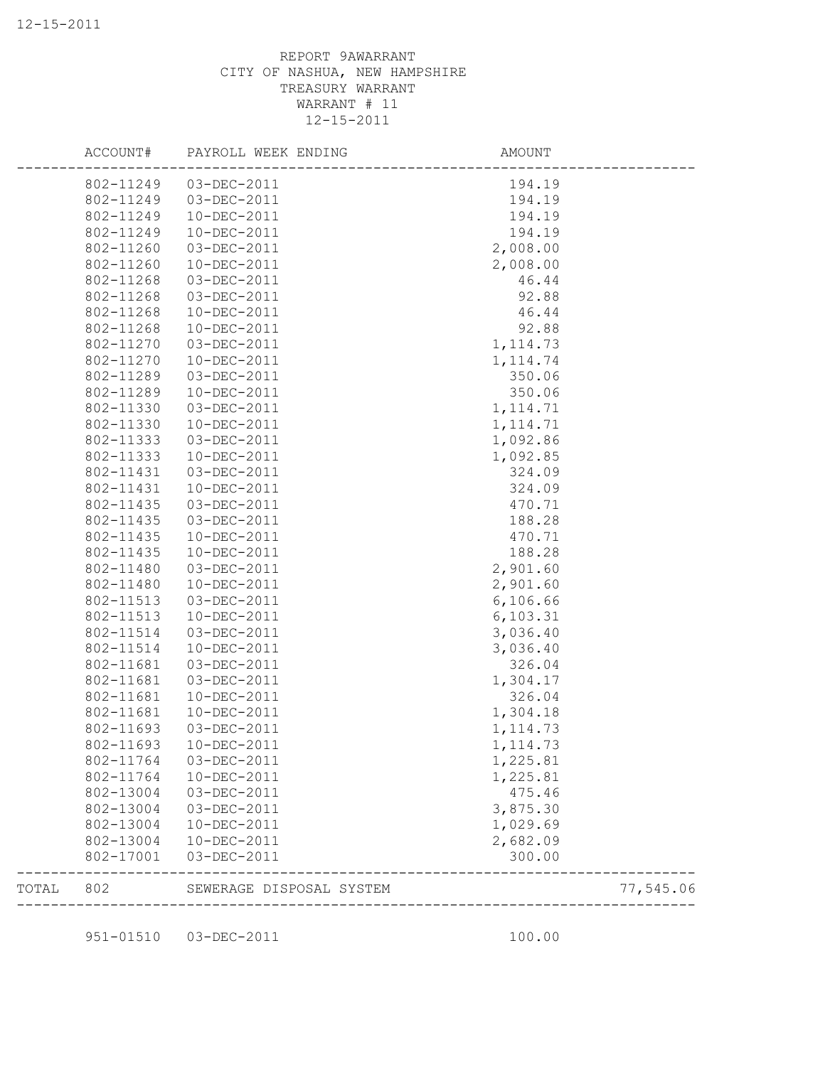|       | ACCOUNT#  | PAYROLL WEEK ENDING      | AMOUNT                            |           |
|-------|-----------|--------------------------|-----------------------------------|-----------|
|       | 802-11249 | 03-DEC-2011              | 194.19                            |           |
|       | 802-11249 | 03-DEC-2011              | 194.19                            |           |
|       | 802-11249 | 10-DEC-2011              | 194.19                            |           |
|       | 802-11249 | 10-DEC-2011              | 194.19                            |           |
|       | 802-11260 | 03-DEC-2011              | 2,008.00                          |           |
|       | 802-11260 | 10-DEC-2011              | 2,008.00                          |           |
|       | 802-11268 | 03-DEC-2011              | 46.44                             |           |
|       | 802-11268 | 03-DEC-2011              | 92.88                             |           |
|       | 802-11268 | 10-DEC-2011              | 46.44                             |           |
|       | 802-11268 | 10-DEC-2011              | 92.88                             |           |
|       | 802-11270 | 03-DEC-2011              | 1, 114.73                         |           |
|       | 802-11270 | 10-DEC-2011              | 1, 114.74                         |           |
|       | 802-11289 | 03-DEC-2011              | 350.06                            |           |
|       | 802-11289 | 10-DEC-2011              | 350.06                            |           |
|       | 802-11330 | 03-DEC-2011              | 1, 114.71                         |           |
|       | 802-11330 | 10-DEC-2011              | 1, 114.71                         |           |
|       | 802-11333 | 03-DEC-2011              | 1,092.86                          |           |
|       | 802-11333 | 10-DEC-2011              | 1,092.85                          |           |
|       | 802-11431 | 03-DEC-2011              | 324.09                            |           |
|       | 802-11431 | $10 - DEC - 2011$        | 324.09                            |           |
|       | 802-11435 | 03-DEC-2011              | 470.71                            |           |
|       | 802-11435 | 03-DEC-2011              | 188.28                            |           |
|       | 802-11435 | 10-DEC-2011              | 470.71                            |           |
|       | 802-11435 | 10-DEC-2011              | 188.28                            |           |
|       | 802-11480 | 03-DEC-2011              | 2,901.60                          |           |
|       | 802-11480 | 10-DEC-2011              | 2,901.60                          |           |
|       | 802-11513 | 03-DEC-2011              | 6,106.66                          |           |
|       | 802-11513 | 10-DEC-2011              | 6, 103.31                         |           |
|       | 802-11514 | 03-DEC-2011              | 3,036.40                          |           |
|       | 802-11514 | 10-DEC-2011              | 3,036.40                          |           |
|       | 802-11681 | 03-DEC-2011              | 326.04                            |           |
|       | 802-11681 | 03-DEC-2011              | 1,304.17                          |           |
|       | 802-11681 | 10-DEC-2011              | 326.04                            |           |
|       | 802-11681 | $10 - DEC - 2011$        | 1,304.18                          |           |
|       | 802-11693 | 03-DEC-2011              | 1, 114.73                         |           |
|       | 802-11693 | $10 - DEC - 2011$        | 1, 114.73                         |           |
|       | 802-11764 | 03-DEC-2011              | 1,225.81                          |           |
|       | 802-11764 | 10-DEC-2011              | 1,225.81                          |           |
|       | 802-13004 | 03-DEC-2011              | 475.46                            |           |
|       | 802-13004 | 03-DEC-2011              | 3,875.30                          |           |
|       | 802-13004 | 10-DEC-2011              | 1,029.69                          |           |
|       | 802-13004 | 10-DEC-2011              | 2,682.09                          |           |
|       | 802-17001 | 03-DEC-2011              | 300.00                            |           |
| TOTAL | 802       | SEWERAGE DISPOSAL SYSTEM | . _ _ _ _ _ _ _ _ _ _ _ _ _ _ _ _ | 77,545.06 |
|       |           |                          |                                   |           |

951-01510 03-DEC-2011 100.00